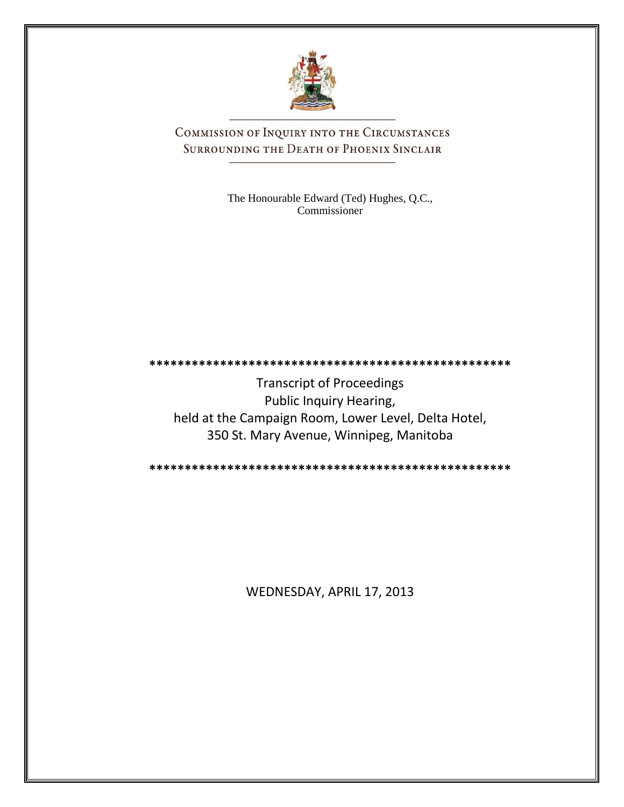

COMMISSION OF INQUIRY INTO THE CIRCUMSTANCES SURROUNDING THE DEATH OF PHOENIX SINCLAIR

> The Honourable Edward (Ted) Hughes, Q.C., Commissioner

**\*\*\*\*\*\*\*\*\*\*\*\*\*\*\*\*\*\*\*\*\*\*\*\*\*\*\*\*\*\*\*\*\*\*\*\*\*\*\*\*\*\*\*\*\*\*\*\*\*\*\*** Transcript of Proceedings Public Inquiry Hearing,

held at the Campaign Room, Lower Level, Delta Hotel, 350 St. Mary Avenue, Winnipeg, Manitoba

**\*\*\*\*\*\*\*\*\*\*\*\*\*\*\*\*\*\*\*\*\*\*\*\*\*\*\*\*\*\*\*\*\*\*\*\*\*\*\*\*\*\*\*\*\*\*\*\*\*\*\***

WEDNESDAY, APRIL 17, 2013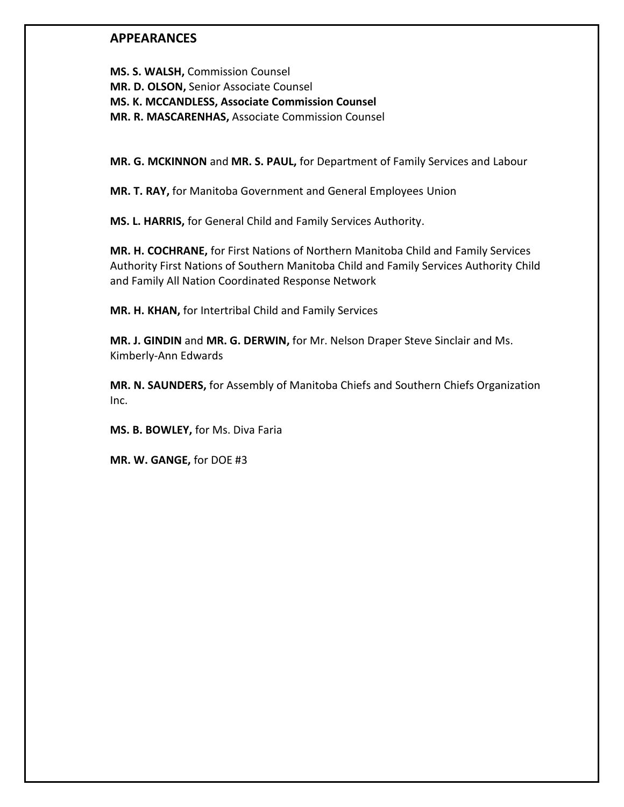## **APPEARANCES**

**MS. S. WALSH,** Commission Counsel **MR. D. OLSON,** Senior Associate Counsel **MS. K. MCCANDLESS, Associate Commission Counsel MR. R. MASCARENHAS,** Associate Commission Counsel

**MR. G. MCKINNON** and **MR. S. PAUL,** for Department of Family Services and Labour

**MR. T. RAY,** for Manitoba Government and General Employees Union

**MS. L. HARRIS,** for General Child and Family Services Authority.

**MR. H. COCHRANE,** for First Nations of Northern Manitoba Child and Family Services Authority First Nations of Southern Manitoba Child and Family Services Authority Child and Family All Nation Coordinated Response Network

**MR. H. KHAN,** for Intertribal Child and Family Services

**MR. J. GINDIN** and **MR. G. DERWIN,** for Mr. Nelson Draper Steve Sinclair and Ms. Kimberly-Ann Edwards

**MR. N. SAUNDERS,** for Assembly of Manitoba Chiefs and Southern Chiefs Organization Inc.

**MS. B. BOWLEY,** for Ms. Diva Faria

**MR. W. GANGE,** for DOE #3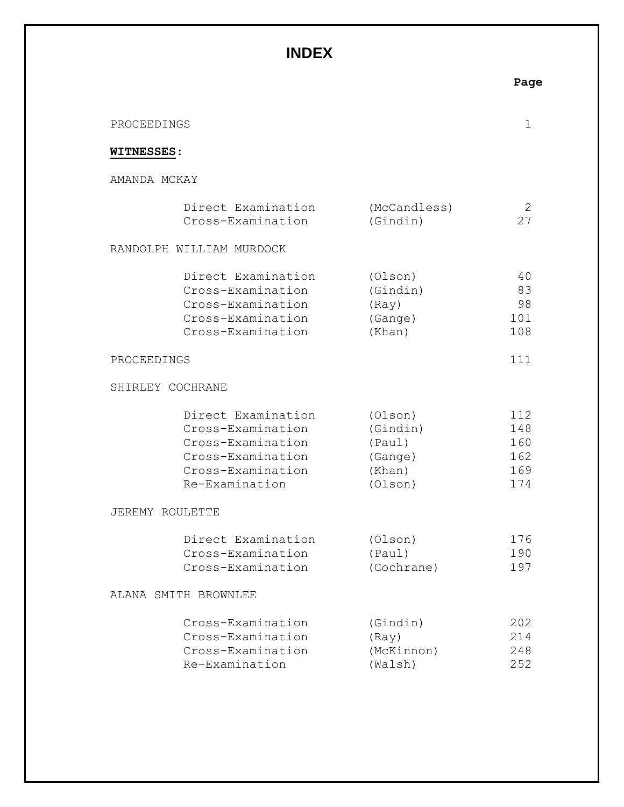## **INDEX**

|                   |                                                                                                                          |                                                               | Page                                   |
|-------------------|--------------------------------------------------------------------------------------------------------------------------|---------------------------------------------------------------|----------------------------------------|
| PROCEEDINGS       |                                                                                                                          |                                                               | 1                                      |
| <b>WITNESSES:</b> |                                                                                                                          |                                                               |                                        |
| AMANDA MCKAY      |                                                                                                                          |                                                               |                                        |
|                   | Direct Examination<br>Cross-Examination                                                                                  | (McCandless)<br>(Gindin)                                      | 2<br>27                                |
|                   | RANDOLPH WILLIAM MURDOCK                                                                                                 |                                                               |                                        |
|                   | Direct Examination<br>Cross-Examination<br>Cross-Examination<br>Cross-Examination<br>Cross-Examination                   | (Olson)<br>(Gindin)<br>(Ray)<br>(Gange)<br>(Khan)             | 40<br>83<br>98<br>101<br>108           |
| PROCEEDINGS       |                                                                                                                          |                                                               | 111                                    |
|                   | SHIRLEY COCHRANE                                                                                                         |                                                               |                                        |
|                   | Direct Examination<br>Cross-Examination<br>Cross-Examination<br>Cross-Examination<br>Cross-Examination<br>Re-Examination | (Olson)<br>(Gindin)<br>(Paul)<br>(Gange)<br>(Khan)<br>(Olson) | 112<br>148<br>160<br>162<br>169<br>174 |
|                   | JEREMY ROULETTE                                                                                                          |                                                               |                                        |
|                   | Direct Examination<br>Cross-Examination<br>Cross-Examination                                                             | (Olson)<br>(Paul)<br>(Cochrane)                               | 176<br>190<br>197                      |
|                   | ALANA SMITH BROWNLEE                                                                                                     |                                                               |                                        |
|                   | Cross-Examination<br>Cross-Examination<br>Cross-Examination<br>Re-Examination                                            | (Gindin)<br>(Ray)<br>(McKinnon)<br>(Walsh)                    | 202<br>214<br>248<br>252               |
|                   |                                                                                                                          |                                                               |                                        |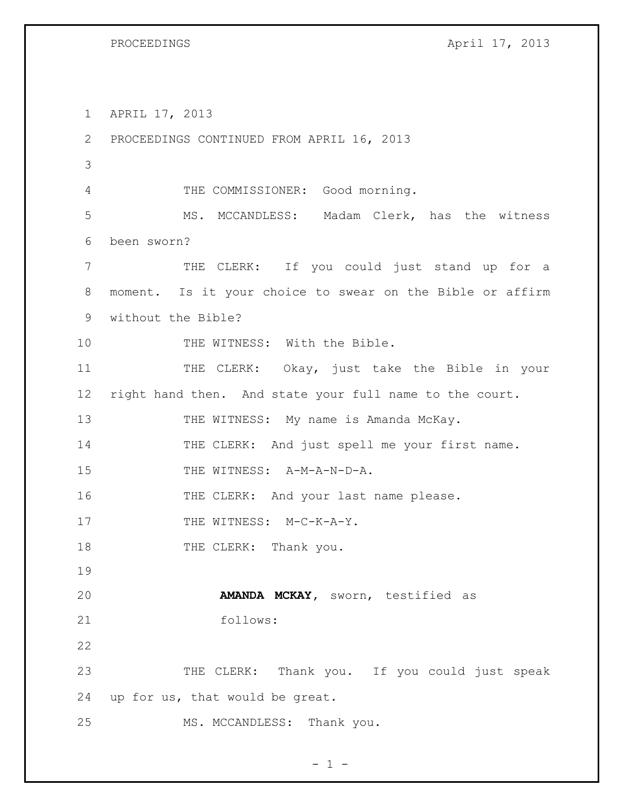| PROCEEDINGS |
|-------------|
|-------------|

Pril 17, 2013

1 APRIL 17, 2013 2 PROCEEDINGS CONTINUED FROM APRIL 16, 2013 3 4 THE COMMISSIONER: Good morning. 5 MS. MCCANDLESS: Madam Clerk, has the witness 6 been sworn? 7 THE CLERK: If you could just stand up for a 8 moment. Is it your choice to swear on the Bible or affirm 9 without the Bible? 10 THE WITNESS: With the Bible. 11 THE CLERK: Okay, just take the Bible in your 12 right hand then. And state your full name to the court. 13 THE WITNESS: My name is Amanda McKay. 14 THE CLERK: And just spell me your first name. 15 THE WITNESS: A-M-A-N-D-A. 16 THE CLERK: And your last name please. 17 THE WITNESS: M-C-K-A-Y. 18 THE CLERK: Thank you. 19 20 **AMANDA MCKAY,** sworn, testified as 21 follows: 22 23 THE CLERK: Thank you. If you could just speak 24 up for us, that would be great. 25 MS. MCCANDLESS: Thank you.

 $- 1 -$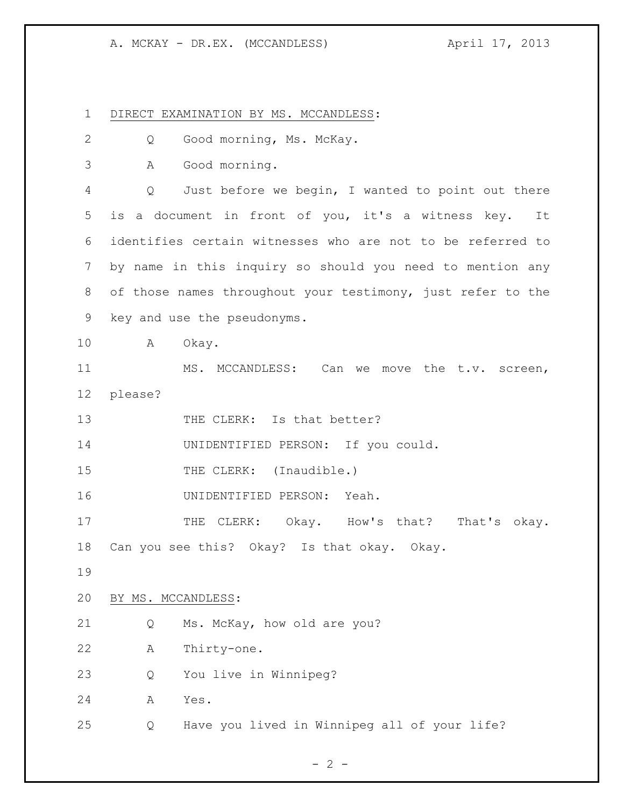DIRECT EXAMINATION BY MS. MCCANDLESS: Q Good morning, Ms. McKay. A Good morning. Q Just before we begin, I wanted to point out there is a document in front of you, it's a witness key. It identifies certain witnesses who are not to be referred to by name in this inquiry so should you need to mention any of those names throughout your testimony, just refer to the key and use the pseudonyms. A Okay. MS. MCCANDLESS: Can we move the t.v. screen, please? 13 THE CLERK: Is that better? UNIDENTIFIED PERSON: If you could. 15 THE CLERK: (Inaudible.) UNIDENTIFIED PERSON: Yeah. 17 THE CLERK: Okay. How's that? That's okay. Can you see this? Okay? Is that okay. Okay. BY MS. MCCANDLESS: Q Ms. McKay, how old are you? A Thirty-one. Q You live in Winnipeg? A Yes. Q Have you lived in Winnipeg all of your life?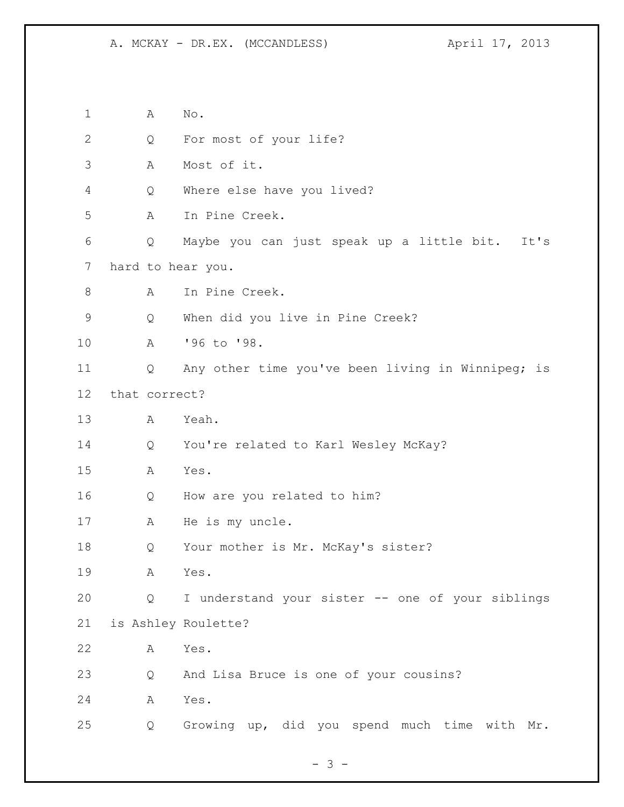A No. Q For most of your life? A Most of it. Q Where else have you lived? A In Pine Creek. Q Maybe you can just speak up a little bit. It's hard to hear you. A In Pine Creek. Q When did you live in Pine Creek? A '96 to '98. Q Any other time you've been living in Winnipeg; is that correct? A Yeah. Q You're related to Karl Wesley McKay? A Yes. Q How are you related to him? A He is my uncle. Q Your mother is Mr. McKay's sister? A Yes. Q I understand your sister -- one of your siblings is Ashley Roulette? A Yes. Q And Lisa Bruce is one of your cousins? A Yes. Q Growing up, did you spend much time with Mr.

- 3 -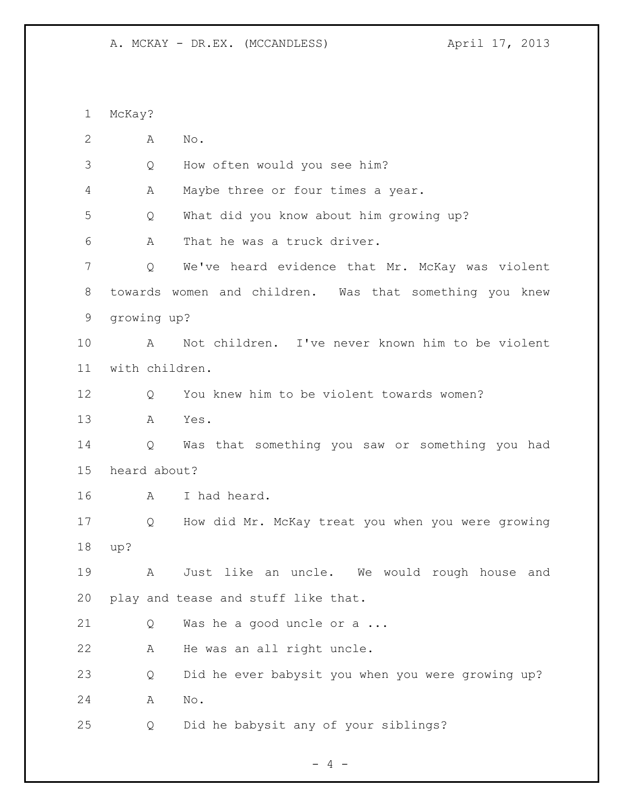McKay? A No. Q How often would you see him? A Maybe three or four times a year. Q What did you know about him growing up? A That he was a truck driver. Q We've heard evidence that Mr. McKay was violent towards women and children. Was that something you knew growing up? A Not children. I've never known him to be violent with children. Q You knew him to be violent towards women? A Yes. Q Was that something you saw or something you had heard about? A I had heard. Q How did Mr. McKay treat you when you were growing up? A Just like an uncle. We would rough house and play and tease and stuff like that. Q Was he a good uncle or a ... A He was an all right uncle. Q Did he ever babysit you when you were growing up? A No. Q Did he babysit any of your siblings?

 $- 4 -$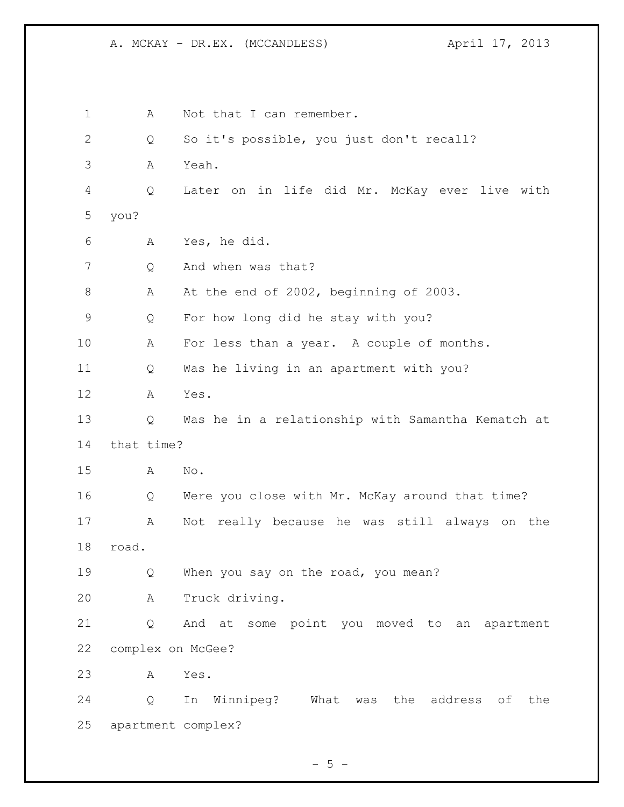1 A Not that I can remember. Q So it's possible, you just don't recall? A Yeah. Q Later on in life did Mr. McKay ever live with you? A Yes, he did. Q And when was that? 8 A At the end of 2002, beginning of 2003. Q For how long did he stay with you? A For less than a year. A couple of months. Q Was he living in an apartment with you? A Yes. Q Was he in a relationship with Samantha Kematch at that time? A No. Q Were you close with Mr. McKay around that time? A Not really because he was still always on the road. Q When you say on the road, you mean? A Truck driving. Q And at some point you moved to an apartment complex on McGee? A Yes. Q In Winnipeg? What was the address of the apartment complex?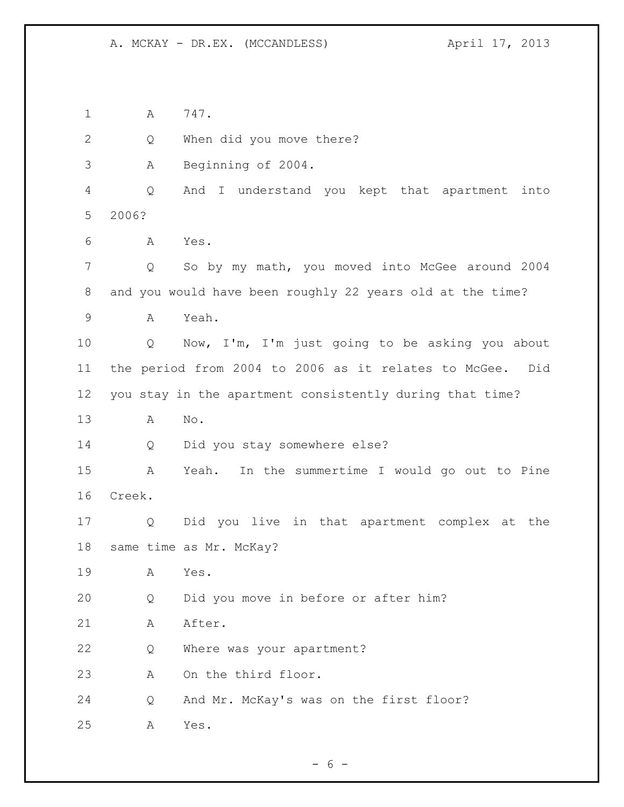1 A 747.

Q When did you move there?

A Beginning of 2004.

 Q And I understand you kept that apartment into 2006?

A Yes.

 Q So by my math, you moved into McGee around 2004 and you would have been roughly 22 years old at the time?

A Yeah.

 Q Now, I'm, I'm just going to be asking you about the period from 2004 to 2006 as it relates to McGee. Did you stay in the apartment consistently during that time?

A No.

Q Did you stay somewhere else?

 A Yeah. In the summertime I would go out to Pine Creek.

 Q Did you live in that apartment complex at the same time as Mr. McKay?

A Yes.

Q Did you move in before or after him?

21 A After.

Q Where was your apartment?

A On the third floor.

Q And Mr. McKay's was on the first floor?

A Yes.

 $- 6 -$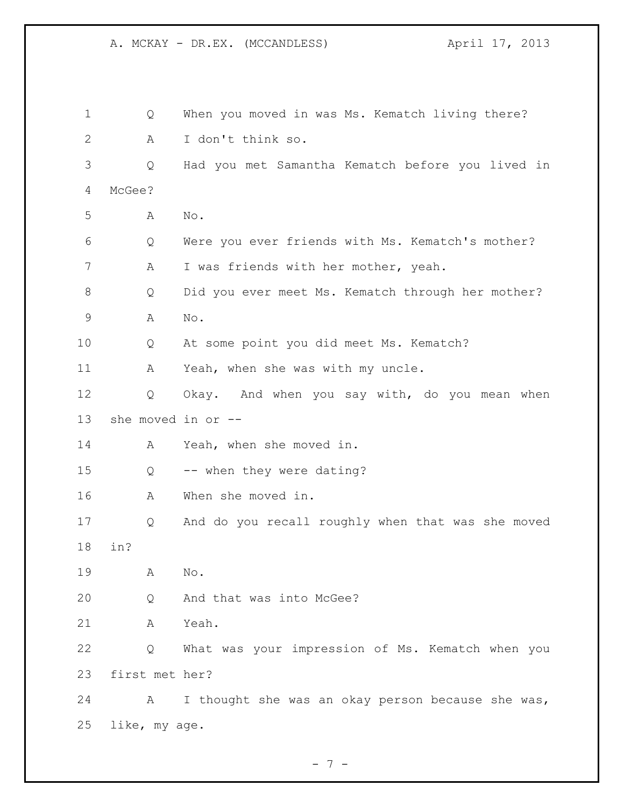| 1            | Q                  | When you moved in was Ms. Kematch living there?   |
|--------------|--------------------|---------------------------------------------------|
| $\mathbf{2}$ | A                  | I don't think so.                                 |
| 3            | Q                  | Had you met Samantha Kematch before you lived in  |
| 4            | McGee?             |                                                   |
| 5            | Α                  | No.                                               |
| 6            | Q                  | Were you ever friends with Ms. Kematch's mother?  |
| 7            | Α                  | I was friends with her mother, yeah.              |
| 8            | Q                  | Did you ever meet Ms. Kematch through her mother? |
| 9            | Α                  | No.                                               |
| 10           | Q                  | At some point you did meet Ms. Kematch?           |
| 11           | A                  | Yeah, when she was with my uncle.                 |
| 12           | Q                  | Okay. And when you say with, do you mean when     |
| 13           | she moved in or -- |                                                   |
| 14           | A                  | Yeah, when she moved in.                          |
| 15           | Q                  | -- when they were dating?                         |
| 16           | Α                  | When she moved in.                                |
| 17           | Q                  | And do you recall roughly when that was she moved |
| 18           | in?                |                                                   |
| 19           | Α                  | No.                                               |
| 20           | Q                  | And that was into McGee?                          |
| 21           | Α                  | Yeah.                                             |
| 22           | Q                  | What was your impression of Ms. Kematch when you  |
| 23           | first met her?     |                                                   |
| 24           | A                  | I thought she was an okay person because she was, |
| 25           | like, my age.      |                                                   |

- 7 -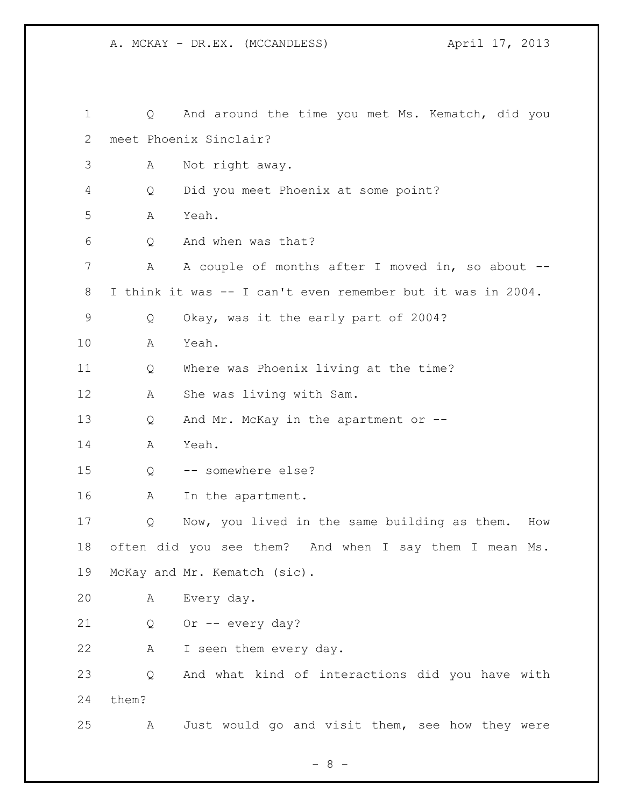| $\mathbf 1$ | Q     | And around the time you met Ms. Kematch, did you            |
|-------------|-------|-------------------------------------------------------------|
| 2           |       | meet Phoenix Sinclair?                                      |
| 3           | Α     | Not right away.                                             |
| 4           | Q     | Did you meet Phoenix at some point?                         |
| 5           | Α     | Yeah.                                                       |
| 6           | Q     | And when was that?                                          |
| 7           | Α     | A couple of months after I moved in, so about --            |
| 8           |       | I think it was -- I can't even remember but it was in 2004. |
| 9           | Q     | Okay, was it the early part of 2004?                        |
| 10          | A     | Yeah.                                                       |
| 11          | Q     | Where was Phoenix living at the time?                       |
| 12          | Α     | She was living with Sam.                                    |
| 13          | Q     | And Mr. McKay in the apartment or --                        |
| 14          | A     | Yeah.                                                       |
| 15          | Q     | -- somewhere else?                                          |
| 16          | A     | In the apartment.                                           |
| 17          | Q     | Now, you lived in the same building as them.<br>How         |
| 18          |       | often did you see them? And when I say them I mean Ms.      |
| 19          |       | McKay and Mr. Kematch (sic).                                |
| 20          | Α     | Every day.                                                  |
| 21          | Q     | Or -- every day?                                            |
| 22          | А     | I seen them every day.                                      |
| 23          | Q     | And what kind of interactions did you have with             |
| 24          | them? |                                                             |
| 25          | Α     | Just would go and visit them, see how they were             |

- 8 -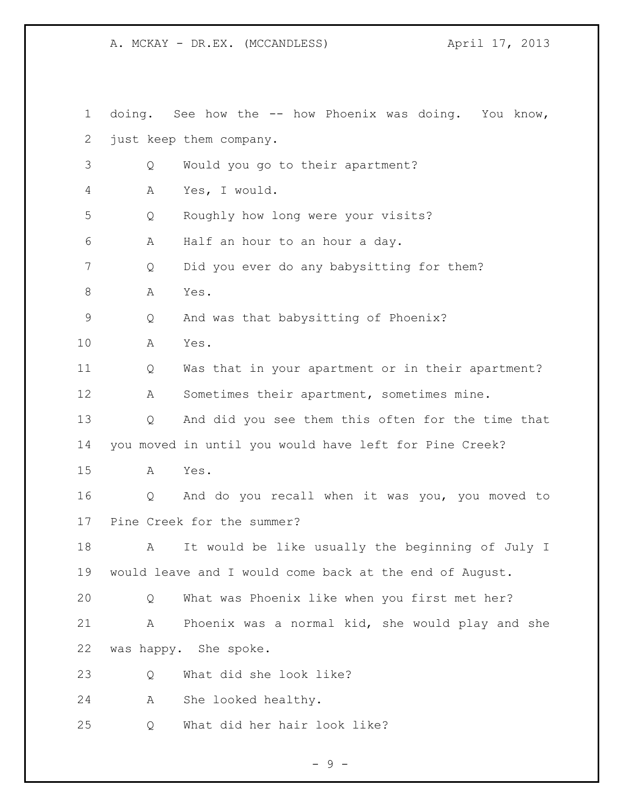doing. See how the -- how Phoenix was doing. You know, just keep them company. Q Would you go to their apartment? A Yes, I would. Q Roughly how long were your visits? A Half an hour to an hour a day. Q Did you ever do any babysitting for them? A Yes. Q And was that babysitting of Phoenix? A Yes. Q Was that in your apartment or in their apartment? A Sometimes their apartment, sometimes mine. Q And did you see them this often for the time that you moved in until you would have left for Pine Creek? A Yes. Q And do you recall when it was you, you moved to Pine Creek for the summer? A It would be like usually the beginning of July I would leave and I would come back at the end of August. Q What was Phoenix like when you first met her? A Phoenix was a normal kid, she would play and she was happy. She spoke. Q What did she look like? A She looked healthy. Q What did her hair look like?

- 9 -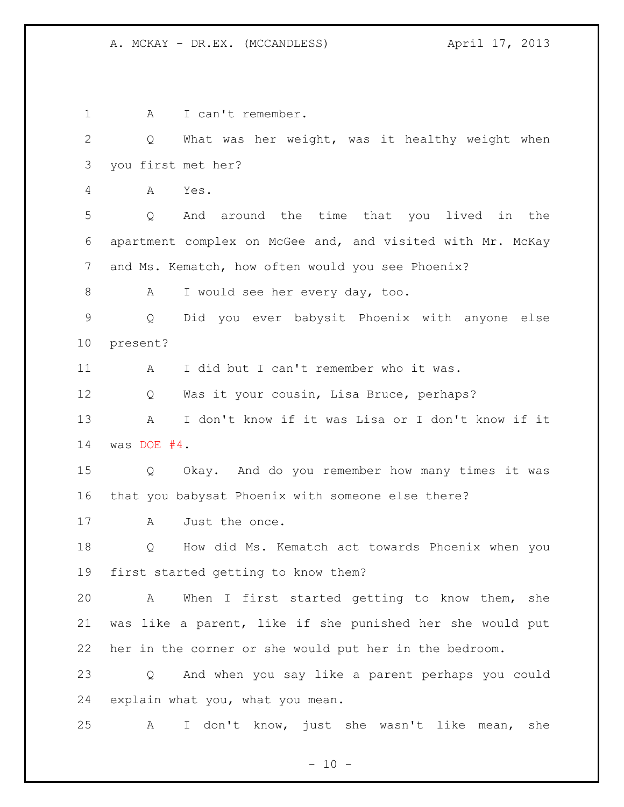1 A I can't remember. Q What was her weight, was it healthy weight when you first met her? A Yes. Q And around the time that you lived in the apartment complex on McGee and, and visited with Mr. McKay and Ms. Kematch, how often would you see Phoenix? 8 A I would see her every day, too. Q Did you ever babysit Phoenix with anyone else present? A I did but I can't remember who it was. Q Was it your cousin, Lisa Bruce, perhaps? A I don't know if it was Lisa or I don't know if it was DOE #4. Q Okay. And do you remember how many times it was that you babysat Phoenix with someone else there? A Just the once. Q How did Ms. Kematch act towards Phoenix when you first started getting to know them? A When I first started getting to know them, she was like a parent, like if she punished her she would put her in the corner or she would put her in the bedroom. Q And when you say like a parent perhaps you could explain what you, what you mean. A I don't know, just she wasn't like mean, she

 $- 10 -$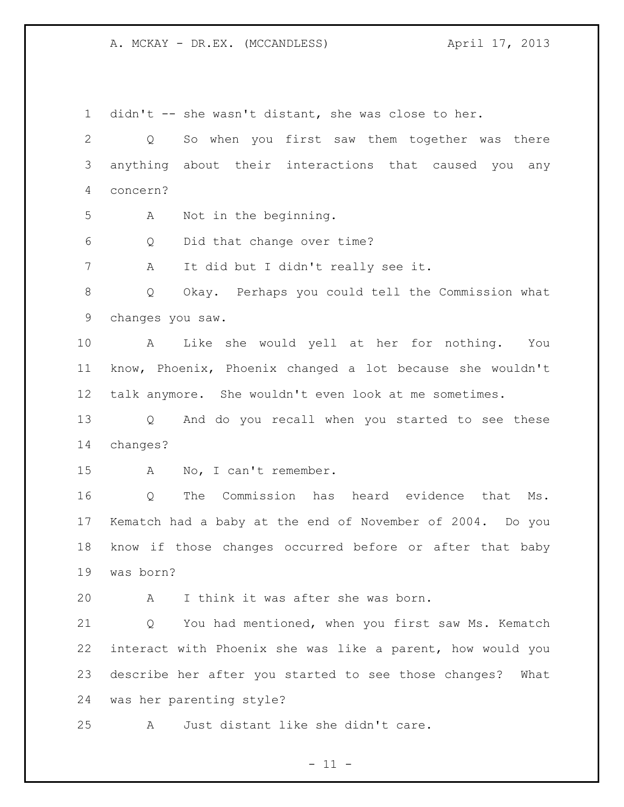didn't -- she wasn't distant, she was close to her. Q So when you first saw them together was there anything about their interactions that caused you any concern? A Not in the beginning. Q Did that change over time? A It did but I didn't really see it. Q Okay. Perhaps you could tell the Commission what changes you saw. A Like she would yell at her for nothing. You know, Phoenix, Phoenix changed a lot because she wouldn't talk anymore. She wouldn't even look at me sometimes. Q And do you recall when you started to see these changes? A No, I can't remember. Q The Commission has heard evidence that Ms. Kematch had a baby at the end of November of 2004. Do you know if those changes occurred before or after that baby was born? A I think it was after she was born. Q You had mentioned, when you first saw Ms. Kematch interact with Phoenix she was like a parent, how would you describe her after you started to see those changes? What was her parenting style? A Just distant like she didn't care.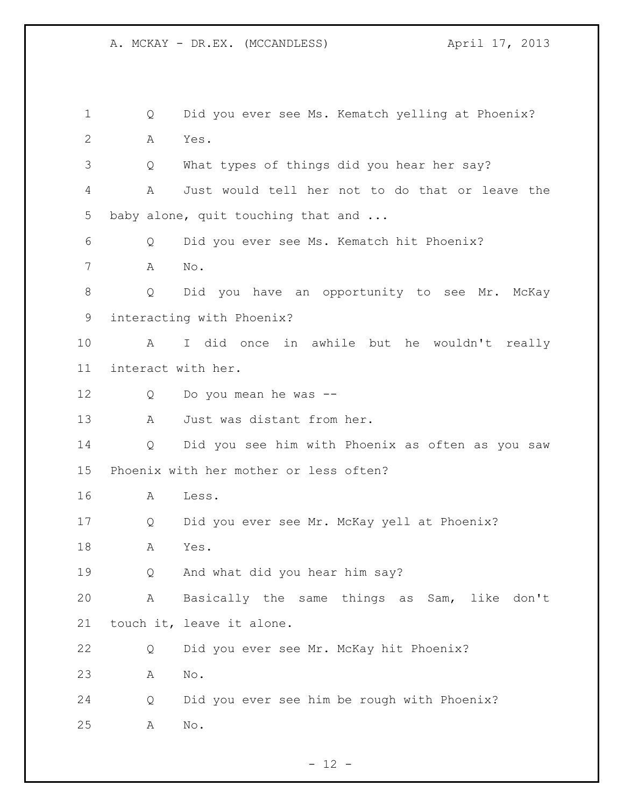Q Did you ever see Ms. Kematch yelling at Phoenix? A Yes. Q What types of things did you hear her say? A Just would tell her not to do that or leave the 5 baby alone, quit touching that and ... Q Did you ever see Ms. Kematch hit Phoenix? A No. Q Did you have an opportunity to see Mr. McKay interacting with Phoenix? A I did once in awhile but he wouldn't really interact with her. Q Do you mean he was -- 13 A Just was distant from her. Q Did you see him with Phoenix as often as you saw Phoenix with her mother or less often? A Less. Q Did you ever see Mr. McKay yell at Phoenix? A Yes. Q And what did you hear him say? A Basically the same things as Sam, like don't touch it, leave it alone. Q Did you ever see Mr. McKay hit Phoenix? A No. Q Did you ever see him be rough with Phoenix? A No.

 $- 12 -$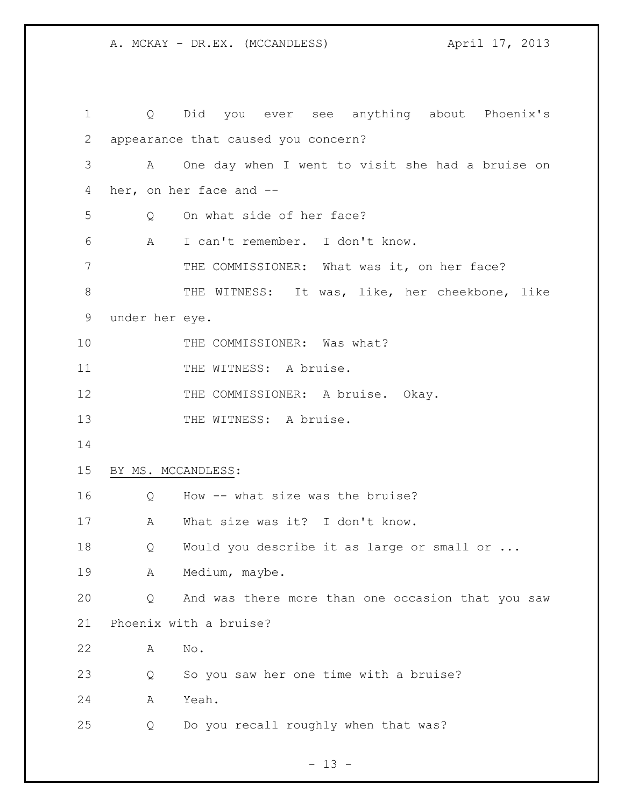| $\mathbf 1$  |                    | Q Did you ever see anything about Phoenix's       |
|--------------|--------------------|---------------------------------------------------|
| $\mathbf{2}$ |                    | appearance that caused you concern?               |
| 3            | A                  | One day when I went to visit she had a bruise on  |
| 4            |                    | her, on her face and --                           |
| 5            | Q                  | On what side of her face?                         |
| 6            | A                  | I can't remember. I don't know.                   |
| 7            |                    | THE COMMISSIONER: What was it, on her face?       |
| $8\,$        |                    | THE WITNESS: It was, like, her cheekbone, like    |
| 9            | under her eye.     |                                                   |
| 10           |                    | THE COMMISSIONER: Was what?                       |
| 11           |                    | THE WITNESS: A bruise.                            |
| 12           |                    | THE COMMISSIONER: A bruise. Okay.                 |
| 13           |                    | THE WITNESS: A bruise.                            |
| 14           |                    |                                                   |
| 15           | BY MS. MCCANDLESS: |                                                   |
| 16           | Q                  | How -- what size was the bruise?                  |
| 17           | A                  | What size was it? I don't know.                   |
| 18           | Q                  | Would you describe it as large or small or        |
| 19           | А                  | Medium, maybe.                                    |
| 20           | Q                  | And was there more than one occasion that you saw |
| 21           |                    | Phoenix with a bruise?                            |
| 22           | A                  | No.                                               |
| 23           | Q                  | So you saw her one time with a bruise?            |
| 24           | Α                  | Yeah.                                             |
| 25           | Q                  | Do you recall roughly when that was?              |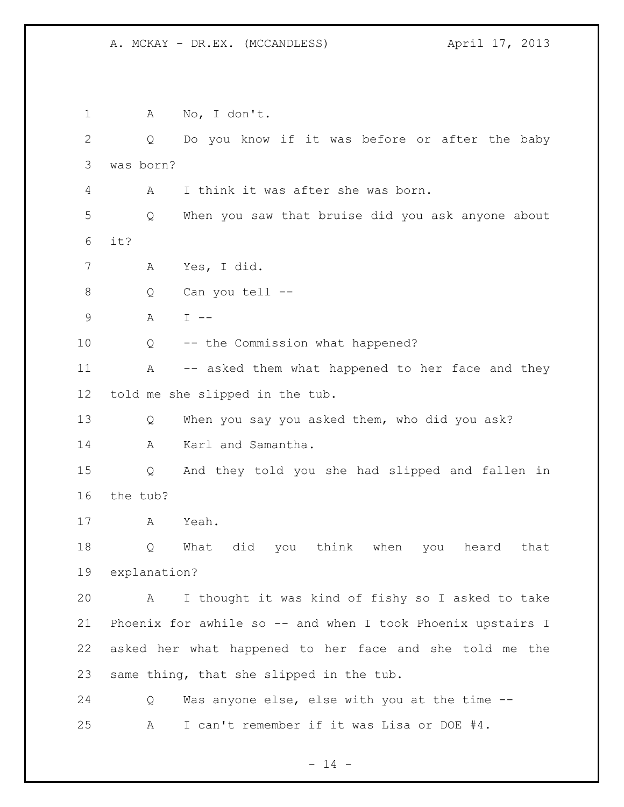A No, I don't. Q Do you know if it was before or after the baby was born? A I think it was after she was born. Q When you saw that bruise did you ask anyone about it? A Yes, I did. Q Can you tell -- A I -- Q -- the Commission what happened? 11 A -- asked them what happened to her face and they told me she slipped in the tub. Q When you say you asked them, who did you ask? A Karl and Samantha. Q And they told you she had slipped and fallen in the tub? A Yeah. Q What did you think when you heard that explanation? A I thought it was kind of fishy so I asked to take Phoenix for awhile so -- and when I took Phoenix upstairs I asked her what happened to her face and she told me the same thing, that she slipped in the tub. Q Was anyone else, else with you at the time -- A I can't remember if it was Lisa or DOE #4.

 $- 14 -$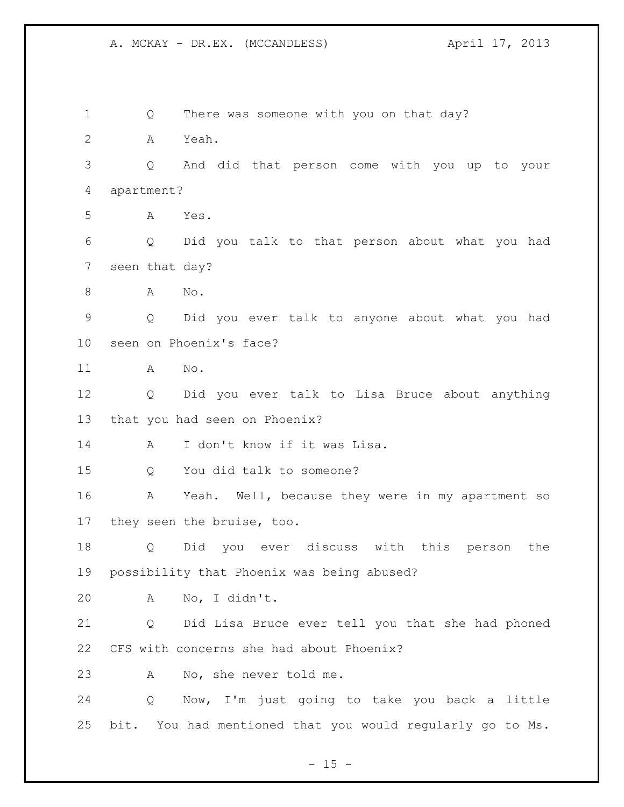1 Q There was someone with you on that day? A Yeah. Q And did that person come with you up to your apartment? A Yes. Q Did you talk to that person about what you had seen that day? A No. Q Did you ever talk to anyone about what you had seen on Phoenix's face? A No. Q Did you ever talk to Lisa Bruce about anything that you had seen on Phoenix? A I don't know if it was Lisa. Q You did talk to someone? A Yeah. Well, because they were in my apartment so they seen the bruise, too. Q Did you ever discuss with this person the possibility that Phoenix was being abused? A No, I didn't. Q Did Lisa Bruce ever tell you that she had phoned CFS with concerns she had about Phoenix? A No, she never told me. Q Now, I'm just going to take you back a little bit. You had mentioned that you would regularly go to Ms.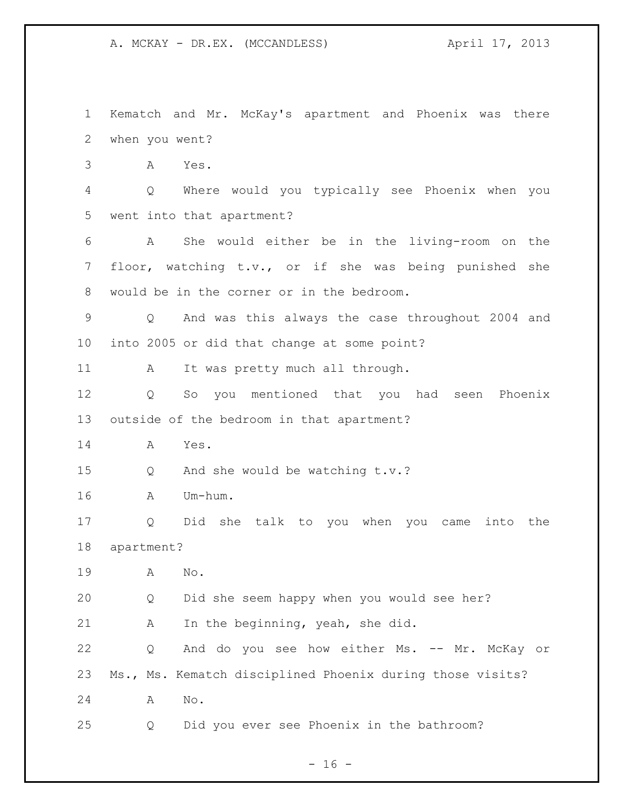Kematch and Mr. McKay's apartment and Phoenix was there when you went? A Yes. Q Where would you typically see Phoenix when you went into that apartment? A She would either be in the living-room on the floor, watching t.v., or if she was being punished she would be in the corner or in the bedroom. Q And was this always the case throughout 2004 and into 2005 or did that change at some point? 11 A It was pretty much all through. Q So you mentioned that you had seen Phoenix outside of the bedroom in that apartment? A Yes. Q And she would be watching t.v.? A Um-hum. Q Did she talk to you when you came into the apartment? A No. Q Did she seem happy when you would see her? A In the beginning, yeah, she did. 22 Q And do you see how either Ms. -- Mr. McKay or Ms., Ms. Kematch disciplined Phoenix during those visits? A No. Q Did you ever see Phoenix in the bathroom?

 $- 16 -$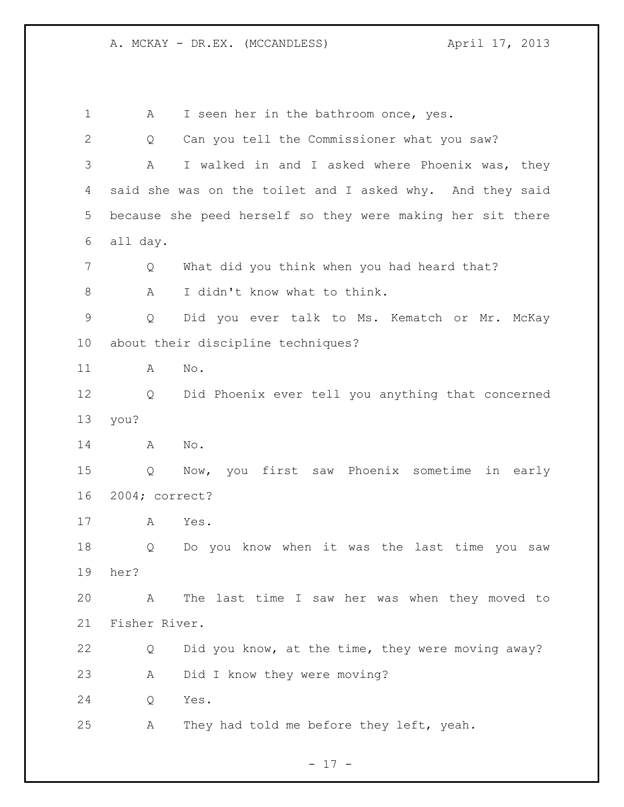1 A I seen her in the bathroom once, yes. Q Can you tell the Commissioner what you saw? A I walked in and I asked where Phoenix was, they said she was on the toilet and I asked why. And they said because she peed herself so they were making her sit there all day. Q What did you think when you had heard that? 8 A I didn't know what to think. Q Did you ever talk to Ms. Kematch or Mr. McKay about their discipline techniques? A No. Q Did Phoenix ever tell you anything that concerned you? A No. Q Now, you first saw Phoenix sometime in early 2004; correct? A Yes. Q Do you know when it was the last time you saw her? A The last time I saw her was when they moved to Fisher River. Q Did you know, at the time, they were moving away? A Did I know they were moving? Q Yes. A They had told me before they left, yeah.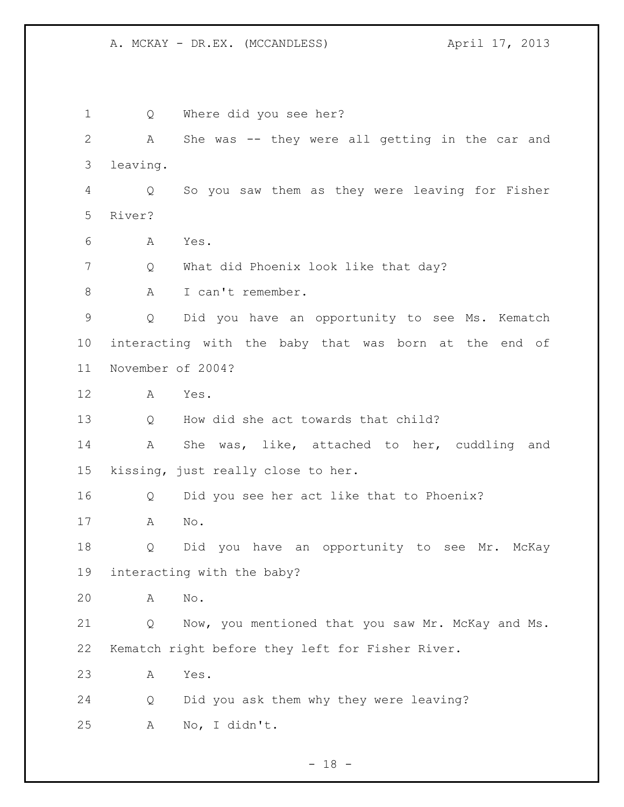Q Where did you see her? A She was -- they were all getting in the car and leaving. Q So you saw them as they were leaving for Fisher River? A Yes. Q What did Phoenix look like that day? 8 A I can't remember. Q Did you have an opportunity to see Ms. Kematch interacting with the baby that was born at the end of November of 2004? A Yes. Q How did she act towards that child? A She was, like, attached to her, cuddling and kissing, just really close to her. Q Did you see her act like that to Phoenix? A No. Q Did you have an opportunity to see Mr. McKay interacting with the baby? A No. Q Now, you mentioned that you saw Mr. McKay and Ms. Kematch right before they left for Fisher River. A Yes. Q Did you ask them why they were leaving? A No, I didn't.

- 18 -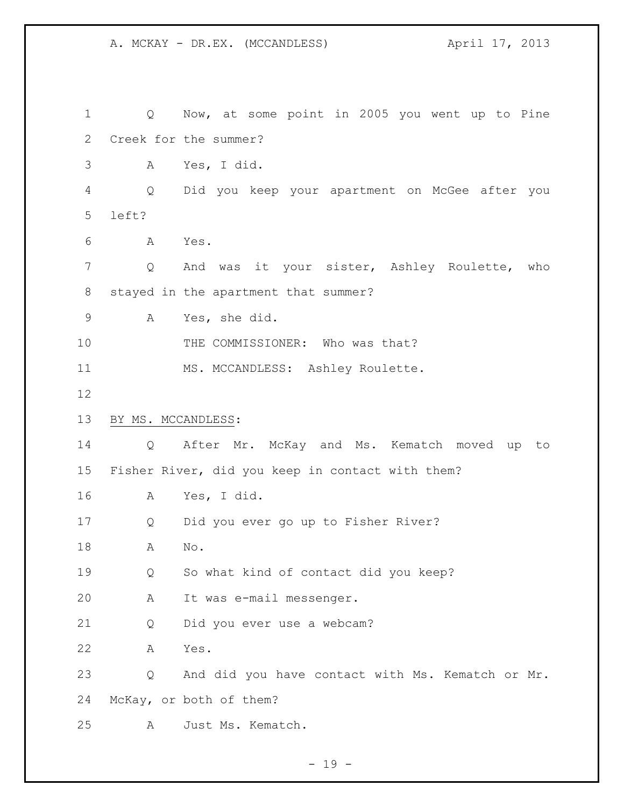Q Now, at some point in 2005 you went up to Pine Creek for the summer? A Yes, I did. Q Did you keep your apartment on McGee after you left? A Yes. Q And was it your sister, Ashley Roulette, who stayed in the apartment that summer? A Yes, she did. 10 THE COMMISSIONER: Who was that? 11 MS. MCCANDLESS: Ashley Roulette. BY MS. MCCANDLESS: Q After Mr. McKay and Ms. Kematch moved up to Fisher River, did you keep in contact with them? A Yes, I did. Q Did you ever go up to Fisher River? A No. Q So what kind of contact did you keep? A It was e-mail messenger. Q Did you ever use a webcam? A Yes. Q And did you have contact with Ms. Kematch or Mr. McKay, or both of them? A Just Ms. Kematch.

- 19 -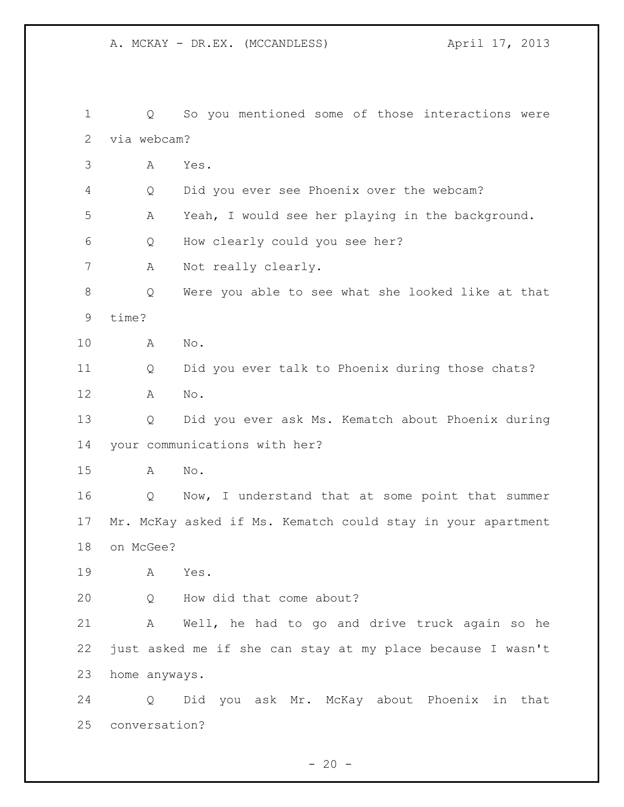Q So you mentioned some of those interactions were via webcam? A Yes. Q Did you ever see Phoenix over the webcam? A Yeah, I would see her playing in the background. Q How clearly could you see her? A Not really clearly. Q Were you able to see what she looked like at that time? A No. Q Did you ever talk to Phoenix during those chats? A No. Q Did you ever ask Ms. Kematch about Phoenix during your communications with her? A No. Q Now, I understand that at some point that summer Mr. McKay asked if Ms. Kematch could stay in your apartment on McGee? A Yes. Q How did that come about? A Well, he had to go and drive truck again so he just asked me if she can stay at my place because I wasn't home anyways. Q Did you ask Mr. McKay about Phoenix in that conversation?

 $- 20 -$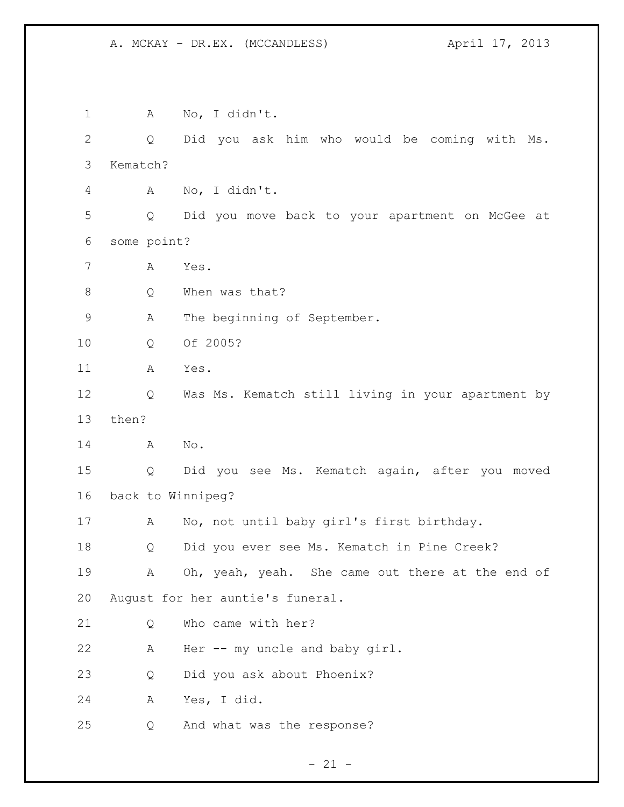A No, I didn't. Q Did you ask him who would be coming with Ms. Kematch? A No, I didn't. Q Did you move back to your apartment on McGee at some point? A Yes. 8 O When was that? A The beginning of September. Q Of 2005? A Yes. Q Was Ms. Kematch still living in your apartment by then? A No. Q Did you see Ms. Kematch again, after you moved back to Winnipeg? A No, not until baby girl's first birthday. Q Did you ever see Ms. Kematch in Pine Creek? 19 A Oh, yeah, yeah. She came out there at the end of August for her auntie's funeral. 21 O Who came with her? A Her -- my uncle and baby girl. Q Did you ask about Phoenix? A Yes, I did. Q And what was the response?

 $- 21 -$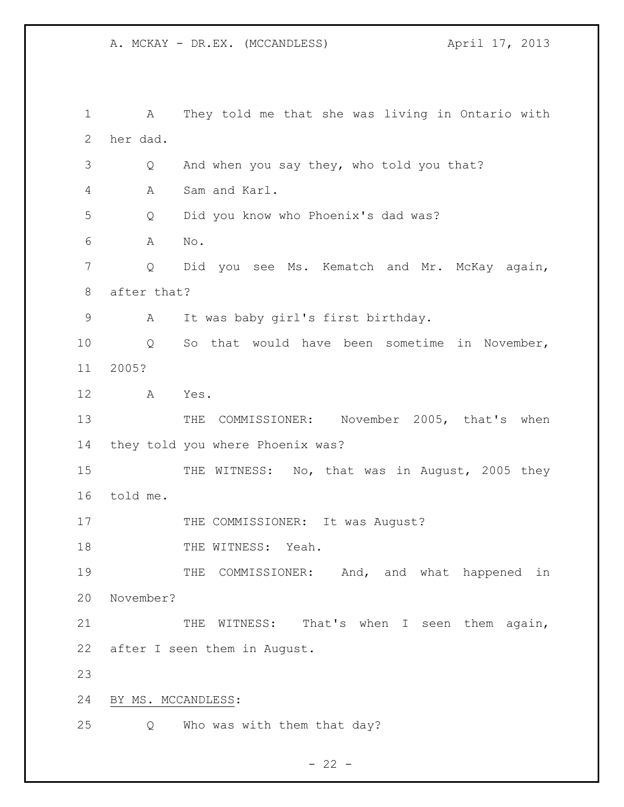A They told me that she was living in Ontario with her dad. Q And when you say they, who told you that? A Sam and Karl. Q Did you know who Phoenix's dad was? A No. Q Did you see Ms. Kematch and Mr. McKay again, after that? A It was baby girl's first birthday. Q So that would have been sometime in November, 2005? A Yes. 13 THE COMMISSIONER: November 2005, that's when they told you where Phoenix was? 15 THE WITNESS: No, that was in August, 2005 they told me. 17 THE COMMISSIONER: It was August? 18 THE WITNESS: Yeah. 19 THE COMMISSIONER: And, and what happened in November? 21 THE WITNESS: That's when I seen them again, after I seen them in August. BY MS. MCCANDLESS: Q Who was with them that day?

 $- 22 -$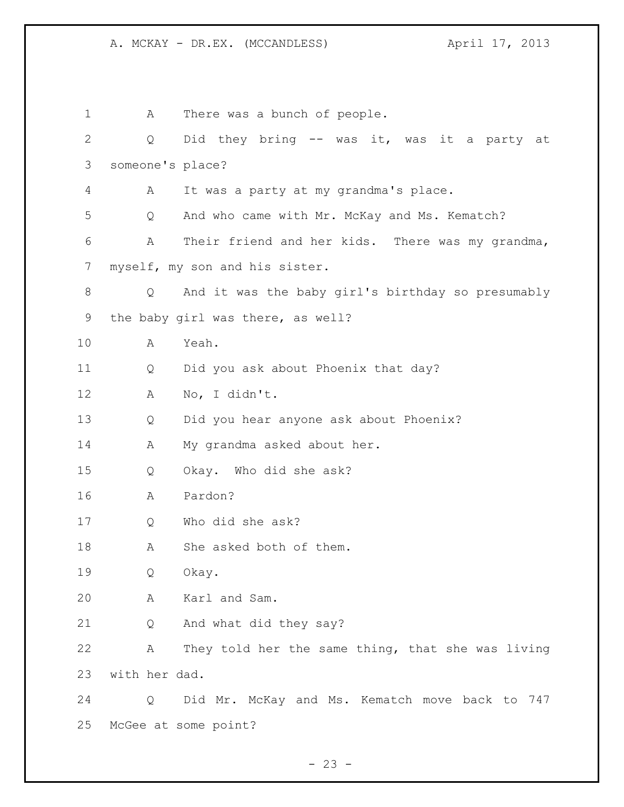1 A There was a bunch of people. Q Did they bring -- was it, was it a party at someone's place? A It was a party at my grandma's place. Q And who came with Mr. McKay and Ms. Kematch? A Their friend and her kids. There was my grandma, myself, my son and his sister. Q And it was the baby girl's birthday so presumably the baby girl was there, as well? A Yeah. Q Did you ask about Phoenix that day? A No, I didn't. Q Did you hear anyone ask about Phoenix? 14 A My grandma asked about her. Q Okay. Who did she ask? A Pardon? Q Who did she ask? 18 A She asked both of them. Q Okay. A Karl and Sam. Q And what did they say? A They told her the same thing, that she was living with her dad. Q Did Mr. McKay and Ms. Kematch move back to 747 McGee at some point?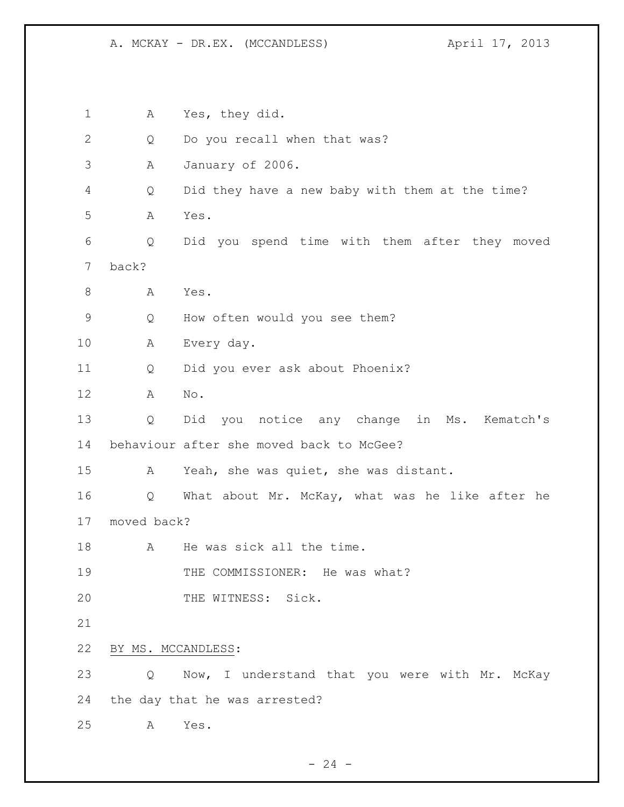A Yes, they did. 2 Q Do you recall when that was? A January of 2006. Q Did they have a new baby with them at the time? A Yes. Q Did you spend time with them after they moved back? 8 A Yes. Q How often would you see them? A Every day. Q Did you ever ask about Phoenix? A No. Q Did you notice any change in Ms. Kematch's behaviour after she moved back to McGee? A Yeah, she was quiet, she was distant. Q What about Mr. McKay, what was he like after he moved back? 18 A He was sick all the time. 19 THE COMMISSIONER: He was what? 20 THE WITNESS: Sick. BY MS. MCCANDLESS: Q Now, I understand that you were with Mr. McKay the day that he was arrested? A Yes.

 $- 24 -$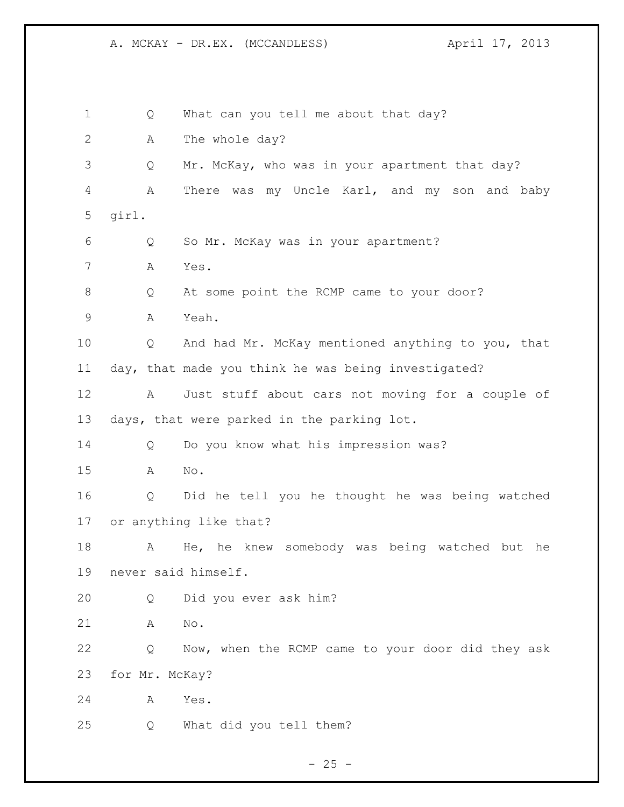1 Q What can you tell me about that day? 2 A The whole day? Q Mr. McKay, who was in your apartment that day? A There was my Uncle Karl, and my son and baby girl. Q So Mr. McKay was in your apartment? A Yes. 8 Q At some point the RCMP came to your door? A Yeah. Q And had Mr. McKay mentioned anything to you, that day, that made you think he was being investigated? A Just stuff about cars not moving for a couple of days, that were parked in the parking lot. Q Do you know what his impression was? A No. Q Did he tell you he thought he was being watched or anything like that? A He, he knew somebody was being watched but he never said himself. Q Did you ever ask him? A No. Q Now, when the RCMP came to your door did they ask for Mr. McKay? A Yes. Q What did you tell them?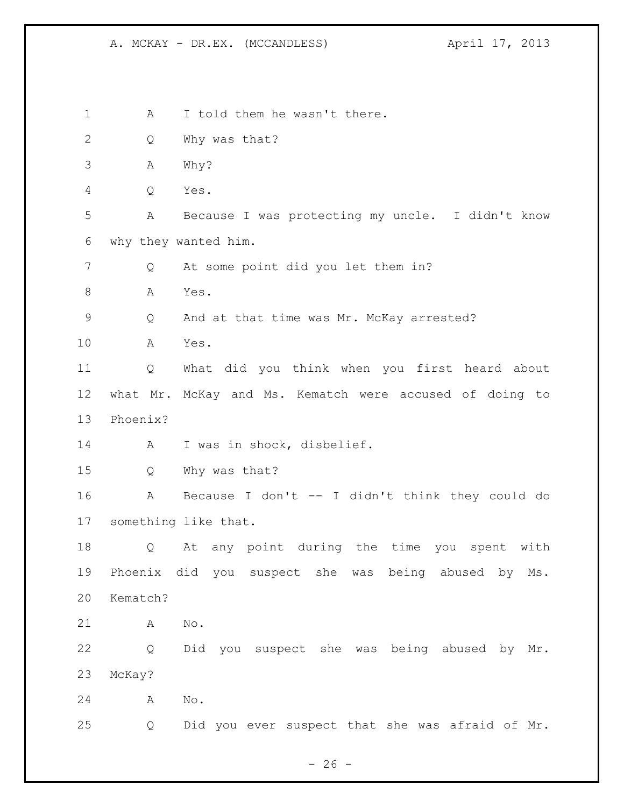1 A I told them he wasn't there. Q Why was that? A Why? Q Yes. A Because I was protecting my uncle. I didn't know why they wanted him. Q At some point did you let them in? 8 A Yes. Q And at that time was Mr. McKay arrested? A Yes. Q What did you think when you first heard about what Mr. McKay and Ms. Kematch were accused of doing to Phoenix? A I was in shock, disbelief. Q Why was that? A Because I don't -- I didn't think they could do something like that. Q At any point during the time you spent with Phoenix did you suspect she was being abused by Ms. Kematch? A No. Q Did you suspect she was being abused by Mr. McKay? A No. Q Did you ever suspect that she was afraid of Mr.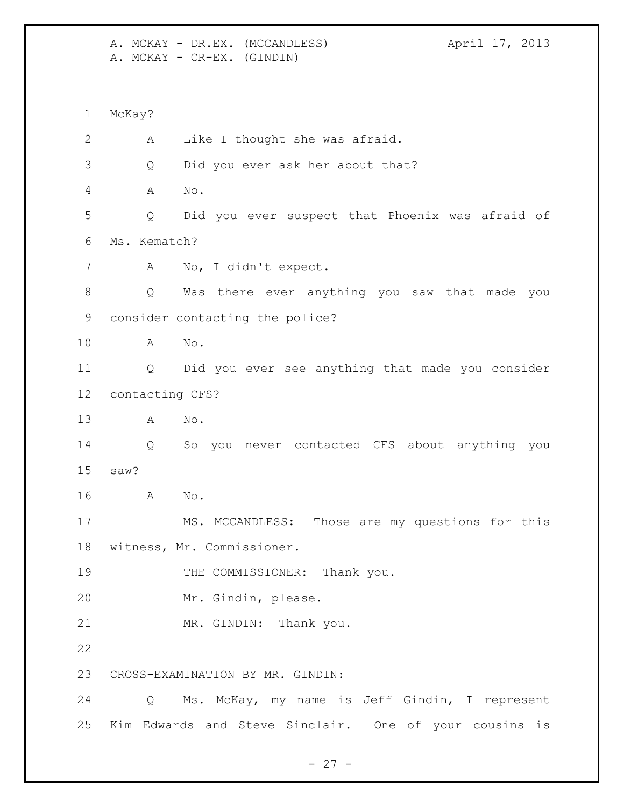A. MCKAY - DR.EX. (MCCANDLESS) April 17, 2013 A. MCKAY - CR-EX. (GINDIN) McKay? A Like I thought she was afraid. Q Did you ever ask her about that? A No. Q Did you ever suspect that Phoenix was afraid of Ms. Kematch? A No, I didn't expect. Q Was there ever anything you saw that made you consider contacting the police? A No. Q Did you ever see anything that made you consider contacting CFS? A No. Q So you never contacted CFS about anything you saw? A No. MS. MCCANDLESS: Those are my questions for this witness, Mr. Commissioner. 19 THE COMMISSIONER: Thank you. Mr. Gindin, please. MR. GINDIN: Thank you. CROSS-EXAMINATION BY MR. GINDIN: Q Ms. McKay, my name is Jeff Gindin, I represent Kim Edwards and Steve Sinclair. One of your cousins is

 $- 27 -$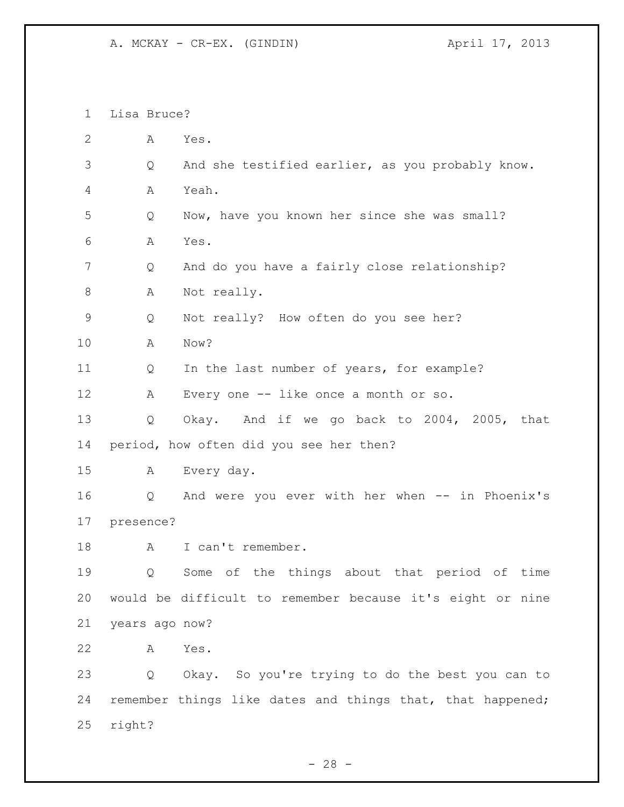A. MCKAY - CR-EX. (GINDIN)  $\overline{A}$  april 17, 2013

 Lisa Bruce? A Yes. Q And she testified earlier, as you probably know. A Yeah. Q Now, have you known her since she was small? A Yes. Q And do you have a fairly close relationship? 8 A Not really. Q Not really? How often do you see her? A Now? Q In the last number of years, for example? A Every one -- like once a month or so. Q Okay. And if we go back to 2004, 2005, that period, how often did you see her then? A Every day. Q And were you ever with her when -- in Phoenix's presence? 18 A I can't remember. Q Some of the things about that period of time would be difficult to remember because it's eight or nine years ago now? A Yes. Q Okay. So you're trying to do the best you can to remember things like dates and things that, that happened; right?

 $- 28 -$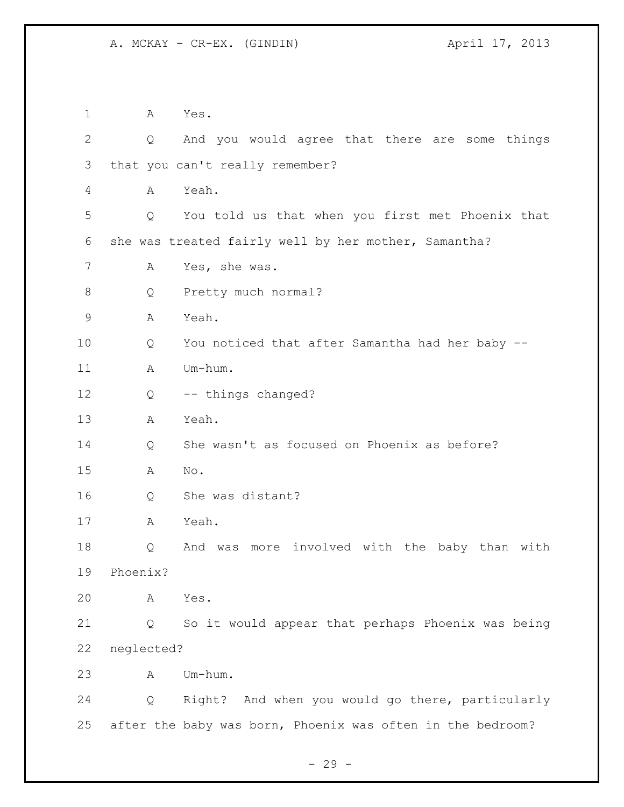A Yes. Q And you would agree that there are some things that you can't really remember? A Yeah. Q You told us that when you first met Phoenix that she was treated fairly well by her mother, Samantha? A Yes, she was. Q Pretty much normal? A Yeah. Q You noticed that after Samantha had her baby -- 11 A Um-hum. 12 Q -- things changed? A Yeah. Q She wasn't as focused on Phoenix as before? A No. Q She was distant? A Yeah. Q And was more involved with the baby than with Phoenix? A Yes. Q So it would appear that perhaps Phoenix was being neglected? A Um-hum. Q Right? And when you would go there, particularly after the baby was born, Phoenix was often in the bedroom?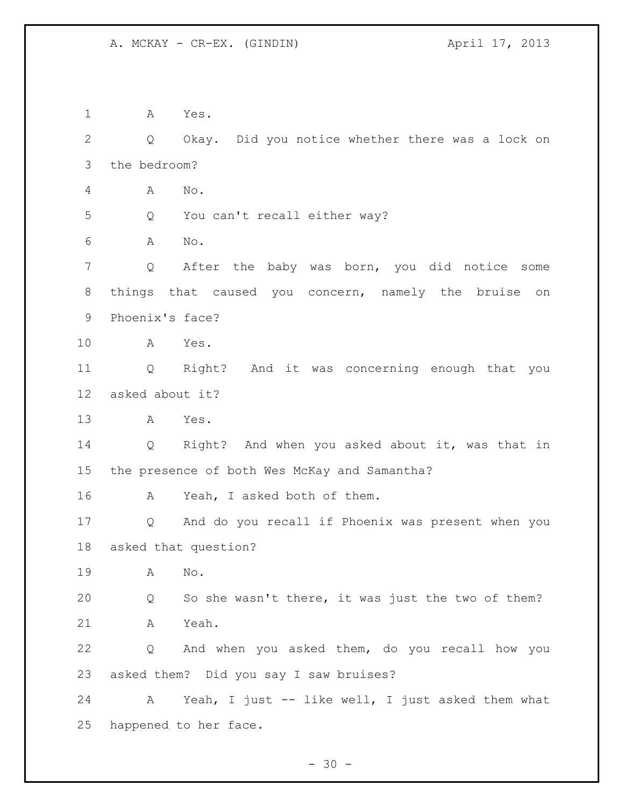A Yes. Q Okay. Did you notice whether there was a lock on the bedroom? A No. Q You can't recall either way? A No. Q After the baby was born, you did notice some things that caused you concern, namely the bruise on Phoenix's face? A Yes. Q Right? And it was concerning enough that you asked about it? A Yes. Q Right? And when you asked about it, was that in the presence of both Wes McKay and Samantha? A Yeah, I asked both of them. Q And do you recall if Phoenix was present when you asked that question? A No. Q So she wasn't there, it was just the two of them? A Yeah. Q And when you asked them, do you recall how you asked them? Did you say I saw bruises? A Yeah, I just -- like well, I just asked them what happened to her face.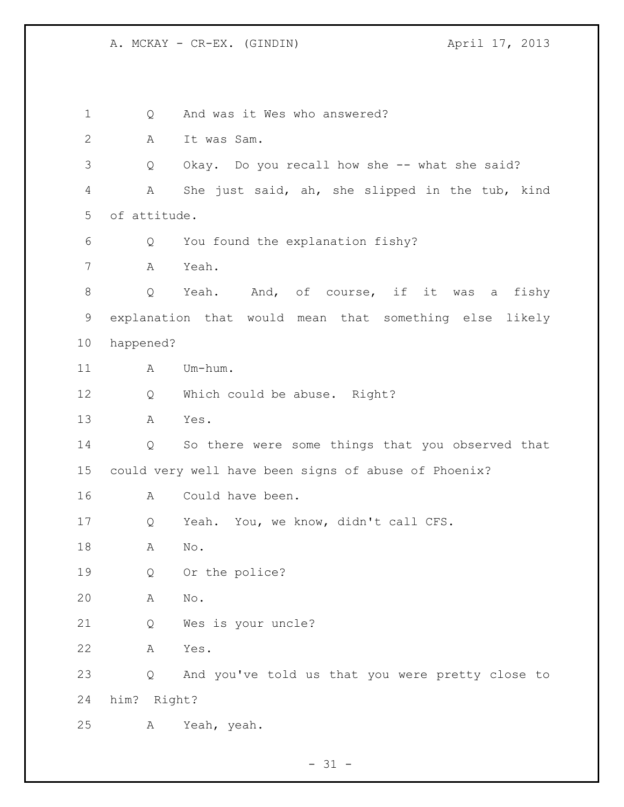A. MCKAY - CR-EX. (GINDIN) April 17, 2013

1 Q And was it Wes who answered? A It was Sam. Q Okay. Do you recall how she -- what she said? A She just said, ah, she slipped in the tub, kind of attitude. Q You found the explanation fishy? A Yeah. 8 Q Yeah. And, of course, if it was a fishy explanation that would mean that something else likely happened? 11 A Um-hum. Q Which could be abuse. Right? A Yes. Q So there were some things that you observed that could very well have been signs of abuse of Phoenix? A Could have been. Q Yeah. You, we know, didn't call CFS. A No. Q Or the police? A No. Q Wes is your uncle? A Yes. Q And you've told us that you were pretty close to him? Right? A Yeah, yeah.

 $- 31 -$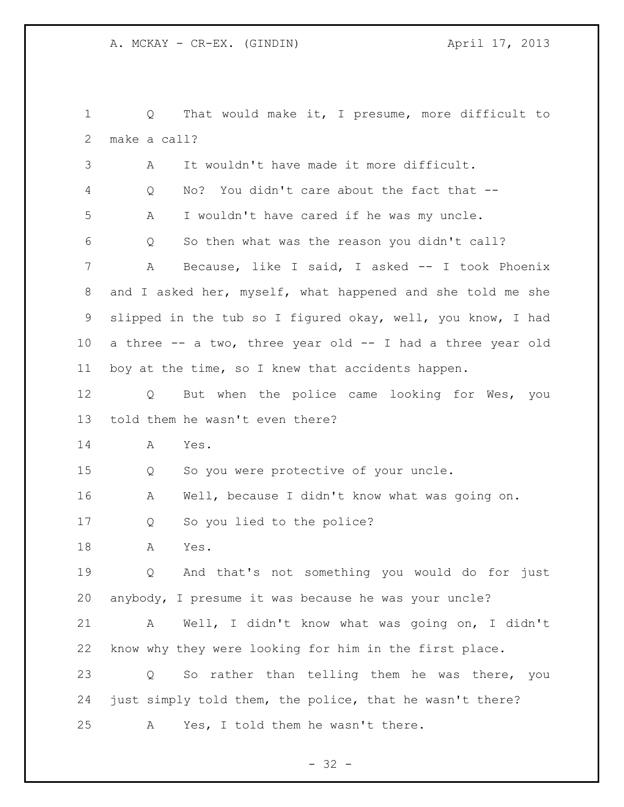Q That would make it, I presume, more difficult to make a call? A It wouldn't have made it more difficult. Q No? You didn't care about the fact that -- A I wouldn't have cared if he was my uncle. Q So then what was the reason you didn't call? A Because, like I said, I asked -- I took Phoenix and I asked her, myself, what happened and she told me she slipped in the tub so I figured okay, well, you know, I had a three -- a two, three year old -- I had a three year old boy at the time, so I knew that accidents happen. Q But when the police came looking for Wes, you told them he wasn't even there? A Yes. Q So you were protective of your uncle. A Well, because I didn't know what was going on. Q So you lied to the police? A Yes. Q And that's not something you would do for just anybody, I presume it was because he was your uncle? A Well, I didn't know what was going on, I didn't know why they were looking for him in the first place. Q So rather than telling them he was there, you just simply told them, the police, that he wasn't there? A Yes, I told them he wasn't there.

 $- 32 -$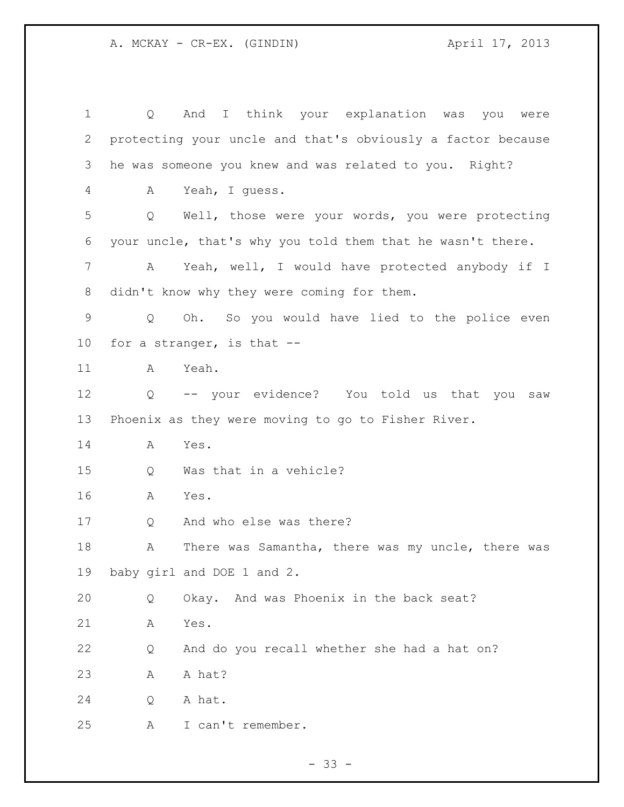| 1           | Q | I think your explanation was you<br>And<br>were             |
|-------------|---|-------------------------------------------------------------|
| 2           |   | protecting your uncle and that's obviously a factor because |
| 3           |   | he was someone you knew and was related to you. Right?      |
| 4           | А | Yeah, I guess.                                              |
| 5           | Q | Well, those were your words, you were protecting            |
| 6           |   | your uncle, that's why you told them that he wasn't there.  |
| 7           | A | Yeah, well, I would have protected anybody if I             |
| 8           |   | didn't know why they were coming for them.                  |
| $\mathsf 9$ | Q | Oh. So you would have lied to the police even               |
| $10 \,$     |   | for a stranger, is that --                                  |
| 11          | A | Yeah.                                                       |
| 12          |   | Q -- your evidence? You told us that you<br>saw             |
| 13          |   | Phoenix as they were moving to go to Fisher River.          |
| 14          | A | Yes.                                                        |
| 15          | Q | Was that in a vehicle?                                      |
| 16          | A | Yes.                                                        |
| 17          | Q | And who else was there?                                     |
| 18          | Α | There was Samantha, there was my uncle, there was           |
| 19          |   | baby girl and DOE 1 and 2.                                  |
| 20          | Q | Okay. And was Phoenix in the back seat?                     |
| 21          | Α | Yes.                                                        |
| 22          | Q | And do you recall whether she had a hat on?                 |
| 23          | Α | A hat?                                                      |
| 24          | Q | A hat.                                                      |
| 25          | Α | I can't remember.                                           |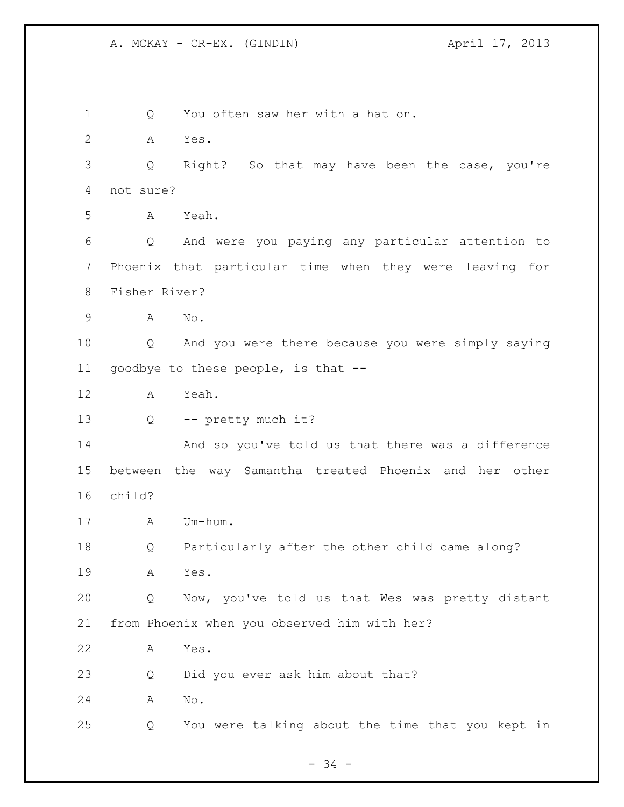1 Q You often saw her with a hat on. A Yes. Q Right? So that may have been the case, you're not sure? A Yeah. Q And were you paying any particular attention to Phoenix that particular time when they were leaving for Fisher River? A No. Q And you were there because you were simply saying goodbye to these people, is that -- A Yeah. 13 Q -- pretty much it? And so you've told us that there was a difference between the way Samantha treated Phoenix and her other child? A Um-hum. Q Particularly after the other child came along? A Yes. Q Now, you've told us that Wes was pretty distant from Phoenix when you observed him with her? A Yes. Q Did you ever ask him about that? A No. Q You were talking about the time that you kept in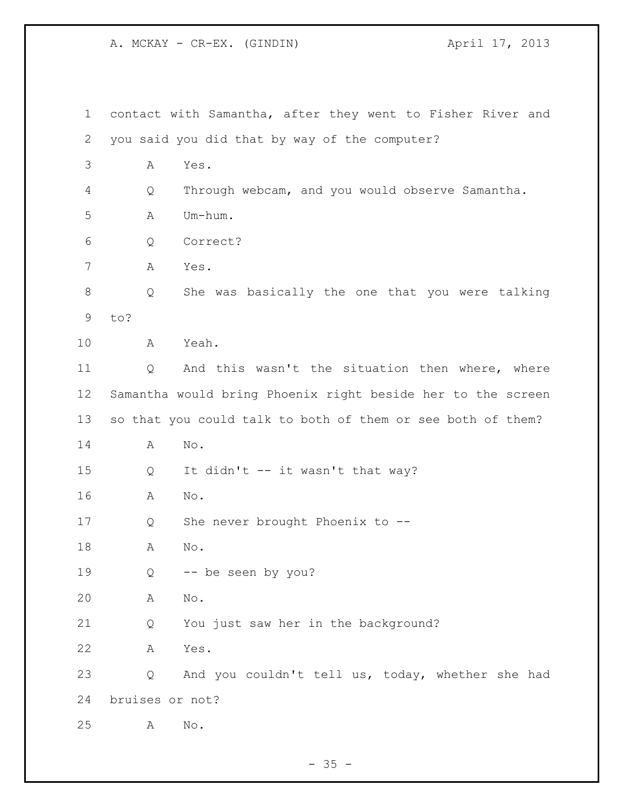A. MCKAY - CR-EX. (GINDIN)  $\overline{A}$  (April 17, 2013

| $\mathbf 1$ |                                                             | contact with Samantha, after they went to Fisher River and  |  |  |
|-------------|-------------------------------------------------------------|-------------------------------------------------------------|--|--|
| 2           |                                                             | you said you did that by way of the computer?               |  |  |
| 3           | Α                                                           | Yes.                                                        |  |  |
| 4           | Q                                                           | Through webcam, and you would observe Samantha.             |  |  |
| 5           | Α                                                           | Um-hum.                                                     |  |  |
| 6           | Q                                                           | Correct?                                                    |  |  |
| 7           | Α                                                           | Yes.                                                        |  |  |
| 8           | Q                                                           | She was basically the one that you were talking             |  |  |
| 9           | to?                                                         |                                                             |  |  |
| 10          | А                                                           | Yeah.                                                       |  |  |
| 11          | Q                                                           | And this wasn't the situation then where, where             |  |  |
| 12          | Samantha would bring Phoenix right beside her to the screen |                                                             |  |  |
| 13          |                                                             | so that you could talk to both of them or see both of them? |  |  |
| 14          | Α                                                           | $\mathrm{No}$ .                                             |  |  |
| 15          | Q                                                           | It didn't -- it wasn't that way?                            |  |  |
| 16          | Α                                                           | No.                                                         |  |  |
| 17          | Q                                                           | She never brought Phoenix to --                             |  |  |
| 18          | Α                                                           | No.                                                         |  |  |
| 19          | Q                                                           | -- be seen by you?                                          |  |  |
| 20          | Α                                                           | $\mathbb{N} \circ$ .                                        |  |  |
| 21          | Q                                                           | You just saw her in the background?                         |  |  |
| 22          | Α                                                           | Yes.                                                        |  |  |
| 23          | Q                                                           | And you couldn't tell us, today, whether she had            |  |  |
| 24          | bruises or not?                                             |                                                             |  |  |
| 25          | Α                                                           | No.                                                         |  |  |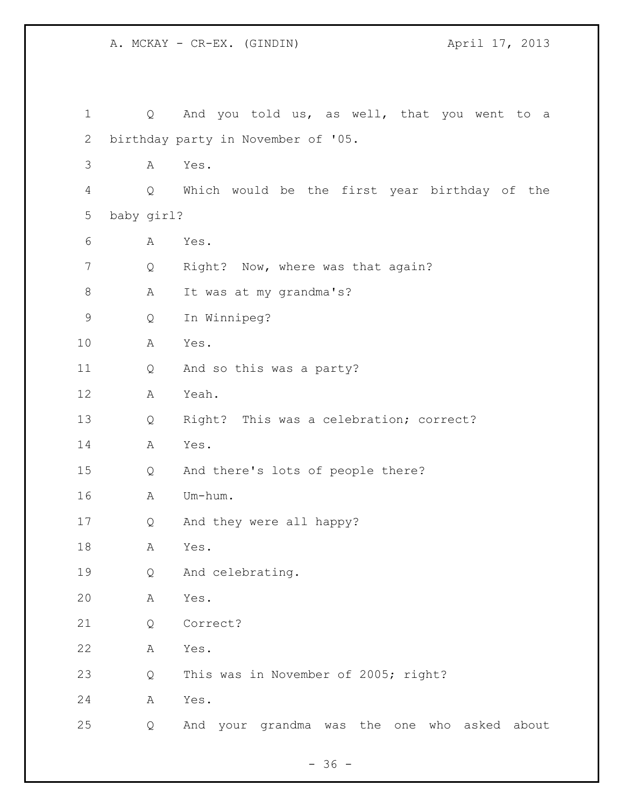A. MCKAY - CR-EX. (GINDIN) 4pril 17, 2013

 Q And you told us, as well, that you went to a birthday party in November of '05. A Yes. Q Which would be the first year birthday of the baby girl? A Yes. 7 Q Right? Now, where was that again? 8 A It was at my grandma's? Q In Winnipeg? A Yes. Q And so this was a party? A Yeah. Q Right? This was a celebration; correct? A Yes. Q And there's lots of people there? A Um-hum. Q And they were all happy? A Yes. Q And celebrating. A Yes. Q Correct? A Yes. Q This was in November of 2005; right? A Yes. Q And your grandma was the one who asked about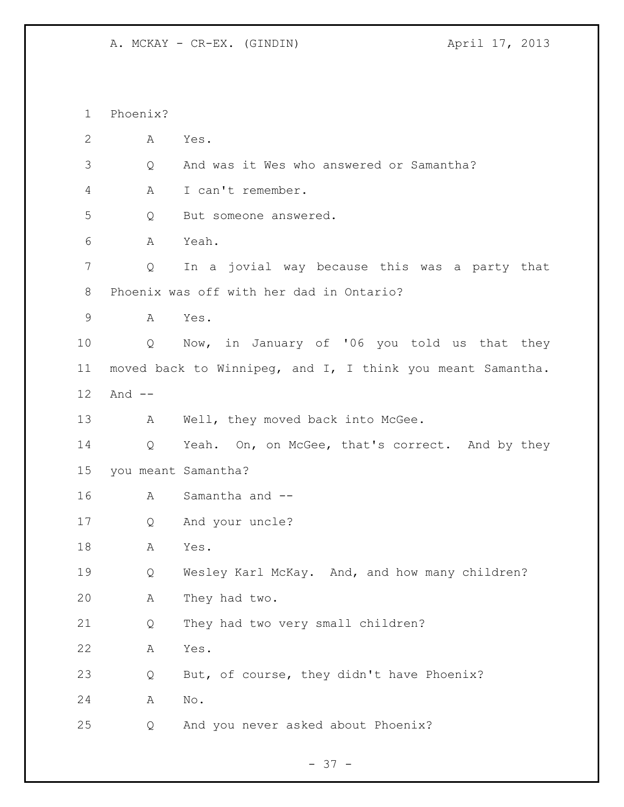A. MCKAY - CR-EX. (GINDIN)  $\overline{A}$  april 17, 2013

 Phoenix? A Yes. Q And was it Wes who answered or Samantha? A I can't remember. Q But someone answered. A Yeah. Q In a jovial way because this was a party that Phoenix was off with her dad in Ontario? A Yes. Q Now, in January of '06 you told us that they moved back to Winnipeg, and I, I think you meant Samantha. And -- 13 A Well, they moved back into McGee. 14 Q Yeah. On, on McGee, that's correct. And by they you meant Samantha? A Samantha and -- Q And your uncle? A Yes. Q Wesley Karl McKay. And, and how many children? A They had two. Q They had two very small children? A Yes. Q But, of course, they didn't have Phoenix? A No. Q And you never asked about Phoenix?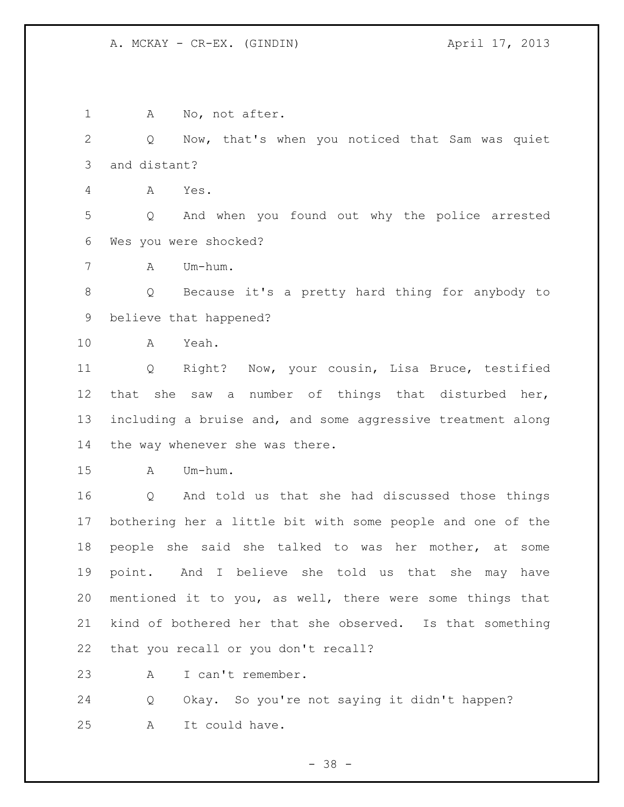1 A No, not after. Q Now, that's when you noticed that Sam was quiet and distant? A Yes. Q And when you found out why the police arrested Wes you were shocked? A Um-hum. Q Because it's a pretty hard thing for anybody to believe that happened? A Yeah. Q Right? Now, your cousin, Lisa Bruce, testified that she saw a number of things that disturbed her, including a bruise and, and some aggressive treatment along the way whenever she was there. A Um-hum. Q And told us that she had discussed those things bothering her a little bit with some people and one of the people she said she talked to was her mother, at some point. And I believe she told us that she may have mentioned it to you, as well, there were some things that kind of bothered her that she observed. Is that something that you recall or you don't recall? A I can't remember. Q Okay. So you're not saying it didn't happen? A It could have.

- 38 -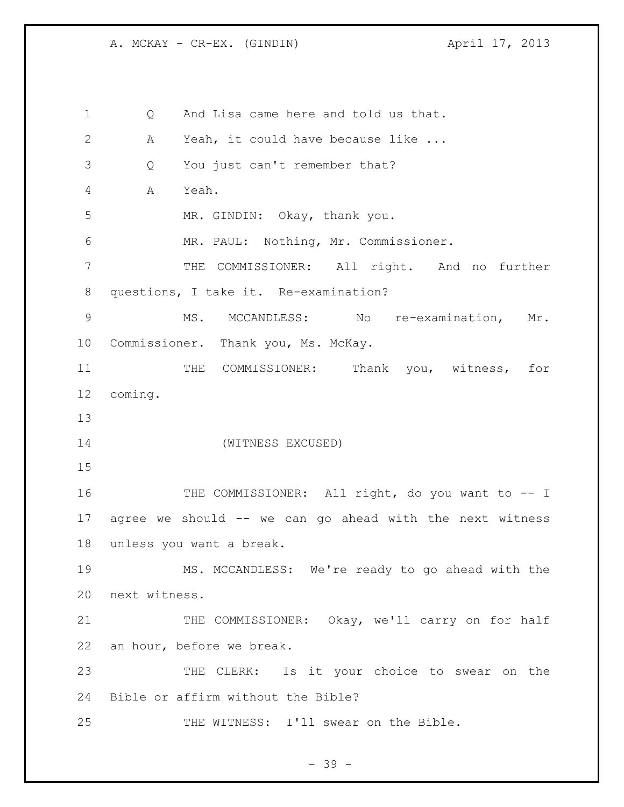A. MCKAY - CR-EX. (GINDIN)  $\overline{A}$  april 17, 2013

 Q And Lisa came here and told us that. A Yeah, it could have because like ... Q You just can't remember that? A Yeah. MR. GINDIN: Okay, thank you. MR. PAUL: Nothing, Mr. Commissioner. THE COMMISSIONER: All right. And no further questions, I take it. Re-examination? MS. MCCANDLESS: No re-examination, Mr. Commissioner. Thank you, Ms. McKay. 11 THE COMMISSIONER: Thank you, witness, for coming. (WITNESS EXCUSED) 16 THE COMMISSIONER: All right, do you want to -- I agree we should -- we can go ahead with the next witness unless you want a break. MS. MCCANDLESS: We're ready to go ahead with the next witness. 21 THE COMMISSIONER: Okay, we'll carry on for half an hour, before we break. THE CLERK: Is it your choice to swear on the Bible or affirm without the Bible? THE WITNESS: I'll swear on the Bible.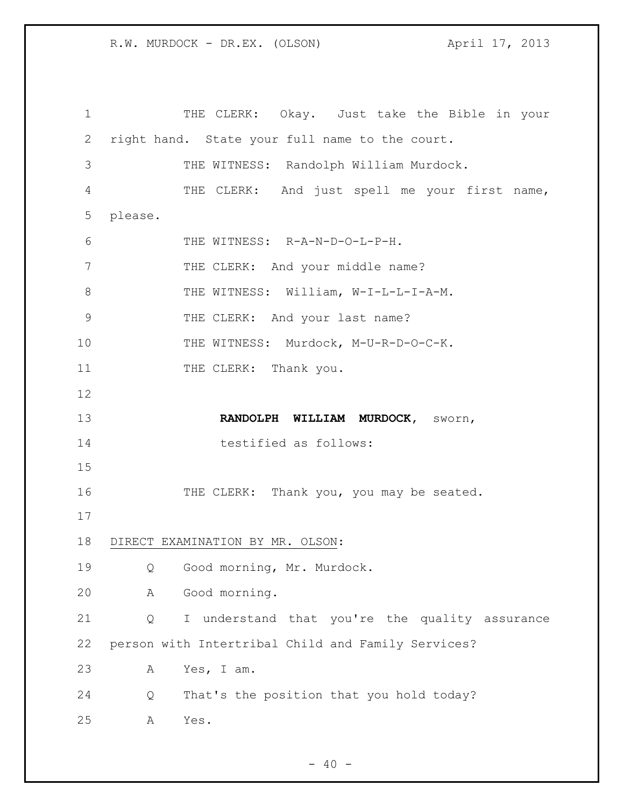THE CLERK: Okay. Just take the Bible in your right hand. State your full name to the court. THE WITNESS: Randolph William Murdock. THE CLERK: And just spell me your first name, please. THE WITNESS: R-A-N-D-O-L-P-H. 7 THE CLERK: And your middle name? 8 THE WITNESS: William, W-I-L-L-I-A-M. 9 THE CLERK: And your last name? 10 THE WITNESS: Murdock, M-U-R-D-O-C-K. 11 THE CLERK: Thank you. **RANDOLPH WILLIAM MURDOCK,** sworn, 14 testified as follows: 16 THE CLERK: Thank you, you may be seated. DIRECT EXAMINATION BY MR. OLSON: Q Good morning, Mr. Murdock. A Good morning. Q I understand that you're the quality assurance person with Intertribal Child and Family Services? A Yes, I am. Q That's the position that you hold today? A Yes.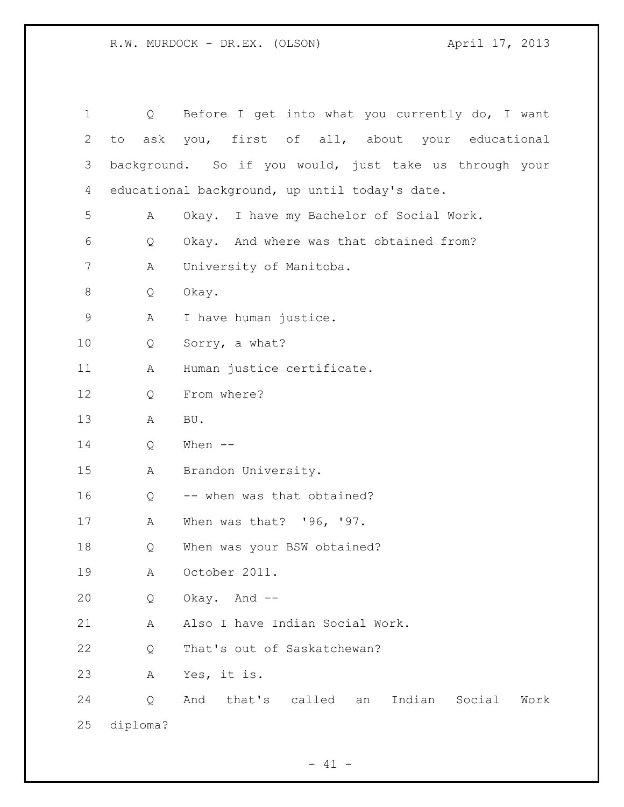| $\mathbf 1$ | Q                                              | Before I get into what you currently do, I want        |  |  |  |  |
|-------------|------------------------------------------------|--------------------------------------------------------|--|--|--|--|
| 2           | to                                             | ask you, first of all, about your educational          |  |  |  |  |
| 3           |                                                | background. So if you would, just take us through your |  |  |  |  |
| 4           | educational background, up until today's date. |                                                        |  |  |  |  |
| 5           | Α                                              | Okay. I have my Bachelor of Social Work.               |  |  |  |  |
| 6           | Q                                              | Okay. And where was that obtained from?                |  |  |  |  |
| 7           | Α                                              | University of Manitoba.                                |  |  |  |  |
| 8           | Q                                              | Okay.                                                  |  |  |  |  |
| 9           | Α                                              | I have human justice.                                  |  |  |  |  |
| 10          | Q                                              | Sorry, a what?                                         |  |  |  |  |
| 11          | Α                                              | Human justice certificate.                             |  |  |  |  |
| 12          | Q                                              | From where?                                            |  |  |  |  |
| 13          | Α                                              | BU.                                                    |  |  |  |  |
| 14          | Q                                              | When $--$                                              |  |  |  |  |
| 15          | А                                              | Brandon University.                                    |  |  |  |  |
| 16          | Q                                              | -- when was that obtained?                             |  |  |  |  |
| 17          | А                                              | When was that? '96, '97.                               |  |  |  |  |
| 18          | Q                                              | When was your BSW obtained?                            |  |  |  |  |
| 19          | Α                                              | October 2011.                                          |  |  |  |  |
| 20          | Q                                              | Okay. And --                                           |  |  |  |  |
| 21          | Α                                              | Also I have Indian Social Work.                        |  |  |  |  |
| 22          | Q                                              | That's out of Saskatchewan?                            |  |  |  |  |
| 23          | Α                                              | Yes, it is.                                            |  |  |  |  |
| 24          | Q                                              | And<br>that's called<br>Indian<br>Social<br>Work<br>an |  |  |  |  |
| 25          | diploma?                                       |                                                        |  |  |  |  |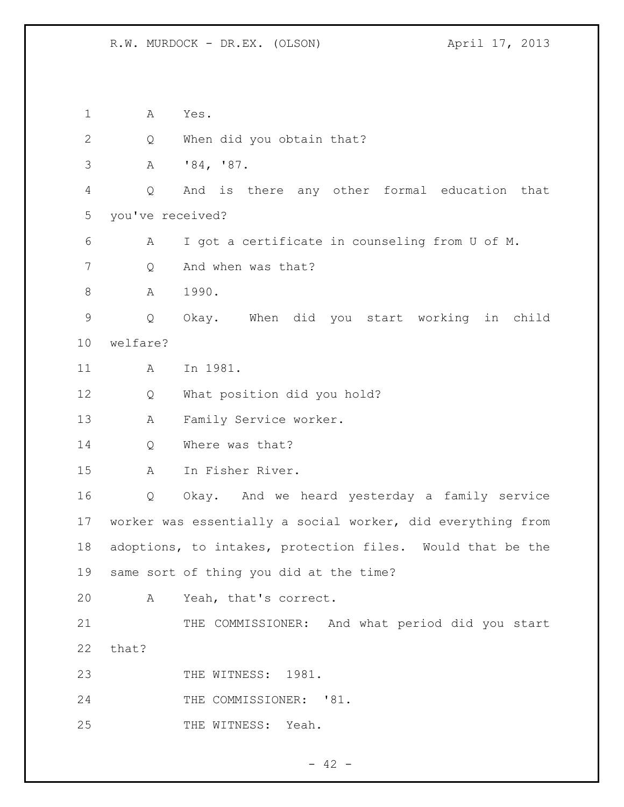A Yes. Q When did you obtain that? A '84, '87. Q And is there any other formal education that you've received? A I got a certificate in counseling from U of M. Q And when was that? 8 A 1990. Q Okay. When did you start working in child welfare? A In 1981. Q What position did you hold? A Family Service worker. 14 O Where was that? A In Fisher River. Q Okay. And we heard yesterday a family service worker was essentially a social worker, did everything from adoptions, to intakes, protection files. Would that be the same sort of thing you did at the time? A Yeah, that's correct. 21 THE COMMISSIONER: And what period did you start that? 23 THE WITNESS: 1981. 24 THE COMMISSIONER: '81. 25 THE WITNESS: Yeah.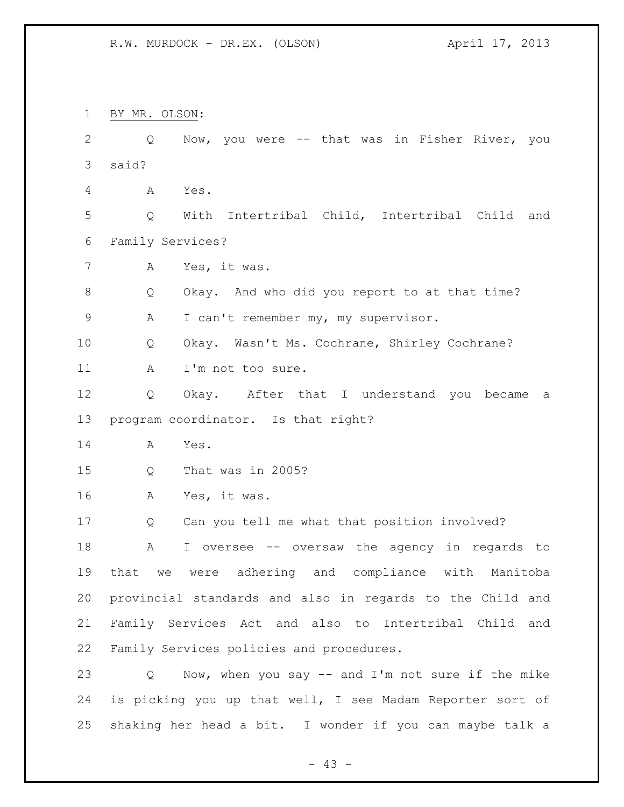BY MR. OLSON: Q Now, you were -- that was in Fisher River, you said? A Yes. Q With Intertribal Child, Intertribal Child and Family Services? A Yes, it was. Q Okay. And who did you report to at that time? A I can't remember my, my supervisor. Q Okay. Wasn't Ms. Cochrane, Shirley Cochrane? 11 A I'm not too sure. Q Okay. After that I understand you became a program coordinator. Is that right? A Yes. Q That was in 2005? A Yes, it was. Q Can you tell me what that position involved? A I oversee -- oversaw the agency in regards to that we were adhering and compliance with Manitoba provincial standards and also in regards to the Child and Family Services Act and also to Intertribal Child and Family Services policies and procedures. Q Now, when you say -- and I'm not sure if the mike is picking you up that well, I see Madam Reporter sort of shaking her head a bit. I wonder if you can maybe talk a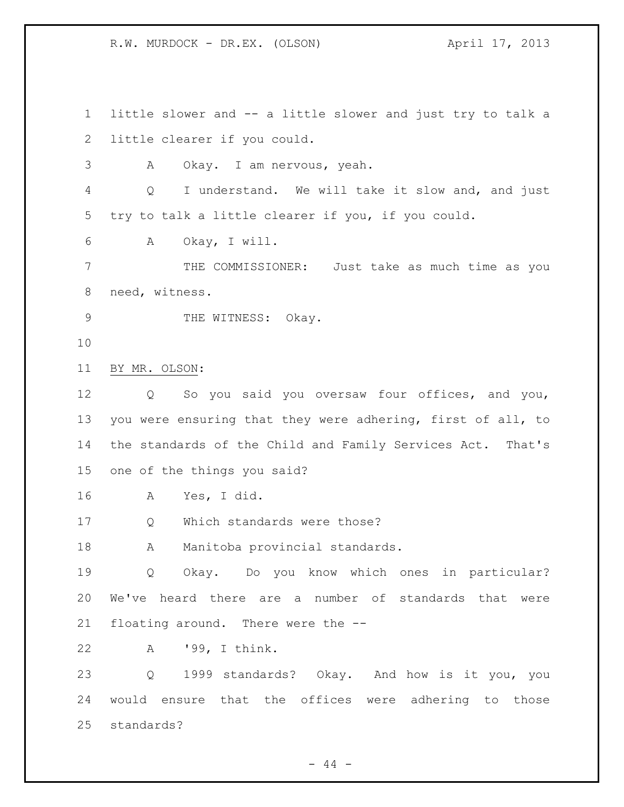little slower and -- a little slower and just try to talk a little clearer if you could. A Okay. I am nervous, yeah. Q I understand. We will take it slow and, and just try to talk a little clearer if you, if you could. A Okay, I will. THE COMMISSIONER: Just take as much time as you need, witness. 9 THE WITNESS: Okay. BY MR. OLSON: Q So you said you oversaw four offices, and you, you were ensuring that they were adhering, first of all, to the standards of the Child and Family Services Act. That's one of the things you said? A Yes, I did. Q Which standards were those? 18 A Manitoba provincial standards. Q Okay. Do you know which ones in particular? We've heard there are a number of standards that were floating around. There were the -- A '99, I think. Q 1999 standards? Okay. And how is it you, you would ensure that the offices were adhering to those standards?

 $-44 -$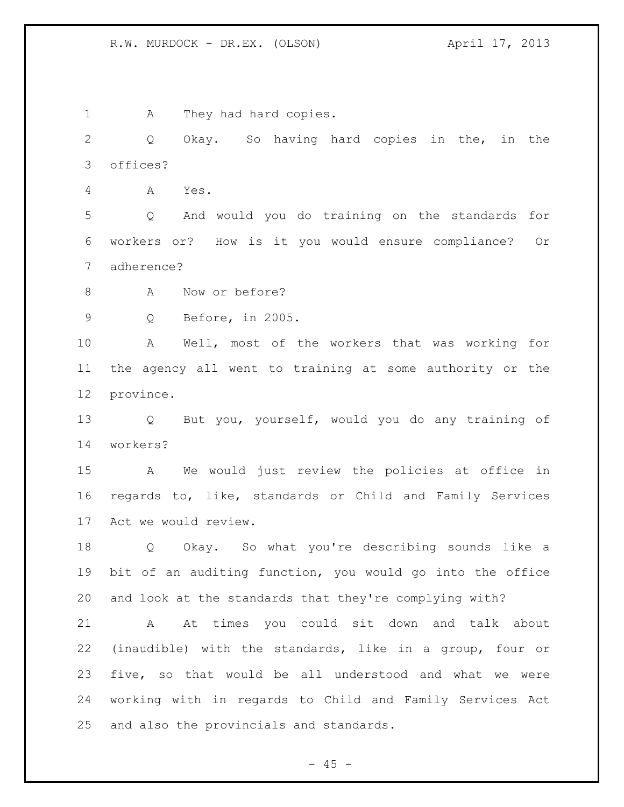1 A They had hard copies.

 Q Okay. So having hard copies in the, in the offices?

A Yes.

 Q And would you do training on the standards for workers or? How is it you would ensure compliance? Or adherence?

8 A Now or before?

Q Before, in 2005.

 A Well, most of the workers that was working for the agency all went to training at some authority or the province.

 Q But you, yourself, would you do any training of workers?

 A We would just review the policies at office in regards to, like, standards or Child and Family Services Act we would review.

 Q Okay. So what you're describing sounds like a bit of an auditing function, you would go into the office and look at the standards that they're complying with?

 A At times you could sit down and talk about (inaudible) with the standards, like in a group, four or five, so that would be all understood and what we were working with in regards to Child and Family Services Act and also the provincials and standards.

 $- 45 -$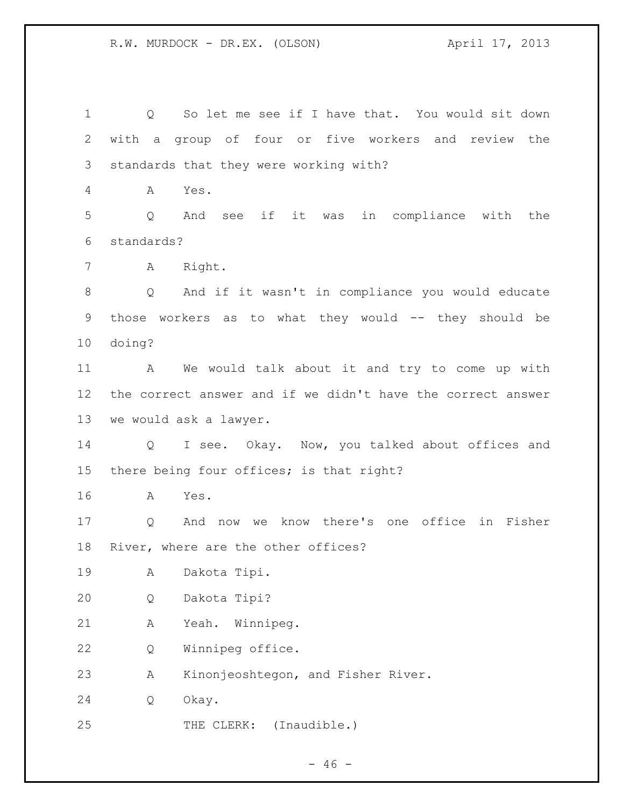Q So let me see if I have that. You would sit down with a group of four or five workers and review the standards that they were working with? A Yes. Q And see if it was in compliance with the standards? A Right. Q And if it wasn't in compliance you would educate 9 those workers as to what they would -- they should be doing? A We would talk about it and try to come up with the correct answer and if we didn't have the correct answer we would ask a lawyer. Q I see. Okay. Now, you talked about offices and there being four offices; is that right? A Yes. Q And now we know there's one office in Fisher River, where are the other offices? A Dakota Tipi. Q Dakota Tipi? A Yeah. Winnipeg. Q Winnipeg office. A Kinonjeoshtegon, and Fisher River. Q Okay. THE CLERK: (Inaudible.)

 $- 46 -$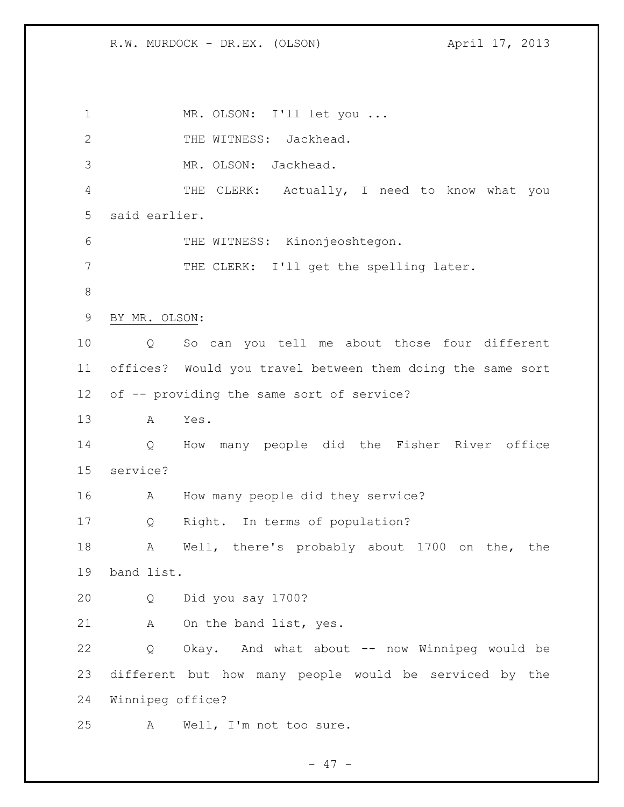1 MR. OLSON: I'll let you... 2 THE WITNESS: Jackhead. MR. OLSON: Jackhead. THE CLERK: Actually, I need to know what you said earlier. THE WITNESS: Kinonjeoshtegon. THE CLERK: I'll get the spelling later. BY MR. OLSON: Q So can you tell me about those four different offices? Would you travel between them doing the same sort of -- providing the same sort of service? A Yes. Q How many people did the Fisher River office service? A How many people did they service? Q Right. In terms of population? A Well, there's probably about 1700 on the, the band list. Q Did you say 1700? A On the band list, yes. Q Okay. And what about -- now Winnipeg would be different but how many people would be serviced by the Winnipeg office? A Well, I'm not too sure.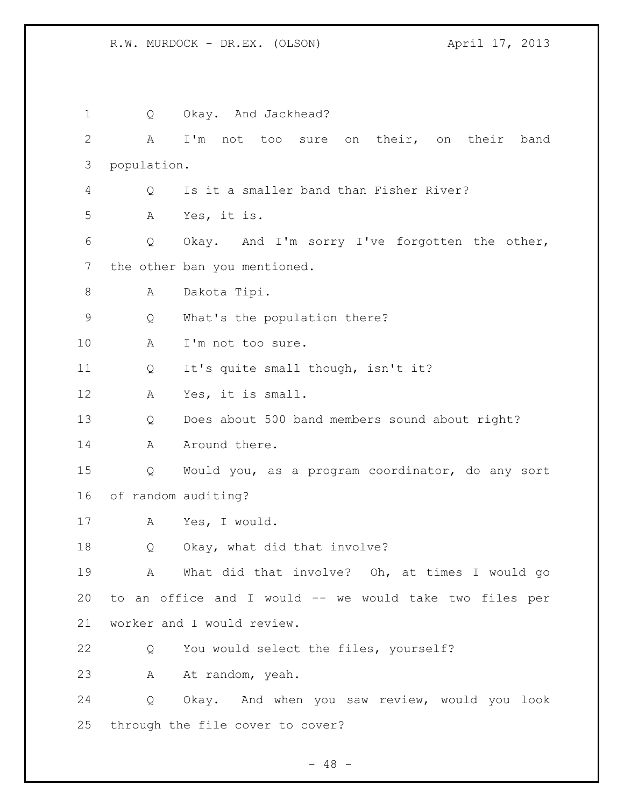| 1  | Q                                       | Okay. And Jackhead?                                     |  |  |  |
|----|-----------------------------------------|---------------------------------------------------------|--|--|--|
| 2  | A                                       | I'm not too sure on their, on their band                |  |  |  |
| 3  | population.                             |                                                         |  |  |  |
| 4  | Q                                       | Is it a smaller band than Fisher River?                 |  |  |  |
| 5  | Α                                       | Yes, it is.                                             |  |  |  |
| 6  | Q                                       | Okay. And I'm sorry I've forgotten the other,           |  |  |  |
| 7  |                                         | the other ban you mentioned.                            |  |  |  |
| 8  | Α                                       | Dakota Tipi.                                            |  |  |  |
| 9  | What's the population there?<br>Q       |                                                         |  |  |  |
| 10 | I'm not too sure.<br>Α                  |                                                         |  |  |  |
| 11 | It's quite small though, isn't it?<br>Q |                                                         |  |  |  |
| 12 | А                                       | Yes, it is small.                                       |  |  |  |
| 13 | Q                                       | Does about 500 band members sound about right?          |  |  |  |
| 14 | Α                                       | Around there.                                           |  |  |  |
| 15 | Q                                       | Would you, as a program coordinator, do any sort        |  |  |  |
| 16 |                                         | of random auditing?                                     |  |  |  |
| 17 | A                                       | Yes, I would.                                           |  |  |  |
| 18 | Q                                       | Okay, what did that involve?                            |  |  |  |
| 19 |                                         | A What did that involve? Oh, at times I would go        |  |  |  |
| 20 |                                         | to an office and I would -- we would take two files per |  |  |  |
| 21 | worker and I would review.              |                                                         |  |  |  |
| 22 | Q                                       | You would select the files, yourself?                   |  |  |  |
| 23 | A                                       | At random, yeah.                                        |  |  |  |
| 24 | Q                                       | Okay. And when you saw review, would you look           |  |  |  |
| 25 | through the file cover to cover?        |                                                         |  |  |  |

- 48 -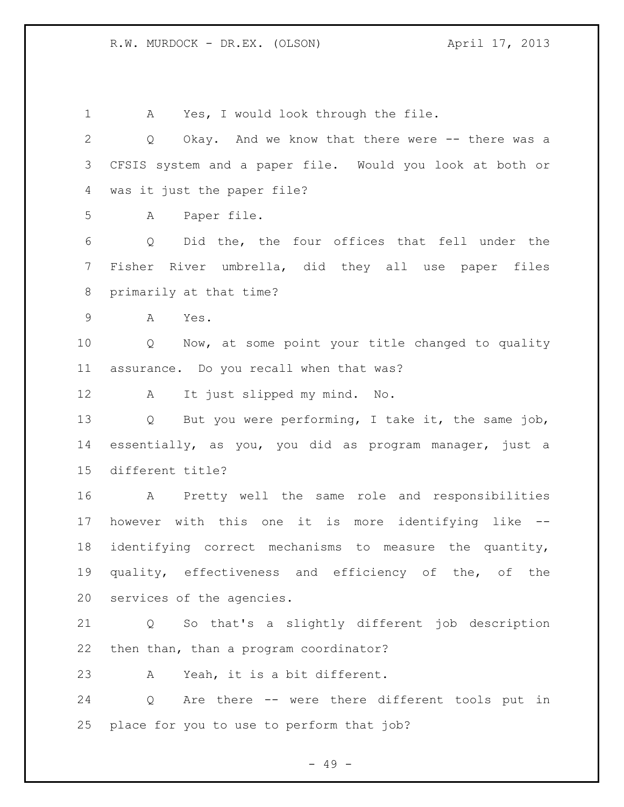A Yes, I would look through the file. Q Okay. And we know that there were -- there was a CFSIS system and a paper file. Would you look at both or was it just the paper file? A Paper file. Q Did the, the four offices that fell under the Fisher River umbrella, did they all use paper files primarily at that time? A Yes. Q Now, at some point your title changed to quality assurance. Do you recall when that was? A It just slipped my mind. No. Q But you were performing, I take it, the same job, essentially, as you, you did as program manager, just a different title? A Pretty well the same role and responsibilities however with this one it is more identifying like -- identifying correct mechanisms to measure the quantity, quality, effectiveness and efficiency of the, of the services of the agencies. Q So that's a slightly different job description then than, than a program coordinator? A Yeah, it is a bit different. Q Are there -- were there different tools put in place for you to use to perform that job?

- 49 -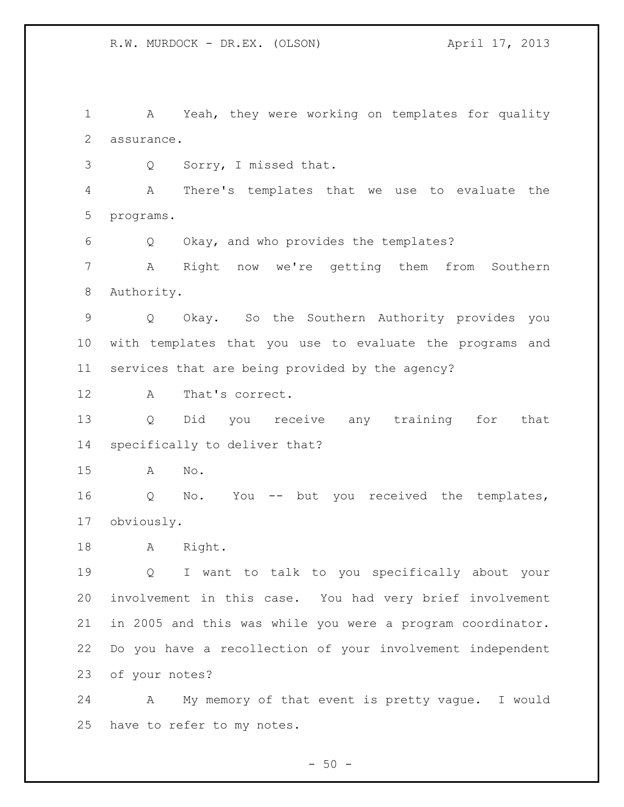A Yeah, they were working on templates for quality assurance.

Q Sorry, I missed that.

 A There's templates that we use to evaluate the programs.

Q Okay, and who provides the templates?

 A Right now we're getting them from Southern Authority.

 Q Okay. So the Southern Authority provides you with templates that you use to evaluate the programs and services that are being provided by the agency?

A That's correct.

 Q Did you receive any training for that specifically to deliver that?

A No.

 Q No. You -- but you received the templates, obviously.

A Right.

 Q I want to talk to you specifically about your involvement in this case. You had very brief involvement in 2005 and this was while you were a program coordinator. Do you have a recollection of your involvement independent of your notes?

 A My memory of that event is pretty vague. I would have to refer to my notes.

 $-50 -$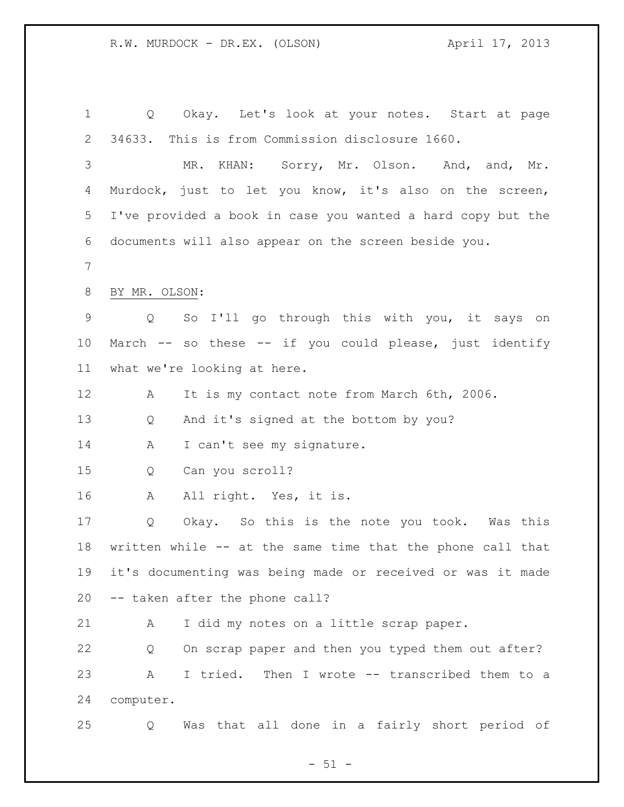Q Okay. Let's look at your notes. Start at page 34633. This is from Commission disclosure 1660. 3 MR. KHAN: Sorry, Mr. Olson. And, and, Mr. Murdock, just to let you know, it's also on the screen, I've provided a book in case you wanted a hard copy but the documents will also appear on the screen beside you. BY MR. OLSON: Q So I'll go through this with you, it says on March -- so these -- if you could please, just identify what we're looking at here. A It is my contact note from March 6th, 2006. Q And it's signed at the bottom by you? 14 A I can't see my signature. Q Can you scroll? A All right. Yes, it is. Q Okay. So this is the note you took. Was this written while -- at the same time that the phone call that it's documenting was being made or received or was it made -- taken after the phone call? A I did my notes on a little scrap paper. Q On scrap paper and then you typed them out after? A I tried. Then I wrote -- transcribed them to a computer. Q Was that all done in a fairly short period of

 $- 51 -$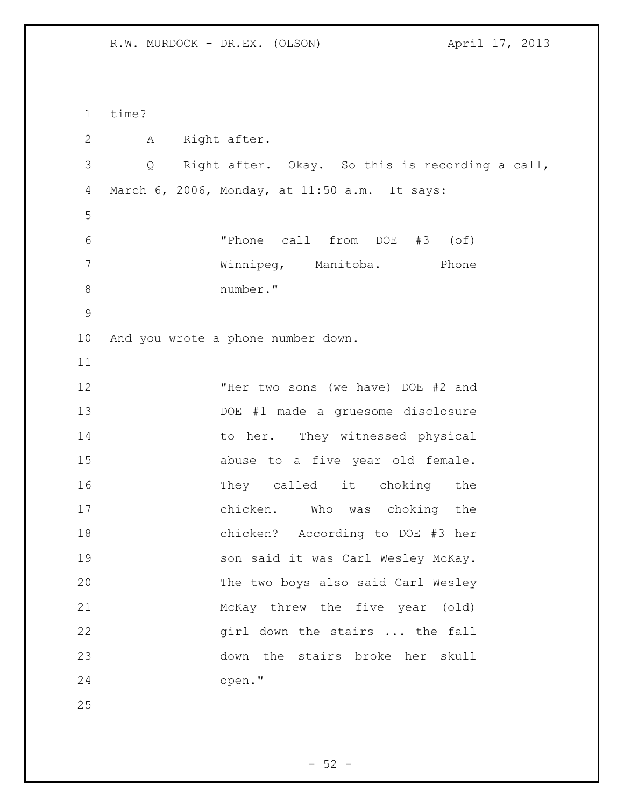time? A Right after. Q Right after. Okay. So this is recording a call, March 6, 2006, Monday, at 11:50 a.m. It says: "Phone call from DOE #3 (of) Winnipeg, Manitoba. Phone number." And you wrote a phone number down. **"Her two sons (we have) DOE #2 and**  DOE #1 made a gruesome disclosure 14 to her. They witnessed physical abuse to a five year old female. They called it choking the chicken. Who was choking the chicken? According to DOE #3 her 19 son said it was Carl Wesley McKay. The two boys also said Carl Wesley McKay threw the five year (old) 22 girl down the stairs ... the fall down the stairs broke her skull open."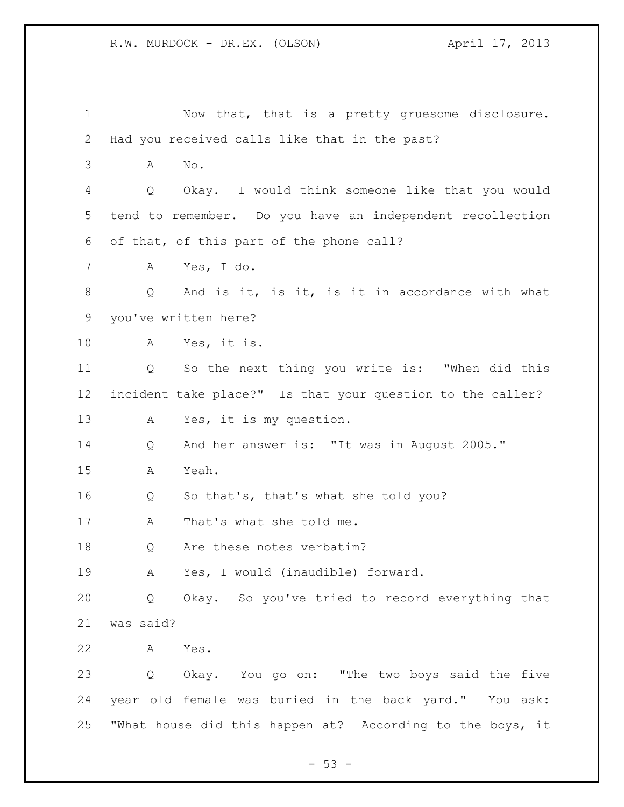| $\mathbf 1$ | Now that, that is a pretty gruesome disclosure.                      |  |  |  |  |
|-------------|----------------------------------------------------------------------|--|--|--|--|
| 2           | Had you received calls like that in the past?                        |  |  |  |  |
| 3           | No.<br>Α                                                             |  |  |  |  |
| 4           | Okay. I would think someone like that you would<br>Q                 |  |  |  |  |
| 5           | tend to remember. Do you have an independent recollection            |  |  |  |  |
| 6           | of that, of this part of the phone call?                             |  |  |  |  |
| 7           | Yes, I do.<br>A                                                      |  |  |  |  |
| 8           | And is it, is it, is it in accordance with what<br>$Q_{-}$           |  |  |  |  |
| 9           | you've written here?                                                 |  |  |  |  |
| 10          | Yes, it is.<br>A                                                     |  |  |  |  |
| 11          | So the next thing you write is: "When did this<br>Q                  |  |  |  |  |
| 12          | incident take place?" Is that your question to the caller?           |  |  |  |  |
| 13          | Yes, it is my question.<br>A                                         |  |  |  |  |
| 14          | And her answer is: "It was in August 2005."<br>Q                     |  |  |  |  |
| 15          | Yeah.<br>Α                                                           |  |  |  |  |
| 16          | So that's, that's what she told you?<br>Q                            |  |  |  |  |
| 17          | That's what she told me.<br>A                                        |  |  |  |  |
| 18          | Are these notes verbatim?<br>Q                                       |  |  |  |  |
| 19          | Yes, I would (inaudible) forward.<br>A                               |  |  |  |  |
| 20          | Okay. So you've tried to record everything that<br>$Q \qquad \qquad$ |  |  |  |  |
| 21          | was said?                                                            |  |  |  |  |
| 22          | A<br>Yes.                                                            |  |  |  |  |
| 23          | Q Okay. You go on: "The two boys said the five                       |  |  |  |  |
| 24          | year old female was buried in the back yard." You ask:               |  |  |  |  |
| 25          | "What house did this happen at? According to the boys, it            |  |  |  |  |

- 53 -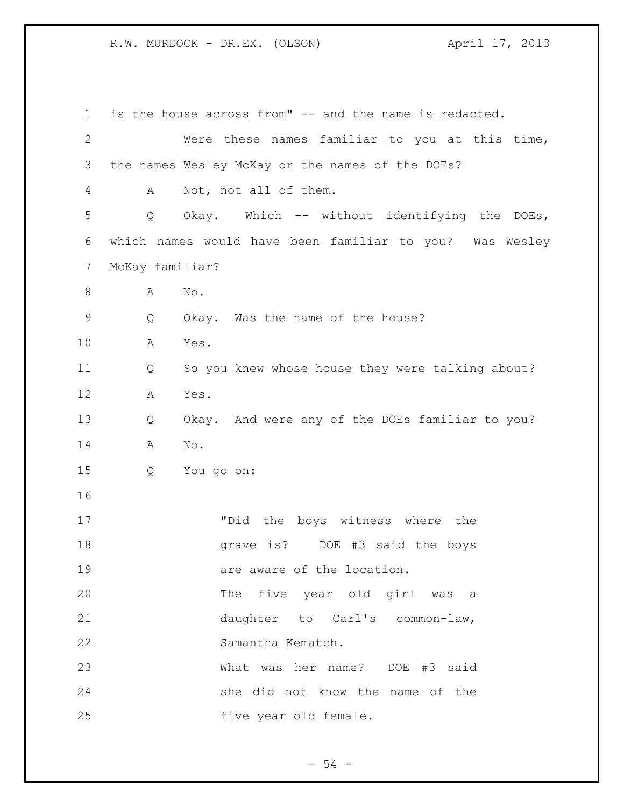is the house across from" -- and the name is redacted. Were these names familiar to you at this time, the names Wesley McKay or the names of the DOEs? A Not, not all of them. Q Okay. Which -- without identifying the DOEs, which names would have been familiar to you? Was Wesley McKay familiar? A No. Q Okay. Was the name of the house? A Yes. Q So you knew whose house they were talking about? A Yes. Q Okay. And were any of the DOEs familiar to you? A No. Q You go on: "Did the boys witness where the grave is? DOE #3 said the boys 19 are aware of the location. The five year old girl was a daughter to Carl's common-law, Samantha Kematch. What was her name? DOE #3 said she did not know the name of the 25 five year old female.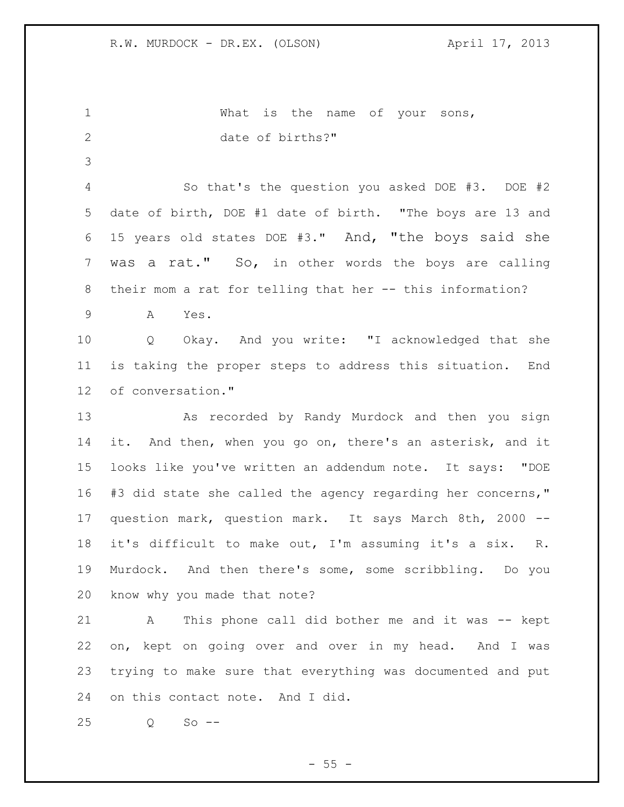1 What is the name of your sons, date of births?" So that's the question you asked DOE #3. DOE #2 date of birth, DOE #1 date of birth. "The boys are 13 and 15 years old states DOE #3." And, "the boys said she was a rat." So, in other words the boys are calling their mom a rat for telling that her -- this information? A Yes. Q Okay. And you write: "I acknowledged that she is taking the proper steps to address this situation. End of conversation." As recorded by Randy Murdock and then you sign it. And then, when you go on, there's an asterisk, and it looks like you've written an addendum note. It says: "DOE #3 did state she called the agency regarding her concerns," question mark, question mark. It says March 8th, 2000 -- it's difficult to make out, I'm assuming it's a six. R. Murdock. And then there's some, some scribbling. Do you know why you made that note? A This phone call did bother me and it was -- kept on, kept on going over and over in my head. And I was trying to make sure that everything was documented and put on this contact note. And I did. Q So --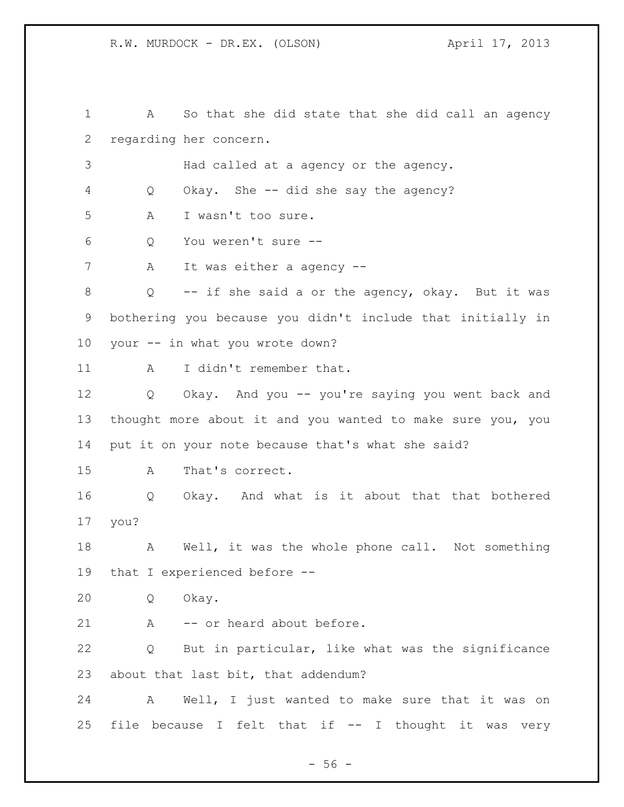A So that she did state that she did call an agency regarding her concern. Had called at a agency or the agency. Q Okay. She -- did she say the agency? A I wasn't too sure. Q You weren't sure -- 7 A It was either a agency -- Q -- if she said a or the agency, okay. But it was bothering you because you didn't include that initially in your -- in what you wrote down? 11 A I didn't remember that. Q Okay. And you -- you're saying you went back and thought more about it and you wanted to make sure you, you put it on your note because that's what she said? A That's correct. Q Okay. And what is it about that that bothered you? A Well, it was the whole phone call. Not something that I experienced before -- Q Okay. 21 A -- or heard about before. Q But in particular, like what was the significance about that last bit, that addendum? A Well, I just wanted to make sure that it was on file because I felt that if -- I thought it was very

 $-56 -$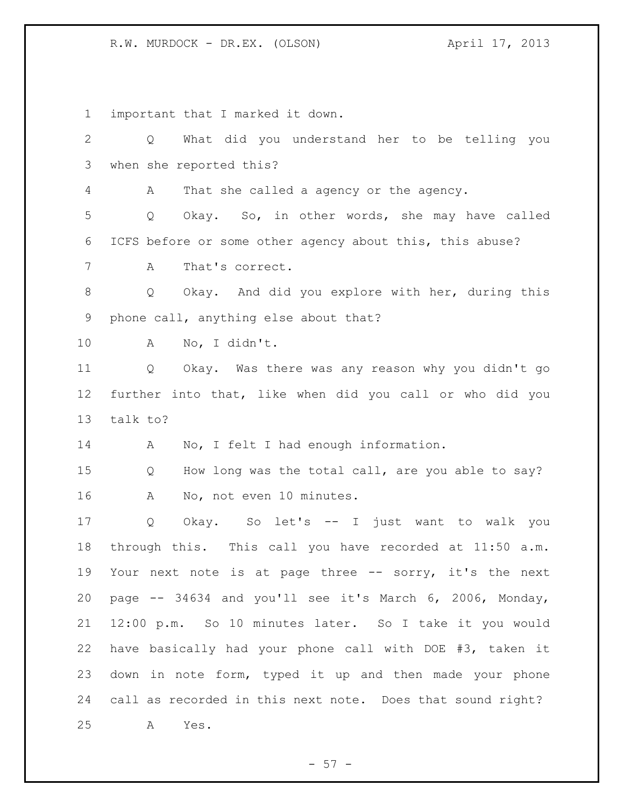important that I marked it down. Q What did you understand her to be telling you when she reported this? A That she called a agency or the agency. Q Okay. So, in other words, she may have called ICFS before or some other agency about this, this abuse? A That's correct. Q Okay. And did you explore with her, during this phone call, anything else about that? A No, I didn't.

 Q Okay. Was there was any reason why you didn't go further into that, like when did you call or who did you talk to?

A No, I felt I had enough information.

 Q How long was the total call, are you able to say? A No, not even 10 minutes.

 Q Okay. So let's -- I just want to walk you through this. This call you have recorded at 11:50 a.m. 19 Your next note is at page three -- sorry, it's the next page -- 34634 and you'll see it's March 6, 2006, Monday, 12:00 p.m. So 10 minutes later. So I take it you would have basically had your phone call with DOE #3, taken it down in note form, typed it up and then made your phone call as recorded in this next note. Does that sound right? A Yes.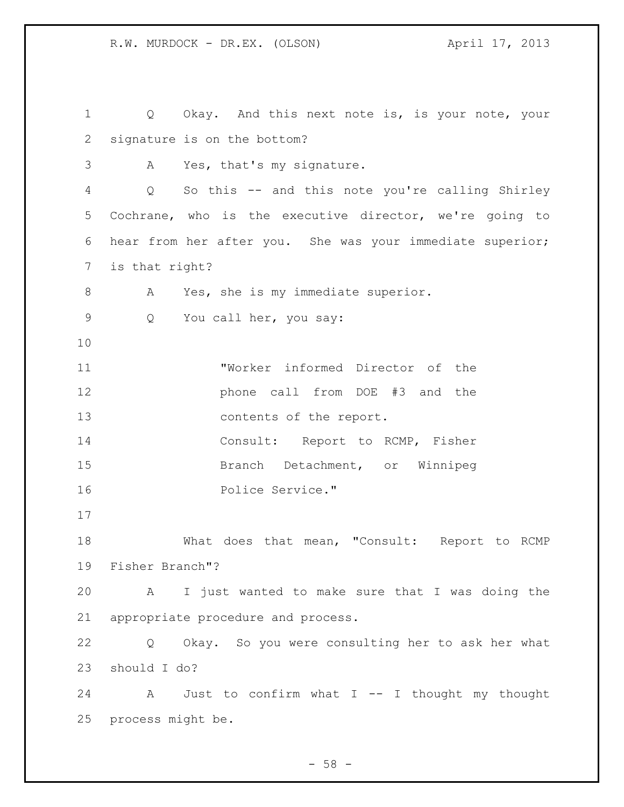1 Q Okay. And this next note is, is your note, your signature is on the bottom? A Yes, that's my signature. Q So this -- and this note you're calling Shirley Cochrane, who is the executive director, we're going to hear from her after you. She was your immediate superior; is that right? A Yes, she is my immediate superior. Q You call her, you say: "Worker informed Director of the **phone call from DOE #3 and the**  contents of the report. 14 Consult: Report to RCMP, Fisher Branch Detachment, or Winnipeg Police Service." What does that mean, "Consult: Report to RCMP Fisher Branch"? A I just wanted to make sure that I was doing the appropriate procedure and process. Q Okay. So you were consulting her to ask her what should I do? A Just to confirm what I -- I thought my thought process might be.

 $-58 -$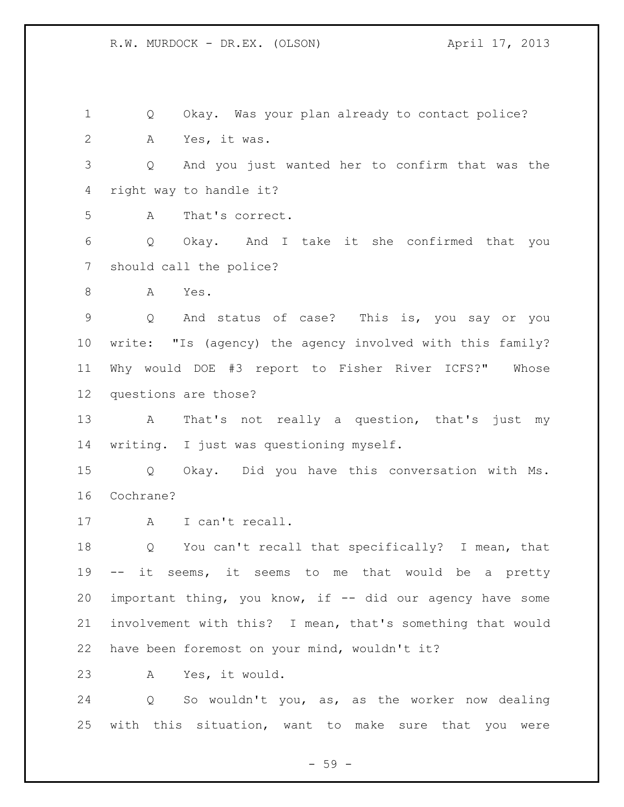Q Okay. Was your plan already to contact police? A Yes, it was. Q And you just wanted her to confirm that was the right way to handle it? A That's correct. Q Okay. And I take it she confirmed that you should call the police? A Yes. Q And status of case? This is, you say or you write: "Is (agency) the agency involved with this family? Why would DOE #3 report to Fisher River ICFS?" Whose questions are those? A That's not really a question, that's just my writing. I just was questioning myself. Q Okay. Did you have this conversation with Ms. Cochrane? 17 A I can't recall. Q You can't recall that specifically? I mean, that -- it seems, it seems to me that would be a pretty important thing, you know, if -- did our agency have some involvement with this? I mean, that's something that would have been foremost on your mind, wouldn't it? A Yes, it would. Q So wouldn't you, as, as the worker now dealing with this situation, want to make sure that you were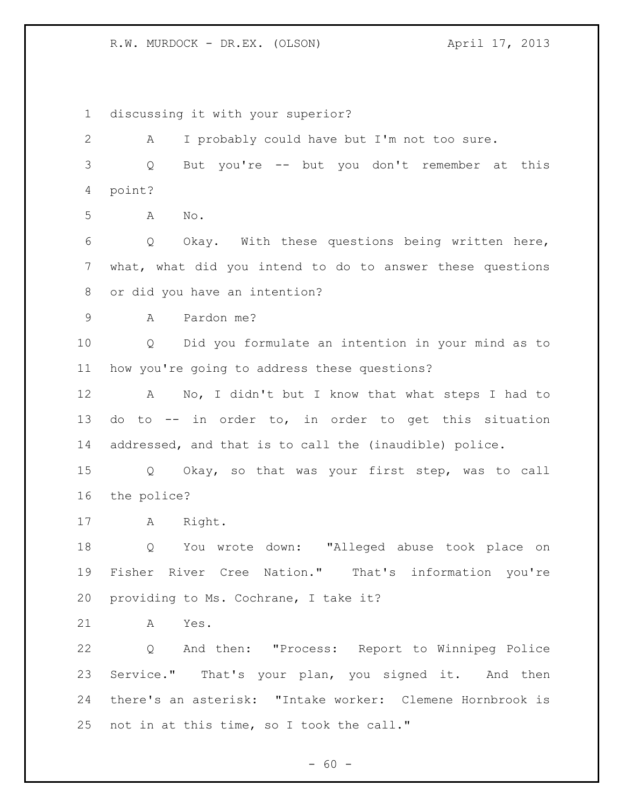discussing it with your superior? A I probably could have but I'm not too sure. Q But you're -- but you don't remember at this point? A No. Q Okay. With these questions being written here, what, what did you intend to do to answer these questions or did you have an intention? A Pardon me? Q Did you formulate an intention in your mind as to how you're going to address these questions? A No, I didn't but I know that what steps I had to do to -- in order to, in order to get this situation addressed, and that is to call the (inaudible) police. Q Okay, so that was your first step, was to call the police? A Right. Q You wrote down: "Alleged abuse took place on Fisher River Cree Nation." That's information you're providing to Ms. Cochrane, I take it? A Yes. Q And then: "Process: Report to Winnipeg Police Service." That's your plan, you signed it. And then there's an asterisk: "Intake worker: Clemene Hornbrook is not in at this time, so I took the call."

 $- 60 -$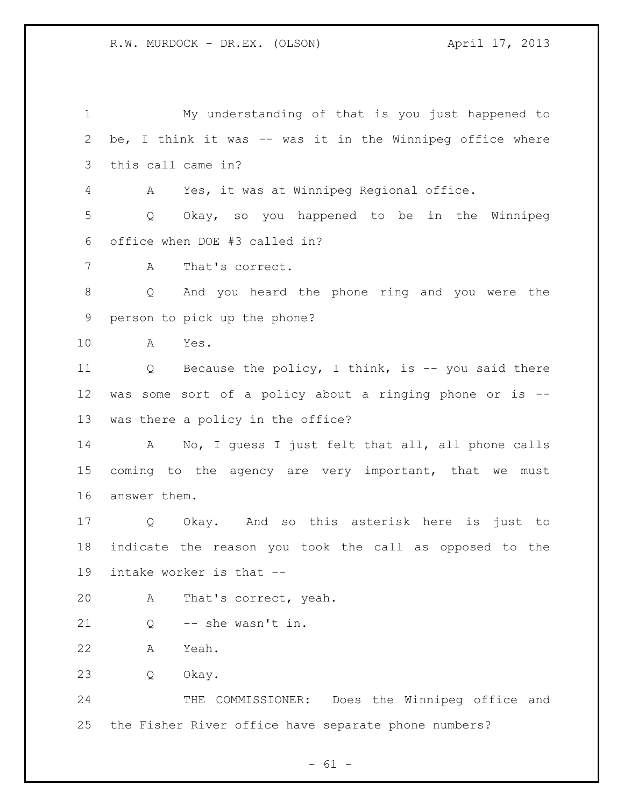My understanding of that is you just happened to be, I think it was -- was it in the Winnipeg office where this call came in? A Yes, it was at Winnipeg Regional office. Q Okay, so you happened to be in the Winnipeg office when DOE #3 called in? A That's correct. Q And you heard the phone ring and you were the person to pick up the phone? A Yes. Q Because the policy, I think, is -- you said there was some sort of a policy about a ringing phone or is -- was there a policy in the office? A No, I guess I just felt that all, all phone calls 15 coming to the agency are very important, that we must answer them. Q Okay. And so this asterisk here is just to indicate the reason you took the call as opposed to the intake worker is that -- A That's correct, yeah. Q -- she wasn't in. A Yeah. Q Okay. THE COMMISSIONER: Does the Winnipeg office and the Fisher River office have separate phone numbers?

 $- 61 -$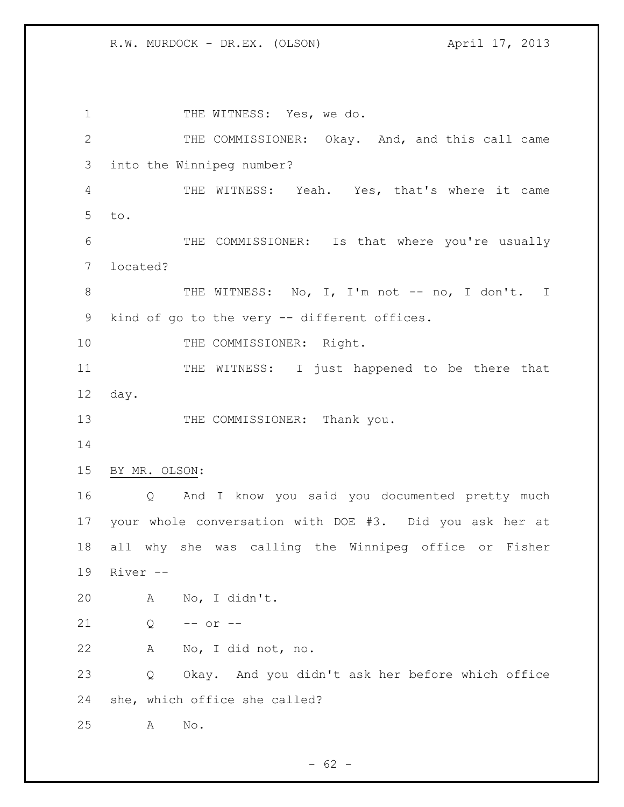1 THE WITNESS: Yes, we do. THE COMMISSIONER: Okay. And, and this call came into the Winnipeg number? THE WITNESS: Yeah. Yes, that's where it came to. THE COMMISSIONER: Is that where you're usually located? 8 THE WITNESS: No, I, I'm not -- no, I don't. I kind of go to the very -- different offices. 10 THE COMMISSIONER: Right. 11 THE WITNESS: I just happened to be there that day. 13 THE COMMISSIONER: Thank you. BY MR. OLSON: Q And I know you said you documented pretty much your whole conversation with DOE #3. Did you ask her at all why she was calling the Winnipeg office or Fisher River -- A No, I didn't. Q -- or -- A No, I did not, no. Q Okay. And you didn't ask her before which office she, which office she called? A No.

 $- 62 -$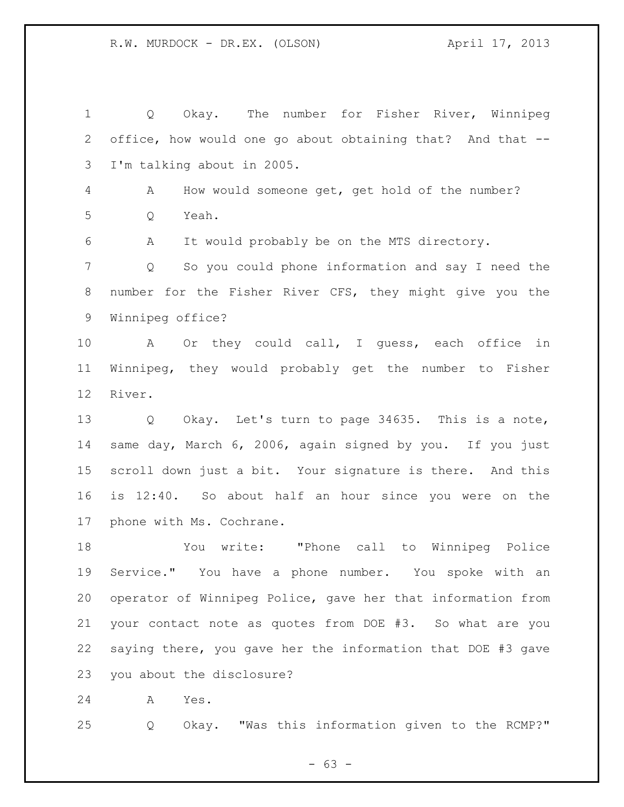Q Okay. The number for Fisher River, Winnipeg office, how would one go about obtaining that? And that -- I'm talking about in 2005. A How would someone get, get hold of the number? Q Yeah. A It would probably be on the MTS directory. Q So you could phone information and say I need the number for the Fisher River CFS, they might give you the Winnipeg office? A Or they could call, I guess, each office in Winnipeg, they would probably get the number to Fisher River. Q Okay. Let's turn to page 34635. This is a note, same day, March 6, 2006, again signed by you. If you just scroll down just a bit. Your signature is there. And this is 12:40. So about half an hour since you were on the phone with Ms. Cochrane. You write: "Phone call to Winnipeg Police Service." You have a phone number. You spoke with an

 operator of Winnipeg Police, gave her that information from your contact note as quotes from DOE #3. So what are you saying there, you gave her the information that DOE #3 gave you about the disclosure?

A Yes.

Q Okay. "Was this information given to the RCMP?"

 $- 63 -$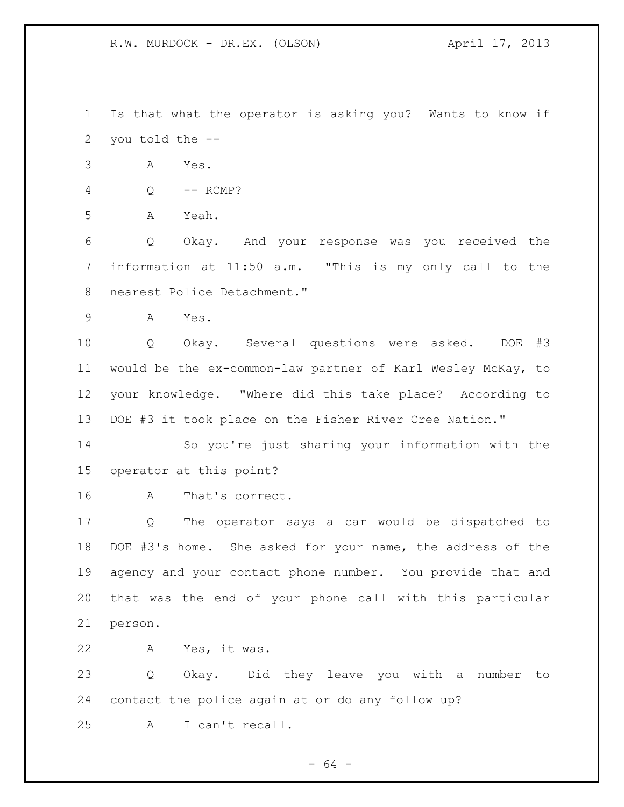Is that what the operator is asking you? Wants to know if you told the --

A Yes.

|  | RCMP? |
|--|-------|
|  |       |

A Yeah.

 Q Okay. And your response was you received the information at 11:50 a.m. "This is my only call to the nearest Police Detachment."

A Yes.

 Q Okay. Several questions were asked. DOE #3 would be the ex-common-law partner of Karl Wesley McKay, to your knowledge. "Where did this take place? According to DOE #3 it took place on the Fisher River Cree Nation."

 So you're just sharing your information with the operator at this point?

A That's correct.

 Q The operator says a car would be dispatched to DOE #3's home. She asked for your name, the address of the agency and your contact phone number. You provide that and that was the end of your phone call with this particular person.

A Yes, it was.

 Q Okay. Did they leave you with a number to contact the police again at or do any follow up? A I can't recall.

- 64 -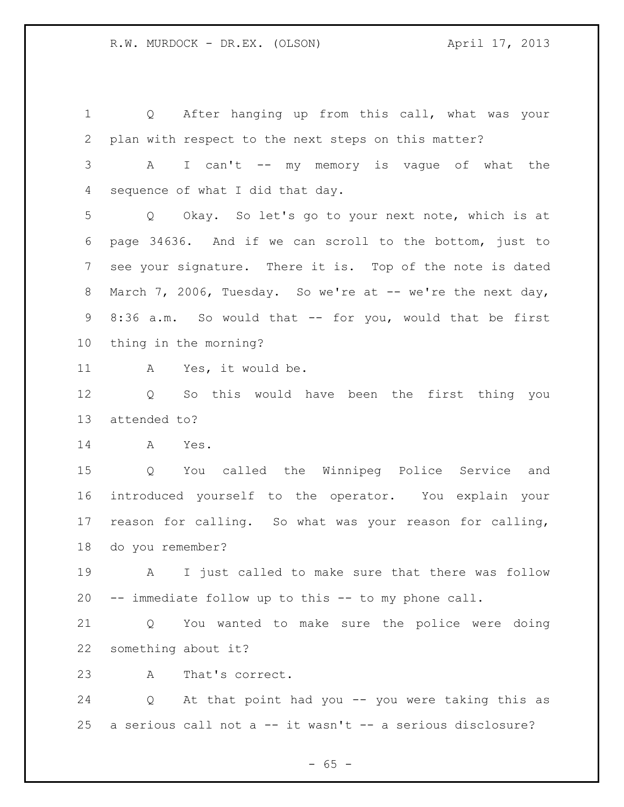Q After hanging up from this call, what was your plan with respect to the next steps on this matter? A I can't -- my memory is vague of what the sequence of what I did that day. Q Okay. So let's go to your next note, which is at page 34636. And if we can scroll to the bottom, just to see your signature. There it is. Top of the note is dated 8 March 7, 2006, Tuesday. So we're at -- we're the next day, 8:36 a.m. So would that -- for you, would that be first thing in the morning? A Yes, it would be. Q So this would have been the first thing you attended to? A Yes. Q You called the Winnipeg Police Service and introduced yourself to the operator. You explain your reason for calling. So what was your reason for calling, do you remember? A I just called to make sure that there was follow -- immediate follow up to this -- to my phone call. Q You wanted to make sure the police were doing

something about it?

A That's correct.

 Q At that point had you -- you were taking this as a serious call not a -- it wasn't -- a serious disclosure?

 $- 65 -$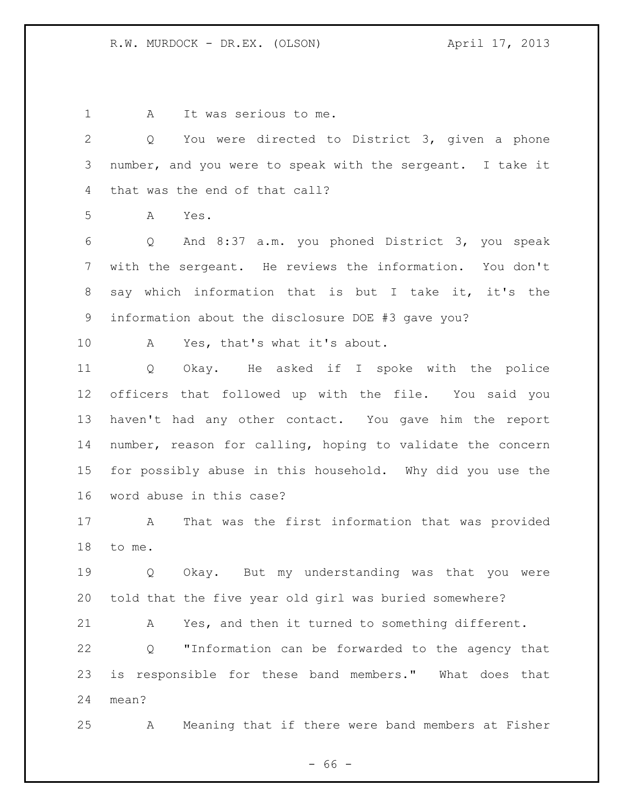1 A It was serious to me.

 Q You were directed to District 3, given a phone number, and you were to speak with the sergeant. I take it that was the end of that call?

A Yes.

 Q And 8:37 a.m. you phoned District 3, you speak with the sergeant. He reviews the information. You don't say which information that is but I take it, it's the information about the disclosure DOE #3 gave you?

A Yes, that's what it's about.

 Q Okay. He asked if I spoke with the police officers that followed up with the file. You said you haven't had any other contact. You gave him the report number, reason for calling, hoping to validate the concern for possibly abuse in this household. Why did you use the word abuse in this case?

 A That was the first information that was provided to me.

 Q Okay. But my understanding was that you were told that the five year old girl was buried somewhere?

A Yes, and then it turned to something different.

 Q "Information can be forwarded to the agency that is responsible for these band members." What does that mean?

A Meaning that if there were band members at Fisher

 $- 66 -$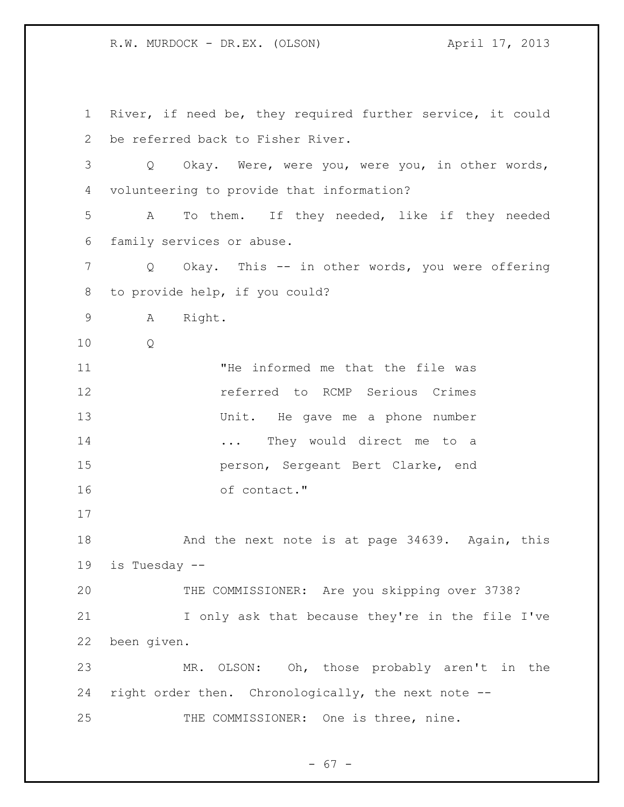River, if need be, they required further service, it could be referred back to Fisher River. Q Okay. Were, were you, were you, in other words, volunteering to provide that information? A To them. If they needed, like if they needed family services or abuse. Q Okay. This -- in other words, you were offering to provide help, if you could? A Right. Q "He informed me that the file was referred to RCMP Serious Crimes Unit. He gave me a phone number **...** They would direct me to a person, Sergeant Bert Clarke, end of contact." 18 And the next note is at page 34639. Again, this is Tuesday -- THE COMMISSIONER: Are you skipping over 3738? I only ask that because they're in the file I've been given. MR. OLSON: Oh, those probably aren't in the right order then. Chronologically, the next note -- THE COMMISSIONER: One is three, nine.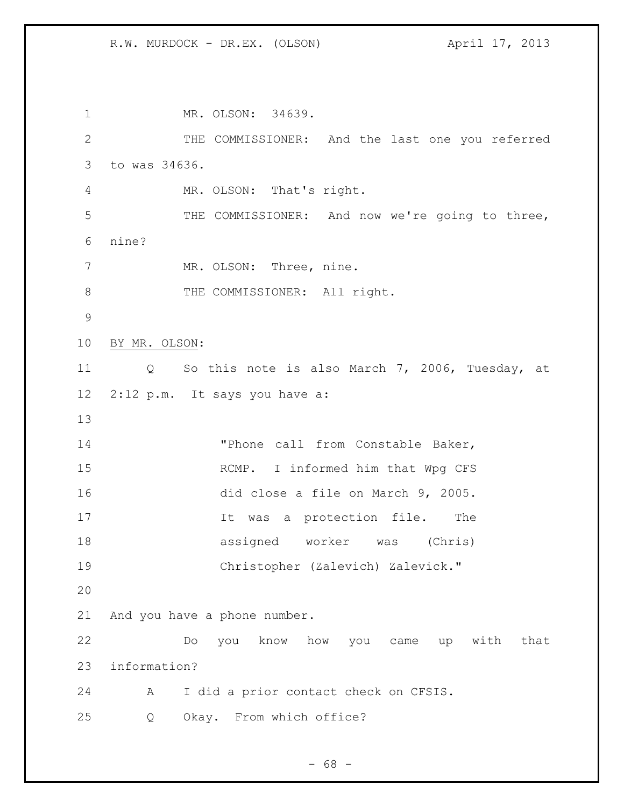1 MR. OLSON: 34639. THE COMMISSIONER: And the last one you referred to was 34636. MR. OLSON: That's right. THE COMMISSIONER: And now we're going to three, nine? 7 MR. OLSON: Three, nine. 8 THE COMMISSIONER: All right. BY MR. OLSON: Q So this note is also March 7, 2006, Tuesday, at 2:12 p.m. It says you have a: "Phone call from Constable Baker, RCMP. I informed him that Wpg CFS did close a file on March 9, 2005. 17 17 It was a protection file. The assigned worker was (Chris) Christopher (Zalevich) Zalevick." And you have a phone number. Do you know how you came up with that information? A I did a prior contact check on CFSIS. Q Okay. From which office?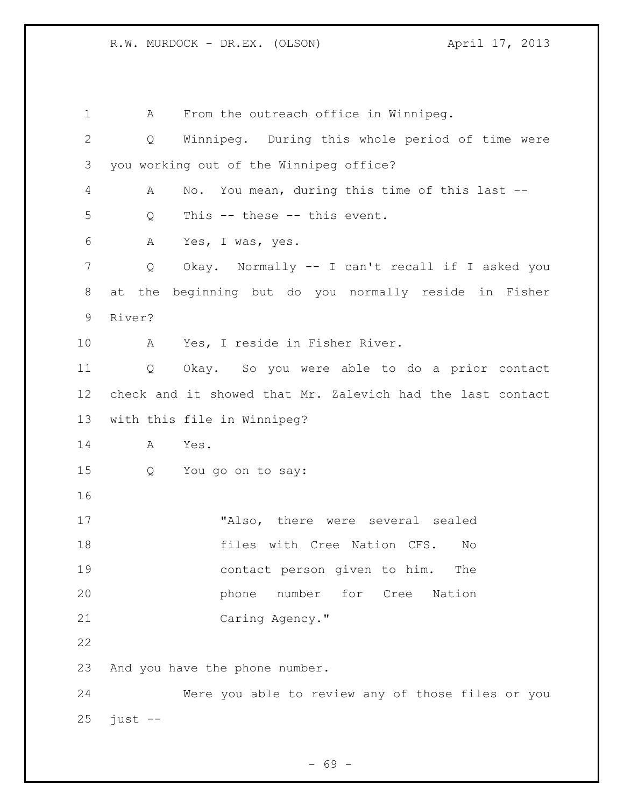A From the outreach office in Winnipeg. Q Winnipeg. During this whole period of time were you working out of the Winnipeg office? A No. You mean, during this time of this last -- Q This -- these -- this event. A Yes, I was, yes. Q Okay. Normally -- I can't recall if I asked you at the beginning but do you normally reside in Fisher River? A Yes, I reside in Fisher River. Q Okay. So you were able to do a prior contact check and it showed that Mr. Zalevich had the last contact with this file in Winnipeg? A Yes. Q You go on to say: "Also, there were several sealed files with Cree Nation CFS. No contact person given to him. The **phone** number for Cree Nation Caring Agency." And you have the phone number. Were you able to review any of those files or you just  $-$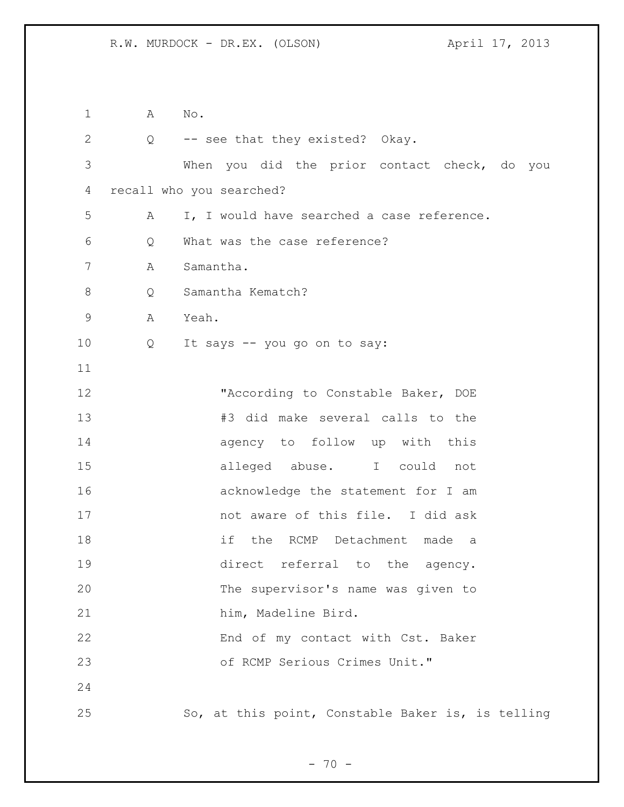A No. Q -- see that they existed? Okay. When you did the prior contact check, do you recall who you searched? A I, I would have searched a case reference. Q What was the case reference? A Samantha. 8 Q Samantha Kematch? A Yeah. Q It says -- you go on to say: 12 TACCording to Constable Baker, DOE #3 did make several calls to the agency to follow up with this alleged abuse. I could not acknowledge the statement for I am not aware of this file. I did ask if the RCMP Detachment made a direct referral to the agency. The supervisor's name was given to him, Madeline Bird. End of my contact with Cst. Baker of RCMP Serious Crimes Unit." So, at this point, Constable Baker is, is telling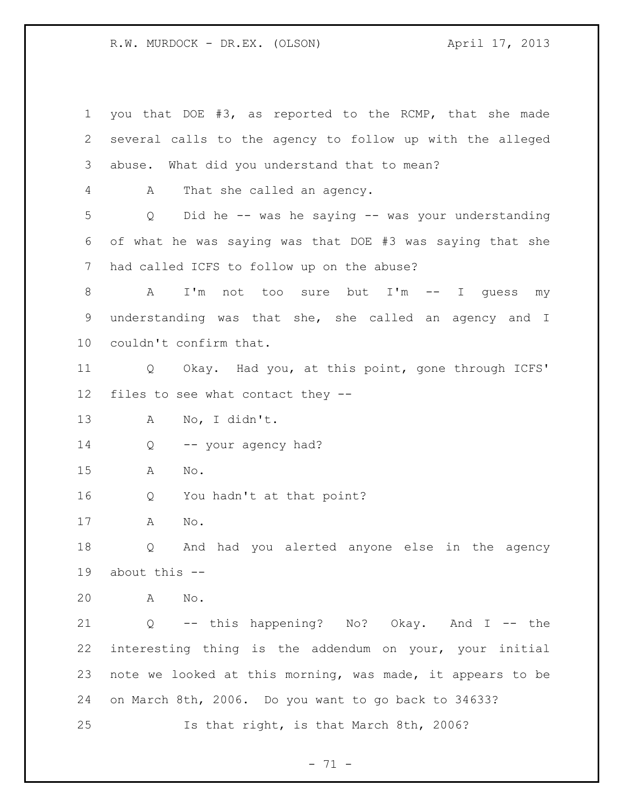you that DOE #3, as reported to the RCMP, that she made several calls to the agency to follow up with the alleged abuse. What did you understand that to mean? A That she called an agency. Q Did he -- was he saying -- was your understanding of what he was saying was that DOE #3 was saying that she had called ICFS to follow up on the abuse? A I'm not too sure but I'm -- I guess my understanding was that she, she called an agency and I couldn't confirm that. Q Okay. Had you, at this point, gone through ICFS' files to see what contact they -- A No, I didn't. 14 Q -- your agency had? A No. Q You hadn't at that point? A No. Q And had you alerted anyone else in the agency about this -- A No. Q -- this happening? No? Okay. And I -- the interesting thing is the addendum on your, your initial note we looked at this morning, was made, it appears to be on March 8th, 2006. Do you want to go back to 34633? Is that right, is that March 8th, 2006?

 $- 71 -$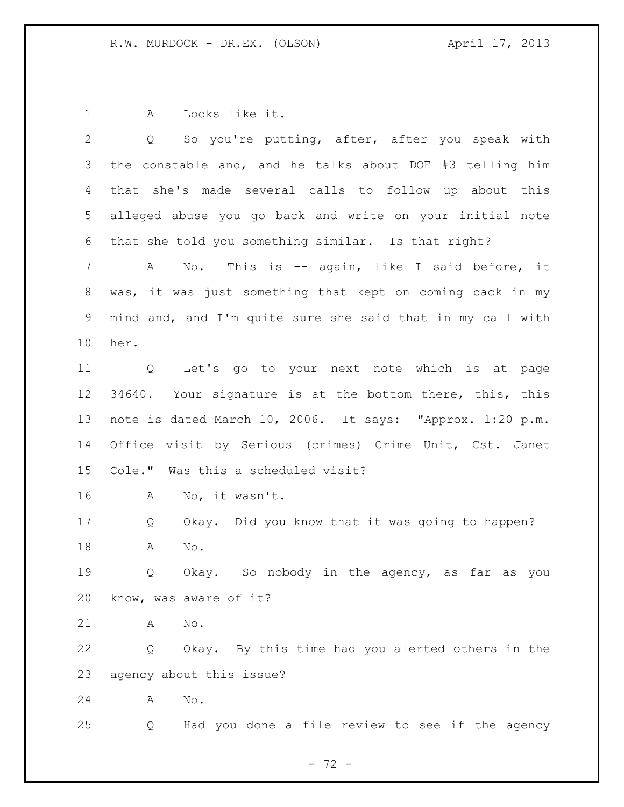A Looks like it.

| $\overline{2}$ | So you're putting, after, after you speak with<br>Q         |
|----------------|-------------------------------------------------------------|
| 3              | the constable and, and he talks about DOE #3 telling him    |
| 4              | that she's made several calls to follow up about this       |
| 5              | alleged abuse you go back and write on your initial note    |
| 6              | that she told you something similar. Is that right?         |
| $7\phantom{.}$ | No. This is -- again, like I said before, it<br>$\mathbb A$ |
| 8              | was, it was just something that kept on coming back in my   |
| $\mathsf 9$    | mind and, and I'm quite sure she said that in my call with  |
| 10             | her.                                                        |
| 11             | Q Let's go to your next note which is at page               |
| 12             | 34640. Your signature is at the bottom there, this, this    |
| 13             | note is dated March 10, 2006. It says: "Approx. 1:20 p.m.   |
| 14             | Office visit by Serious (crimes) Crime Unit, Cst. Janet     |
| 15             | Cole." Was this a scheduled visit?                          |
| 16             | No, it wasn't.<br>A                                         |
| 17             | Okay. Did you know that it was going to happen?<br>Q        |
| 18             | No.<br>A                                                    |
| 19             | Okay. So nobody in the agency, as far as you<br>Q           |
| 20             | know, was aware of it?                                      |
| 21             | No.<br>Α                                                    |
| 22             | Okay. By this time had you alerted others in the<br>Q       |
| 23             | agency about this issue?                                    |
| 24             | $\mathop{\rm No}\nolimits$ .<br>Α                           |
| 25             | Had you done a file review to see if the agency<br>Q        |
|                |                                                             |

- 72 -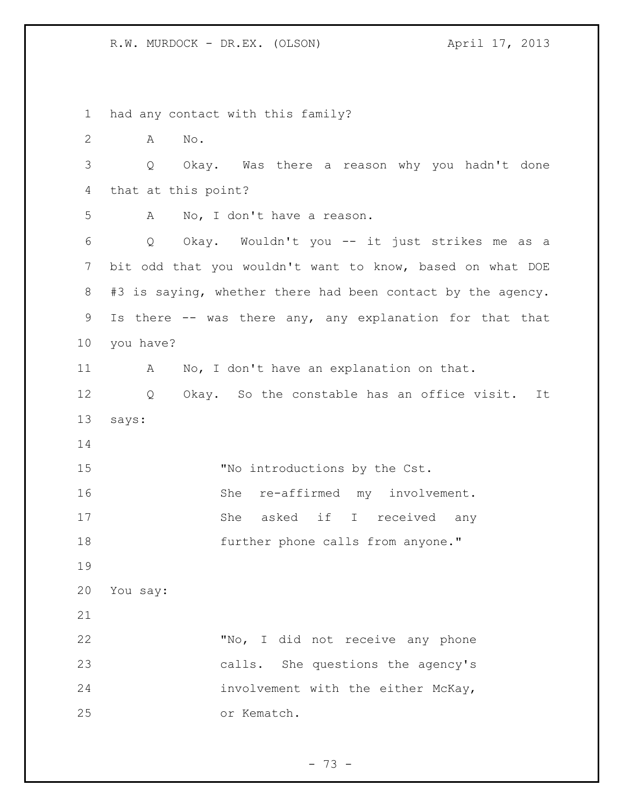had any contact with this family? A No. Q Okay. Was there a reason why you hadn't done that at this point? A No, I don't have a reason. Q Okay. Wouldn't you -- it just strikes me as a bit odd that you wouldn't want to know, based on what DOE #3 is saying, whether there had been contact by the agency. Is there -- was there any, any explanation for that that you have? 11 A No, I don't have an explanation on that. Q Okay. So the constable has an office visit. It says: 15 "No introductions by the Cst. 16 She re-affirmed my involvement. 17 She asked if I received any 18 further phone calls from anyone." You say: "No, I did not receive any phone calls. She questions the agency's involvement with the either McKay, or Kematch.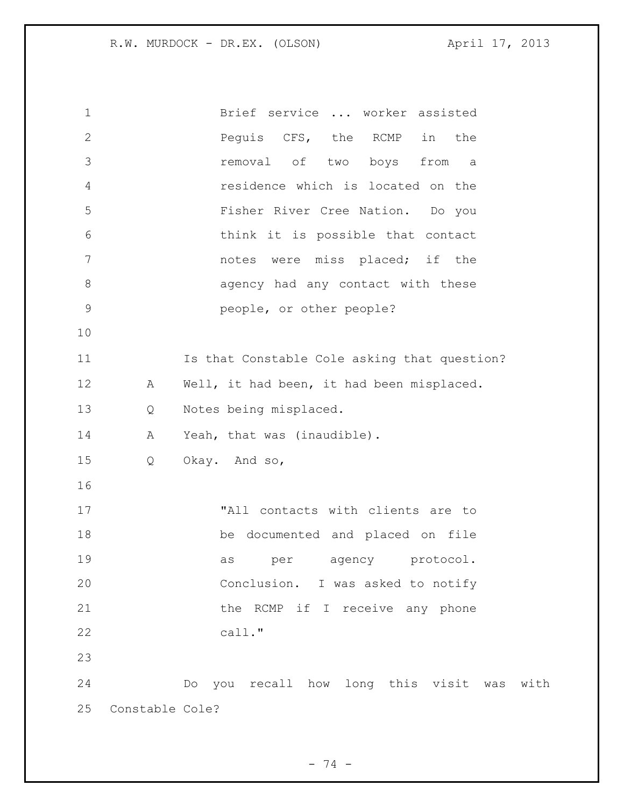| 1            |                 | Brief service  worker assisted               |
|--------------|-----------------|----------------------------------------------|
| $\mathbf{2}$ |                 | Pequis CFS, the RCMP<br>in<br>the            |
| 3            |                 | removal of two boys from<br>a a              |
| 4            |                 | residence which is located on the            |
| 5            |                 | Fisher River Cree Nation. Do you             |
| 6            |                 | think it is possible that contact            |
| 7            |                 | notes were miss placed; if the               |
| $8\,$        |                 | agency had any contact with these            |
| $\mathsf 9$  |                 | people, or other people?                     |
| 10           |                 |                                              |
| 11           |                 | Is that Constable Cole asking that question? |
| 12           | A               | Well, it had been, it had been misplaced.    |
| 13           | Q               | Notes being misplaced.                       |
| 14           | Α               | Yeah, that was (inaudible).                  |
| 15           | Q               | Okay. And so,                                |
| 16           |                 |                                              |
| 17           |                 | "All contacts with clients are to            |
| 18           |                 | be documented and placed on file             |
| 19           |                 | protocol.<br>as<br>per<br>agency             |
| 20           |                 | Conclusion. I was asked to notify            |
| 21           |                 | the RCMP if I receive any phone              |
| 22           |                 | call."                                       |
| 23           |                 |                                              |
| 24           |                 | Do you recall how long this visit was with   |
| 25           | Constable Cole? |                                              |

- 74 -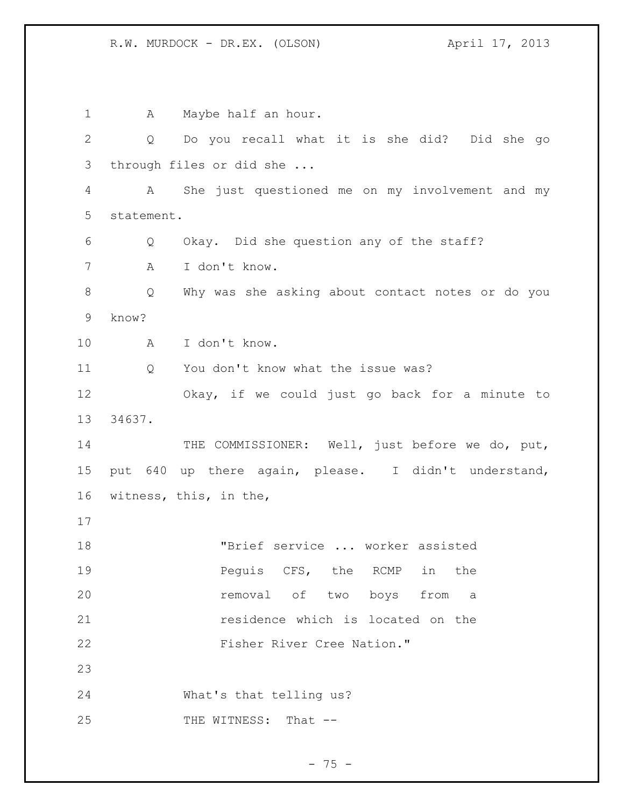1 A Maybe half an hour. Q Do you recall what it is she did? Did she go through files or did she ... A She just questioned me on my involvement and my statement. Q Okay. Did she question any of the staff? A I don't know. Q Why was she asking about contact notes or do you know? A I don't know. Q You don't know what the issue was? Okay, if we could just go back for a minute to 34637. 14 THE COMMISSIONER: Well, just before we do, put, put 640 up there again, please. I didn't understand, witness, this, in the, "Brief service ... worker assisted **Pequis CFS, the RCMP** in the **removal** of two boys from a residence which is located on the 22 Fisher River Cree Nation." What's that telling us? 25 THE WITNESS: That --

 $- 75 -$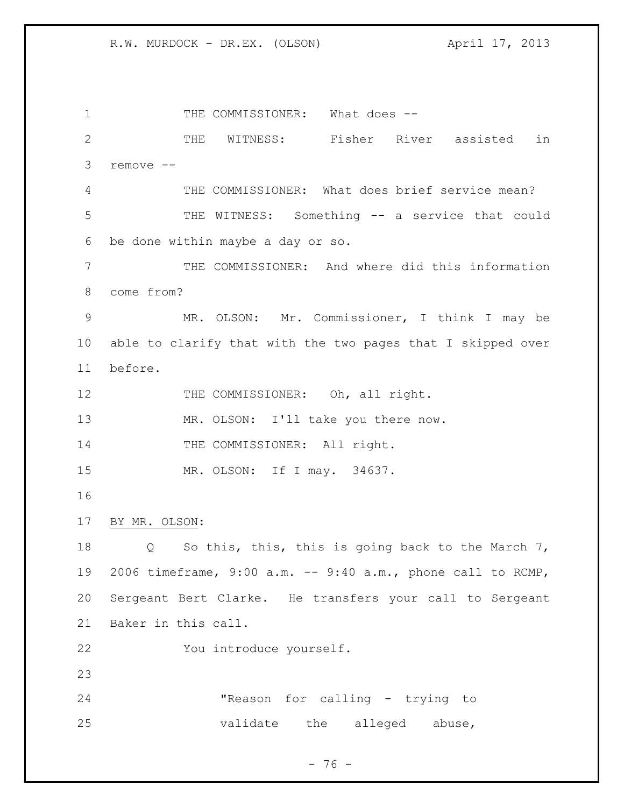1 THE COMMISSIONER: What does -- THE WITNESS: Fisher River assisted in remove -- THE COMMISSIONER: What does brief service mean? THE WITNESS: Something -- a service that could be done within maybe a day or so. THE COMMISSIONER: And where did this information come from? MR. OLSON: Mr. Commissioner, I think I may be able to clarify that with the two pages that I skipped over before. 12 THE COMMISSIONER: Oh, all right. 13 MR. OLSON: I'll take you there now. 14 THE COMMISSIONER: All right. MR. OLSON: If I may. 34637. BY MR. OLSON: Q So this, this, this is going back to the March 7, 2006 timeframe, 9:00 a.m. -- 9:40 a.m., phone call to RCMP, Sergeant Bert Clarke. He transfers your call to Sergeant Baker in this call. You introduce yourself. "Reason for calling - trying to 25 validate the alleged abuse,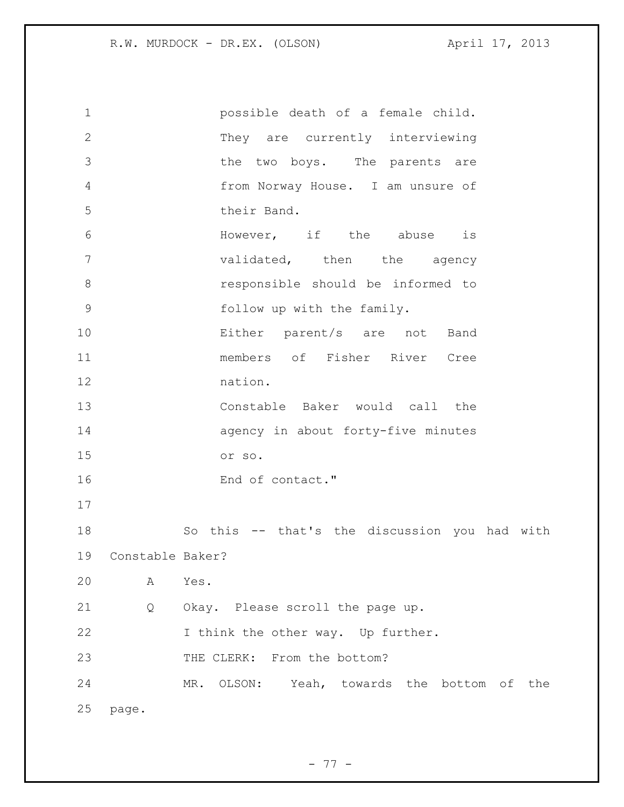| $\mathbf 1$    |                  | possible death of a female child.             |
|----------------|------------------|-----------------------------------------------|
| $\mathbf{2}$   |                  | They are currently interviewing               |
| 3              |                  | the two boys. The parents are                 |
| $\overline{4}$ |                  | from Norway House. I am unsure of             |
| 5              |                  | their Band.                                   |
| 6              |                  | However, if the abuse<br>is                   |
| $\overline{7}$ |                  | validated, then the agency                    |
| $\,8\,$        |                  | responsible should be informed to             |
| $\mathcal{G}$  |                  | follow up with the family.                    |
| 10             |                  | Either parent/s are not<br>Band               |
| 11             |                  | members of Fisher River Cree                  |
| 12             |                  | nation.                                       |
| 13             |                  | Constable Baker would call the                |
| 14             |                  | agency in about forty-five minutes            |
| 15             |                  | or so.                                        |
| 16             |                  | End of contact."                              |
| 17             |                  |                                               |
| 18             |                  | So this -- that's the discussion you had with |
| 19             | Constable Baker? |                                               |
| 20             | A                | Yes.                                          |
| 21             | Q                | Okay. Please scroll the page up.              |
| 22             |                  | I think the other way. Up further.            |
| 23             |                  | THE CLERK: From the bottom?                   |
| 24             |                  | MR. OLSON: Yeah, towards the bottom of the    |
| 25             | page.            |                                               |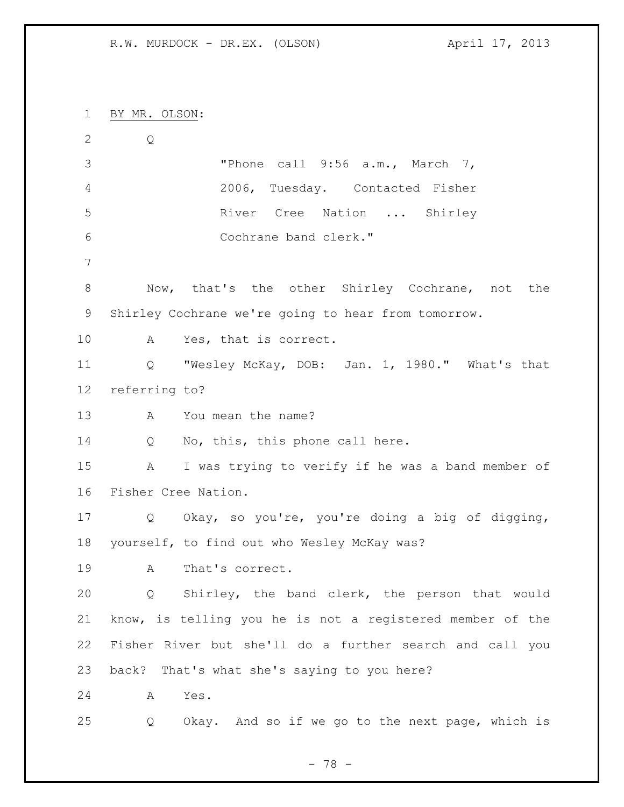BY MR. OLSON:

 Q "Phone call 9:56 a.m., March 7, 2006, Tuesday. Contacted Fisher River Cree Nation ... Shirley Cochrane band clerk." Now, that's the other Shirley Cochrane, not the Shirley Cochrane we're going to hear from tomorrow. A Yes, that is correct. Q "Wesley McKay, DOB: Jan. 1, 1980." What's that referring to? A You mean the name? 14 Q No, this, this phone call here. A I was trying to verify if he was a band member of Fisher Cree Nation. Q Okay, so you're, you're doing a big of digging, yourself, to find out who Wesley McKay was? A That's correct. Q Shirley, the band clerk, the person that would know, is telling you he is not a registered member of the Fisher River but she'll do a further search and call you back? That's what she's saying to you here? A Yes. Q Okay. And so if we go to the next page, which is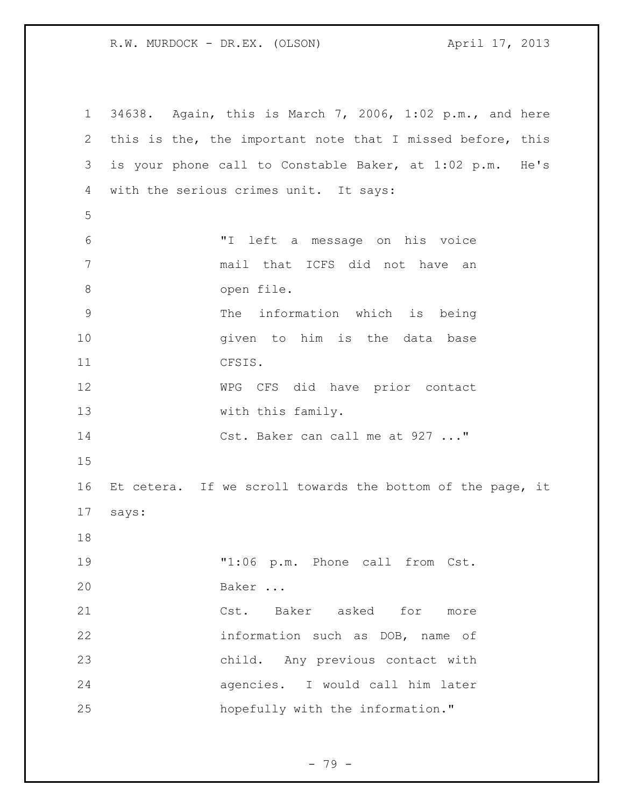34638. Again, this is March 7, 2006, 1:02 p.m., and here this is the, the important note that I missed before, this is your phone call to Constable Baker, at 1:02 p.m. He's with the serious crimes unit. It says: "I left a message on his voice mail that ICFS did not have an open file. The information which is being **given** to him is the data base CFSIS. WPG CFS did have prior contact 13 with this family. 14 Cst. Baker can call me at 927 ..." Et cetera. If we scroll towards the bottom of the page, it says: "1:06 p.m. Phone call from Cst. Baker ... Cst. Baker asked for more information such as DOB, name of child. Any previous contact with agencies. I would call him later hopefully with the information."

- 79 -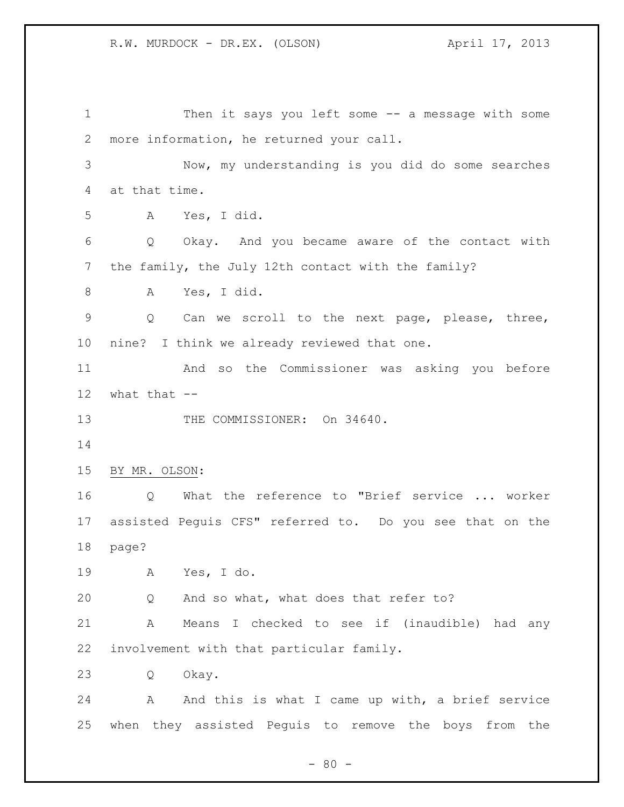Then it says you left some -- a message with some more information, he returned your call. Now, my understanding is you did do some searches at that time. A Yes, I did. Q Okay. And you became aware of the contact with the family, the July 12th contact with the family? A Yes, I did. Q Can we scroll to the next page, please, three, nine? I think we already reviewed that one. And so the Commissioner was asking you before what that -- 13 THE COMMISSIONER: On 34640. BY MR. OLSON: Q What the reference to "Brief service ... worker assisted Peguis CFS" referred to. Do you see that on the page? A Yes, I do. Q And so what, what does that refer to? A Means I checked to see if (inaudible) had any involvement with that particular family. Q Okay. 24 A And this is what I came up with, a brief service when they assisted Peguis to remove the boys from the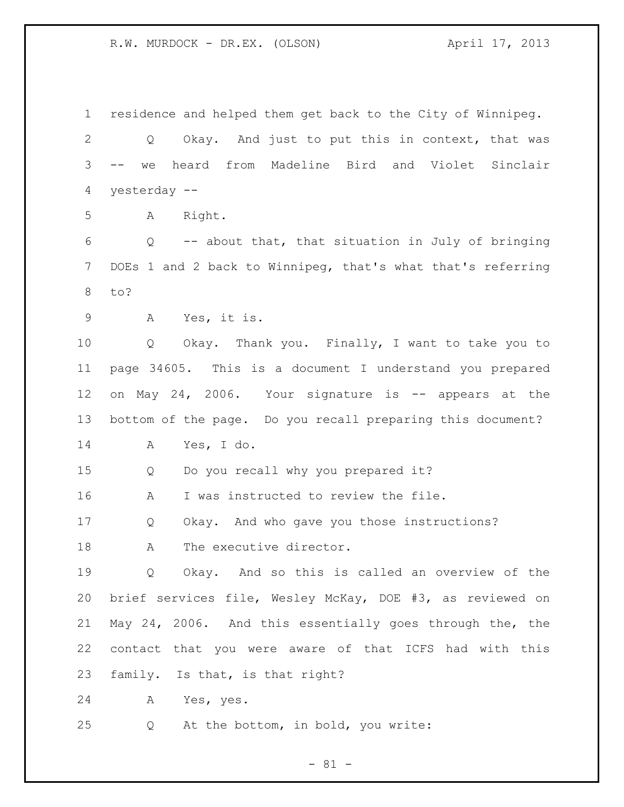residence and helped them get back to the City of Winnipeg. Q Okay. And just to put this in context, that was -- we heard from Madeline Bird and Violet Sinclair yesterday -- A Right. Q -- about that, that situation in July of bringing DOEs 1 and 2 back to Winnipeg, that's what that's referring to? A Yes, it is. Q Okay. Thank you. Finally, I want to take you to page 34605. This is a document I understand you prepared on May 24, 2006. Your signature is -- appears at the bottom of the page. Do you recall preparing this document? A Yes, I do. Q Do you recall why you prepared it? A I was instructed to review the file. Q Okay. And who gave you those instructions? 18 A The executive director. Q Okay. And so this is called an overview of the brief services file, Wesley McKay, DOE #3, as reviewed on May 24, 2006. And this essentially goes through the, the contact that you were aware of that ICFS had with this family. Is that, is that right? A Yes, yes. Q At the bottom, in bold, you write:

 $- 81 -$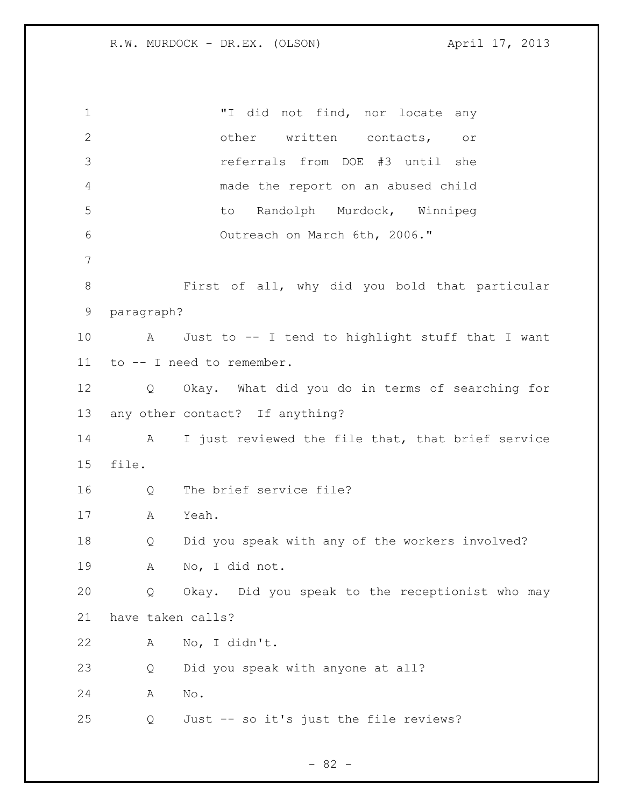"I did not find, nor locate any other written contacts, or referrals from DOE #3 until she made the report on an abused child to Randolph Murdock, Winnipeg Outreach on March 6th, 2006." First of all, why did you bold that particular paragraph? A Just to -- I tend to highlight stuff that I want to -- I need to remember. Q Okay. What did you do in terms of searching for any other contact? If anything? A I just reviewed the file that, that brief service file. Q The brief service file? A Yeah. Q Did you speak with any of the workers involved? A No, I did not. Q Okay. Did you speak to the receptionist who may have taken calls? A No, I didn't. Q Did you speak with anyone at all? A No. Q Just -- so it's just the file reviews?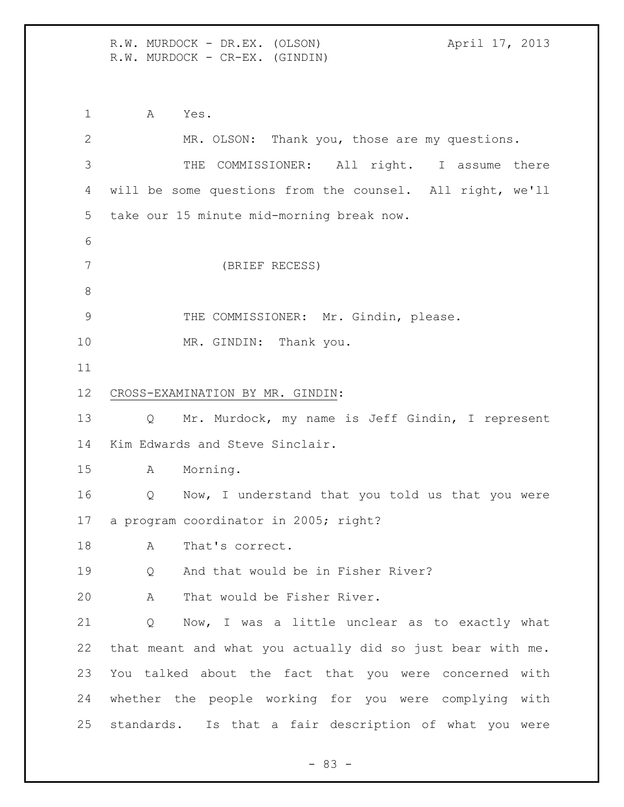R.W. MURDOCK - DR.EX. (OLSON) April 17, 2013 R.W. MURDOCK - CR-EX. (GINDIN)

 A Yes. MR. OLSON: Thank you, those are my questions. THE COMMISSIONER: All right. I assume there will be some questions from the counsel. All right, we'll take our 15 minute mid-morning break now. (BRIEF RECESS) 9 THE COMMISSIONER: Mr. Gindin, please. 10 MR. GINDIN: Thank you. CROSS-EXAMINATION BY MR. GINDIN: Q Mr. Murdock, my name is Jeff Gindin, I represent Kim Edwards and Steve Sinclair. A Morning. Q Now, I understand that you told us that you were a program coordinator in 2005; right? 18 A That's correct. Q And that would be in Fisher River? A That would be Fisher River. Q Now, I was a little unclear as to exactly what that meant and what you actually did so just bear with me. You talked about the fact that you were concerned with whether the people working for you were complying with standards. Is that a fair description of what you were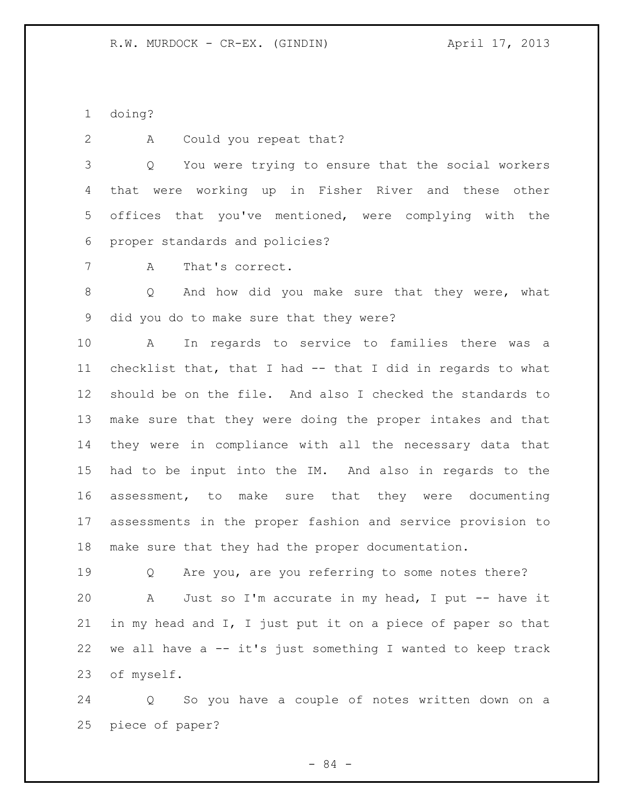doing?

2 A Could you repeat that?

 Q You were trying to ensure that the social workers that were working up in Fisher River and these other offices that you've mentioned, were complying with the proper standards and policies?

A That's correct.

 Q And how did you make sure that they were, what did you do to make sure that they were?

 A In regards to service to families there was a checklist that, that I had -- that I did in regards to what should be on the file. And also I checked the standards to make sure that they were doing the proper intakes and that they were in compliance with all the necessary data that had to be input into the IM. And also in regards to the assessment, to make sure that they were documenting assessments in the proper fashion and service provision to make sure that they had the proper documentation.

 Q Are you, are you referring to some notes there? A Just so I'm accurate in my head, I put -- have it in my head and I, I just put it on a piece of paper so that we all have a -- it's just something I wanted to keep track of myself.

 Q So you have a couple of notes written down on a piece of paper?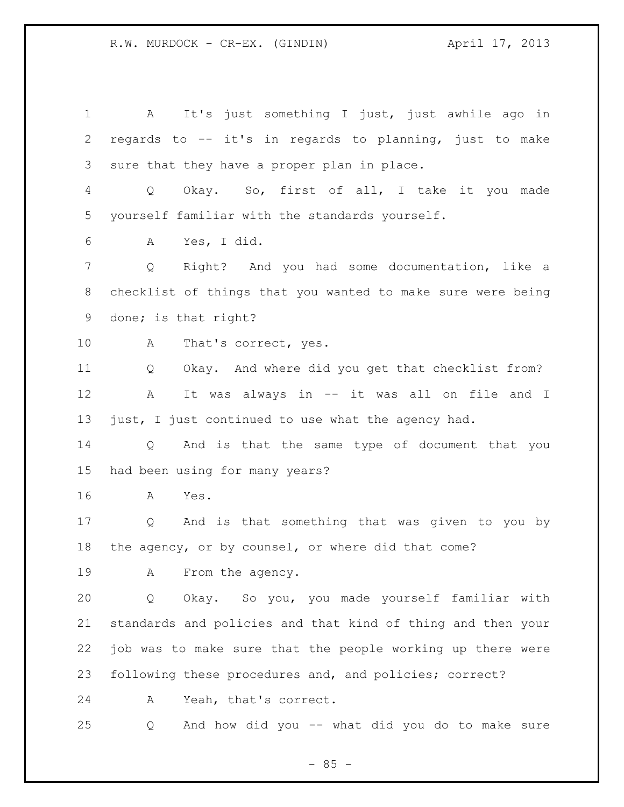A It's just something I just, just awhile ago in regards to -- it's in regards to planning, just to make sure that they have a proper plan in place. Q Okay. So, first of all, I take it you made yourself familiar with the standards yourself. A Yes, I did. Q Right? And you had some documentation, like a checklist of things that you wanted to make sure were being done; is that right? 10 A That's correct, yes. Q Okay. And where did you get that checklist from? A It was always in -- it was all on file and I just, I just continued to use what the agency had. Q And is that the same type of document that you had been using for many years? A Yes. Q And is that something that was given to you by the agency, or by counsel, or where did that come? 19 A From the agency. Q Okay. So you, you made yourself familiar with standards and policies and that kind of thing and then your job was to make sure that the people working up there were following these procedures and, and policies; correct? A Yeah, that's correct. Q And how did you -- what did you do to make sure

 $- 85 -$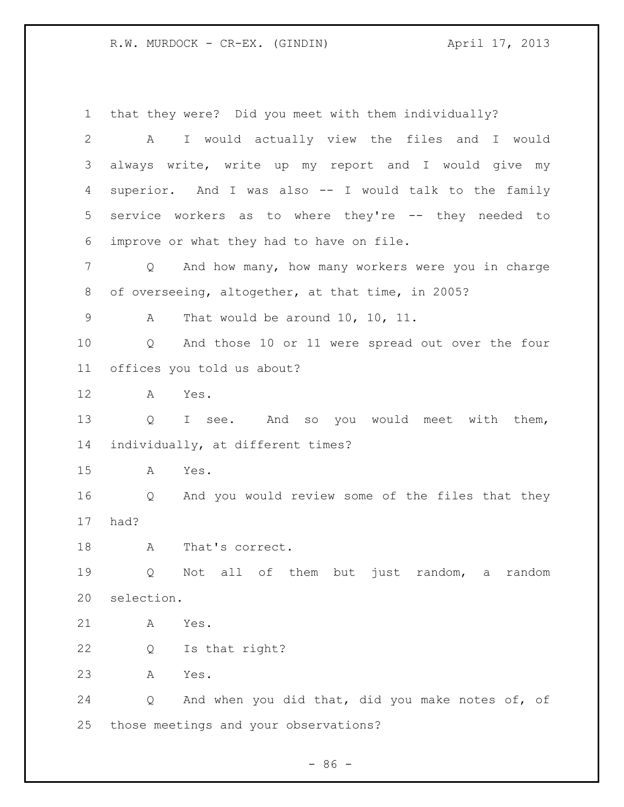that they were? Did you meet with them individually? A I would actually view the files and I would always write, write up my report and I would give my superior. And I was also -- I would talk to the family service workers as to where they're -- they needed to improve or what they had to have on file. Q And how many, how many workers were you in charge of overseeing, altogether, at that time, in 2005? A That would be around 10, 10, 11. Q And those 10 or 11 were spread out over the four offices you told us about? A Yes. Q I see. And so you would meet with them, individually, at different times? A Yes. Q And you would review some of the files that they had? 18 A That's correct. Q Not all of them but just random, a random selection. A Yes. Q Is that right? A Yes. Q And when you did that, did you make notes of, of those meetings and your observations?

 $-86 -$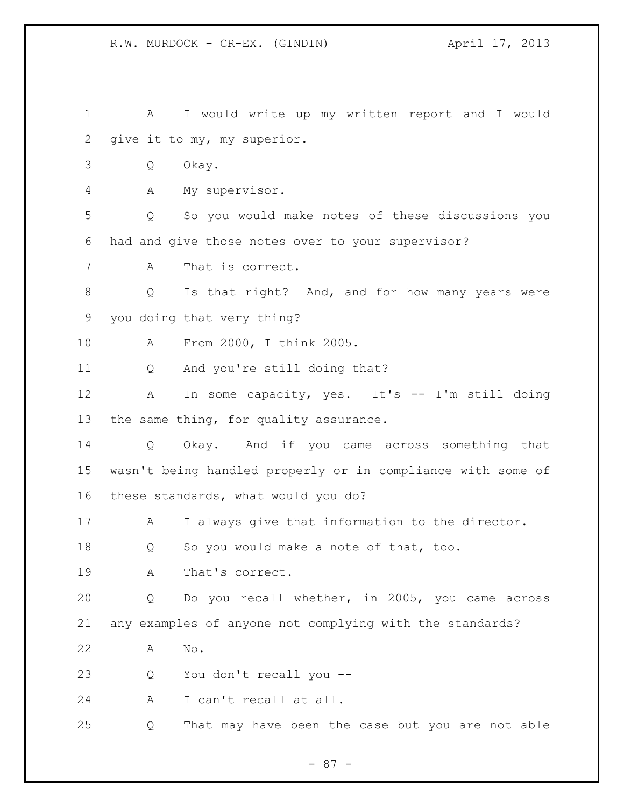| 1            | А                    | I would write up my written report and I would              |
|--------------|----------------------|-------------------------------------------------------------|
| $\mathbf{2}$ |                      | give it to my, my superior.                                 |
| 3            | Q                    | Okay.                                                       |
| 4            | Α                    | My supervisor.                                              |
| 5            | Q                    | So you would make notes of these discussions you            |
| 6            |                      | had and give those notes over to your supervisor?           |
| 7            | A                    | That is correct.                                            |
| 8            | Q                    | Is that right? And, and for how many years were             |
| 9            |                      | you doing that very thing?                                  |
| 10           | Α                    | From 2000, I think 2005.                                    |
| 11           | Q                    | And you're still doing that?                                |
| 12           | Α                    | In some capacity, yes. It's -- I'm still doing              |
| 13           |                      | the same thing, for quality assurance.                      |
| 14           | Q                    | Okay. And if you came across something that                 |
| 15           |                      | wasn't being handled properly or in compliance with some of |
| 16           |                      | these standards, what would you do?                         |
| 17           | A                    | I always give that information to the director.             |
| 18           | Q                    | So you would make a note of that, too.                      |
| 19           | A                    | That's correct.                                             |
| 20           | Q                    | Do you recall whether, in 2005, you came across             |
| 21           |                      | any examples of anyone not complying with the standards?    |
| 22           | $\mathrm{No}$ .<br>Α |                                                             |
| 23           | Q                    | You don't recall you --                                     |
| 24           | A                    | I can't recall at all.                                      |
| 25           | Q                    | That may have been the case but you are not able            |

- 87 -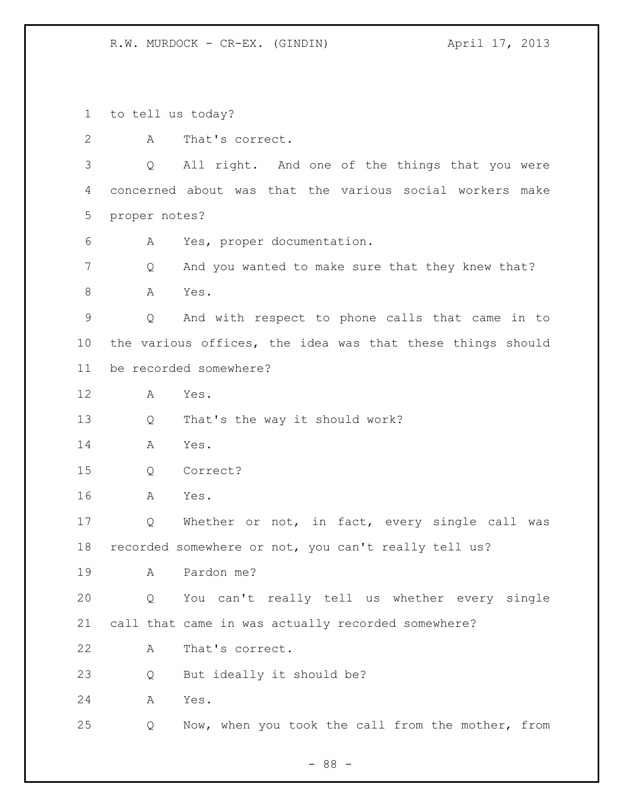to tell us today?

A That's correct.

 Q All right. And one of the things that you were concerned about was that the various social workers make proper notes?

A Yes, proper documentation.

 Q And you wanted to make sure that they knew that? 8 A Yes.

 Q And with respect to phone calls that came in to the various offices, the idea was that these things should be recorded somewhere?

A Yes.

Q That's the way it should work?

A Yes.

Q Correct?

A Yes.

 Q Whether or not, in fact, every single call was recorded somewhere or not, you can't really tell us?

A Pardon me?

 Q You can't really tell us whether every single call that came in was actually recorded somewhere?

A That's correct.

Q But ideally it should be?

A Yes.

Q Now, when you took the call from the mother, from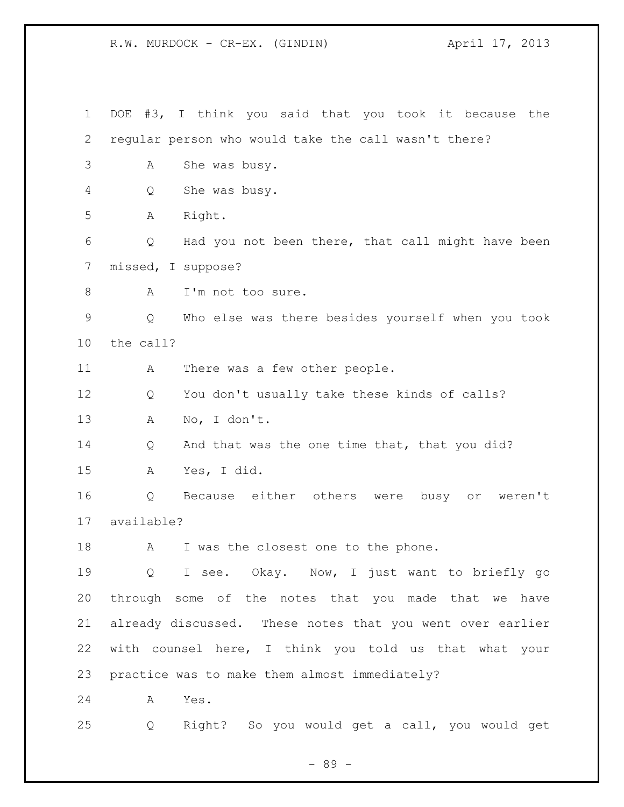| $\mathbf 1$ | #3, I think you said that you took it because the<br>DOE         |
|-------------|------------------------------------------------------------------|
| 2           | regular person who would take the call wasn't there?             |
| 3           | She was busy.<br>А                                               |
| 4           | She was busy.<br>Q                                               |
| 5           | Right.<br>Α                                                      |
| 6           | Had you not been there, that call might have been<br>Q           |
| 7           | missed, I suppose?                                               |
| 8           | I'm not too sure.<br>A                                           |
| 9           | Who else was there besides yourself when you took<br>Q           |
| 10          | the call?                                                        |
| 11          | There was a few other people.<br>A                               |
| 12          | You don't usually take these kinds of calls?<br>Q                |
| 13          | No, I don't.<br>A                                                |
| 14          | And that was the one time that, that you did?<br>Q               |
| 15          | Yes, I did.<br>Α                                                 |
| 16          | Because either others were busy or weren't<br>Q                  |
| 17          | available?                                                       |
| 18          | I was the closest one to the phone.<br>A                         |
| 19          | I see. Okay. Now, I just want to briefly go<br>$Q \qquad \qquad$ |
| 20          | through some of the notes that you made that we have             |
| 21          | already discussed. These notes that you went over earlier        |
| 22          | with counsel here, I think you told us that what your            |
| 23          | practice was to make them almost immediately?                    |
| 24          | Yes.<br>Α                                                        |
| 25          | Right? So you would get a call, you would get<br>Q               |

- 89 -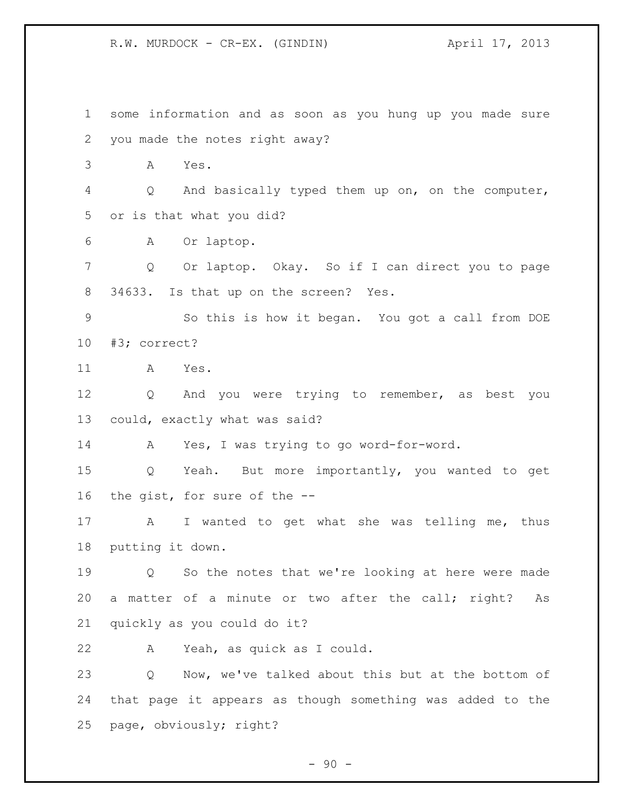some information and as soon as you hung up you made sure you made the notes right away? A Yes. Q And basically typed them up on, on the computer, or is that what you did? A Or laptop. Q Or laptop. Okay. So if I can direct you to page 34633. Is that up on the screen? Yes. So this is how it began. You got a call from DOE #3; correct? A Yes. 12 Q And you were trying to remember, as best you could, exactly what was said? A Yes, I was trying to go word-for-word. Q Yeah. But more importantly, you wanted to get the gist, for sure of the -- A I wanted to get what she was telling me, thus putting it down. Q So the notes that we're looking at here were made a matter of a minute or two after the call; right? As quickly as you could do it? A Yeah, as quick as I could. Q Now, we've talked about this but at the bottom of that page it appears as though something was added to the page, obviously; right?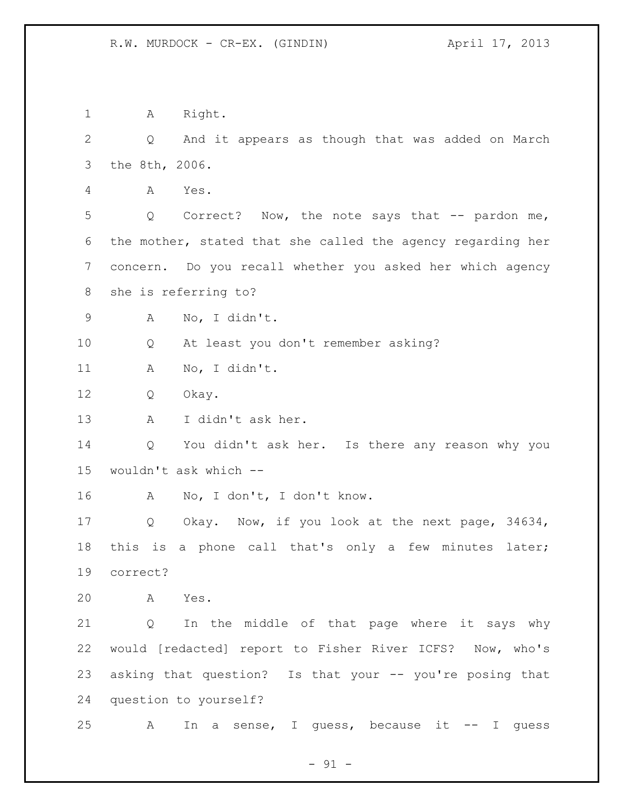1 A Right. Q And it appears as though that was added on March the 8th, 2006. A Yes. 5 Q Correct? Now, the note says that -- pardon me, the mother, stated that she called the agency regarding her concern. Do you recall whether you asked her which agency she is referring to? A No, I didn't. Q At least you don't remember asking? A No, I didn't. Q Okay. A I didn't ask her. Q You didn't ask her. Is there any reason why you wouldn't ask which -- A No, I don't, I don't know. Q Okay. Now, if you look at the next page, 34634, this is a phone call that's only a few minutes later; correct? A Yes. Q In the middle of that page where it says why would [redacted] report to Fisher River ICFS? Now, who's asking that question? Is that your -- you're posing that question to yourself? 25 A In a sense, I guess, because it -- I guess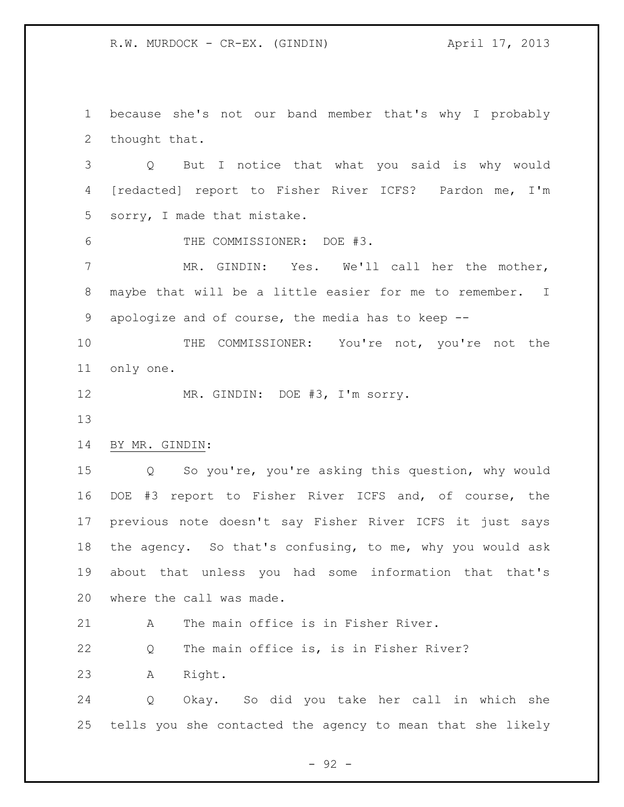because she's not our band member that's why I probably thought that.

 Q But I notice that what you said is why would [redacted] report to Fisher River ICFS? Pardon me, I'm sorry, I made that mistake.

THE COMMISSIONER: DOE #3.

 MR. GINDIN: Yes. We'll call her the mother, maybe that will be a little easier for me to remember. I apologize and of course, the media has to keep --

 THE COMMISSIONER: You're not, you're not the only one.

12 MR. GINDIN: DOE #3, I'm sorry.

## BY MR. GINDIN:

 Q So you're, you're asking this question, why would DOE #3 report to Fisher River ICFS and, of course, the previous note doesn't say Fisher River ICFS it just says the agency. So that's confusing, to me, why you would ask about that unless you had some information that that's where the call was made.

A The main office is in Fisher River.

Q The main office is, is in Fisher River?

A Right.

 Q Okay. So did you take her call in which she tells you she contacted the agency to mean that she likely

- 92 -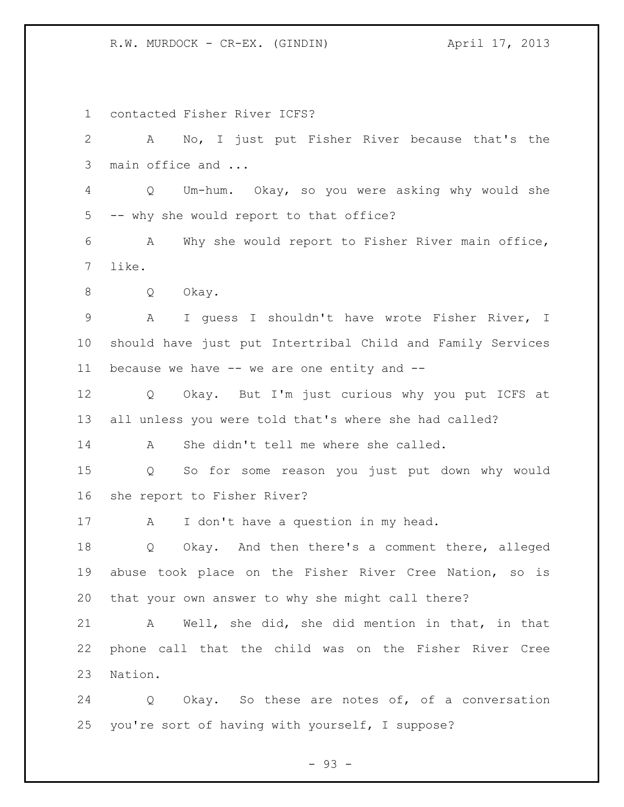R.W. MURDOCK - CR-EX. (GINDIN)  $\overline{A}$  april 17, 2013

 contacted Fisher River ICFS? A No, I just put Fisher River because that's the main office and ... Q Um-hum. Okay, so you were asking why would she -- why she would report to that office? A Why she would report to Fisher River main office, like. Q Okay. A I guess I shouldn't have wrote Fisher River, I should have just put Intertribal Child and Family Services because we have -- we are one entity and -- Q Okay. But I'm just curious why you put ICFS at all unless you were told that's where she had called? A She didn't tell me where she called. Q So for some reason you just put down why would she report to Fisher River? A I don't have a question in my head. Q Okay. And then there's a comment there, alleged abuse took place on the Fisher River Cree Nation, so is that your own answer to why she might call there? A Well, she did, she did mention in that, in that phone call that the child was on the Fisher River Cree Nation. Q Okay. So these are notes of, of a conversation you're sort of having with yourself, I suppose?

 $-93 -$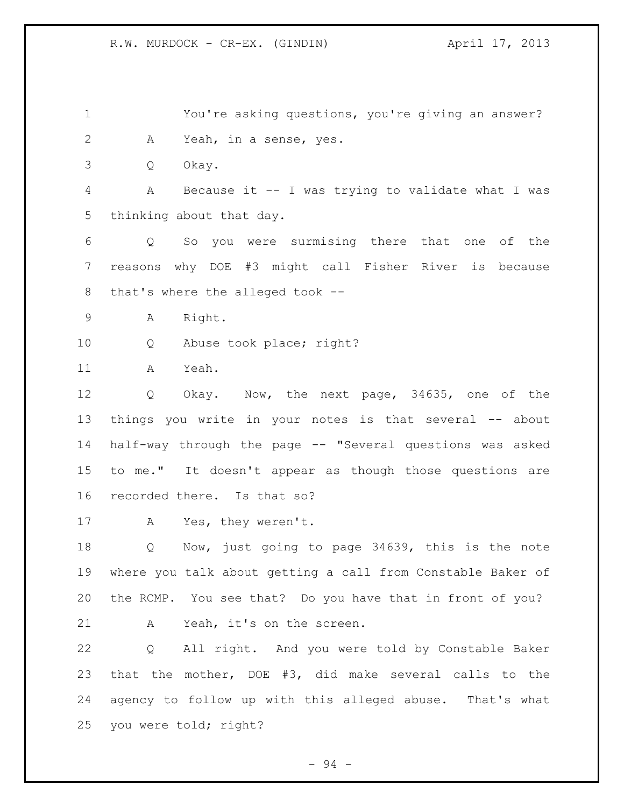You're asking questions, you're giving an answer? A Yeah, in a sense, yes.

Q Okay.

 A Because it -- I was trying to validate what I was thinking about that day.

 Q So you were surmising there that one of the reasons why DOE #3 might call Fisher River is because that's where the alleged took --

A Right.

10 0 Abuse took place; right?

A Yeah.

 Q Okay. Now, the next page, 34635, one of the things you write in your notes is that several -- about half-way through the page -- "Several questions was asked to me." It doesn't appear as though those questions are recorded there. Is that so?

A Yes, they weren't.

 Q Now, just going to page 34639, this is the note where you talk about getting a call from Constable Baker of the RCMP. You see that? Do you have that in front of you? A Yeah, it's on the screen.

 Q All right. And you were told by Constable Baker that the mother, DOE #3, did make several calls to the agency to follow up with this alleged abuse. That's what you were told; right?

- 94 -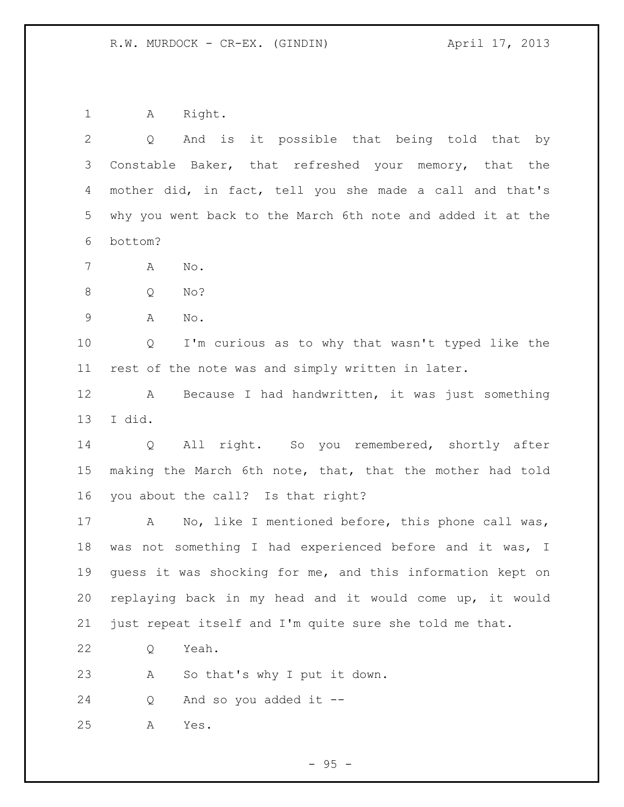A Right.

| $\overline{2}$ | And is it possible that being told that by<br>Q             |
|----------------|-------------------------------------------------------------|
| 3              | Constable Baker, that refreshed your memory, that the       |
| 4              | mother did, in fact, tell you she made a call and that's    |
| 5              | why you went back to the March 6th note and added it at the |
| 6              | bottom?                                                     |
| $7\phantom{.}$ | No.<br>Α                                                    |
| $8\,$          | No?<br>Q                                                    |
| $\mathsf 9$    | Α<br>No.                                                    |
| 10             | I'm curious as to why that wasn't typed like the<br>Q       |
| 11             | rest of the note was and simply written in later.           |
| 12             | Because I had handwritten, it was just something<br>A       |
| 13             | I did.                                                      |
| 14             | All right. So you remembered, shortly after<br>Q            |
| 15             | making the March 6th note, that, that the mother had told   |
| 16             | you about the call? Is that right?                          |
| 17             | No, like I mentioned before, this phone call was,<br>A      |
| 18             | was not something I had experienced before and it was, I    |
| 19             | quess it was shocking for me, and this information kept on  |
| 20             | replaying back in my head and it would come up, it would    |
| 21             | just repeat itself and I'm quite sure she told me that.     |
| 22             | Yeah.<br>Q                                                  |
| 23             | So that's why I put it down.<br>Α                           |
| 24             | And so you added it --<br>Q                                 |
| 25             | Yes.<br>Α                                                   |
|                |                                                             |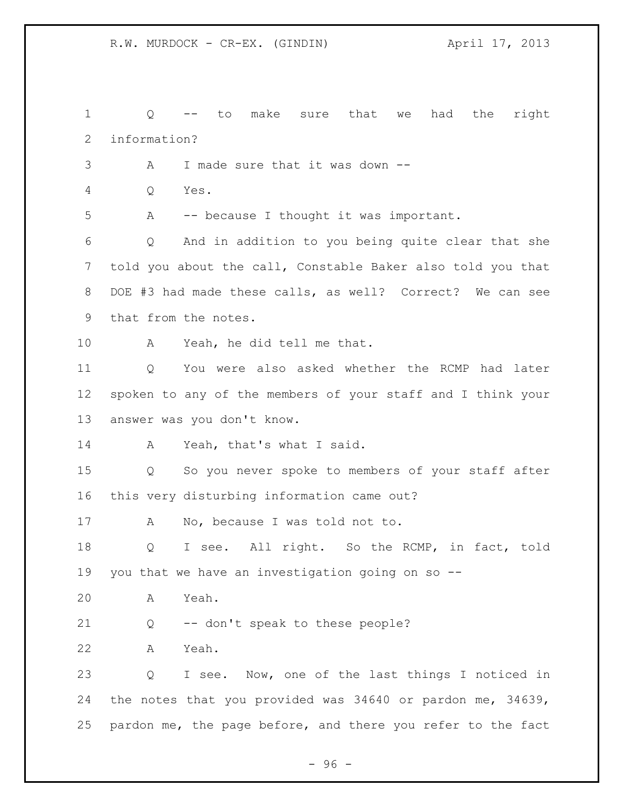Q -- to make sure that we had the right information? A I made sure that it was down -- Q Yes. A -- because I thought it was important. Q And in addition to you being quite clear that she told you about the call, Constable Baker also told you that DOE #3 had made these calls, as well? Correct? We can see that from the notes. A Yeah, he did tell me that. Q You were also asked whether the RCMP had later spoken to any of the members of your staff and I think your answer was you don't know. 14 A Yeah, that's what I said. Q So you never spoke to members of your staff after this very disturbing information came out? A No, because I was told not to. Q I see. All right. So the RCMP, in fact, told you that we have an investigation going on so -- A Yeah. Q -- don't speak to these people? A Yeah. Q I see. Now, one of the last things I noticed in the notes that you provided was 34640 or pardon me, 34639, pardon me, the page before, and there you refer to the fact

- 96 -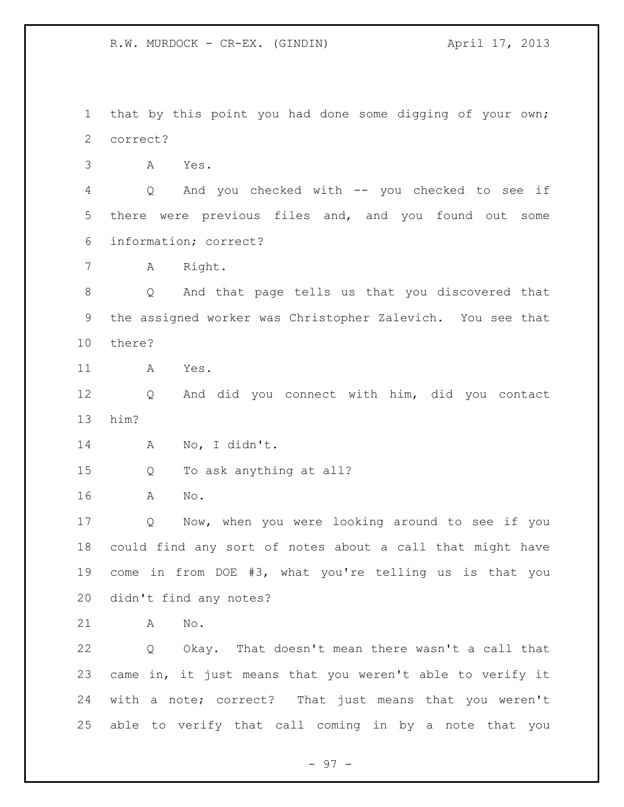that by this point you had done some digging of your own; correct?

A Yes.

 Q And you checked with -- you checked to see if there were previous files and, and you found out some information; correct?

A Right.

 Q And that page tells us that you discovered that the assigned worker was Christopher Zalevich. You see that there?

A Yes.

 Q And did you connect with him, did you contact him?

A No, I didn't.

Q To ask anything at all?

A No.

 Q Now, when you were looking around to see if you could find any sort of notes about a call that might have come in from DOE #3, what you're telling us is that you didn't find any notes?

A No.

 Q Okay. That doesn't mean there wasn't a call that came in, it just means that you weren't able to verify it with a note; correct? That just means that you weren't able to verify that call coming in by a note that you

- 97 -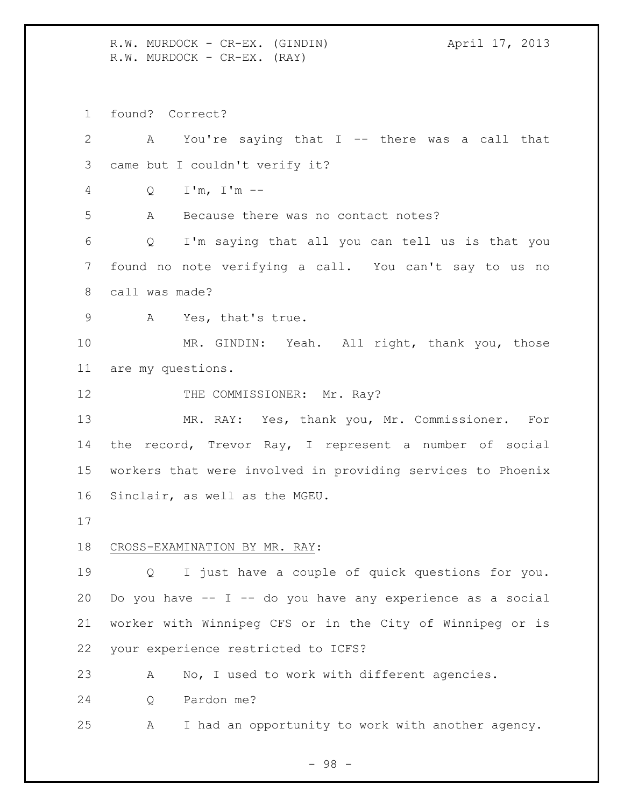R.W. MURDOCK - CR-EX. (GINDIN) April 17, 2013 R.W. MURDOCK - CR-EX. (RAY)

found? Correct?

 A You're saying that I -- there was a call that came but I couldn't verify it? Q I'm, I'm -- A Because there was no contact notes? Q I'm saying that all you can tell us is that you found no note verifying a call. You can't say to us no call was made? A Yes, that's true. MR. GINDIN: Yeah. All right, thank you, those are my questions. 12 THE COMMISSIONER: Mr. Ray? MR. RAY: Yes, thank you, Mr. Commissioner. For the record, Trevor Ray, I represent a number of social workers that were involved in providing services to Phoenix Sinclair, as well as the MGEU. CROSS-EXAMINATION BY MR. RAY: Q I just have a couple of quick questions for you. Do you have -- I -- do you have any experience as a social worker with Winnipeg CFS or in the City of Winnipeg or is your experience restricted to ICFS? A No, I used to work with different agencies. Q Pardon me? A I had an opportunity to work with another agency.

- 98 -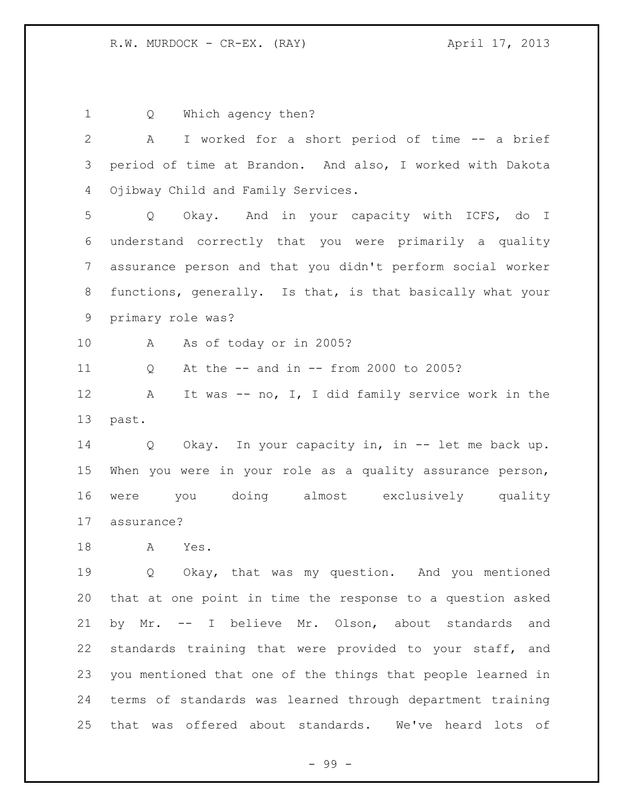Q Which agency then? A I worked for a short period of time -- a brief period of time at Brandon. And also, I worked with Dakota Ojibway Child and Family Services. Q Okay. And in your capacity with ICFS, do I understand correctly that you were primarily a quality assurance person and that you didn't perform social worker functions, generally. Is that, is that basically what your primary role was? A As of today or in 2005? Q At the -- and in -- from 2000 to 2005? 12 A It was -- no, I, I did family service work in the past. Q Okay. In your capacity in, in -- let me back up. When you were in your role as a quality assurance person, were you doing almost exclusively quality assurance? A Yes. 19 0 Okay, that was my question. And you mentioned that at one point in time the response to a question asked by Mr. -- I believe Mr. Olson, about standards and standards training that were provided to your staff, and you mentioned that one of the things that people learned in terms of standards was learned through department training that was offered about standards. We've heard lots of

- 99 -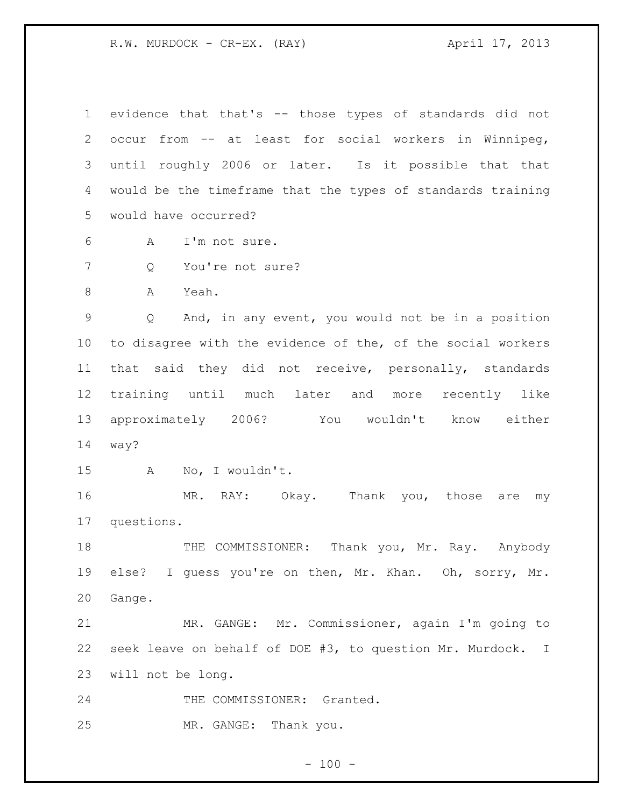R.W. MURDOCK - CR-EX. (RAY) April 17, 2013

| $\mathbf 1$    | evidence that that's -- those types of standards did not    |
|----------------|-------------------------------------------------------------|
| $\overline{2}$ | occur from -- at least for social workers in Winnipeg,      |
| 3              | until roughly 2006 or later. Is it possible that that       |
| 4              | would be the timeframe that the types of standards training |
| 5              | would have occurred?                                        |
| 6              | I'm not sure.<br>A                                          |
| 7              | You're not sure?<br>Q                                       |
| 8              | Yeah.<br>Α                                                  |
| $\mathcal{G}$  | And, in any event, you would not be in a position<br>Q      |
| 10             | to disagree with the evidence of the, of the social workers |
| 11             | that said they did not receive, personally, standards       |
| 12             | training until much later and more recently like            |
| 13             | approximately 2006?<br>You wouldn't know either             |
| 14             | way?                                                        |
| 15             | No, I wouldn't.<br>A                                        |
| 16             | MR. RAY: Okay. Thank you, those<br>are<br>my                |
| 17             | questions.                                                  |
| 18             | THE COMMISSIONER:<br>Thank you, Mr. Ray. Anybody            |
| 19             | else? I guess you're on then, Mr. Khan. Oh, sorry, Mr.      |
| 20             | Gange.                                                      |
| 21             | MR. GANGE: Mr. Commissioner, again I'm going to             |
| 22             | seek leave on behalf of DOE #3, to question Mr. Murdock. I  |
| 23             | will not be long.                                           |
| 24             | THE COMMISSIONER: Granted.                                  |
| 25             | MR. GANGE: Thank you.                                       |

- 100 -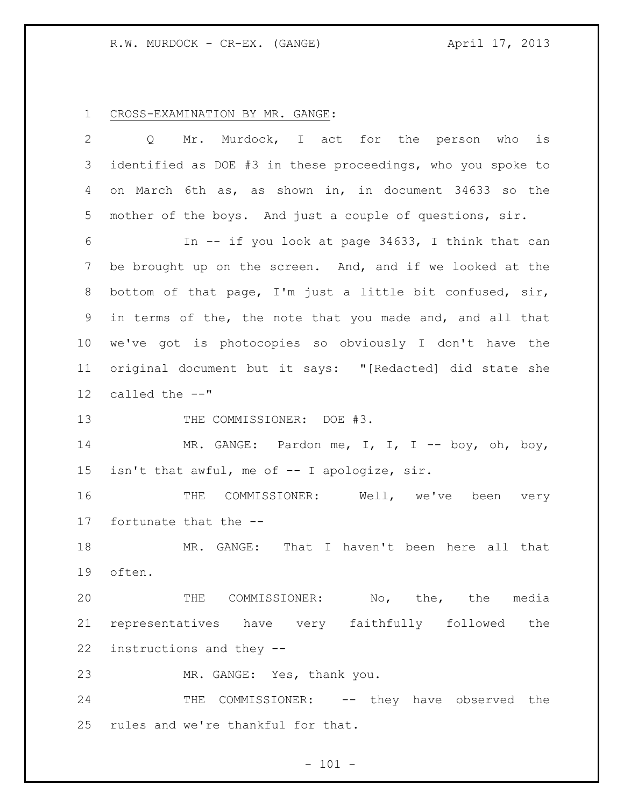CROSS-EXAMINATION BY MR. GANGE:

| $\overline{2}$  | Mr. Murdock, I act for the person who<br>is<br>Q            |
|-----------------|-------------------------------------------------------------|
| 3               | identified as DOE #3 in these proceedings, who you spoke to |
| 4               | on March 6th as, as shown in, in document 34633 so the      |
| 5               | mother of the boys. And just a couple of questions, sir.    |
| 6               | In -- if you look at page 34633, I think that can           |
| 7               | be brought up on the screen. And, and if we looked at the   |
| 8               | bottom of that page, I'm just a little bit confused, sir,   |
| 9               | in terms of the, the note that you made and, and all that   |
|                 |                                                             |
| 10 <sub>o</sub> | we've got is photocopies so obviously I don't have the      |
| 11              | original document but it says: "[Redacted] did state she    |
| 12              | called the --"                                              |
| 13              | THE COMMISSIONER: DOE #3.                                   |
| 14              | MR. GANGE: Pardon me, I, I, I -- boy, oh, boy,              |
| 15              | isn't that awful, me of -- I apologize, sir.                |
| 16              | THE COMMISSIONER: Well, we've been<br>very                  |
| 17              | fortunate that the --                                       |
| 18              | MR. GANGE: That I haven't been here all that                |
| 19              | often.                                                      |
| 20              | THE COMMISSIONER: No, the, the media                        |
|                 | 21 representatives have very faithfully followed the        |
| 22              | instructions and they --                                    |
| 23              | MR. GANGE: Yes, thank you.                                  |
| 24              | THE COMMISSIONER: -- they have observed the                 |
|                 | 25 rules and we're thankful for that.                       |

- 101 -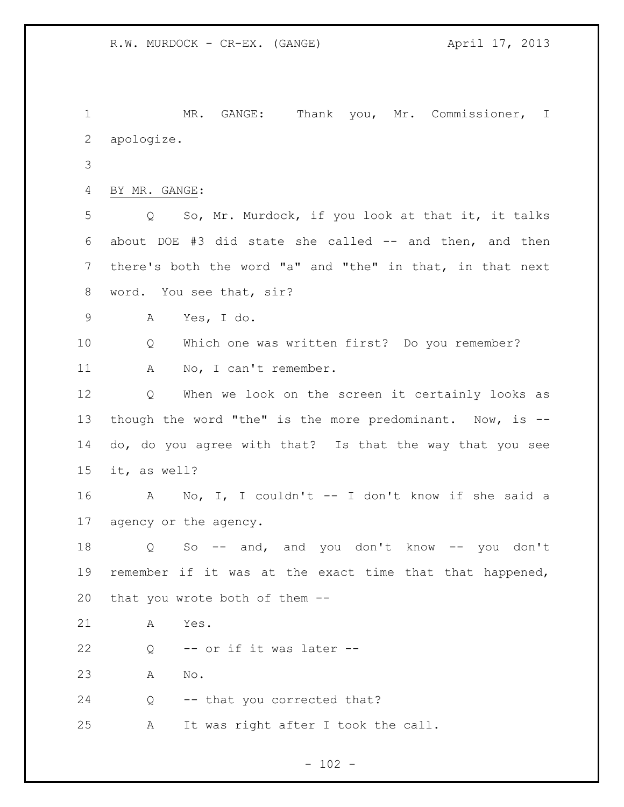MR. GANGE: Thank you, Mr. Commissioner, I apologize. BY MR. GANGE: Q So, Mr. Murdock, if you look at that it, it talks about DOE #3 did state she called -- and then, and then there's both the word "a" and "the" in that, in that next word. You see that, sir? A Yes, I do. Q Which one was written first? Do you remember? 11 A No, I can't remember. Q When we look on the screen it certainly looks as though the word "the" is the more predominant. Now, is -- do, do you agree with that? Is that the way that you see it, as well? A No, I, I couldn't -- I don't know if she said a agency or the agency. Q So -- and, and you don't know -- you don't remember if it was at the exact time that that happened, that you wrote both of them -- A Yes. 22 Q -- or if it was later -- A No. Q -- that you corrected that? A It was right after I took the call.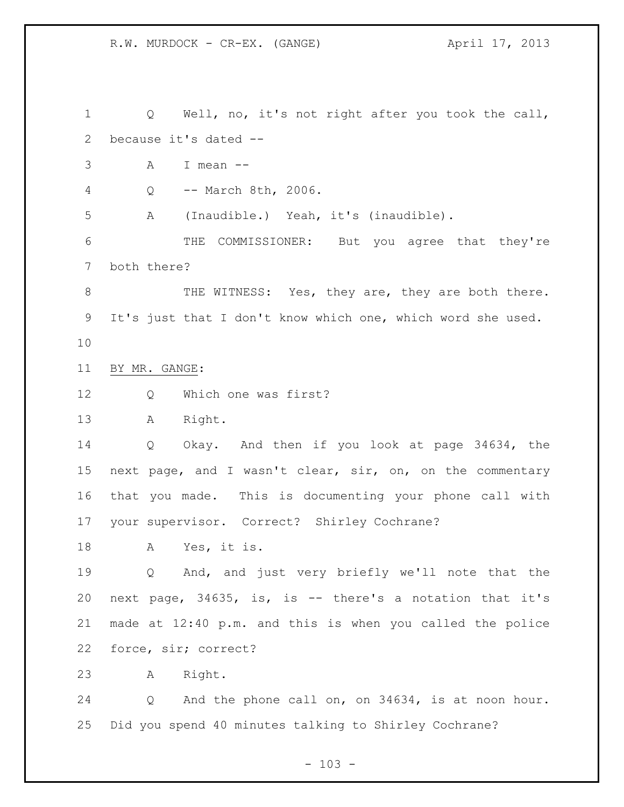Q Well, no, it's not right after you took the call, because it's dated -- A I mean -- Q -- March 8th, 2006. A (Inaudible.) Yeah, it's (inaudible). THE COMMISSIONER: But you agree that they're both there? 8 THE WITNESS: Yes, they are, they are both there. It's just that I don't know which one, which word she used. BY MR. GANGE: Q Which one was first? A Right. Q Okay. And then if you look at page 34634, the next page, and I wasn't clear, sir, on, on the commentary that you made. This is documenting your phone call with your supervisor. Correct? Shirley Cochrane? A Yes, it is. Q And, and just very briefly we'll note that the next page, 34635, is, is -- there's a notation that it's made at 12:40 p.m. and this is when you called the police force, sir; correct? A Right. Q And the phone call on, on 34634, is at noon hour. Did you spend 40 minutes talking to Shirley Cochrane?

 $- 103 -$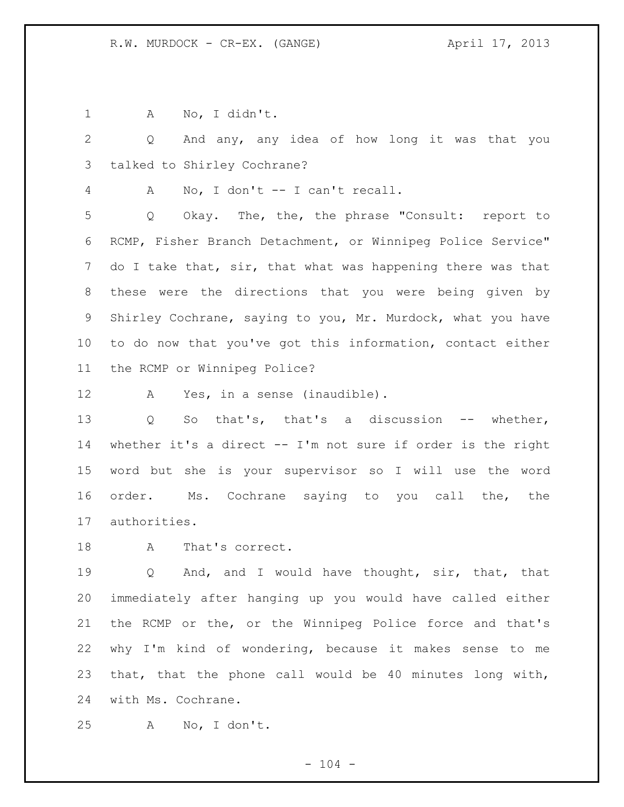A No, I didn't.

 Q And any, any idea of how long it was that you talked to Shirley Cochrane?

A No, I don't -- I can't recall.

 Q Okay. The, the, the phrase "Consult: report to RCMP, Fisher Branch Detachment, or Winnipeg Police Service" 7 do I take that, sir, that what was happening there was that these were the directions that you were being given by Shirley Cochrane, saying to you, Mr. Murdock, what you have to do now that you've got this information, contact either the RCMP or Winnipeg Police?

12 A Yes, in a sense (inaudible).

 Q So that's, that's a discussion -- whether, whether it's a direct -- I'm not sure if order is the right word but she is your supervisor so I will use the word order. Ms. Cochrane saying to you call the, the authorities.

A That's correct.

 Q And, and I would have thought, sir, that, that immediately after hanging up you would have called either the RCMP or the, or the Winnipeg Police force and that's why I'm kind of wondering, because it makes sense to me that, that the phone call would be 40 minutes long with, with Ms. Cochrane.

A No, I don't.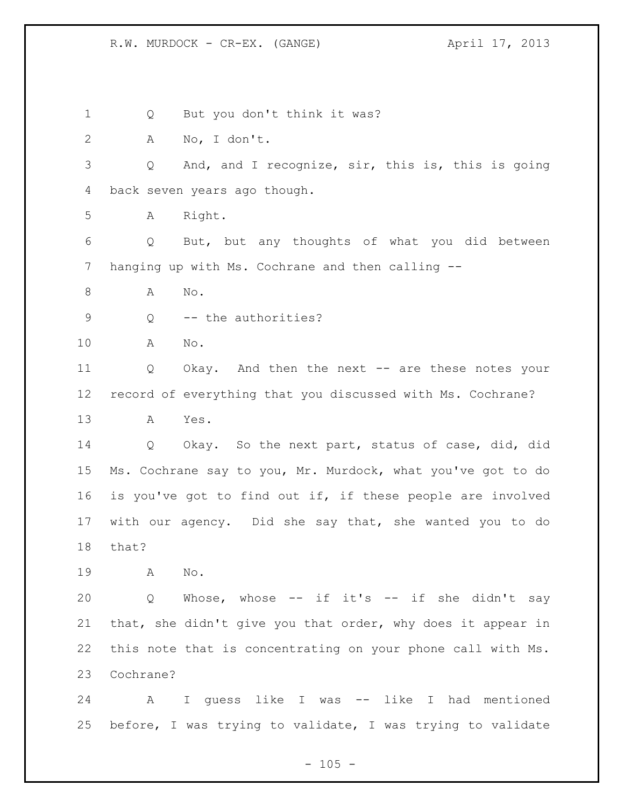Q But you don't think it was? A No, I don't. Q And, and I recognize, sir, this is, this is going back seven years ago though. A Right. Q But, but any thoughts of what you did between hanging up with Ms. Cochrane and then calling -- 8 A No. Q -- the authorities? A No. Q Okay. And then the next -- are these notes your record of everything that you discussed with Ms. Cochrane? A Yes. Q Okay. So the next part, status of case, did, did Ms. Cochrane say to you, Mr. Murdock, what you've got to do is you've got to find out if, if these people are involved with our agency. Did she say that, she wanted you to do that? A No. Q Whose, whose -- if it's -- if she didn't say that, she didn't give you that order, why does it appear in this note that is concentrating on your phone call with Ms. Cochrane? A I guess like I was -- like I had mentioned before, I was trying to validate, I was trying to validate

 $- 105 -$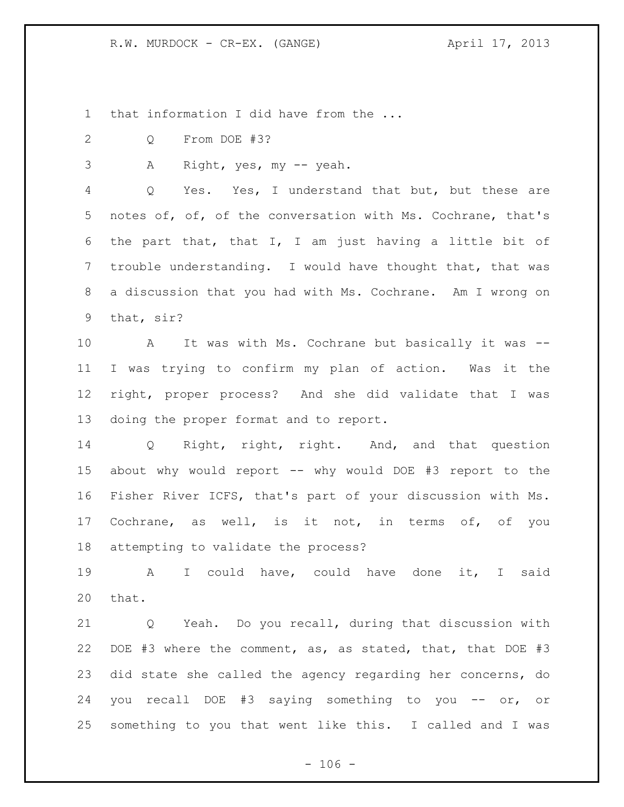R.W. MURDOCK - CR-EX. (GANGE) April 17, 2013

1 that information I did have from the ...

Q From DOE #3?

A Right, yes, my -- yeah.

 Q Yes. Yes, I understand that but, but these are notes of, of, of the conversation with Ms. Cochrane, that's the part that, that I, I am just having a little bit of trouble understanding. I would have thought that, that was a discussion that you had with Ms. Cochrane. Am I wrong on that, sir?

 A It was with Ms. Cochrane but basically it was -- I was trying to confirm my plan of action. Was it the right, proper process? And she did validate that I was doing the proper format and to report.

 Q Right, right, right. And, and that question about why would report -- why would DOE #3 report to the Fisher River ICFS, that's part of your discussion with Ms. Cochrane, as well, is it not, in terms of, of you attempting to validate the process?

 A I could have, could have done it, I said that.

 Q Yeah. Do you recall, during that discussion with DOE #3 where the comment, as, as stated, that, that DOE #3 did state she called the agency regarding her concerns, do you recall DOE #3 saying something to you -- or, or something to you that went like this. I called and I was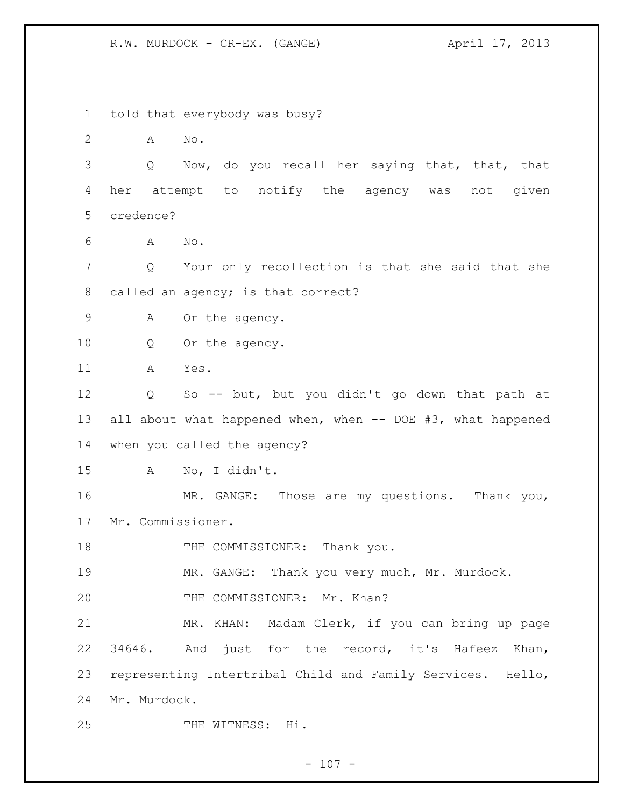R.W. MURDOCK - CR-EX. (GANGE) April 17, 2013

 told that everybody was busy? A No. Q Now, do you recall her saying that, that, that her attempt to notify the agency was not given credence? A No. Q Your only recollection is that she said that she called an agency; is that correct? 9 A Or the agency. Q Or the agency. A Yes. Q So -- but, but you didn't go down that path at 13 all about what happened when, when -- DOE #3, what happened when you called the agency? A No, I didn't. MR. GANGE: Those are my questions. Thank you, Mr. Commissioner. 18 THE COMMISSIONER: Thank you. MR. GANGE: Thank you very much, Mr. Murdock. 20 THE COMMISSIONER: Mr. Khan? MR. KHAN: Madam Clerk, if you can bring up page 34646. And just for the record, it's Hafeez Khan, representing Intertribal Child and Family Services. Hello, Mr. Murdock. THE WITNESS: Hi.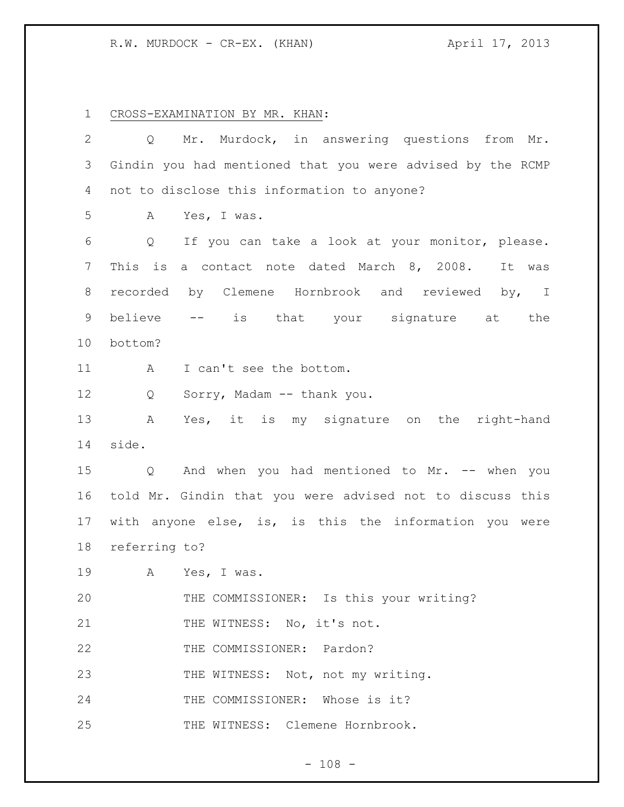## R.W. MURDOCK - CR-EX. (KHAN) April 17, 2013

CROSS-EXAMINATION BY MR. KHAN:

| Mr. Murdock, in answering questions from Mr.<br>Q          |
|------------------------------------------------------------|
| Gindin you had mentioned that you were advised by the RCMP |
| not to disclose this information to anyone?                |
| A<br>Yes, I was.                                           |
| If you can take a look at your monitor, please.<br>Q       |
| This is<br>a contact note dated March 8, 2008.<br>It was   |
| recorded by Clemene Hornbrook and reviewed by, I           |
| believe -- is that your signature at the                   |
| bottom?                                                    |
| I can't see the bottom.<br>A                               |
| Q<br>Sorry, Madam -- thank you.                            |
| Yes, it is my signature on the right-hand<br>Α             |
| side.                                                      |
| And when you had mentioned to Mr. -- when you<br>Q         |
| told Mr. Gindin that you were advised not to discuss this  |
| with anyone else, is, is this the information you were     |
|                                                            |
| referring to?                                              |
| A Yes, I was.                                              |
| THE COMMISSIONER: Is this your writing?                    |
| THE WITNESS: No, it's not.                                 |
| THE COMMISSIONER: Pardon?                                  |
| THE WITNESS: Not, not my writing.                          |
| THE COMMISSIONER: Whose is it?                             |
|                                                            |

- 108 -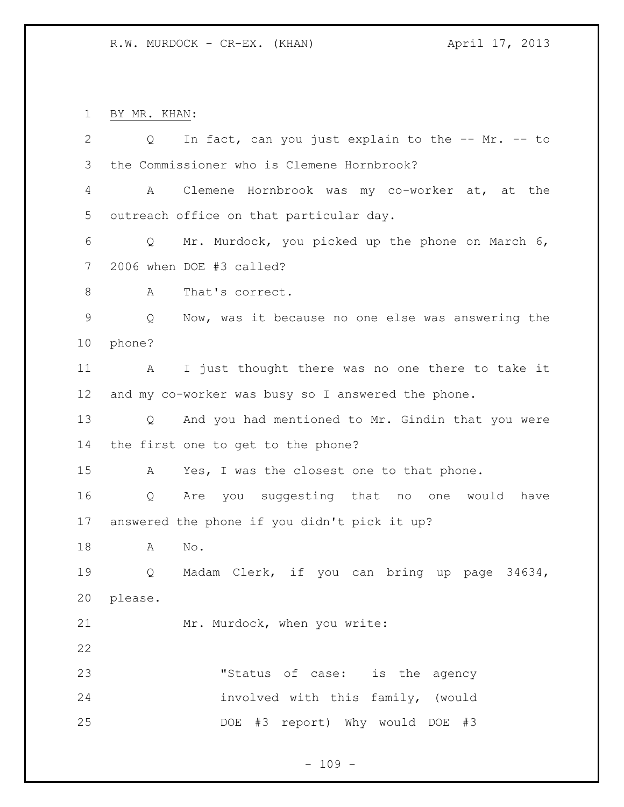BY MR. KHAN:

| $\overline{2}$ | In fact, can you just explain to the -- Mr. -- to<br>$Q \qquad \qquad$ |
|----------------|------------------------------------------------------------------------|
| 3              | the Commissioner who is Clemene Hornbrook?                             |
| 4              | Clemene Hornbrook was my co-worker at, at the<br>A                     |
| 5              | outreach office on that particular day.                                |
| 6              | Mr. Murdock, you picked up the phone on March 6,<br>$Q \qquad \qquad$  |
| 7              | 2006 when DOE #3 called?                                               |
| 8              | That's correct.<br>A                                                   |
| $\mathsf 9$    | Now, was it because no one else was answering the<br>Q                 |
| 10             | phone?                                                                 |
| 11             | I just thought there was no one there to take it<br>A                  |
| 12             | and my co-worker was busy so I answered the phone.                     |
| 13             | Q And you had mentioned to Mr. Gindin that you were                    |
| 14             | the first one to get to the phone?                                     |
| 15             | Yes, I was the closest one to that phone.<br>A                         |
| 16             | Are you suggesting that no one would have<br>Q                         |
| 17             | answered the phone if you didn't pick it up?                           |
| 18             | No.<br>A                                                               |
| 19             | Madam Clerk, if you can bring up page 34634,<br>Q                      |
| 20             | please.                                                                |
| 21             | Mr. Murdock, when you write:                                           |
| 22             |                                                                        |
| 23             | "Status of case: is the agency                                         |
| 24             | involved with this family, (would                                      |
| 25             | DOE #3 report) Why would DOE #3                                        |

- 109 -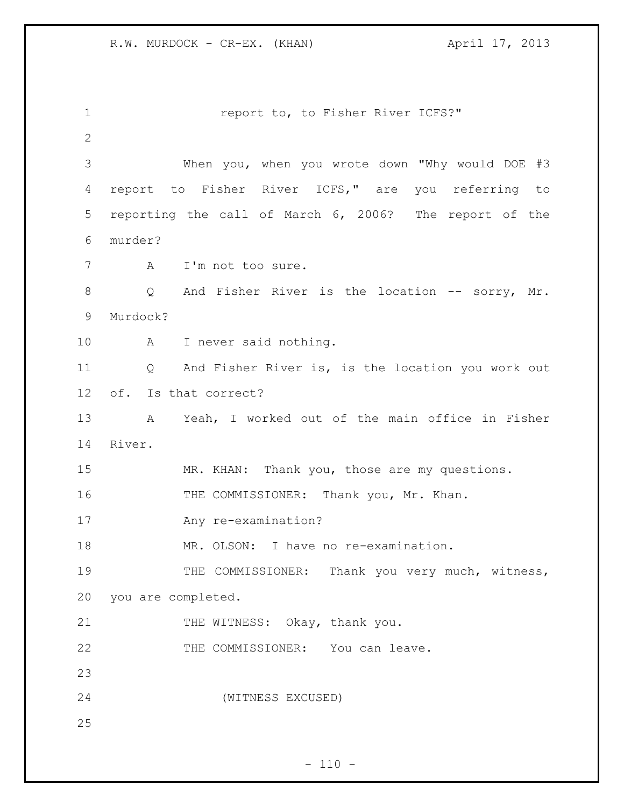**1** report to, to Fisher River ICFS?" When you, when you wrote down "Why would DOE #3 report to Fisher River ICFS," are you referring to reporting the call of March 6, 2006? The report of the murder? A I'm not too sure. 8 Q And Fisher River is the location -- sorry, Mr. Murdock? A I never said nothing. Q And Fisher River is, is the location you work out of. Is that correct? A Yeah, I worked out of the main office in Fisher River. MR. KHAN: Thank you, those are my questions. 16 THE COMMISSIONER: Thank you, Mr. Khan. Any re-examination? MR. OLSON: I have no re-examination. 19 THE COMMISSIONER: Thank you very much, witness, you are completed. 21 THE WITNESS: Okay, thank you. 22 THE COMMISSIONER: You can leave. (WITNESS EXCUSED)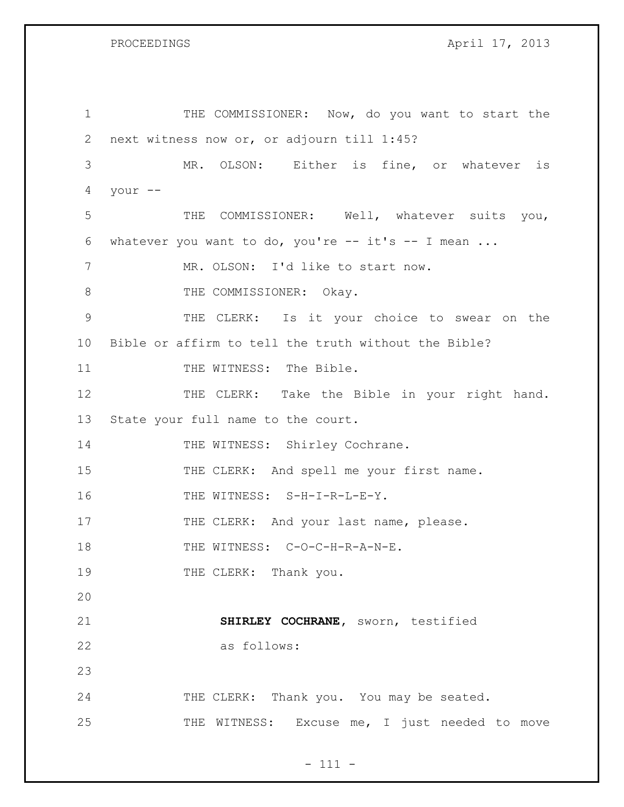GS April 17, 2013

| 1              | THE COMMISSIONER: Now, do you want to start the      |
|----------------|------------------------------------------------------|
| $\overline{2}$ | next witness now or, or adjourn till 1:45?           |
| 3              | MR. OLSON: Either is fine, or whatever is            |
| 4              | your --                                              |
| 5              | THE COMMISSIONER: Well, whatever suits you,          |
| 6              | whatever you want to do, you're -- it's -- I mean    |
| 7              | MR. OLSON: I'd like to start now.                    |
| 8              | THE COMMISSIONER: Okay.                              |
| 9              | THE CLERK: Is it your choice to swear on the         |
| 10             | Bible or affirm to tell the truth without the Bible? |
| 11             | THE WITNESS: The Bible.                              |
| 12             | THE CLERK: Take the Bible in your right hand.        |
| 13             | State your full name to the court.                   |
| 14             | THE WITNESS: Shirley Cochrane.                       |
| 15             | THE CLERK: And spell me your first name.             |
| 16             | THE WITNESS: S-H-I-R-L-E-Y.                          |
| 17             | THE CLERK: And your last name, please.               |
| 18             | THE WITNESS: C-O-C-H-R-A-N-E.                        |
| 19             | THE CLERK: Thank you.                                |
| 20             |                                                      |
| 21             | SHIRLEY COCHRANE, sworn, testified                   |
| 22             | as follows:                                          |
| 23             |                                                      |
| 24             | THE CLERK: Thank you. You may be seated.             |
| 25             | THE WITNESS: Excuse me, I just needed to move        |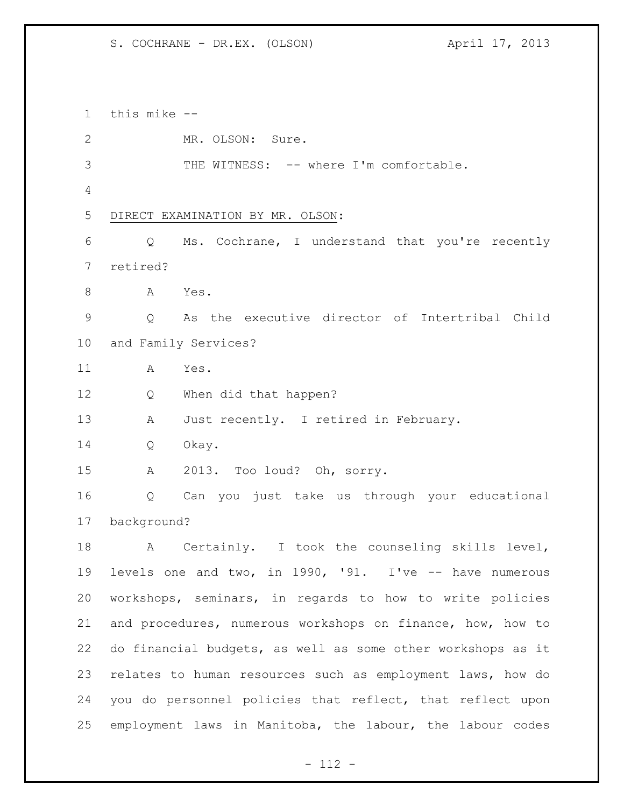this mike -- MR. OLSON: Sure. 3 THE WITNESS: -- where I'm comfortable. DIRECT EXAMINATION BY MR. OLSON: Q Ms. Cochrane, I understand that you're recently retired? A Yes. Q As the executive director of Intertribal Child and Family Services? A Yes. Q When did that happen? A Just recently. I retired in February. Q Okay. A 2013. Too loud? Oh, sorry. Q Can you just take us through your educational background? A Certainly. I took the counseling skills level, levels one and two, in 1990, '91. I've -- have numerous workshops, seminars, in regards to how to write policies and procedures, numerous workshops on finance, how, how to do financial budgets, as well as some other workshops as it relates to human resources such as employment laws, how do you do personnel policies that reflect, that reflect upon employment laws in Manitoba, the labour, the labour codes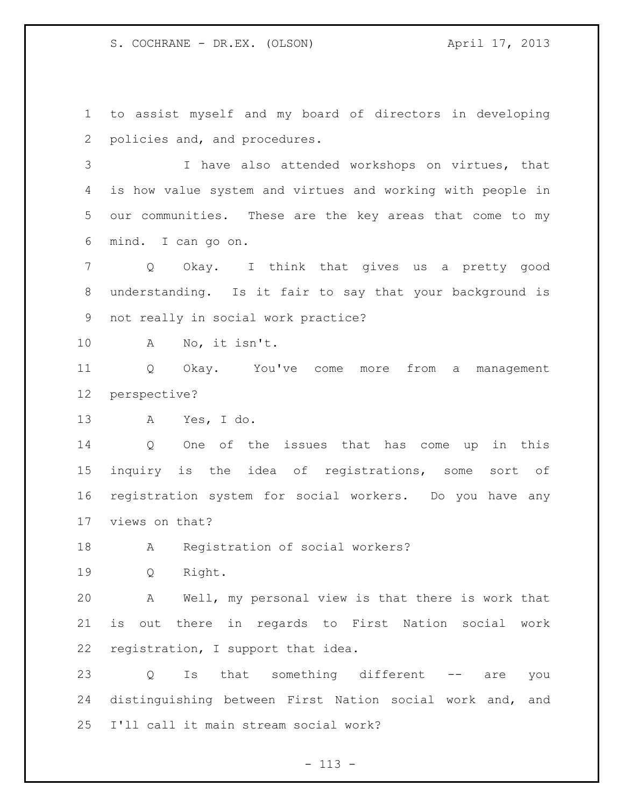to assist myself and my board of directors in developing policies and, and procedures.

 I have also attended workshops on virtues, that is how value system and virtues and working with people in our communities. These are the key areas that come to my mind. I can go on.

 Q Okay. I think that gives us a pretty good understanding. Is it fair to say that your background is not really in social work practice?

A No, it isn't.

 Q Okay. You've come more from a management perspective?

A Yes, I do.

 Q One of the issues that has come up in this inquiry is the idea of registrations, some sort of registration system for social workers. Do you have any views on that?

A Registration of social workers?

Q Right.

 A Well, my personal view is that there is work that is out there in regards to First Nation social work registration, I support that idea.

23 Q Is that something different -- are you distinguishing between First Nation social work and, and I'll call it main stream social work?

- 113 -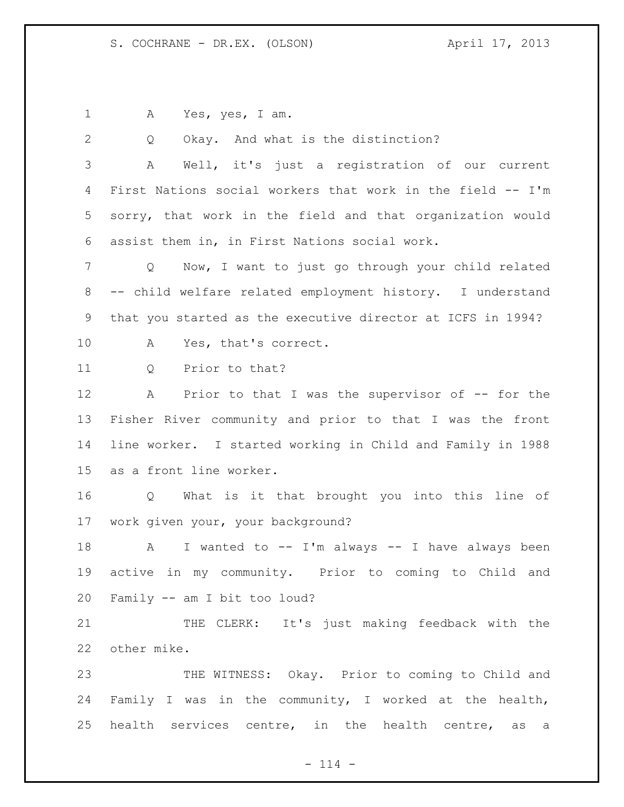A Yes, yes, I am.

Q Okay. And what is the distinction?

 A Well, it's just a registration of our current First Nations social workers that work in the field -- I'm sorry, that work in the field and that organization would assist them in, in First Nations social work.

 Q Now, I want to just go through your child related -- child welfare related employment history. I understand that you started as the executive director at ICFS in 1994? A Yes, that's correct.

11 0 Prior to that?

12 A Prior to that I was the supervisor of -- for the Fisher River community and prior to that I was the front line worker. I started working in Child and Family in 1988 as a front line worker.

 Q What is it that brought you into this line of work given your, your background?

18 A I wanted to -- I'm always -- I have always been active in my community. Prior to coming to Child and Family -- am I bit too loud?

21 THE CLERK: It's just making feedback with the other mike.

 THE WITNESS: Okay. Prior to coming to Child and Family I was in the community, I worked at the health, health services centre, in the health centre, as a

 $- 114 -$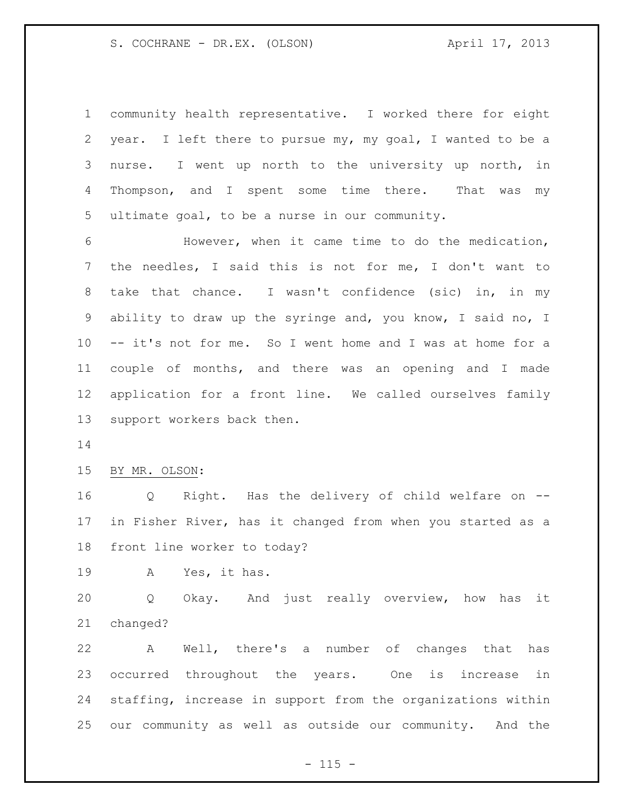community health representative. I worked there for eight year. I left there to pursue my, my goal, I wanted to be a nurse. I went up north to the university up north, in 4 Thompson, and I spent some time there. That was my ultimate goal, to be a nurse in our community.

 However, when it came time to do the medication, the needles, I said this is not for me, I don't want to take that chance. I wasn't confidence (sic) in, in my ability to draw up the syringe and, you know, I said no, I -- it's not for me. So I went home and I was at home for a couple of months, and there was an opening and I made application for a front line. We called ourselves family support workers back then.

BY MR. OLSON:

 Q Right. Has the delivery of child welfare on -- in Fisher River, has it changed from when you started as a front line worker to today?

A Yes, it has.

 Q Okay. And just really overview, how has it changed?

 A Well, there's a number of changes that has occurred throughout the years. One is increase in staffing, increase in support from the organizations within our community as well as outside our community. And the

 $- 115 -$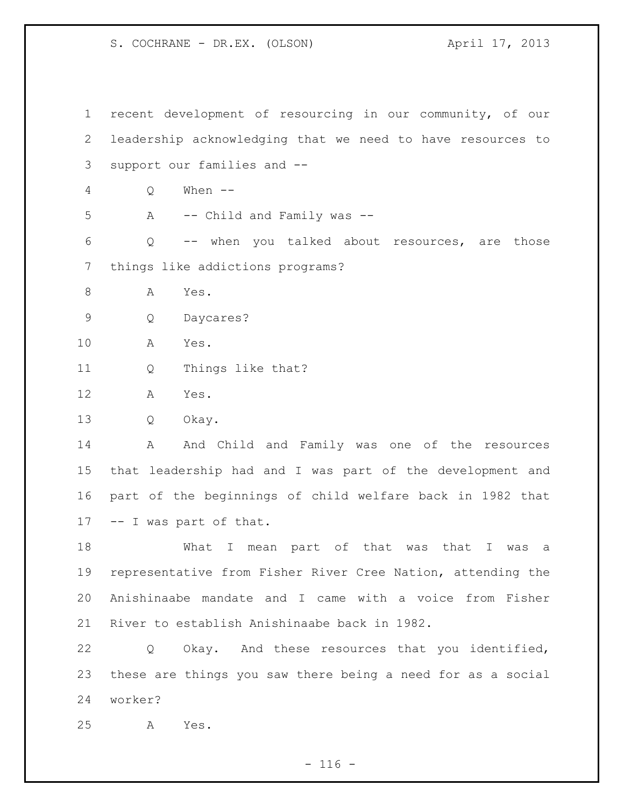recent development of resourcing in our community, of our leadership acknowledging that we need to have resources to support our families and -- Q When -- A -- Child and Family was -- Q -- when you talked about resources, are those things like addictions programs? 8 A Yes. Q Daycares? A Yes. Q Things like that? A Yes. Q Okay. 14 A And Child and Family was one of the resources that leadership had and I was part of the development and part of the beginnings of child welfare back in 1982 that -- I was part of that. What I mean part of that was that I was a representative from Fisher River Cree Nation, attending the Anishinaabe mandate and I came with a voice from Fisher River to establish Anishinaabe back in 1982. Q Okay. And these resources that you identified, these are things you saw there being a need for as a social worker? A Yes.

 $- 116 -$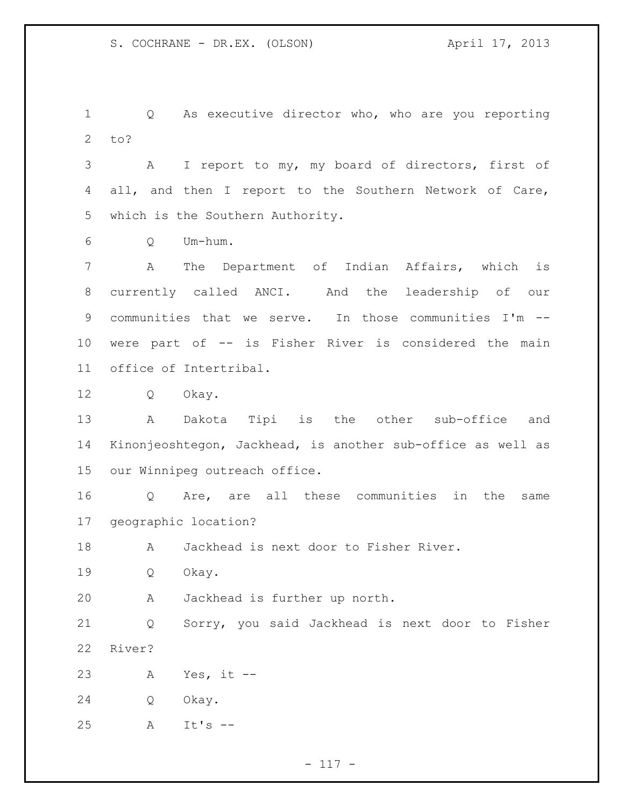Q As executive director who, who are you reporting to?

 A I report to my, my board of directors, first of all, and then I report to the Southern Network of Care, which is the Southern Authority.

Q Um-hum.

 A The Department of Indian Affairs, which is currently called ANCI. And the leadership of our 9 communities that we serve. In those communities I'm -- were part of -- is Fisher River is considered the main office of Intertribal.

Q Okay.

 A Dakota Tipi is the other sub-office and Kinonjeoshtegon, Jackhead, is another sub-office as well as our Winnipeg outreach office.

 Q Are, are all these communities in the same geographic location?

A Jackhead is next door to Fisher River.

Q Okay.

A Jackhead is further up north.

 Q Sorry, you said Jackhead is next door to Fisher River?

A Yes, it --

Q Okay.

A It's --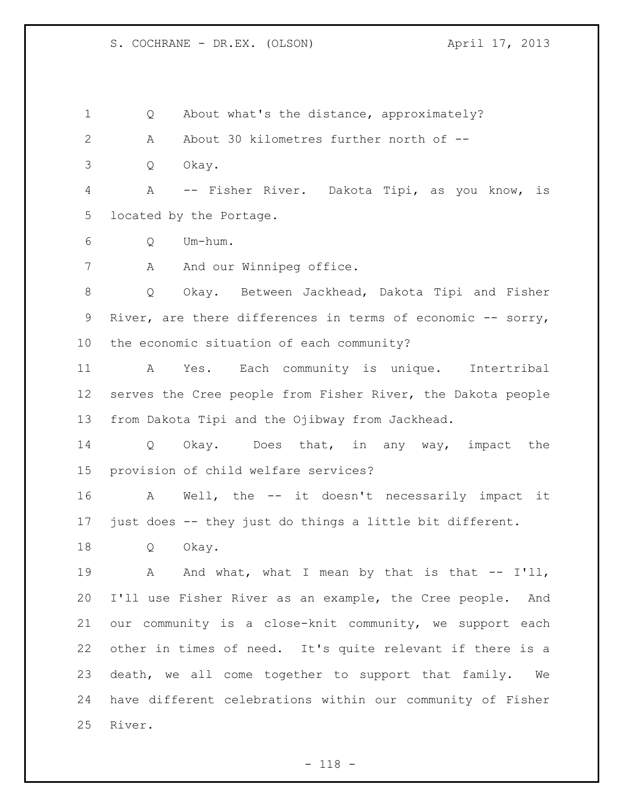1 Q About what's the distance, approximately? A About 30 kilometres further north of -- Q Okay. A -- Fisher River. Dakota Tipi, as you know, is located by the Portage. Q Um-hum. 7 A And our Winnipeg office. Q Okay. Between Jackhead, Dakota Tipi and Fisher 9 River, are there differences in terms of economic -- sorry, the economic situation of each community? A Yes. Each community is unique. Intertribal

 serves the Cree people from Fisher River, the Dakota people from Dakota Tipi and the Ojibway from Jackhead.

 Q Okay. Does that, in any way, impact the provision of child welfare services?

 A Well, the -- it doesn't necessarily impact it just does -- they just do things a little bit different.

Q Okay.

19 A And what, what I mean by that is that -- I'll, I'll use Fisher River as an example, the Cree people. And our community is a close-knit community, we support each other in times of need. It's quite relevant if there is a death, we all come together to support that family. We have different celebrations within our community of Fisher River.

- 118 -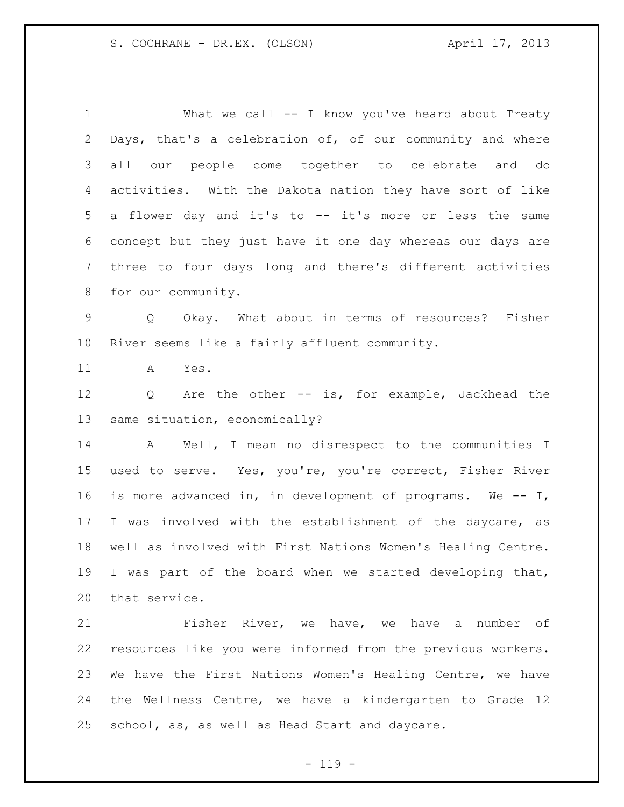1 What we call -- I know you've heard about Treaty Days, that's a celebration of, of our community and where all our people come together to celebrate and do activities. With the Dakota nation they have sort of like a flower day and it's to -- it's more or less the same concept but they just have it one day whereas our days are three to four days long and there's different activities for our community. Q Okay. What about in terms of resources? Fisher River seems like a fairly affluent community. A Yes. Q Are the other -- is, for example, Jackhead the same situation, economically? A Well, I mean no disrespect to the communities I used to serve. Yes, you're, you're correct, Fisher River is more advanced in, in development of programs. We -- I, I was involved with the establishment of the daycare, as well as involved with First Nations Women's Healing Centre. I was part of the board when we started developing that, that service. Fisher River, we have, we have a number of resources like you were informed from the previous workers. We have the First Nations Women's Healing Centre, we have the Wellness Centre, we have a kindergarten to Grade 12

school, as, as well as Head Start and daycare.

 $- 119 -$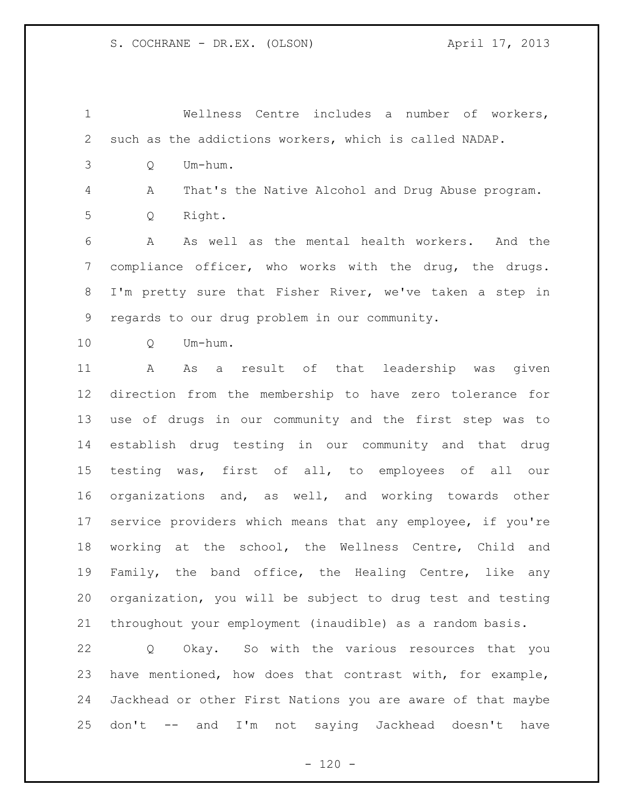Wellness Centre includes a number of workers, such as the addictions workers, which is called NADAP.

Q Um-hum.

 A That's the Native Alcohol and Drug Abuse program. Q Right.

 A As well as the mental health workers. And the compliance officer, who works with the drug, the drugs. I'm pretty sure that Fisher River, we've taken a step in regards to our drug problem in our community.

Q Um-hum.

 A As a result of that leadership was given direction from the membership to have zero tolerance for use of drugs in our community and the first step was to establish drug testing in our community and that drug testing was, first of all, to employees of all our organizations and, as well, and working towards other service providers which means that any employee, if you're working at the school, the Wellness Centre, Child and Family, the band office, the Healing Centre, like any organization, you will be subject to drug test and testing throughout your employment (inaudible) as a random basis.

 Q Okay. So with the various resources that you have mentioned, how does that contrast with, for example, Jackhead or other First Nations you are aware of that maybe don't -- and I'm not saying Jackhead doesn't have

 $- 120 -$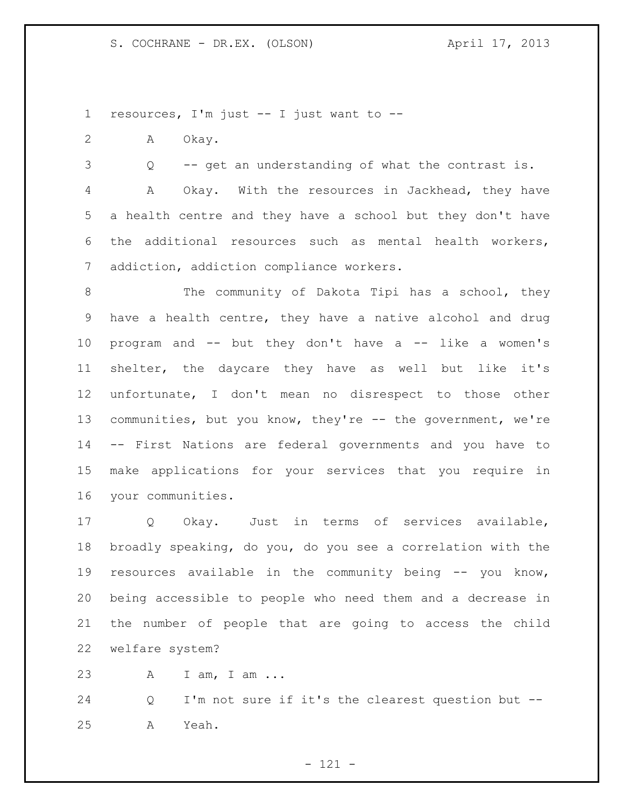resources, I'm just -- I just want to --

A Okay.

Q -- get an understanding of what the contrast is.

 A Okay. With the resources in Jackhead, they have a health centre and they have a school but they don't have the additional resources such as mental health workers, addiction, addiction compliance workers.

8 The community of Dakota Tipi has a school, they have a health centre, they have a native alcohol and drug program and -- but they don't have a -- like a women's shelter, the daycare they have as well but like it's unfortunate, I don't mean no disrespect to those other 13 communities, but you know, they're -- the government, we're -- First Nations are federal governments and you have to make applications for your services that you require in your communities.

 Q Okay. Just in terms of services available, broadly speaking, do you, do you see a correlation with the resources available in the community being -- you know, being accessible to people who need them and a decrease in the number of people that are going to access the child welfare system?

A I am, I am ...

 Q I'm not sure if it's the clearest question but -- A Yeah.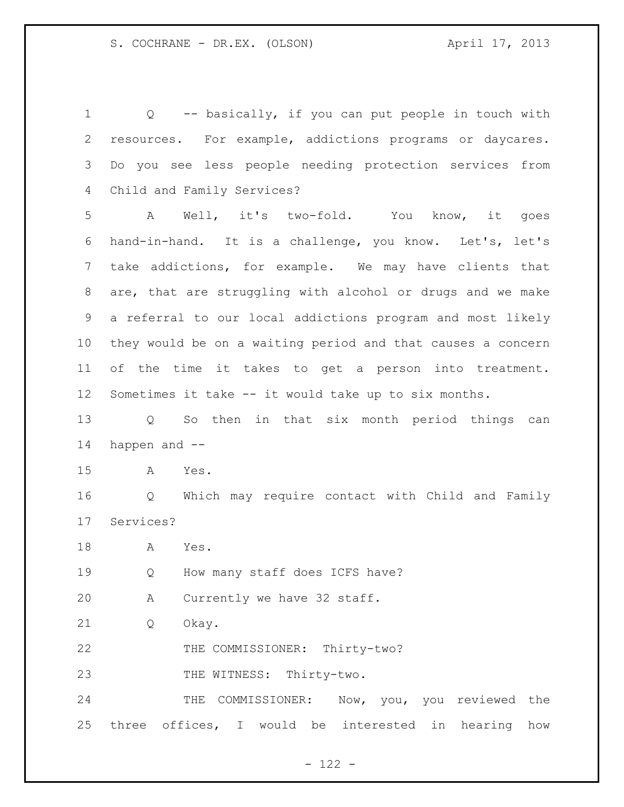Q -- basically, if you can put people in touch with resources. For example, addictions programs or daycares. Do you see less people needing protection services from Child and Family Services? A Well, it's two-fold. You know, it goes hand-in-hand. It is a challenge, you know. Let's, let's take addictions, for example. We may have clients that are, that are struggling with alcohol or drugs and we make a referral to our local addictions program and most likely they would be on a waiting period and that causes a concern of the time it takes to get a person into treatment. Sometimes it take -- it would take up to six months. Q So then in that six month period things can happen and -- A Yes. Q Which may require contact with Child and Family Services? A Yes. Q How many staff does ICFS have? A Currently we have 32 staff. Q Okay. 22 THE COMMISSIONER: Thirty-two? 23 THE WITNESS: Thirty-two. 24 THE COMMISSIONER: Now, you, you reviewed the three offices, I would be interested in hearing how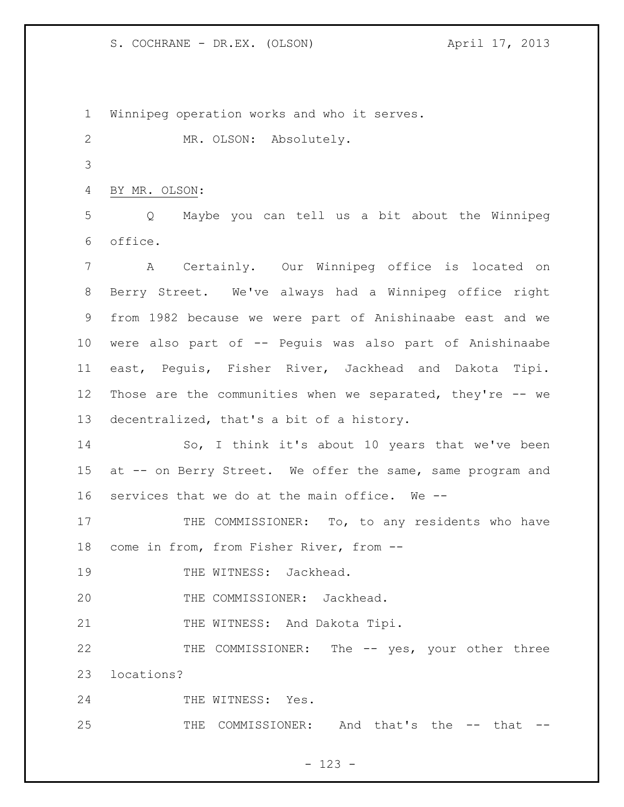1 Winnipeg operation works and who it serves. 2 MR. OLSON: Absolutely. 3 4 BY MR. OLSON: 5 Q Maybe you can tell us a bit about the Winnipeg 6 office. 7 A Certainly. Our Winnipeg office is located on 8 Berry Street. We've always had a Winnipeg office right 9 from 1982 because we were part of Anishinaabe east and we 10 were also part of -- Peguis was also part of Anishinaabe 11 east, Peguis, Fisher River, Jackhead and Dakota Tipi. 12 Those are the communities when we separated, they're -- we 13 decentralized, that's a bit of a history. 14 So, I think it's about 10 years that we've been 15 at -- on Berry Street. We offer the same, same program and 16 services that we do at the main office. We -- 17 THE COMMISSIONER: To, to any residents who have 18 come in from, from Fisher River, from -- 19 THE WITNESS: Jackhead. 20 THE COMMISSIONER: Jackhead. 21 THE WITNESS: And Dakota Tipi. 22 THE COMMISSIONER: The -- yes, your other three 23 locations? 24 THE WITNESS: Yes. 25 THE COMMISSIONER: And that's the -- that --

## - 123 -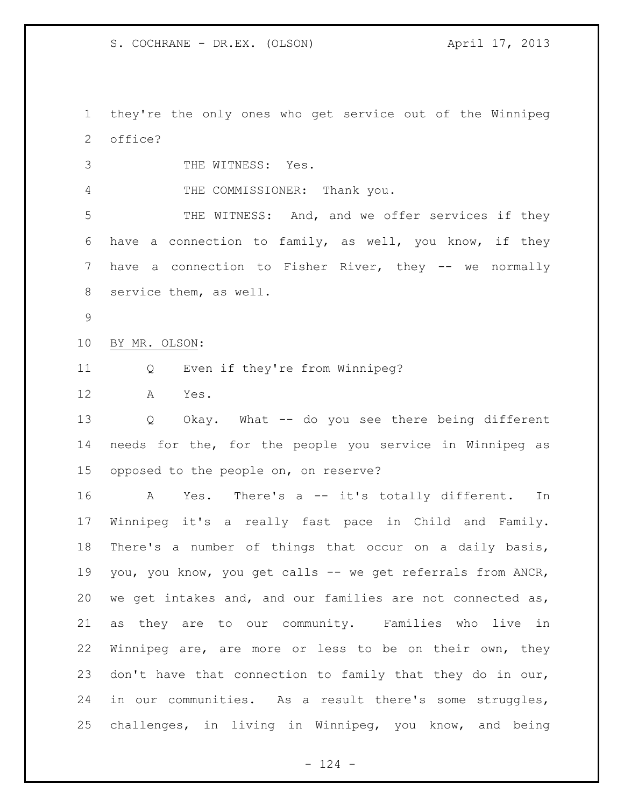they're the only ones who get service out of the Winnipeg office?

THE WITNESS: Yes.

4 THE COMMISSIONER: Thank you.

 THE WITNESS: And, and we offer services if they have a connection to family, as well, you know, if they have a connection to Fisher River, they -- we normally service them, as well.

BY MR. OLSON:

Q Even if they're from Winnipeg?

A Yes.

 Q Okay. What -- do you see there being different needs for the, for the people you service in Winnipeg as opposed to the people on, on reserve?

 A Yes. There's a -- it's totally different. In Winnipeg it's a really fast pace in Child and Family. There's a number of things that occur on a daily basis, you, you know, you get calls -- we get referrals from ANCR, we get intakes and, and our families are not connected as, as they are to our community. Families who live in Winnipeg are, are more or less to be on their own, they don't have that connection to family that they do in our, in our communities. As a result there's some struggles, challenges, in living in Winnipeg, you know, and being

 $- 124 -$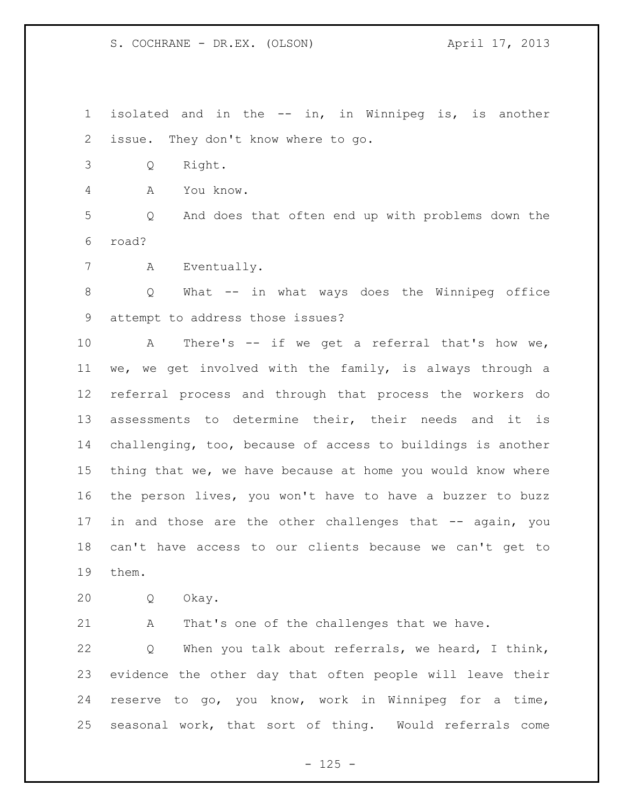isolated and in the -- in, in Winnipeg is, is another issue. They don't know where to go.

Q Right.

A You know.

 Q And does that often end up with problems down the road?

A Eventually.

 Q What -- in what ways does the Winnipeg office attempt to address those issues?

 A There's -- if we get a referral that's how we, we, we get involved with the family, is always through a referral process and through that process the workers do assessments to determine their, their needs and it is challenging, too, because of access to buildings is another thing that we, we have because at home you would know where the person lives, you won't have to have a buzzer to buzz 17 in and those are the other challenges that -- again, you can't have access to our clients because we can't get to them.

Q Okay.

A That's one of the challenges that we have.

 Q When you talk about referrals, we heard, I think, evidence the other day that often people will leave their reserve to go, you know, work in Winnipeg for a time, seasonal work, that sort of thing. Would referrals come

 $- 125 -$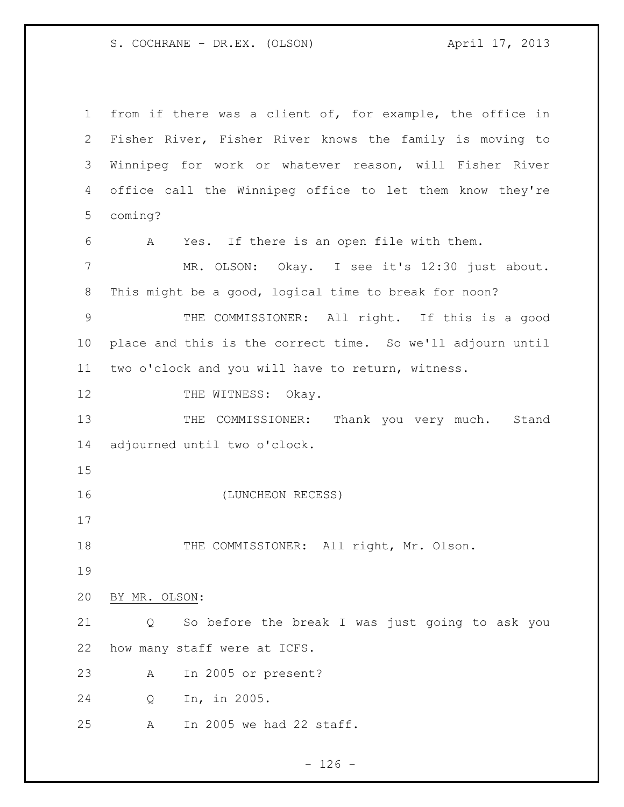from if there was a client of, for example, the office in Fisher River, Fisher River knows the family is moving to Winnipeg for work or whatever reason, will Fisher River office call the Winnipeg office to let them know they're coming? A Yes. If there is an open file with them. MR. OLSON: Okay. I see it's 12:30 just about. This might be a good, logical time to break for noon? THE COMMISSIONER: All right. If this is a good place and this is the correct time. So we'll adjourn until two o'clock and you will have to return, witness. 12 THE WITNESS: Okay. 13 THE COMMISSIONER: Thank you very much. Stand adjourned until two o'clock. (LUNCHEON RECESS) 18 THE COMMISSIONER: All right, Mr. Olson. BY MR. OLSON: Q So before the break I was just going to ask you how many staff were at ICFS. A In 2005 or present? Q In, in 2005. A In 2005 we had 22 staff.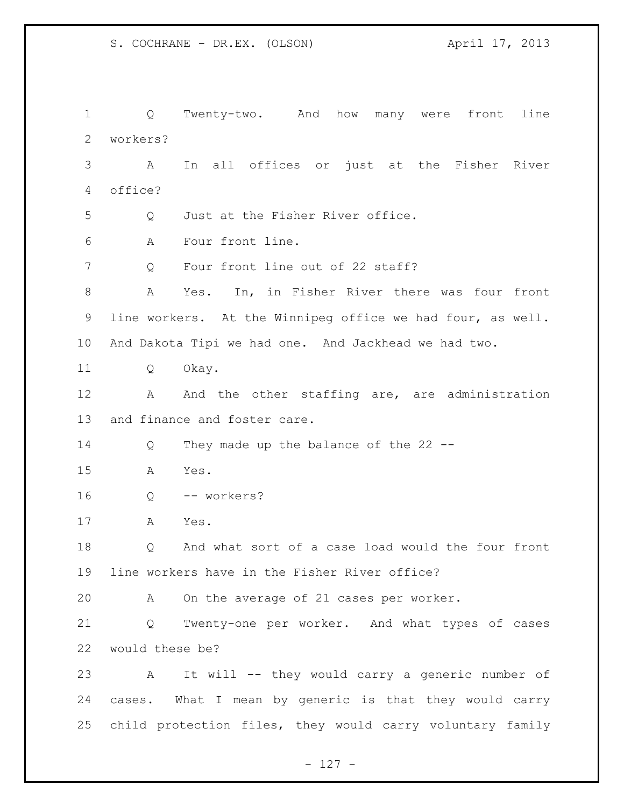Q Twenty-two. And how many were front line workers? A In all offices or just at the Fisher River office? Q Just at the Fisher River office. A Four front line. 7 Q Four front line out of 22 staff? A Yes. In, in Fisher River there was four front line workers. At the Winnipeg office we had four, as well. And Dakota Tipi we had one. And Jackhead we had two. Q Okay. 12 A And the other staffing are, are administration and finance and foster care. Q They made up the balance of the 22 -- A Yes. Q -- workers? A Yes. Q And what sort of a case load would the four front line workers have in the Fisher River office? A On the average of 21 cases per worker. Q Twenty-one per worker. And what types of cases would these be? A It will -- they would carry a generic number of cases. What I mean by generic is that they would carry child protection files, they would carry voluntary family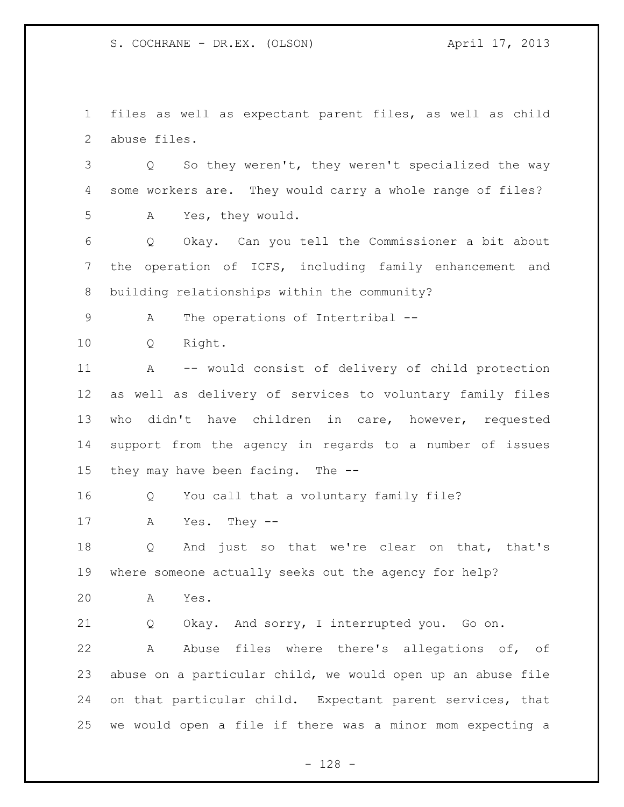files as well as expectant parent files, as well as child abuse files.

 Q So they weren't, they weren't specialized the way some workers are. They would carry a whole range of files? A Yes, they would.

 Q Okay. Can you tell the Commissioner a bit about the operation of ICFS, including family enhancement and building relationships within the community?

A The operations of Intertribal --

Q Right.

 A -- would consist of delivery of child protection as well as delivery of services to voluntary family files who didn't have children in care, however, requested support from the agency in regards to a number of issues they may have been facing. The --

Q You call that a voluntary family file?

A Yes. They --

 Q And just so that we're clear on that, that's where someone actually seeks out the agency for help?

A Yes.

Q Okay. And sorry, I interrupted you. Go on.

 A Abuse files where there's allegations of, of abuse on a particular child, we would open up an abuse file on that particular child. Expectant parent services, that we would open a file if there was a minor mom expecting a

- 128 -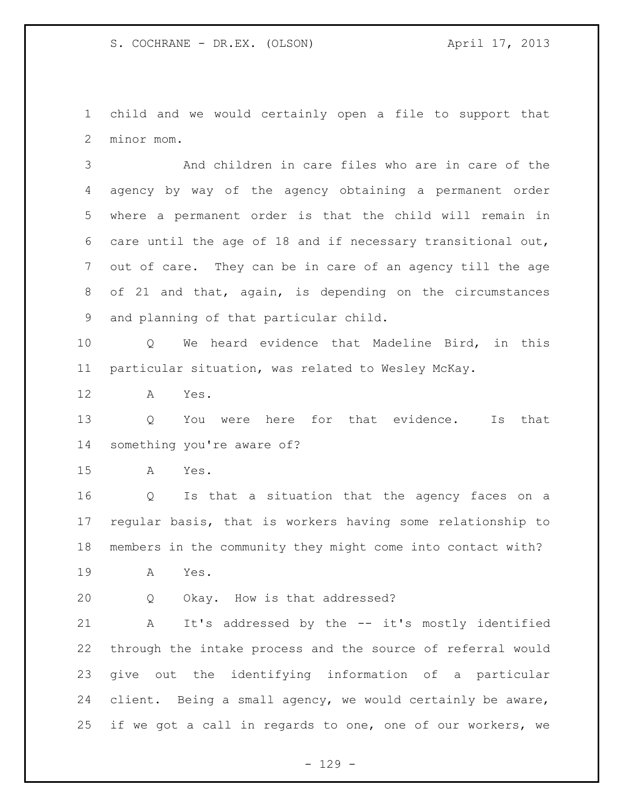child and we would certainly open a file to support that minor mom.

 And children in care files who are in care of the agency by way of the agency obtaining a permanent order where a permanent order is that the child will remain in care until the age of 18 and if necessary transitional out, out of care. They can be in care of an agency till the age of 21 and that, again, is depending on the circumstances and planning of that particular child.

 Q We heard evidence that Madeline Bird, in this particular situation, was related to Wesley McKay.

A Yes.

 Q You were here for that evidence. Is that something you're aware of?

A Yes.

 Q Is that a situation that the agency faces on a regular basis, that is workers having some relationship to members in the community they might come into contact with?

A Yes.

Q Okay. How is that addressed?

 A It's addressed by the -- it's mostly identified through the intake process and the source of referral would give out the identifying information of a particular client. Being a small agency, we would certainly be aware, if we got a call in regards to one, one of our workers, we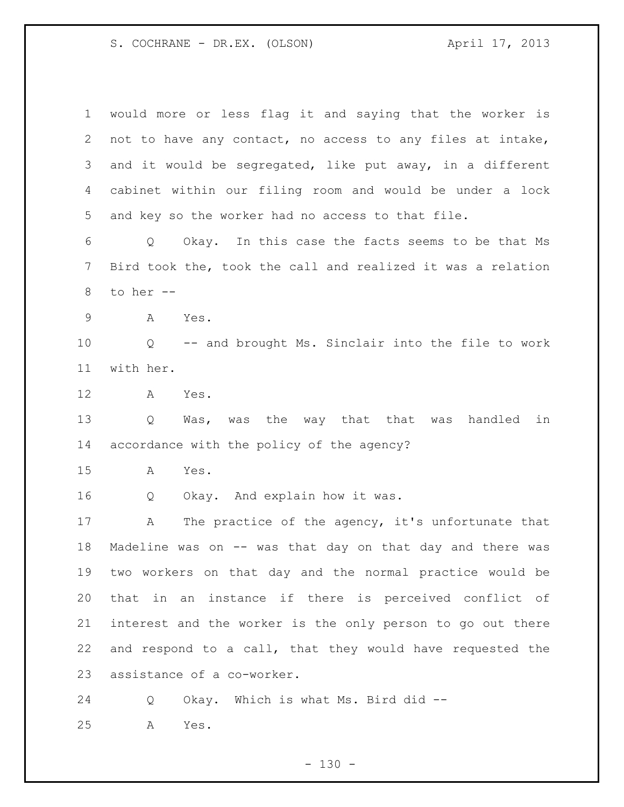would more or less flag it and saying that the worker is not to have any contact, no access to any files at intake, and it would be segregated, like put away, in a different cabinet within our filing room and would be under a lock and key so the worker had no access to that file. Q Okay. In this case the facts seems to be that Ms Bird took the, took the call and realized it was a relation to her -- A Yes. Q -- and brought Ms. Sinclair into the file to work with her. A Yes. Q Was, was the way that that was handled in accordance with the policy of the agency? A Yes. Q Okay. And explain how it was. A The practice of the agency, it's unfortunate that Madeline was on -- was that day on that day and there was two workers on that day and the normal practice would be that in an instance if there is perceived conflict of interest and the worker is the only person to go out there and respond to a call, that they would have requested the assistance of a co-worker. Q Okay. Which is what Ms. Bird did --

A Yes.

 $- 130 -$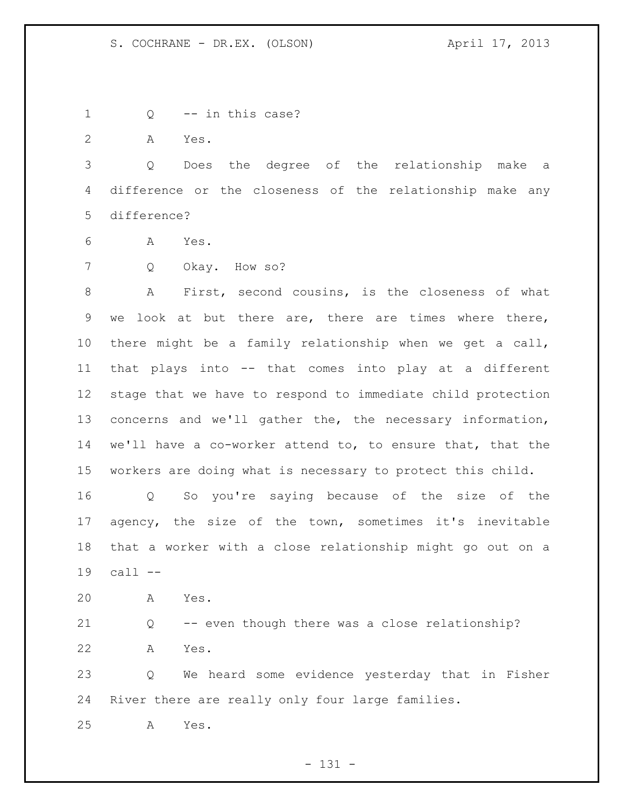- Q -- in this case?
- A Yes.

 Q Does the degree of the relationship make a difference or the closeness of the relationship make any difference?

- A Yes.
- Q Okay. How so?

 A First, second cousins, is the closeness of what we look at but there are, there are times where there, there might be a family relationship when we get a call, that plays into -- that comes into play at a different stage that we have to respond to immediate child protection concerns and we'll gather the, the necessary information, we'll have a co-worker attend to, to ensure that, that the workers are doing what is necessary to protect this child.

 Q So you're saying because of the size of the agency, the size of the town, sometimes it's inevitable that a worker with a close relationship might go out on a call --

 Q -- even though there was a close relationship? A Yes.

 Q We heard some evidence yesterday that in Fisher River there are really only four large families.

A Yes.

A Yes.

- 131 -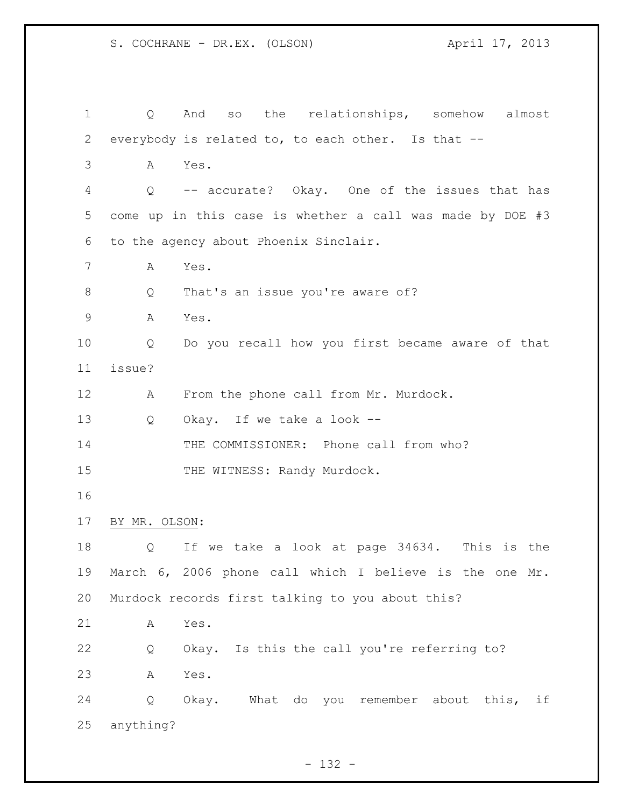| $\mathbf 1$    | Q                 | so the relationships, somehow almost<br>And               |
|----------------|-------------------|-----------------------------------------------------------|
| 2              |                   | everybody is related to, to each other. Is that --        |
| 3              | А                 | Yes.                                                      |
| 4              | $Q \qquad \qquad$ | -- accurate? Okay. One of the issues that has             |
| 5              |                   | come up in this case is whether a call was made by DOE #3 |
| 6              |                   | to the agency about Phoenix Sinclair.                     |
| $\overline{7}$ | Α                 | Yes.                                                      |
| $8\,$          | Q                 | That's an issue you're aware of?                          |
| $\mathsf 9$    | A                 | Yes.                                                      |
| 10             | Q                 | Do you recall how you first became aware of that          |
| 11             | issue?            |                                                           |
| 12             | Α                 | From the phone call from Mr. Murdock.                     |
| 13             | Q                 | Okay. If we take a look --                                |
| 14             |                   | THE COMMISSIONER: Phone call from who?                    |
| 15             |                   | THE WITNESS: Randy Murdock.                               |
| 16             |                   |                                                           |
| 17             | BY MR. OLSON:     |                                                           |
| 18             | Q                 | If we take a look at page 34634. This is the              |
| 19             |                   | March 6, 2006 phone call which I believe is the one Mr.   |
| 20             |                   | Murdock records first talking to you about this?          |
| 21             | Α                 | Yes.                                                      |
| 22             | Q                 | Okay. Is this the call you're referring to?               |
| 23             | Α                 | Yes.                                                      |
| 24             | Q                 | Okay. What do you remember about this,<br>if              |
| 25             | anything?         |                                                           |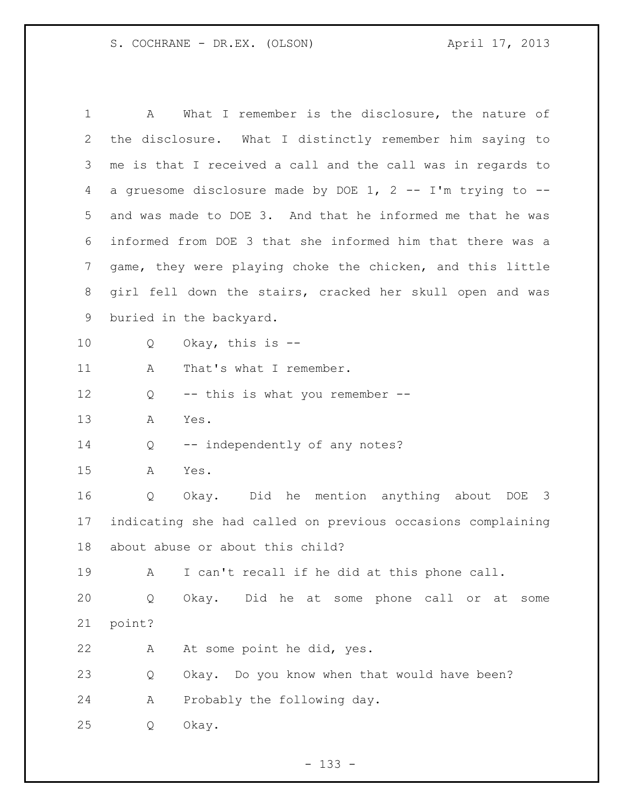| 1              | What I remember is the disclosure, the nature of<br>Α       |
|----------------|-------------------------------------------------------------|
| 2              | the disclosure. What I distinctly remember him saying to    |
| 3              | me is that I received a call and the call was in regards to |
| 4              | a gruesome disclosure made by DOE 1, 2 -- I'm trying to --  |
| 5              | and was made to DOE 3. And that he informed me that he was  |
| 6              | informed from DOE 3 that she informed him that there was a  |
| $\overline{7}$ | game, they were playing choke the chicken, and this little  |
| 8              | girl fell down the stairs, cracked her skull open and was   |
| 9              | buried in the backyard.                                     |
| 10             | Okay, this is $-$ -<br>Q                                    |
| 11             | That's what I remember.<br>Α                                |
| 12             | -- this is what you remember --<br>Q                        |
| 13             | Α<br>Yes.                                                   |
| 14             | -- independently of any notes?<br>Q                         |
| 15             | Yes.<br>А                                                   |
| 16             | Okay. Did he mention anything about DOE 3<br>Q              |
| 17             | indicating she had called on previous occasions complaining |
| 18             | about abuse or about this child?                            |
| 19             | I can't recall if he did at this phone call.<br>Α           |
| 20             | Did he at some phone call or at<br>Okay.<br>Q<br>some       |
| 21             | point?                                                      |
| 22             | At some point he did, yes.<br>Α                             |
| 23             | Okay. Do you know when that would have been?<br>Q           |
| 24             | Probably the following day.<br>Α                            |
| 25             | Okay.<br>Q                                                  |

- 133 -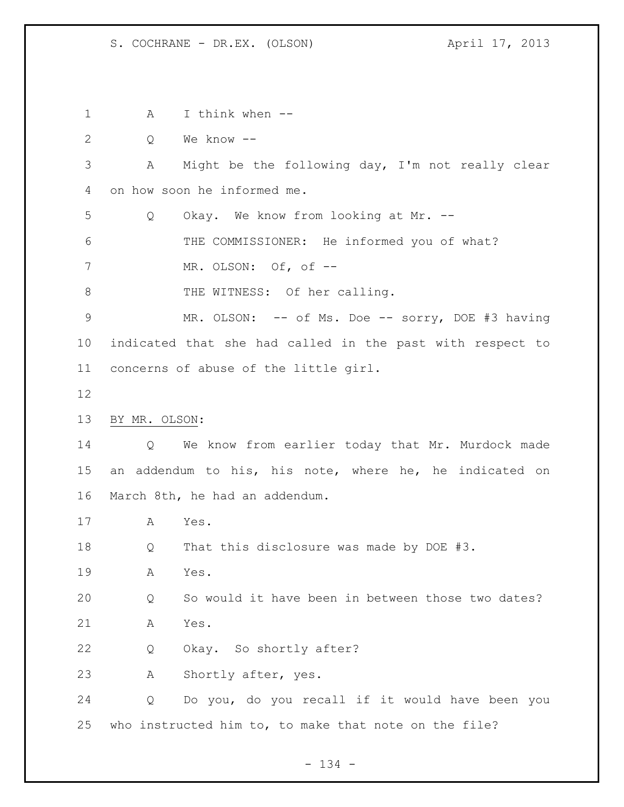1 A I think when -- Q We know -- A Might be the following day, I'm not really clear on how soon he informed me. Q Okay. We know from looking at Mr. -- 6 THE COMMISSIONER: He informed you of what? MR. OLSON: Of, of -- 8 THE WITNESS: Of her calling. 9 MR. OLSON: -- of Ms. Doe -- sorry, DOE #3 having indicated that she had called in the past with respect to concerns of abuse of the little girl. BY MR. OLSON: Q We know from earlier today that Mr. Murdock made an addendum to his, his note, where he, he indicated on March 8th, he had an addendum. A Yes. Q That this disclosure was made by DOE #3. A Yes. Q So would it have been in between those two dates? A Yes. Q Okay. So shortly after? A Shortly after, yes. Q Do you, do you recall if it would have been you who instructed him to, to make that note on the file?

- 134 -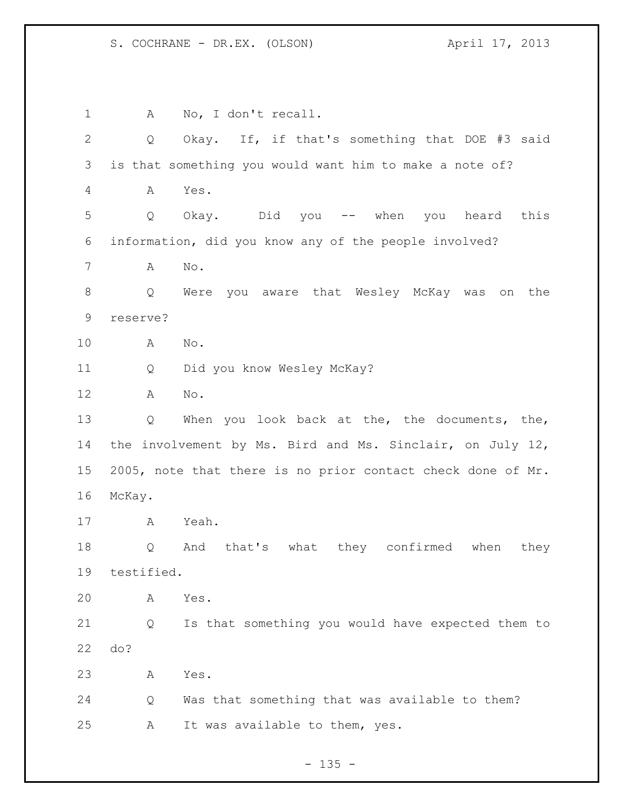1 A No, I don't recall. Q Okay. If, if that's something that DOE #3 said is that something you would want him to make a note of? A Yes. Q Okay. Did you -- when you heard this information, did you know any of the people involved? A No. Q Were you aware that Wesley McKay was on the reserve? A No. Q Did you know Wesley McKay? A No. Q When you look back at the, the documents, the, the involvement by Ms. Bird and Ms. Sinclair, on July 12, 2005, note that there is no prior contact check done of Mr. McKay. A Yeah. Q And that's what they confirmed when they testified. A Yes. Q Is that something you would have expected them to do? A Yes. Q Was that something that was available to them? A It was available to them, yes.

 $- 135 -$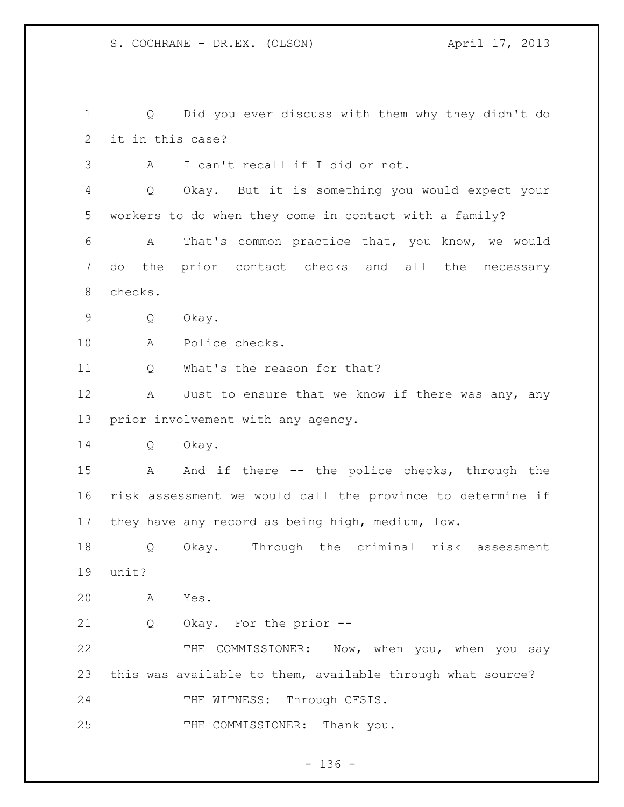Q Did you ever discuss with them why they didn't do it in this case? A I can't recall if I did or not. Q Okay. But it is something you would expect your workers to do when they come in contact with a family? A That's common practice that, you know, we would do the prior contact checks and all the necessary checks. Q Okay. A Police checks. 11 O What's the reason for that? 12 A Just to ensure that we know if there was any, any prior involvement with any agency. Q Okay. 15 A And if there -- the police checks, through the risk assessment we would call the province to determine if they have any record as being high, medium, low. Q Okay. Through the criminal risk assessment unit? A Yes. Q Okay. For the prior -- THE COMMISSIONER: Now, when you, when you say this was available to them, available through what source? 24 THE WITNESS: Through CFSIS. 25 THE COMMISSIONER: Thank you.

 $- 136 -$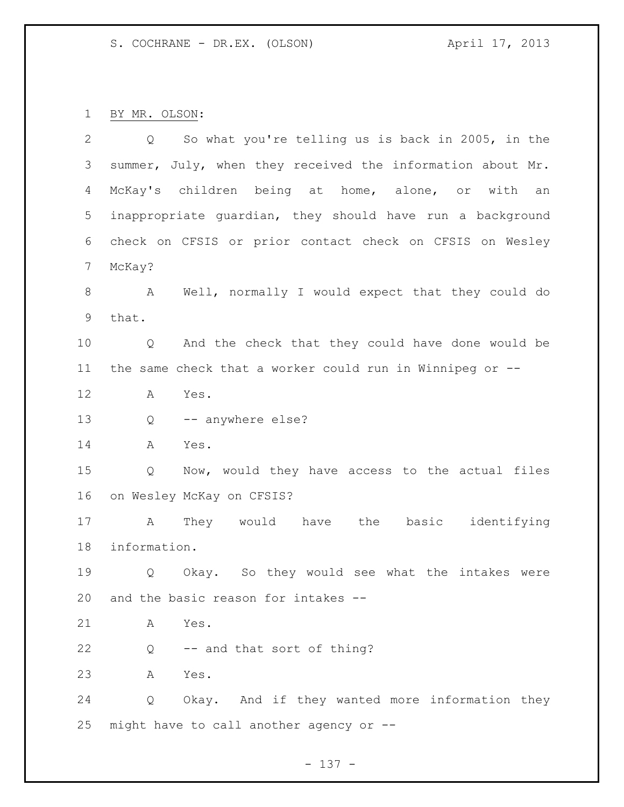BY MR. OLSON:

| $\overline{2}$ | So what you're telling us is back in 2005, in the<br>$Q \qquad \qquad$ |
|----------------|------------------------------------------------------------------------|
| 3              | summer, July, when they received the information about Mr.             |
| 4              | McKay's children being at home, alone, or with an                      |
| 5              | inappropriate quardian, they should have run a background              |
| 6              | check on CFSIS or prior contact check on CFSIS on Wesley               |
| 7              | McKay?                                                                 |
| 8              | A Well, normally I would expect that they could do                     |
| 9              | that.                                                                  |
| 10             | And the check that they could have done would be<br>Q                  |
| 11             | the same check that a worker could run in Winnipeg or --               |
| 12             | Yes.<br>A                                                              |
| 13             | -- anywhere else?<br>Q                                                 |
| 14             | Α<br>Yes.                                                              |
| 15             | Now, would they have access to the actual files<br>Q                   |
| 16             | on Wesley McKay on CFSIS?                                              |
| 17             | They would have the basic identifying<br>$\mathbb A$                   |
| 18             | information.                                                           |
| 19             | Okay. So they would see what the intakes were<br>Q                     |
| 20             | and the basic reason for intakes --                                    |
| 21             | Yes.<br>A                                                              |
| 22             | -- and that sort of thing?<br>Q                                        |
| 23             | Yes.<br>A                                                              |
| 24             | Okay. And if they wanted more information they<br>Q                    |
| 25             | might have to call another agency or --                                |

- 137 -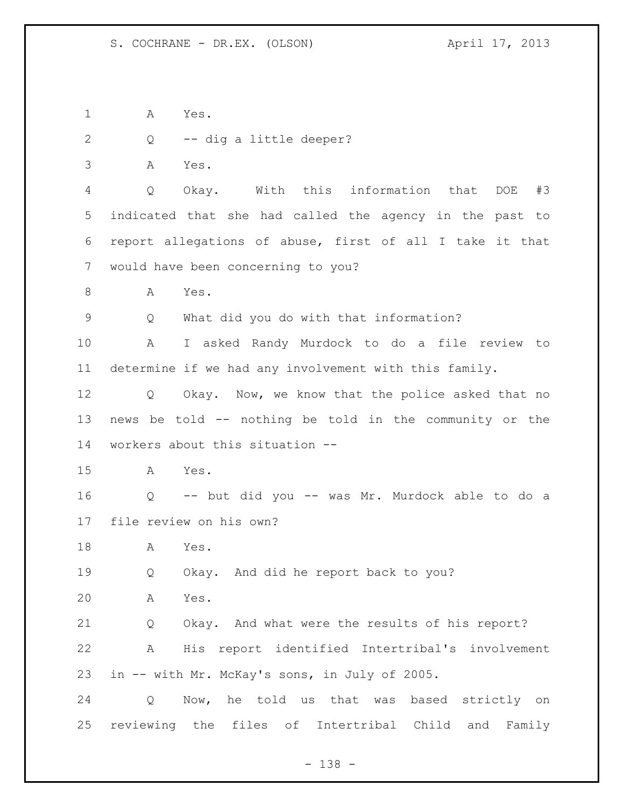A Yes.

Q -- dig a little deeper?

A Yes.

 Q Okay. With this information that DOE #3 indicated that she had called the agency in the past to report allegations of abuse, first of all I take it that would have been concerning to you?

A Yes.

Q What did you do with that information?

 A I asked Randy Murdock to do a file review to determine if we had any involvement with this family.

 Q Okay. Now, we know that the police asked that no news be told -- nothing be told in the community or the workers about this situation --

A Yes.

 Q -- but did you -- was Mr. Murdock able to do a file review on his own?

A Yes.

Q Okay. And did he report back to you?

A Yes.

 Q Okay. And what were the results of his report? A His report identified Intertribal's involvement in -- with Mr. McKay's sons, in July of 2005.

 Q Now, he told us that was based strictly on reviewing the files of Intertribal Child and Family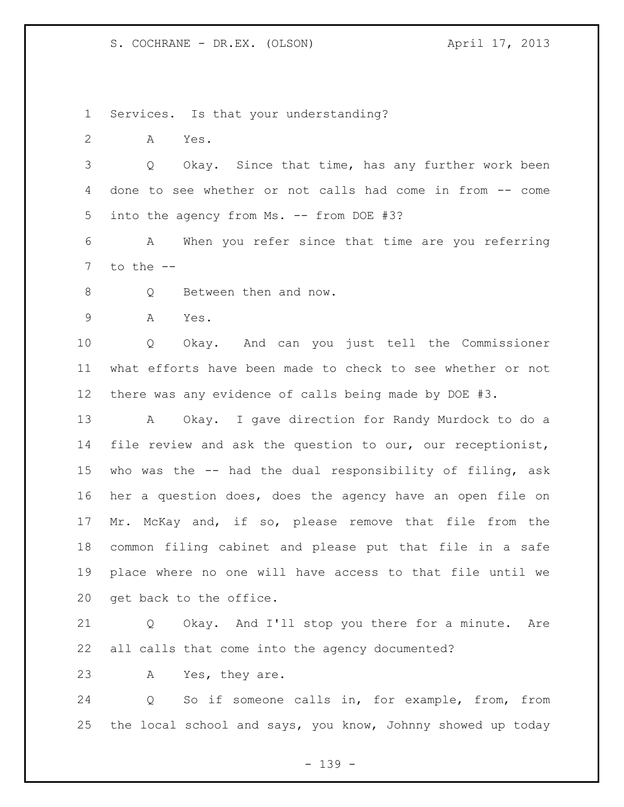Services. Is that your understanding?

A Yes.

 Q Okay. Since that time, has any further work been done to see whether or not calls had come in from -- come into the agency from Ms. -- from DOE #3?

 A When you refer since that time are you referring to the  $-$ 

8 Q Between then and now.

A Yes.

 Q Okay. And can you just tell the Commissioner what efforts have been made to check to see whether or not there was any evidence of calls being made by DOE #3.

 A Okay. I gave direction for Randy Murdock to do a file review and ask the question to our, our receptionist, who was the -- had the dual responsibility of filing, ask her a question does, does the agency have an open file on Mr. McKay and, if so, please remove that file from the common filing cabinet and please put that file in a safe place where no one will have access to that file until we get back to the office.

 Q Okay. And I'll stop you there for a minute. Are all calls that come into the agency documented?

A Yes, they are.

 Q So if someone calls in, for example, from, from the local school and says, you know, Johnny showed up today

- 139 -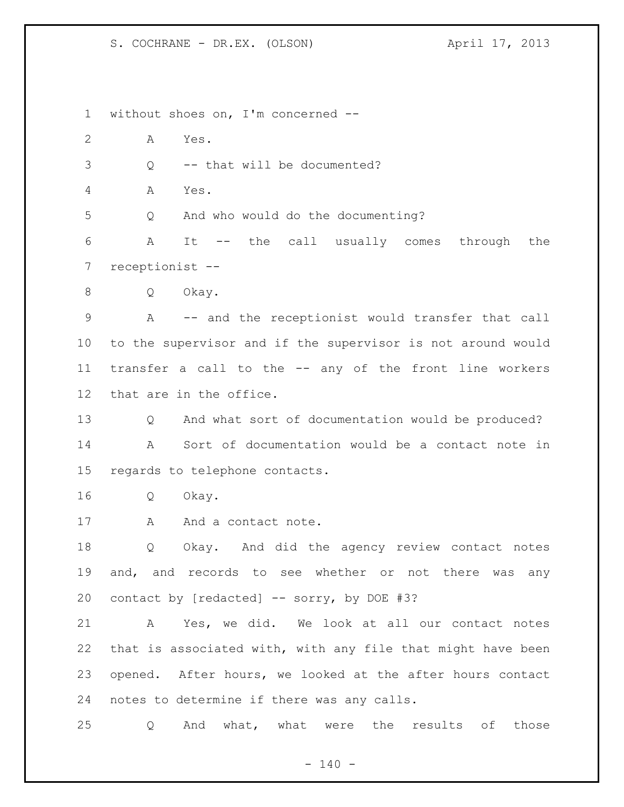without shoes on, I'm concerned -- A Yes. Q -- that will be documented? A Yes. Q And who would do the documenting? A It -- the call usually comes through the receptionist -- Q Okay. A -- and the receptionist would transfer that call to the supervisor and if the supervisor is not around would transfer a call to the -- any of the front line workers that are in the office. 13 O And what sort of documentation would be produced? A Sort of documentation would be a contact note in regards to telephone contacts. Q Okay. 17 A And a contact note. Q Okay. And did the agency review contact notes and, and records to see whether or not there was any contact by [redacted] -- sorry, by DOE #3? A Yes, we did. We look at all our contact notes that is associated with, with any file that might have been opened. After hours, we looked at the after hours contact notes to determine if there was any calls. Q And what, what were the results of those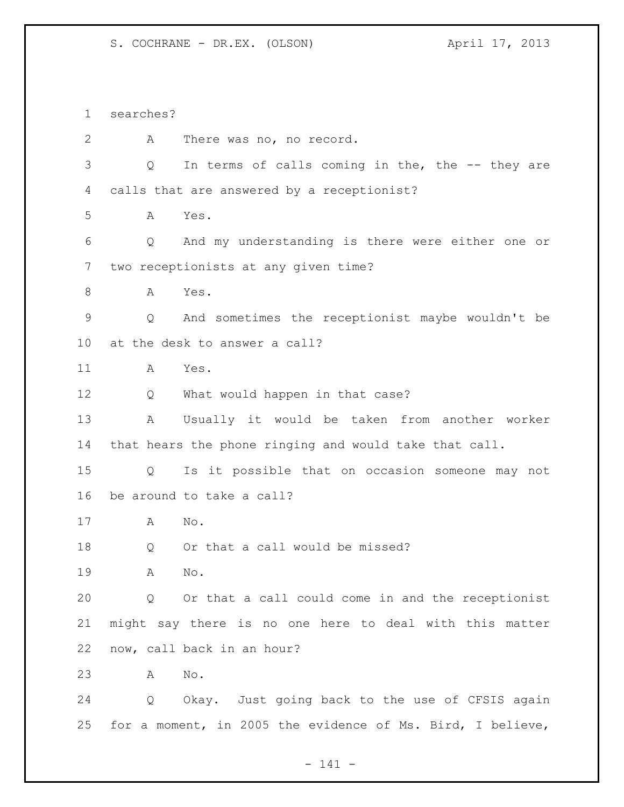searches? A There was no, no record. Q In terms of calls coming in the, the -- they are calls that are answered by a receptionist? A Yes. Q And my understanding is there were either one or two receptionists at any given time? A Yes. Q And sometimes the receptionist maybe wouldn't be at the desk to answer a call? A Yes. Q What would happen in that case? A Usually it would be taken from another worker that hears the phone ringing and would take that call. Q Is it possible that on occasion someone may not be around to take a call? A No. 18 Q Or that a call would be missed? A No. Q Or that a call could come in and the receptionist might say there is no one here to deal with this matter now, call back in an hour? A No. Q Okay. Just going back to the use of CFSIS again for a moment, in 2005 the evidence of Ms. Bird, I believe,

- 141 -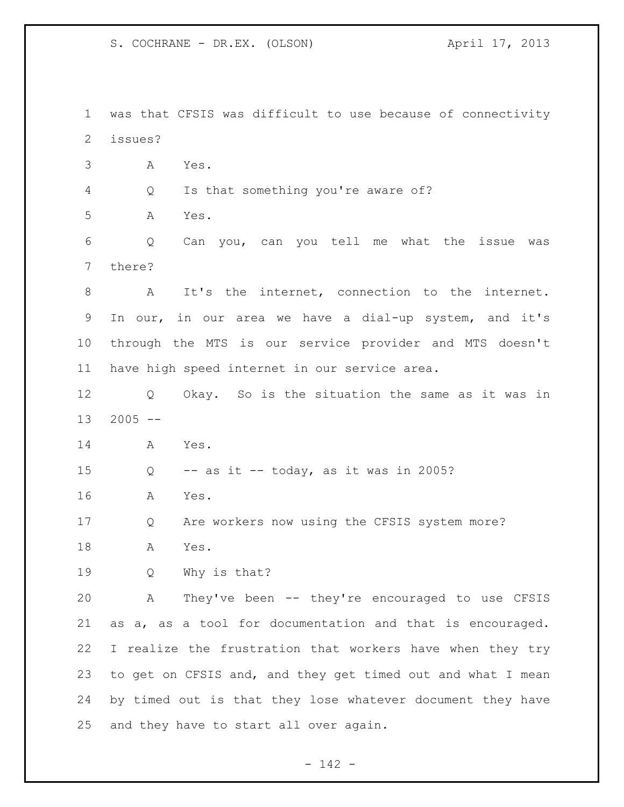S. COCHRANE - DR.EX. (OLSON) April 17, 2013

 was that CFSIS was difficult to use because of connectivity issues? A Yes. Q Is that something you're aware of? A Yes. Q Can you, can you tell me what the issue was there? A It's the internet, connection to the internet. In our, in our area we have a dial-up system, and it's through the MTS is our service provider and MTS doesn't have high speed internet in our service area. Q Okay. So is the situation the same as it was in 2005  $-$  A Yes.  $Q$  -- as it -- today, as it was in 2005? A Yes. Q Are workers now using the CFSIS system more? A Yes. Q Why is that? A They've been -- they're encouraged to use CFSIS as a, as a tool for documentation and that is encouraged. I realize the frustration that workers have when they try to get on CFSIS and, and they get timed out and what I mean by timed out is that they lose whatever document they have and they have to start all over again.

- 142 -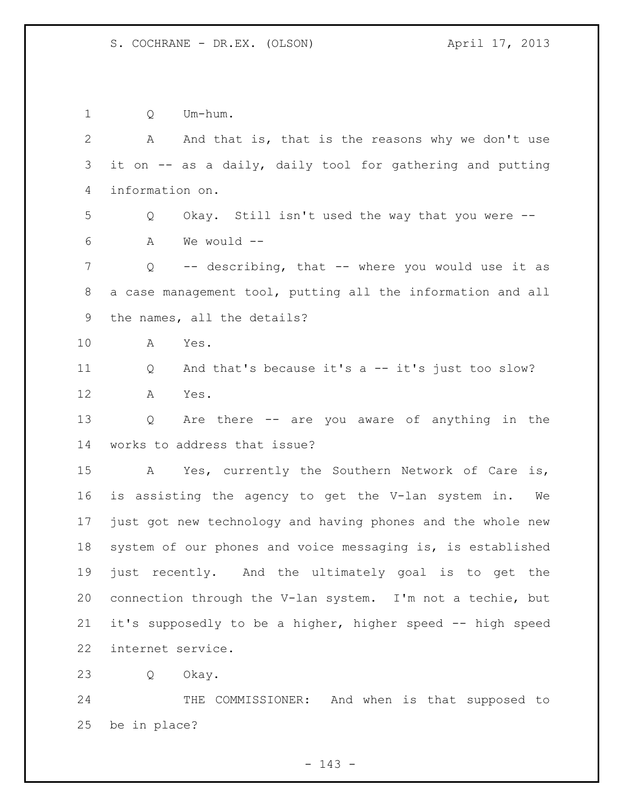Q Um-hum. A And that is, that is the reasons why we don't use it on -- as a daily, daily tool for gathering and putting information on. Q Okay. Still isn't used the way that you were -- A We would -- Q -- describing, that -- where you would use it as a case management tool, putting all the information and all the names, all the details? A Yes. Q And that's because it's a -- it's just too slow? A Yes. Q Are there -- are you aware of anything in the works to address that issue? A Yes, currently the Southern Network of Care is, is assisting the agency to get the V-lan system in. We just got new technology and having phones and the whole new system of our phones and voice messaging is, is established just recently. And the ultimately goal is to get the connection through the V-lan system. I'm not a techie, but it's supposedly to be a higher, higher speed -- high speed internet service. Q Okay.

 THE COMMISSIONER: And when is that supposed to be in place?

- 143 -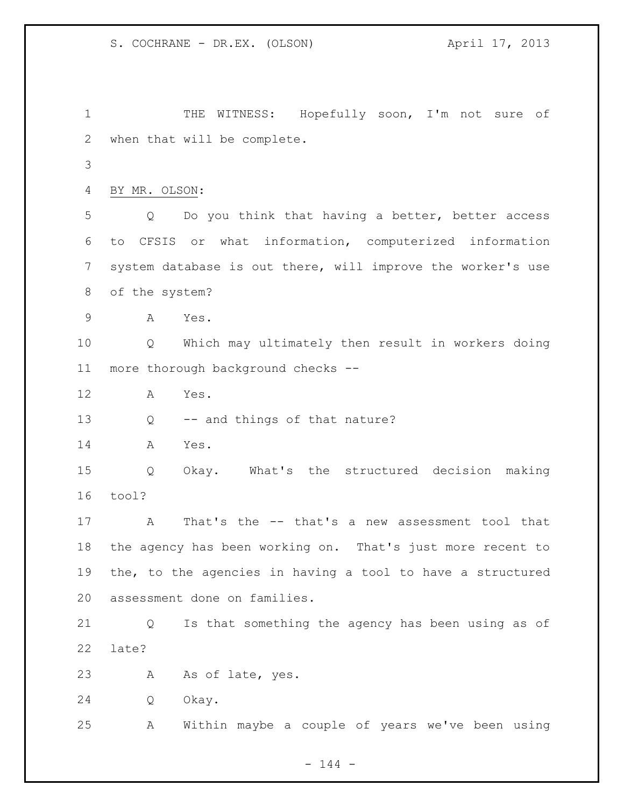THE WITNESS: Hopefully soon, I'm not sure of when that will be complete. BY MR. OLSON: Q Do you think that having a better, better access to CFSIS or what information, computerized information system database is out there, will improve the worker's use of the system? A Yes. Q Which may ultimately then result in workers doing more thorough background checks -- A Yes. Q -- and things of that nature? A Yes. Q Okay. What's the structured decision making tool? A That's the -- that's a new assessment tool that the agency has been working on. That's just more recent to the, to the agencies in having a tool to have a structured assessment done on families. Q Is that something the agency has been using as of late? A As of late, yes. Q Okay. A Within maybe a couple of years we've been using

 $- 144 -$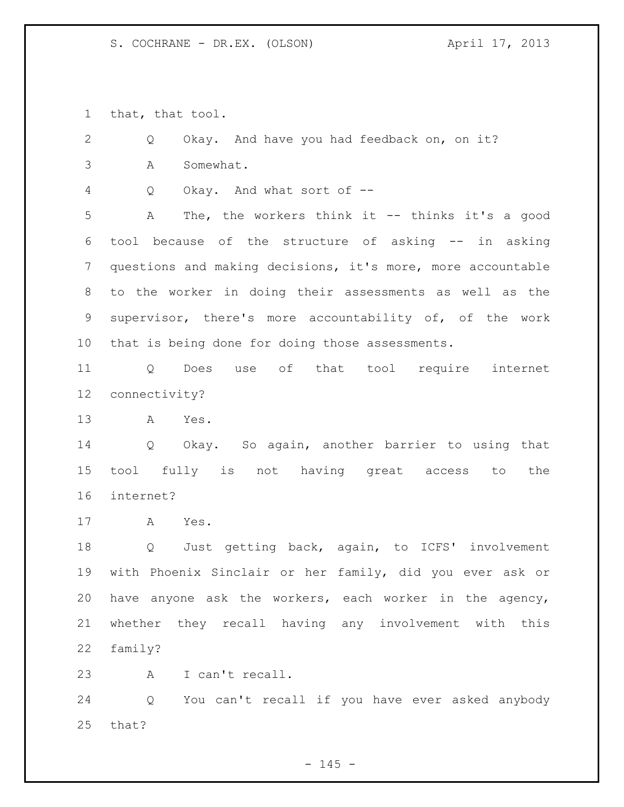that, that tool.

 Q Okay. And have you had feedback on, on it? A Somewhat. Q Okay. And what sort of -- A The, the workers think it -- thinks it's a good tool because of the structure of asking -- in asking questions and making decisions, it's more, more accountable to the worker in doing their assessments as well as the supervisor, there's more accountability of, of the work that is being done for doing those assessments. Q Does use of that tool require internet connectivity? A Yes. Q Okay. So again, another barrier to using that tool fully is not having great access to the internet? A Yes. Q Just getting back, again, to ICFS' involvement with Phoenix Sinclair or her family, did you ever ask or have anyone ask the workers, each worker in the agency, whether they recall having any involvement with this family? A I can't recall. Q You can't recall if you have ever asked anybody

that?

 $- 145 -$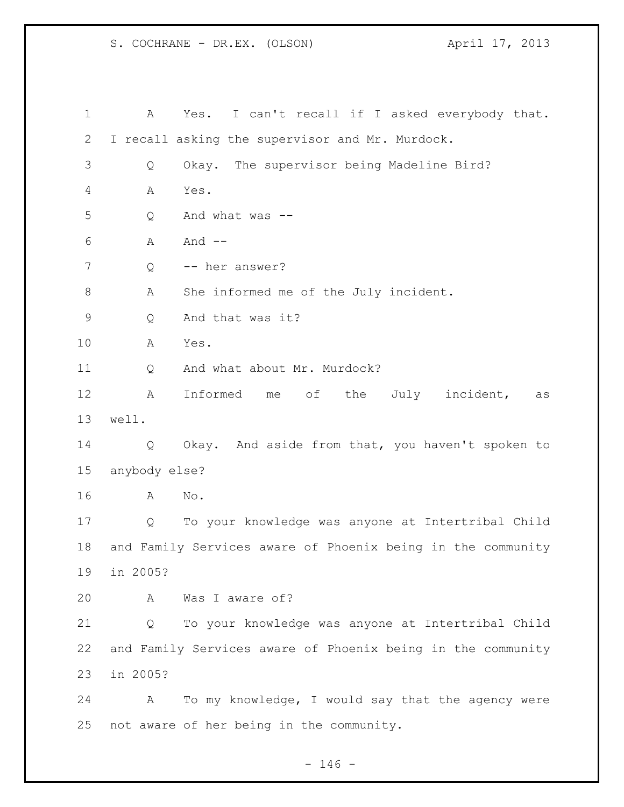S. COCHRANE - DR.EX. (OLSON) April 17, 2013

 A Yes. I can't recall if I asked everybody that. I recall asking the supervisor and Mr. Murdock. Q Okay. The supervisor being Madeline Bird? A Yes. Q And what was -- A And -- 7 Q -- her answer? A She informed me of the July incident. Q And that was it? A Yes. 11 Q And what about Mr. Murdock? A Informed me of the July incident, as well. Q Okay. And aside from that, you haven't spoken to anybody else? A No. Q To your knowledge was anyone at Intertribal Child and Family Services aware of Phoenix being in the community in 2005? A Was I aware of? Q To your knowledge was anyone at Intertribal Child and Family Services aware of Phoenix being in the community in 2005? A To my knowledge, I would say that the agency were not aware of her being in the community.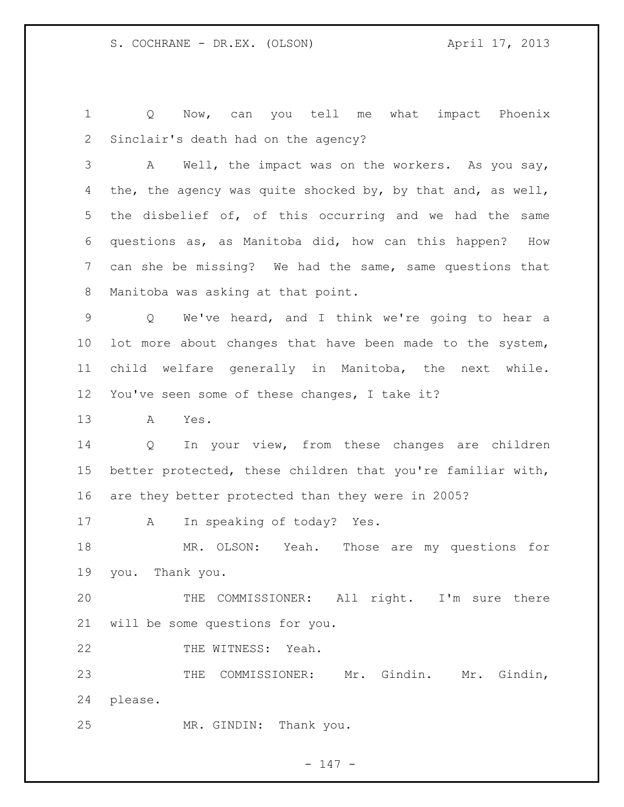Q Now, can you tell me what impact Phoenix Sinclair's death had on the agency?

 A Well, the impact was on the workers. As you say, 4 the, the agency was quite shocked by, by that and, as well, the disbelief of, of this occurring and we had the same questions as, as Manitoba did, how can this happen? How can she be missing? We had the same, same questions that Manitoba was asking at that point.

 Q We've heard, and I think we're going to hear a lot more about changes that have been made to the system, child welfare generally in Manitoba, the next while. You've seen some of these changes, I take it?

A Yes.

 Q In your view, from these changes are children better protected, these children that you're familiar with, are they better protected than they were in 2005?

A In speaking of today? Yes.

 MR. OLSON: Yeah. Those are my questions for you. Thank you.

 THE COMMISSIONER: All right. I'm sure there will be some questions for you.

22 THE WITNESS: Yeah.

 THE COMMISSIONER: Mr. Gindin. Mr. Gindin, please.

MR. GINDIN: Thank you.

- 147 -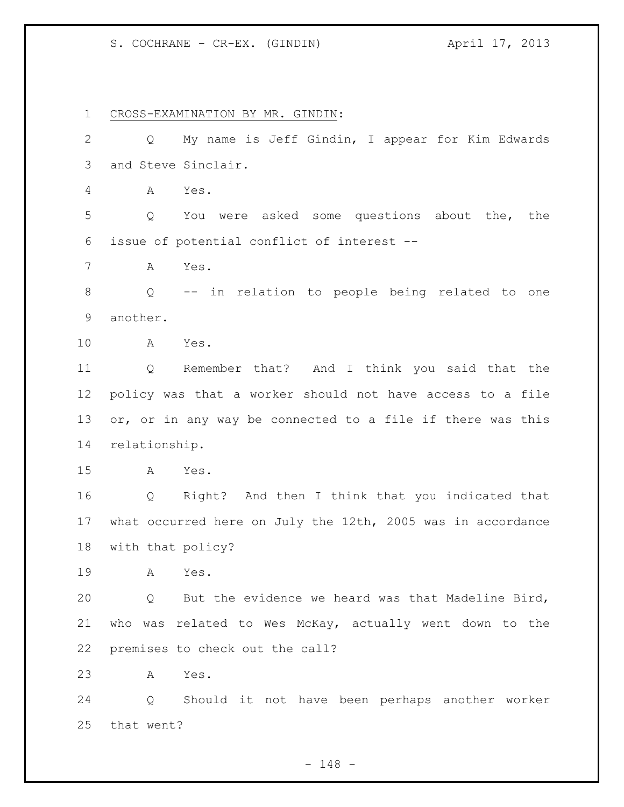## S. COCHRANE - CR-EX. (GINDIN) (April 17, 2013)

 CROSS-EXAMINATION BY MR. GINDIN: Q My name is Jeff Gindin, I appear for Kim Edwards and Steve Sinclair. A Yes. Q You were asked some questions about the, the issue of potential conflict of interest -- A Yes. Q -- in relation to people being related to one another. A Yes. Q Remember that? And I think you said that the policy was that a worker should not have access to a file 13 or, or in any way be connected to a file if there was this relationship. A Yes. Q Right? And then I think that you indicated that what occurred here on July the 12th, 2005 was in accordance with that policy? A Yes. Q But the evidence we heard was that Madeline Bird, who was related to Wes McKay, actually went down to the premises to check out the call? A Yes. Q Should it not have been perhaps another worker that went?

- 148 -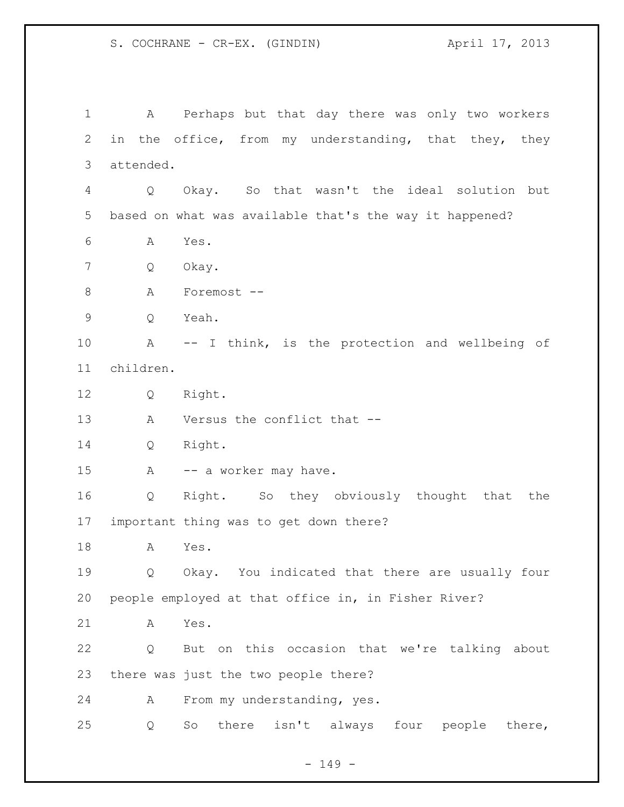S. COCHRANE - CR-EX. (GINDIN) (April 17, 2013)

 A Perhaps but that day there was only two workers in the office, from my understanding, that they, they attended. Q Okay. So that wasn't the ideal solution but based on what was available that's the way it happened? A Yes. Q Okay. A Foremost -- Q Yeah. A -- I think, is the protection and wellbeing of children. Q Right. A Versus the conflict that -- Q Right. 15 A -- a worker may have. Q Right. So they obviously thought that the important thing was to get down there? A Yes. Q Okay. You indicated that there are usually four people employed at that office in, in Fisher River? A Yes. Q But on this occasion that we're talking about there was just the two people there? A From my understanding, yes. Q So there isn't always four people there,

 $- 149 -$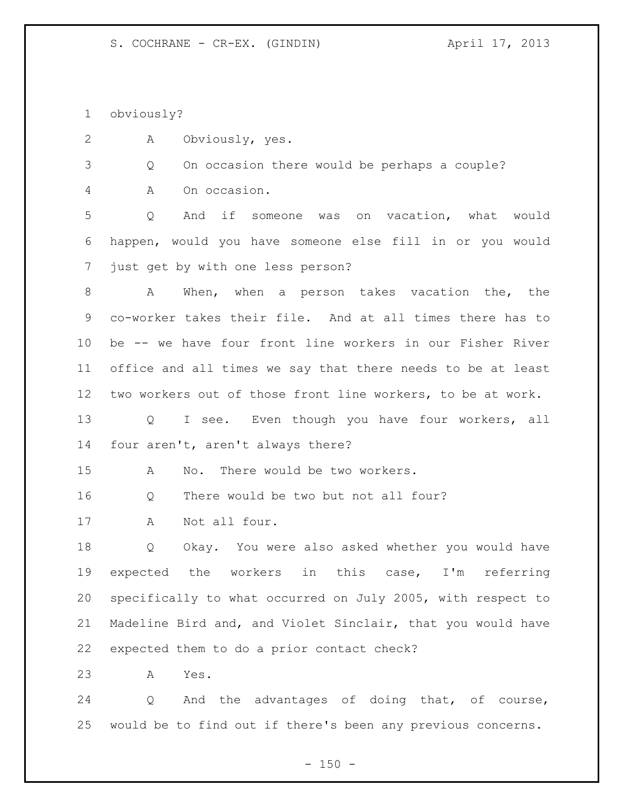obviously?

A Obviously, yes.

Q On occasion there would be perhaps a couple?

A On occasion.

 Q And if someone was on vacation, what would happen, would you have someone else fill in or you would just get by with one less person?

 A When, when a person takes vacation the, the co-worker takes their file. And at all times there has to be -- we have four front line workers in our Fisher River office and all times we say that there needs to be at least two workers out of those front line workers, to be at work.

13 Q I see. Even though you have four workers, all four aren't, aren't always there?

A No. There would be two workers.

Q There would be two but not all four?

A Not all four.

 Q Okay. You were also asked whether you would have expected the workers in this case, I'm referring specifically to what occurred on July 2005, with respect to Madeline Bird and, and Violet Sinclair, that you would have expected them to do a prior contact check?

A Yes.

 Q And the advantages of doing that, of course, would be to find out if there's been any previous concerns.

 $- 150 -$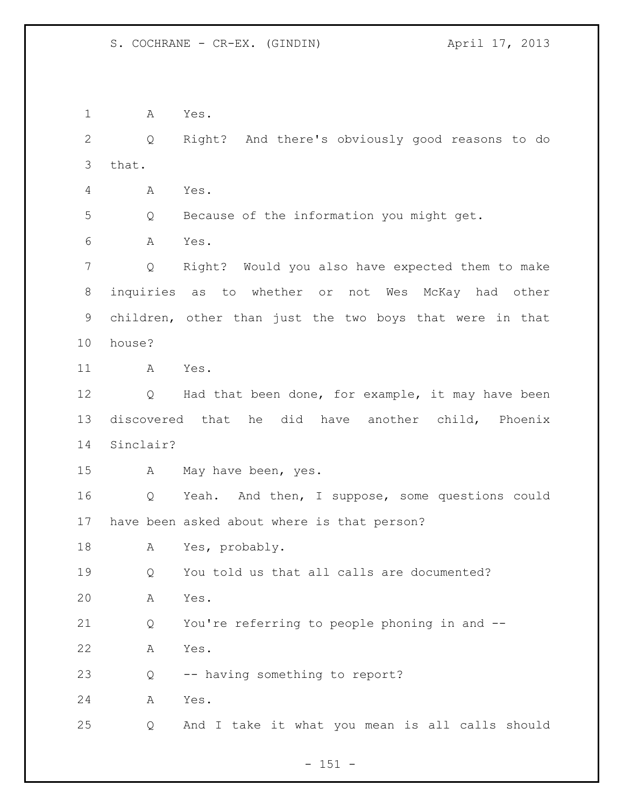A Yes. Q Right? And there's obviously good reasons to do that. A Yes. Q Because of the information you might get. A Yes. Q Right? Would you also have expected them to make inquiries as to whether or not Wes McKay had other children, other than just the two boys that were in that house? A Yes. 12 Q Had that been done, for example, it may have been discovered that he did have another child, Phoenix Sinclair? A May have been, yes. Q Yeah. And then, I suppose, some questions could have been asked about where is that person? A Yes, probably. Q You told us that all calls are documented? A Yes. Q You're referring to people phoning in and -- A Yes. Q -- having something to report? A Yes. Q And I take it what you mean is all calls should

 $- 151 -$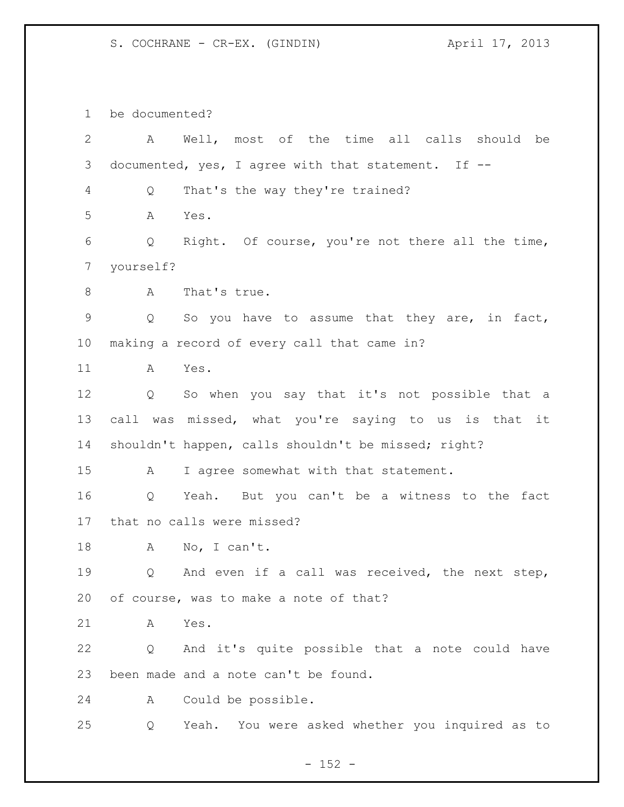S. COCHRANE - CR-EX. (GINDIN) April 17, 2013

be documented?

| $\overline{2}$ | A         | Well, most of the time all calls should be           |
|----------------|-----------|------------------------------------------------------|
| 3              |           | documented, yes, I agree with that statement. If --  |
| 4              | Q         | That's the way they're trained?                      |
| 5              | A         | Yes.                                                 |
| 6              | Q         | Right. Of course, you're not there all the time,     |
| 7              | yourself? |                                                      |
| 8              | A         | That's true.                                         |
| $\mathsf 9$    | Q         | So you have to assume that they are, in fact,        |
| $10 \,$        |           | making a record of every call that came in?          |
| 11             | A         | Yes.                                                 |
| 12             | Q         | So when you say that it's not possible that a        |
| 13             |           | call was missed, what you're saying to us is that it |
| 14             |           | shouldn't happen, calls shouldn't be missed; right?  |
| 15             | A         | I agree somewhat with that statement.                |
| 16             | Q         | Yeah. But you can't be a witness to the fact         |
| 17             |           | that no calls were missed?                           |
| 18             | A         | No, I can't.                                         |
| 19             | Q         | And even if a call was received, the next step,      |
| 20             |           | of course, was to make a note of that?               |
| 21             | A         | Yes.                                                 |
| 22             | Q         | And it's quite possible that a note could have       |
| 23             |           | been made and a note can't be found.                 |
| 24             | A         | Could be possible.                                   |
| 25             | Q         | Yeah. You were asked whether you inquired as to      |

- 152 -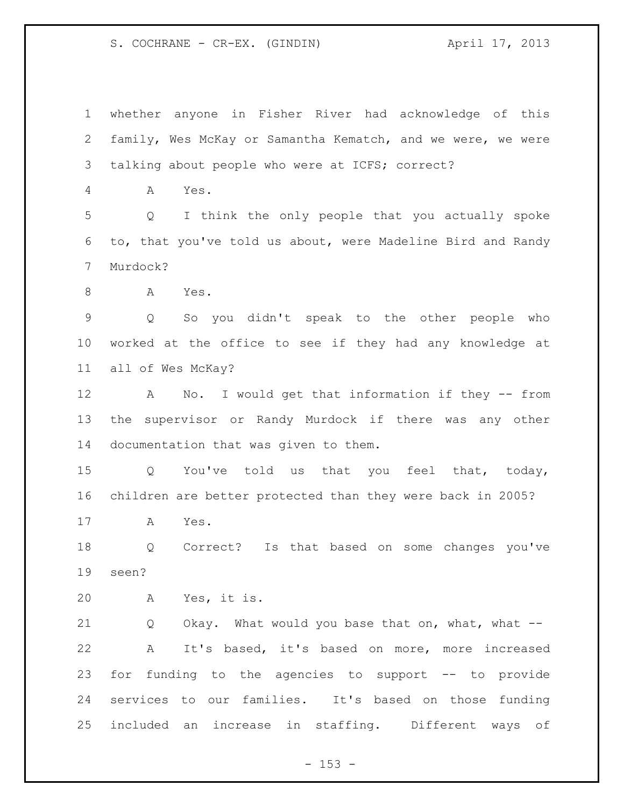S. COCHRANE - CR-EX. (GINDIN) (April 17, 2013)

 whether anyone in Fisher River had acknowledge of this family, Wes McKay or Samantha Kematch, and we were, we were talking about people who were at ICFS; correct?

A Yes.

 Q I think the only people that you actually spoke to, that you've told us about, were Madeline Bird and Randy Murdock?

A Yes.

 Q So you didn't speak to the other people who worked at the office to see if they had any knowledge at all of Wes McKay?

 A No. I would get that information if they -- from the supervisor or Randy Murdock if there was any other documentation that was given to them.

 Q You've told us that you feel that, today, children are better protected than they were back in 2005?

A Yes.

 Q Correct? Is that based on some changes you've seen?

A Yes, it is.

21 Q Okay. What would you base that on, what, what -- A It's based, it's based on more, more increased for funding to the agencies to support -- to provide services to our families. It's based on those funding included an increase in staffing. Different ways of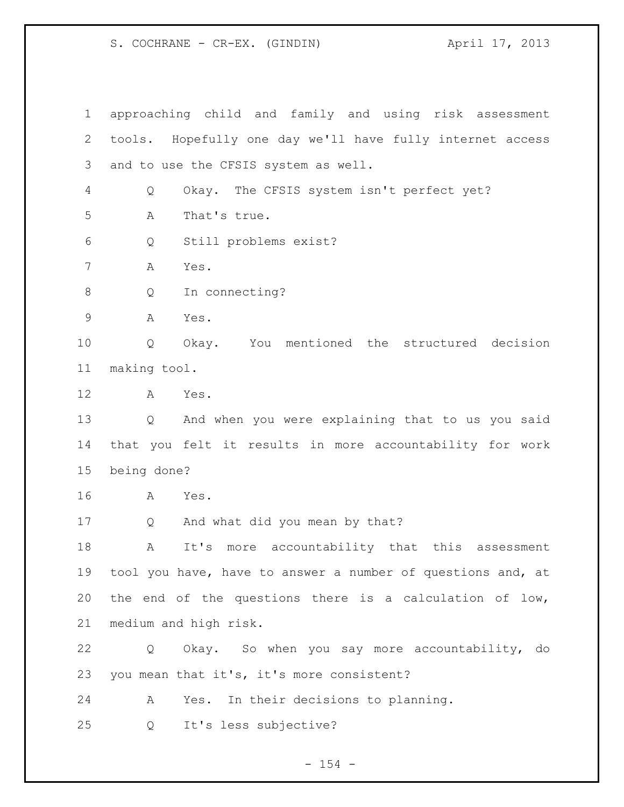S. COCHRANE - CR-EX. (GINDIN) (April 17, 2013)

 approaching child and family and using risk assessment tools. Hopefully one day we'll have fully internet access and to use the CFSIS system as well. Q Okay. The CFSIS system isn't perfect yet? A That's true. Q Still problems exist? A Yes. Q In connecting? A Yes. Q Okay. You mentioned the structured decision making tool. A Yes. Q And when you were explaining that to us you said that you felt it results in more accountability for work being done? A Yes. Q And what did you mean by that? A It's more accountability that this assessment tool you have, have to answer a number of questions and, at 20 the end of the questions there is a calculation of low, medium and high risk. Q Okay. So when you say more accountability, do you mean that it's, it's more consistent? A Yes. In their decisions to planning. Q It's less subjective?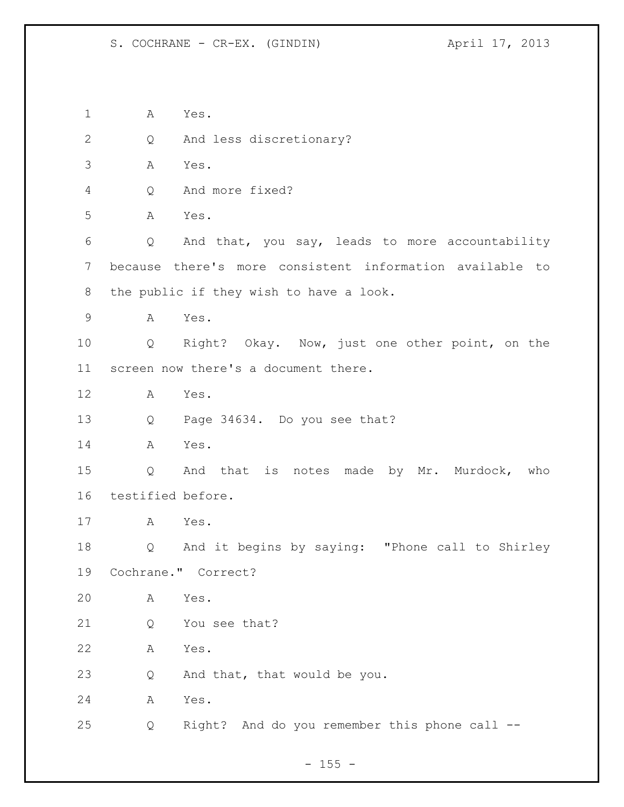A Yes. Q And less discretionary? A Yes. Q And more fixed? A Yes. Q And that, you say, leads to more accountability because there's more consistent information available to the public if they wish to have a look. A Yes. Q Right? Okay. Now, just one other point, on the screen now there's a document there. A Yes. Q Page 34634. Do you see that? A Yes. Q And that is notes made by Mr. Murdock, who testified before. A Yes. Q And it begins by saying: "Phone call to Shirley Cochrane." Correct? A Yes. Q You see that? A Yes. Q And that, that would be you. A Yes. Q Right? And do you remember this phone call --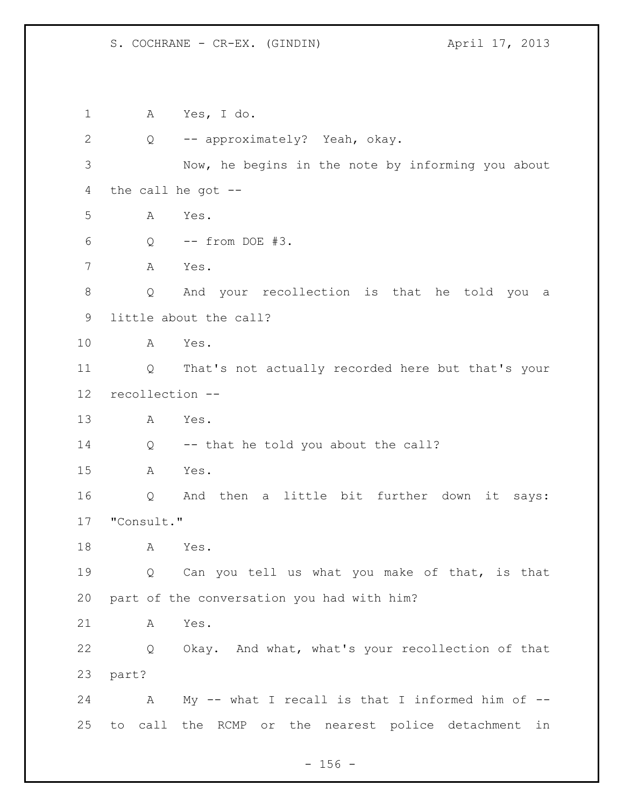S. COCHRANE - CR-EX. (GINDIN) April 17, 2013

 A Yes, I do. Q -- approximately? Yeah, okay. Now, he begins in the note by informing you about the call he got -- A Yes. Q -- from DOE #3. A Yes. Q And your recollection is that he told you a little about the call? A Yes. Q That's not actually recorded here but that's your recollection -- A Yes. Q -- that he told you about the call? A Yes. Q And then a little bit further down it says: "Consult." A Yes. Q Can you tell us what you make of that, is that part of the conversation you had with him? A Yes. Q Okay. And what, what's your recollection of that part? 24 A My -- what I recall is that I informed him of --to call the RCMP or the nearest police detachment in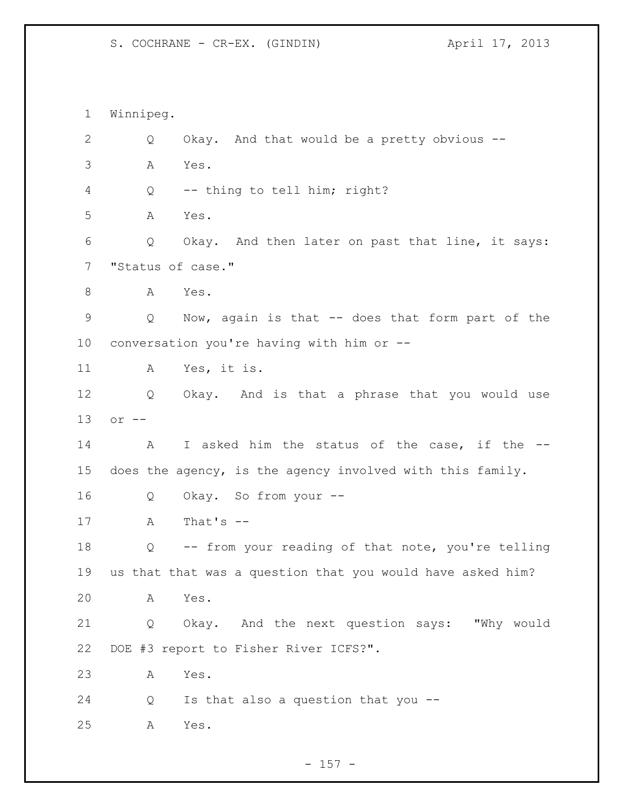S. COCHRANE - CR-EX. (GINDIN) April 17, 2013

 Winnipeg. Q Okay. And that would be a pretty obvious -- A Yes. Q -- thing to tell him; right? A Yes. Q Okay. And then later on past that line, it says: "Status of case." 8 A Yes. Q Now, again is that -- does that form part of the conversation you're having with him or -- A Yes, it is. Q Okay. And is that a phrase that you would use or -- A I asked him the status of the case, if the -- does the agency, is the agency involved with this family. Q Okay. So from your -- A That's -- Q -- from your reading of that note, you're telling us that that was a question that you would have asked him? A Yes. Q Okay. And the next question says: "Why would DOE #3 report to Fisher River ICFS?". A Yes. Q Is that also a question that you -- A Yes.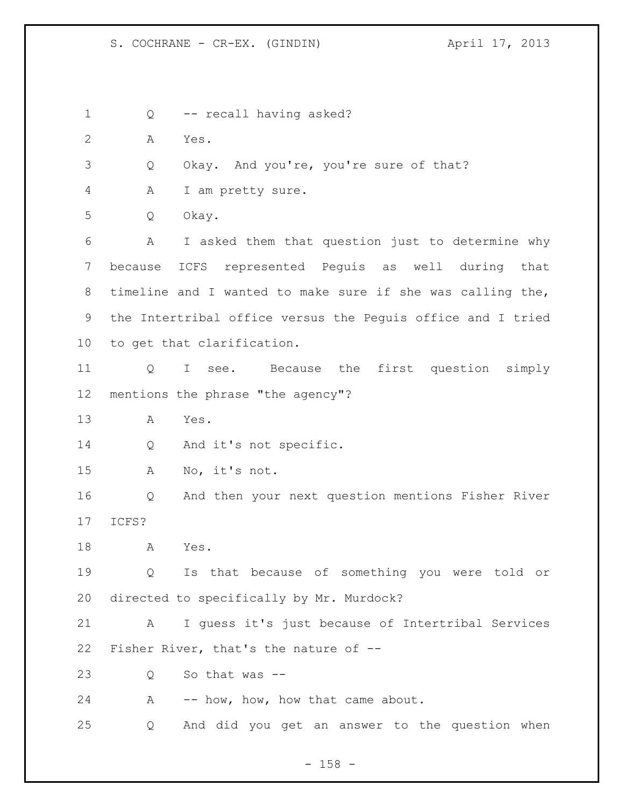S. COCHRANE - CR-EX. (GINDIN) (April 17, 2013)

 Q -- recall having asked? A Yes. Q Okay. And you're, you're sure of that? A I am pretty sure. Q Okay. A I asked them that question just to determine why because ICFS represented Peguis as well during that timeline and I wanted to make sure if she was calling the, the Intertribal office versus the Peguis office and I tried to get that clarification. Q I see. Because the first question simply mentions the phrase "the agency"? A Yes. 14 Q And it's not specific. A No, it's not. Q And then your next question mentions Fisher River ICFS? A Yes. Q Is that because of something you were told or directed to specifically by Mr. Murdock? A I guess it's just because of Intertribal Services Fisher River, that's the nature of -- Q So that was -- 24 A -- how, how, how that came about. Q And did you get an answer to the question when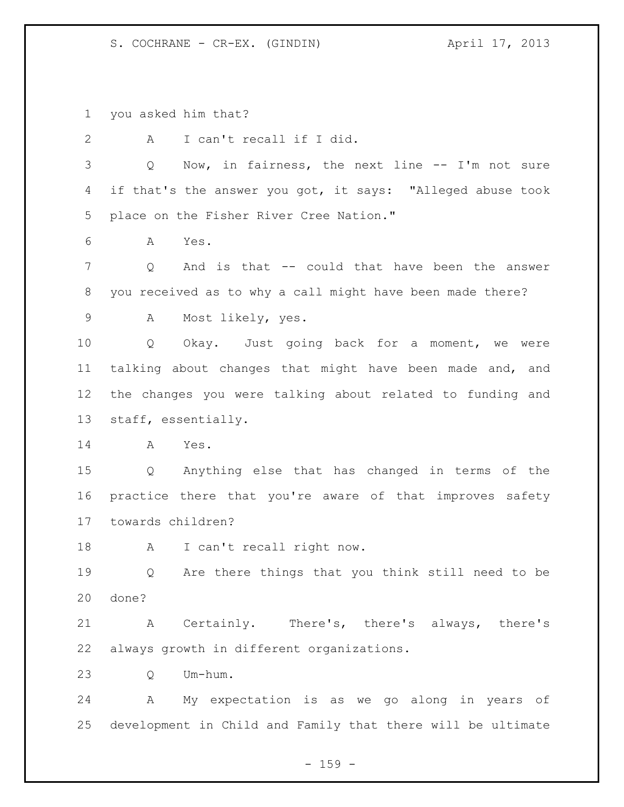S. COCHRANE - CR-EX. (GINDIN) (April 17, 2013)

you asked him that?

 A I can't recall if I did. Q Now, in fairness, the next line -- I'm not sure if that's the answer you got, it says: "Alleged abuse took place on the Fisher River Cree Nation." A Yes. Q And is that -- could that have been the answer you received as to why a call might have been made there? A Most likely, yes. Q Okay. Just going back for a moment, we were talking about changes that might have been made and, and the changes you were talking about related to funding and staff, essentially. A Yes. Q Anything else that has changed in terms of the practice there that you're aware of that improves safety towards children? 18 A I can't recall right now. Q Are there things that you think still need to be done? A Certainly. There's, there's always, there's always growth in different organizations. Q Um-hum. A My expectation is as we go along in years of development in Child and Family that there will be ultimate

 $- 159 -$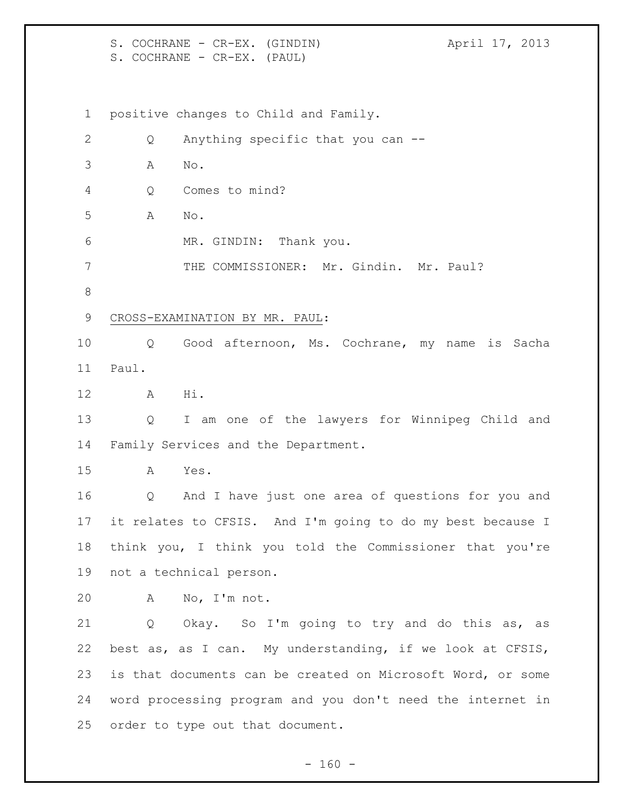S. COCHRANE - CR-EX. (GINDIN) (April 17, 2013) S. COCHRANE - CR-EX. (PAUL) positive changes to Child and Family. 2 Q Anything specific that you can -- A No. Q Comes to mind? A No. MR. GINDIN: Thank you. THE COMMISSIONER: Mr. Gindin. Mr. Paul? CROSS-EXAMINATION BY MR. PAUL: Q Good afternoon, Ms. Cochrane, my name is Sacha Paul. A Hi. Q I am one of the lawyers for Winnipeg Child and Family Services and the Department. A Yes. Q And I have just one area of questions for you and it relates to CFSIS. And I'm going to do my best because I think you, I think you told the Commissioner that you're not a technical person. A No, I'm not. Q Okay. So I'm going to try and do this as, as best as, as I can. My understanding, if we look at CFSIS, is that documents can be created on Microsoft Word, or some word processing program and you don't need the internet in order to type out that document.

 $- 160 -$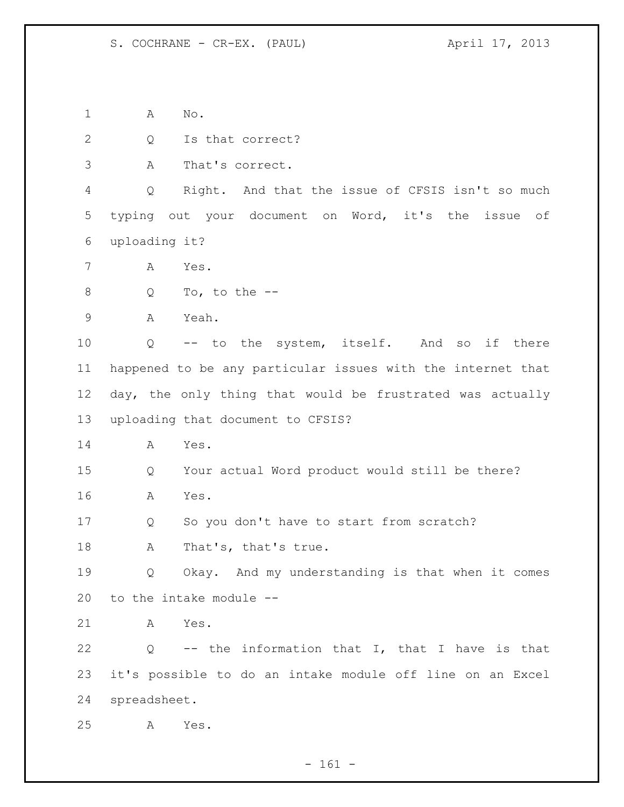A No.

2 Q Is that correct?

A That's correct.

 Q Right. And that the issue of CFSIS isn't so much typing out your document on Word, it's the issue of uploading it?

A Yes.

Q To, to the --

A Yeah.

 Q -- to the system, itself. And so if there happened to be any particular issues with the internet that day, the only thing that would be frustrated was actually uploading that document to CFSIS?

A Yes.

 Q Your actual Word product would still be there? A Yes.

Q So you don't have to start from scratch?

18 A That's, that's true.

 Q Okay. And my understanding is that when it comes to the intake module --

A Yes.

 Q -- the information that I, that I have is that it's possible to do an intake module off line on an Excel spreadsheet.

A Yes.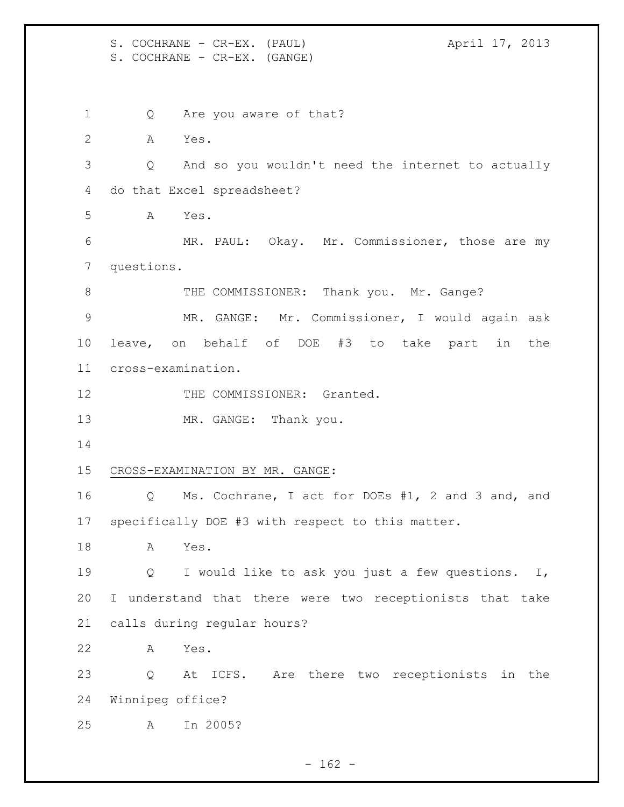S. COCHRANE - CR-EX. (PAUL) (2013) S. COCHRANE - CR-EX. (GANGE)

1 Q Are you aware of that? A Yes. Q And so you wouldn't need the internet to actually do that Excel spreadsheet? A Yes. MR. PAUL: Okay. Mr. Commissioner, those are my questions. 8 THE COMMISSIONER: Thank you. Mr. Gange? MR. GANGE: Mr. Commissioner, I would again ask leave, on behalf of DOE #3 to take part in the cross-examination. 12 THE COMMISSIONER: Granted. 13 MR. GANGE: Thank you. CROSS-EXAMINATION BY MR. GANGE: Q Ms. Cochrane, I act for DOEs #1, 2 and 3 and, and specifically DOE #3 with respect to this matter. A Yes. Q I would like to ask you just a few questions. I, I understand that there were two receptionists that take calls during regular hours? A Yes. Q At ICFS. Are there two receptionists in the Winnipeg office? A In 2005?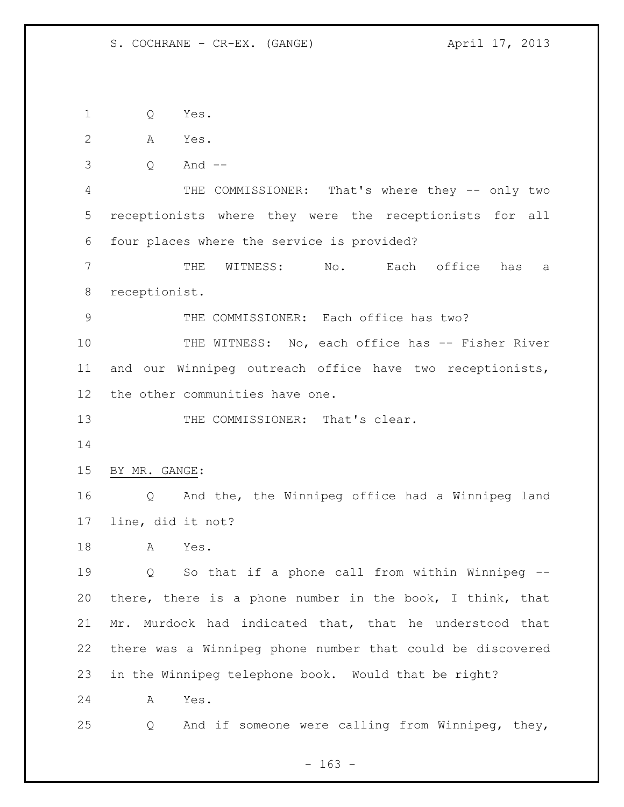Q Yes.

- A Yes.
- Q And --

 THE COMMISSIONER: That's where they -- only two receptionists where they were the receptionists for all four places where the service is provided?

 THE WITNESS: No. Each office has a receptionist.

THE COMMISSIONER: Each office has two?

10 THE WITNESS: No, each office has -- Fisher River and our Winnipeg outreach office have two receptionists, the other communities have one.

13 THE COMMISSIONER: That's clear.

BY MR. GANGE:

 Q And the, the Winnipeg office had a Winnipeg land line, did it not?

A Yes.

 Q So that if a phone call from within Winnipeg -- there, there is a phone number in the book, I think, that Mr. Murdock had indicated that, that he understood that there was a Winnipeg phone number that could be discovered in the Winnipeg telephone book. Would that be right?

A Yes.

Q And if someone were calling from Winnipeg, they,

- 163 -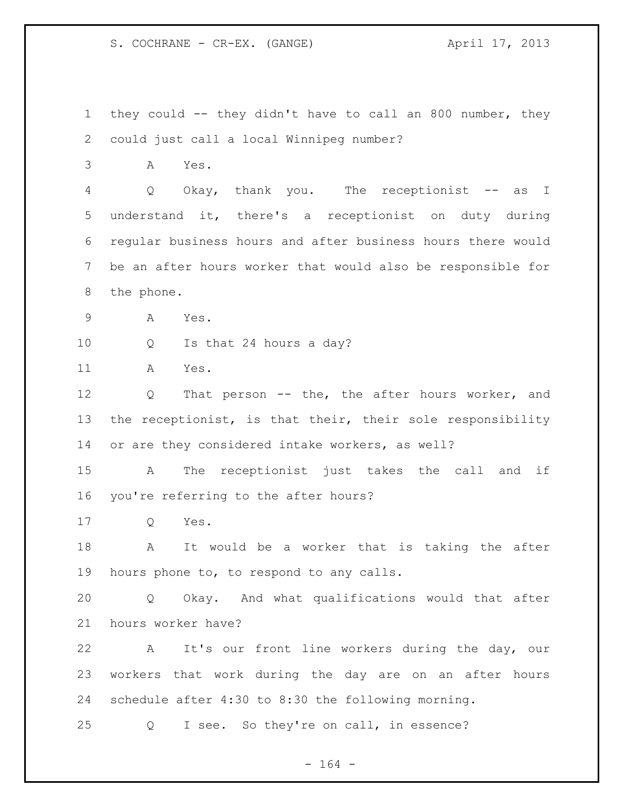S. COCHRANE - CR-EX. (GANGE) (ANGE)

 they could -- they didn't have to call an 800 number, they could just call a local Winnipeg number? A Yes. 4 Q Okay, thank you. The receptionist -- as I understand it, there's a receptionist on duty during regular business hours and after business hours there would be an after hours worker that would also be responsible for the phone. A Yes. Q Is that 24 hours a day? A Yes. Q That person -- the, the after hours worker, and 13 the receptionist, is that their, their sole responsibility or are they considered intake workers, as well? A The receptionist just takes the call and if you're referring to the after hours? Q Yes. A It would be a worker that is taking the after hours phone to, to respond to any calls. Q Okay. And what qualifications would that after hours worker have? A It's our front line workers during the day, our workers that work during the day are on an after hours schedule after 4:30 to 8:30 the following morning. Q I see. So they're on call, in essence?

- 164 -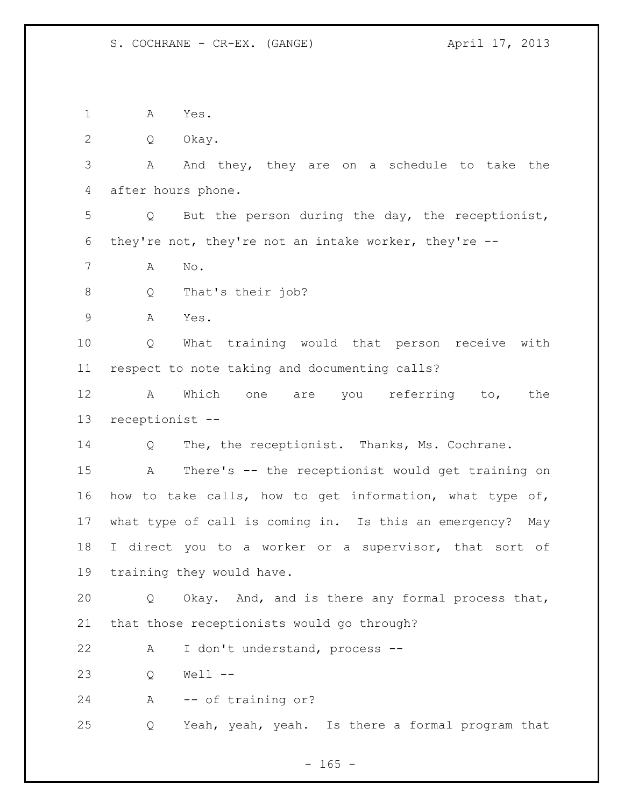A Yes.

Q Okay.

 A And they, they are on a schedule to take the after hours phone.

 Q But the person during the day, the receptionist, they're not, they're not an intake worker, they're --

A No.

8 Q That's their job?

A Yes.

 Q What training would that person receive with respect to note taking and documenting calls?

 A Which one are you referring to, the receptionist --

Q The, the receptionist. Thanks, Ms. Cochrane.

 A There's -- the receptionist would get training on how to take calls, how to get information, what type of, what type of call is coming in. Is this an emergency? May 18 I direct you to a worker or a supervisor, that sort of training they would have.

 Q Okay. And, and is there any formal process that, that those receptionists would go through?

A I don't understand, process --

Q Well --

A -- of training or?

Q Yeah, yeah, yeah. Is there a formal program that

 $- 165 -$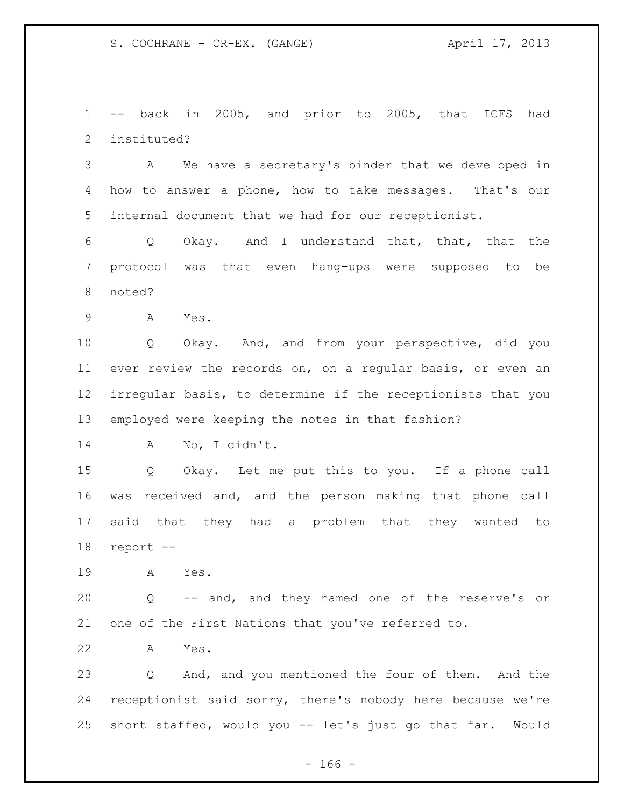-- back in 2005, and prior to 2005, that ICFS had instituted?

 A We have a secretary's binder that we developed in how to answer a phone, how to take messages. That's our internal document that we had for our receptionist.

 Q Okay. And I understand that, that, that the protocol was that even hang-ups were supposed to be noted?

A Yes.

 Q Okay. And, and from your perspective, did you ever review the records on, on a regular basis, or even an irregular basis, to determine if the receptionists that you employed were keeping the notes in that fashion?

A No, I didn't.

 Q Okay. Let me put this to you. If a phone call was received and, and the person making that phone call said that they had a problem that they wanted to report --

A Yes.

 Q -- and, and they named one of the reserve's or one of the First Nations that you've referred to.

A Yes.

 Q And, and you mentioned the four of them. And the receptionist said sorry, there's nobody here because we're short staffed, would you -- let's just go that far. Would

- 166 -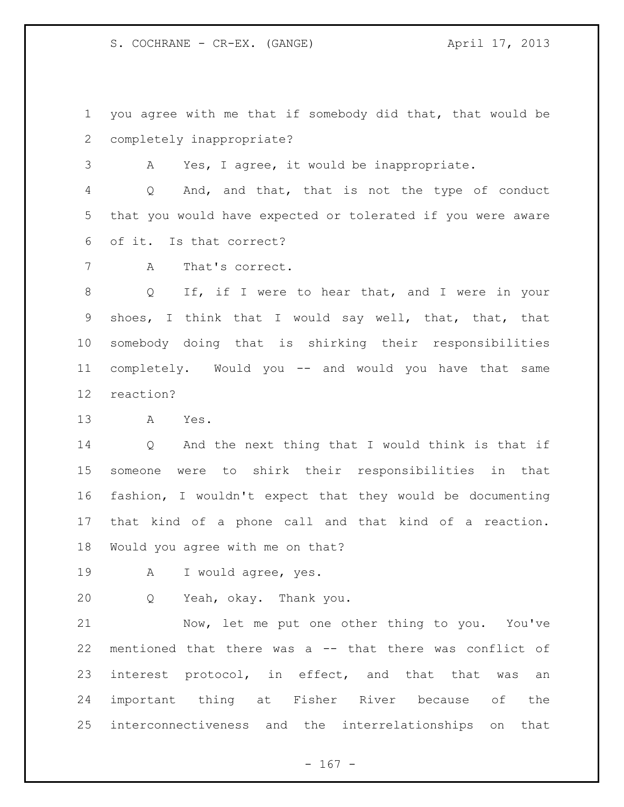S. COCHRANE - CR-EX. (GANGE) (ANGE)

 you agree with me that if somebody did that, that would be completely inappropriate?

A Yes, I agree, it would be inappropriate.

 Q And, and that, that is not the type of conduct that you would have expected or tolerated if you were aware of it. Is that correct?

A That's correct.

 Q If, if I were to hear that, and I were in your shoes, I think that I would say well, that, that, that somebody doing that is shirking their responsibilities completely. Would you -- and would you have that same reaction?

A Yes.

 Q And the next thing that I would think is that if someone were to shirk their responsibilities in that fashion, I wouldn't expect that they would be documenting that kind of a phone call and that kind of a reaction. Would you agree with me on that?

A I would agree, yes.

Q Yeah, okay. Thank you.

 Now, let me put one other thing to you. You've mentioned that there was a -- that there was conflict of interest protocol, in effect, and that that was an important thing at Fisher River because of the interconnectiveness and the interrelationships on that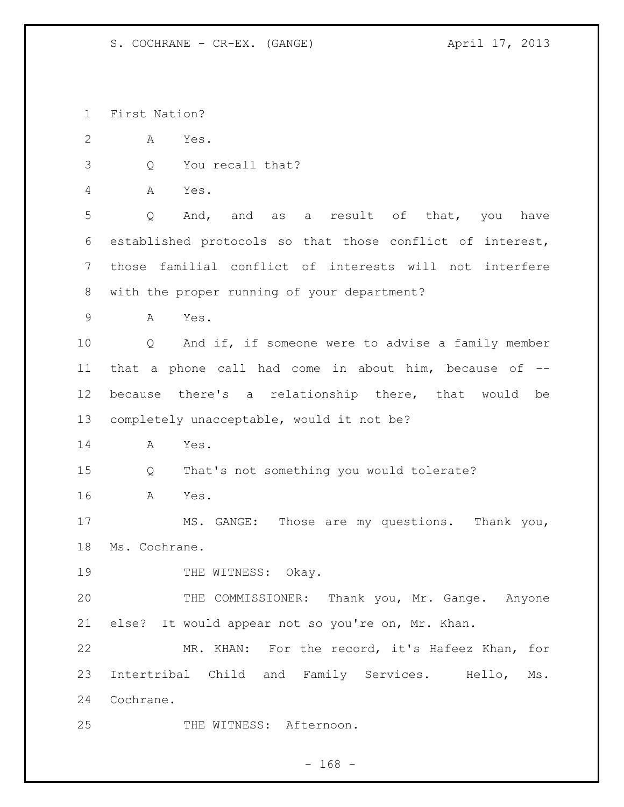First Nation?

- A Yes.
- Q You recall that?
- A Yes.

 Q And, and as a result of that, you have established protocols so that those conflict of interest, those familial conflict of interests will not interfere with the proper running of your department?

A Yes.

 Q And if, if someone were to advise a family member that a phone call had come in about him, because of -- because there's a relationship there, that would be completely unacceptable, would it not be?

A Yes.

Q That's not something you would tolerate?

A Yes.

 MS. GANGE: Those are my questions. Thank you, Ms. Cochrane.

19 THE WITNESS: Okay.

20 THE COMMISSIONER: Thank you, Mr. Gange. Anyone else? It would appear not so you're on, Mr. Khan.

 MR. KHAN: For the record, it's Hafeez Khan, for Intertribal Child and Family Services. Hello, Ms. Cochrane.

25 THE WITNESS: Afternoon.

 $- 168 -$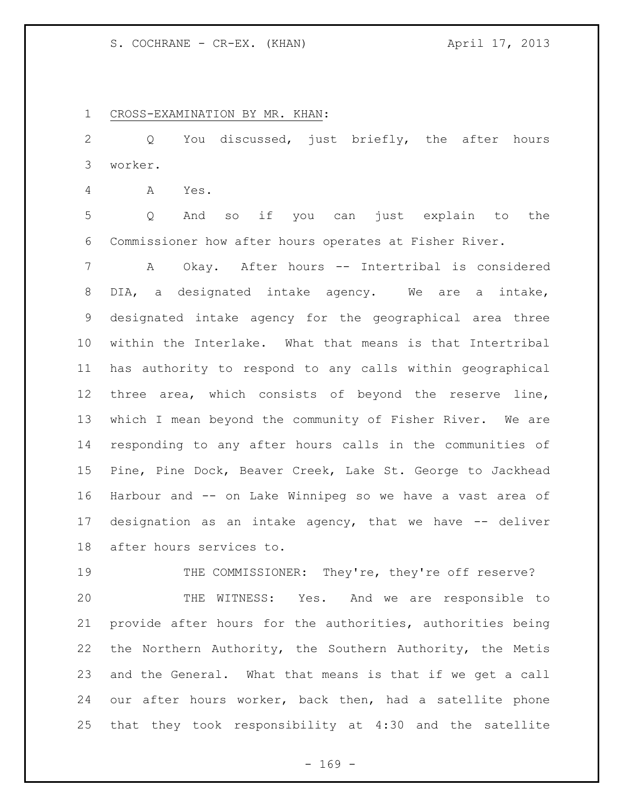## S. COCHRANE - CR-EX. (KHAN) April 17, 2013

CROSS-EXAMINATION BY MR. KHAN:

 Q You discussed, just briefly, the after hours worker.

A Yes.

 Q And so if you can just explain to the Commissioner how after hours operates at Fisher River.

 A Okay. After hours -- Intertribal is considered DIA, a designated intake agency. We are a intake, designated intake agency for the geographical area three within the Interlake. What that means is that Intertribal has authority to respond to any calls within geographical three area, which consists of beyond the reserve line, which I mean beyond the community of Fisher River. We are responding to any after hours calls in the communities of Pine, Pine Dock, Beaver Creek, Lake St. George to Jackhead Harbour and -- on Lake Winnipeg so we have a vast area of designation as an intake agency, that we have -- deliver after hours services to.

19 THE COMMISSIONER: They're, they're off reserve? THE WITNESS: Yes. And we are responsible to provide after hours for the authorities, authorities being the Northern Authority, the Southern Authority, the Metis and the General. What that means is that if we get a call our after hours worker, back then, had a satellite phone that they took responsibility at 4:30 and the satellite

 $- 169 -$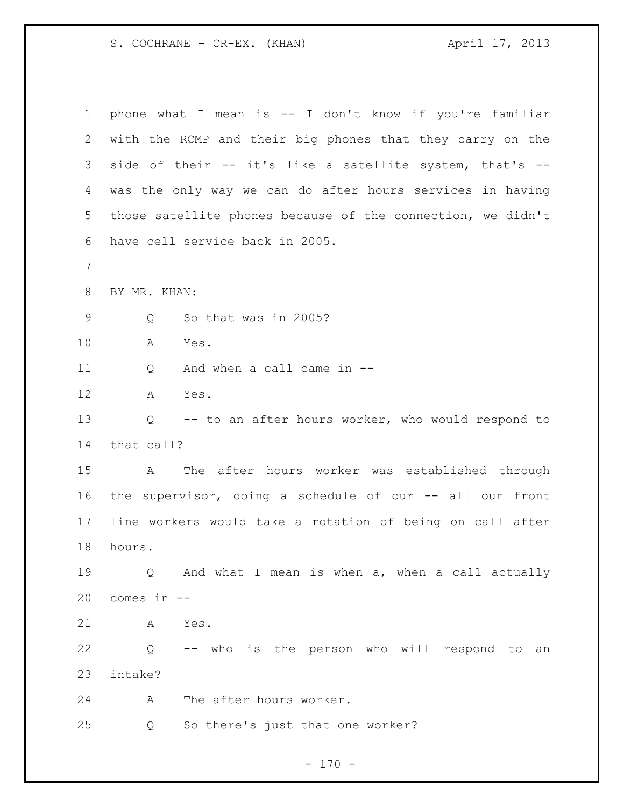S. COCHRANE - CR-EX. (KHAN) April 17, 2013

| $\mathbf 1$ | phone what I mean is -- I don't know if you're familiar     |
|-------------|-------------------------------------------------------------|
| 2           | with the RCMP and their big phones that they carry on the   |
| 3           | side of their -- it's like a satellite system, that's --    |
| 4           | was the only way we can do after hours services in having   |
| 5           | those satellite phones because of the connection, we didn't |
| 6           | have cell service back in 2005.                             |
| 7           |                                                             |
| $8\,$       | BY MR. KHAN:                                                |
| $\mathsf 9$ | So that was in 2005?<br>Q                                   |
| 10          | Α<br>Yes.                                                   |
| 11          | And when a call came in --<br>Q                             |
| 12          | Yes.<br>A                                                   |
| 13          | -- to an after hours worker, who would respond to<br>Q      |
| 14          | that call?                                                  |
| 15          | The after hours worker was established through<br>A         |
| 16          | the supervisor, doing a schedule of our -- all our front    |
| 17          | line workers would take a rotation of being on call after   |
| 18          | hours.                                                      |
| 19          | Q And what I mean is when a, when a call actually           |
| 20          | comes in --                                                 |
| 21          | Yes.<br>A                                                   |
| 22          | -- who is the person who will respond to an<br>Q            |
| 23          | intake?                                                     |
| 24          | The after hours worker.<br>A                                |
| 25          | So there's just that one worker?<br>Q                       |
|             |                                                             |

- 170 -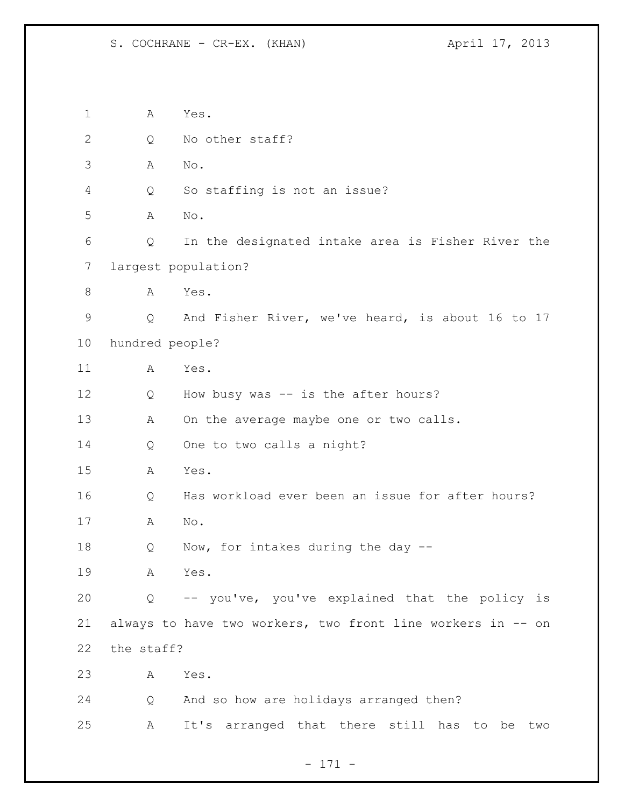A Yes. 2 Q No other staff? A No. Q So staffing is not an issue? A No. Q In the designated intake area is Fisher River the largest population? 8 A Yes. Q And Fisher River, we've heard, is about 16 to 17 hundred people? A Yes. 12 Q How busy was -- is the after hours? 13 A On the average maybe one or two calls. Q One to two calls a night? A Yes. Q Has workload ever been an issue for after hours? A No. Q Now, for intakes during the day -- A Yes. Q -- you've, you've explained that the policy is always to have two workers, two front line workers in -- on the staff? A Yes. Q And so how are holidays arranged then? A It's arranged that there still has to be two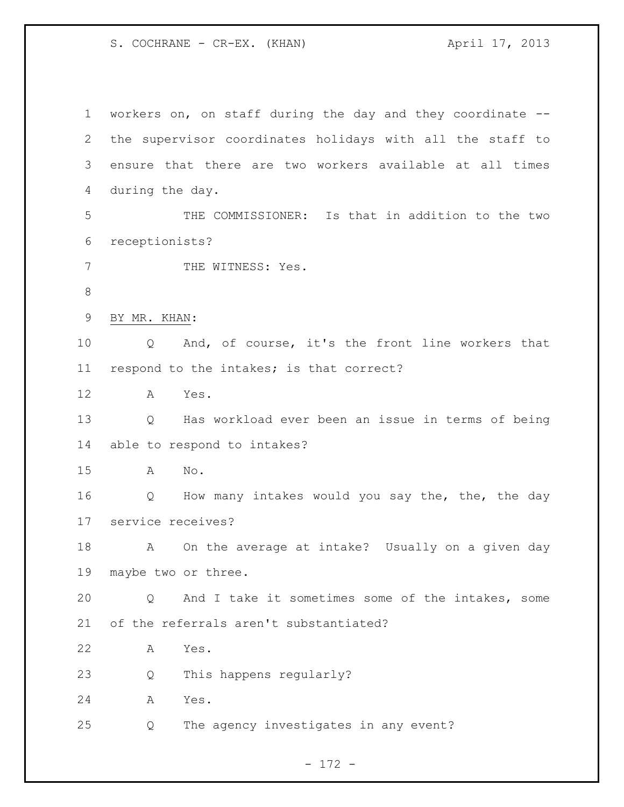S. COCHRANE - CR-EX. (KHAN) April 17, 2013

 workers on, on staff during the day and they coordinate -- the supervisor coordinates holidays with all the staff to ensure that there are two workers available at all times during the day. THE COMMISSIONER: Is that in addition to the two receptionists? 7 THE WITNESS: Yes. BY MR. KHAN: Q And, of course, it's the front line workers that respond to the intakes; is that correct? A Yes. Q Has workload ever been an issue in terms of being able to respond to intakes? A No. Q How many intakes would you say the, the, the day service receives? A On the average at intake? Usually on a given day maybe two or three. Q And I take it sometimes some of the intakes, some of the referrals aren't substantiated? A Yes. Q This happens regularly? A Yes. Q The agency investigates in any event?

- 172 -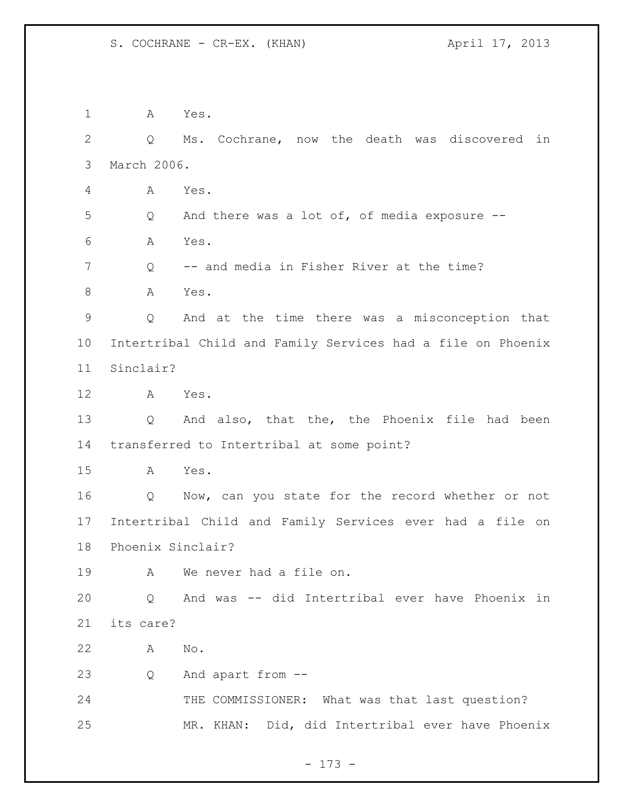A Yes. Q Ms. Cochrane, now the death was discovered in March 2006. A Yes. Q And there was a lot of, of media exposure -- A Yes. Q -- and media in Fisher River at the time? 8 A Yes. Q And at the time there was a misconception that Intertribal Child and Family Services had a file on Phoenix Sinclair? A Yes. Q And also, that the, the Phoenix file had been transferred to Intertribal at some point? A Yes. Q Now, can you state for the record whether or not Intertribal Child and Family Services ever had a file on Phoenix Sinclair? A We never had a file on. Q And was -- did Intertribal ever have Phoenix in its care? A No. Q And apart from -- 24 THE COMMISSIONER: What was that last question? MR. KHAN: Did, did Intertribal ever have Phoenix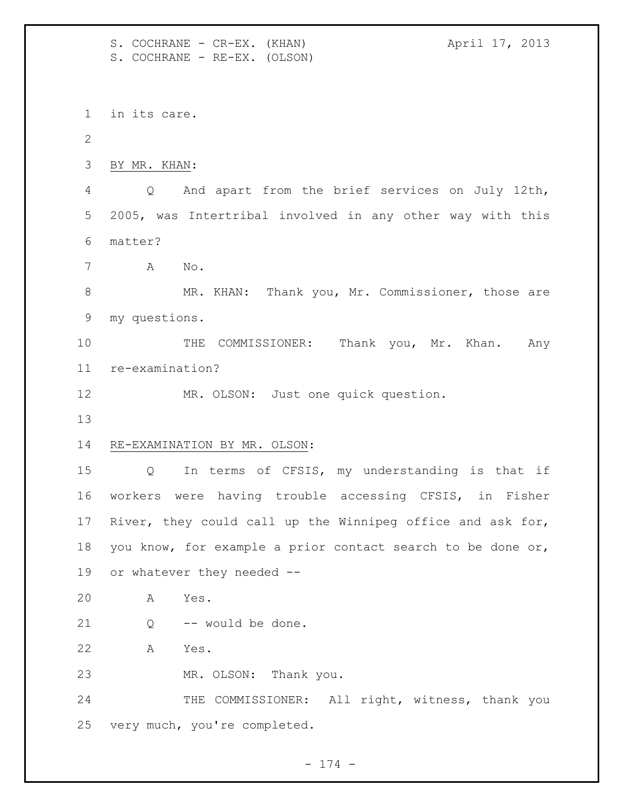S. COCHRANE - CR-EX. (KHAN) April 17, 2013 S. COCHRANE - RE-EX. (OLSON) in its care. BY MR. KHAN: Q And apart from the brief services on July 12th, 2005, was Intertribal involved in any other way with this matter? A No. 8 MR. KHAN: Thank you, Mr. Commissioner, those are my questions. 10 THE COMMISSIONER: Thank you, Mr. Khan. Any re-examination? MR. OLSON: Just one quick question. RE-EXAMINATION BY MR. OLSON: Q In terms of CFSIS, my understanding is that if workers were having trouble accessing CFSIS, in Fisher River, they could call up the Winnipeg office and ask for, you know, for example a prior contact search to be done or, or whatever they needed -- A Yes. Q -- would be done. A Yes. MR. OLSON: Thank you. 24 THE COMMISSIONER: All right, witness, thank you very much, you're completed.

- 174 -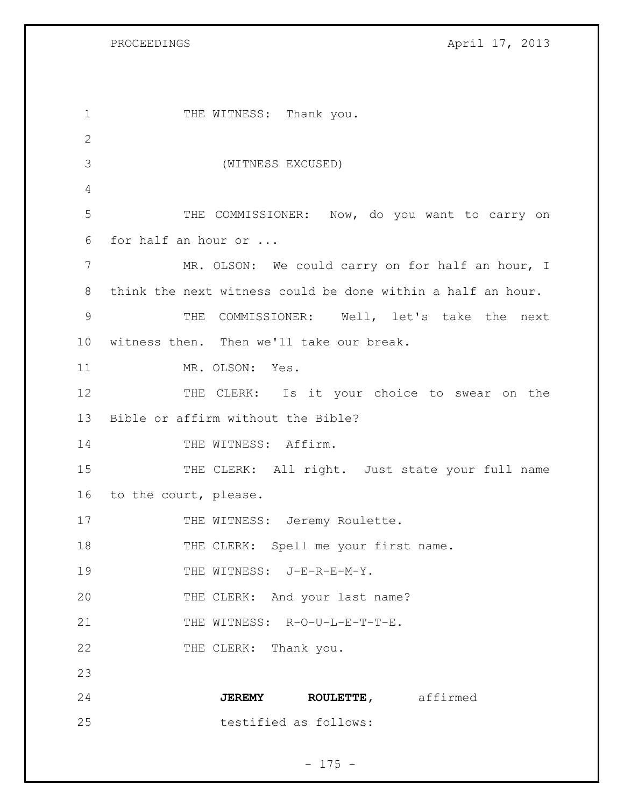PROCEEDINGS April 17, 2013

| 1             | THE WITNESS: Thank you.                                     |
|---------------|-------------------------------------------------------------|
| $\mathbf{2}$  |                                                             |
| 3             | (WITNESS EXCUSED)                                           |
| 4             |                                                             |
| 5             | THE COMMISSIONER: Now, do you want to carry on              |
| 6             | for half an hour or                                         |
| 7             | MR. OLSON: We could carry on for half an hour, I            |
| 8             | think the next witness could be done within a half an hour. |
| $\mathcal{G}$ | COMMISSIONER: Well, let's take the next<br>THE              |
| 10            | witness then. Then we'll take our break.                    |
| 11            | MR. OLSON: Yes.                                             |
| 12            | THE CLERK: Is it your choice to swear on the                |
| 13            | Bible or affirm without the Bible?                          |
| 14            | THE WITNESS: Affirm.                                        |
| 15            | THE CLERK: All right. Just state your full name             |
| 16            | to the court, please.                                       |
| 17            | THE WITNESS: Jeremy Roulette.                               |
| 18            | THE CLERK: Spell me your first name.                        |
| 19            | THE WITNESS: J-E-R-E-M-Y.                                   |
| 20            | THE CLERK: And your last name?                              |
| 21            | THE WITNESS: R-O-U-L-E-T-T-E.                               |
| 22            | THE CLERK: Thank you.                                       |
| 23            |                                                             |
| 24            | JEREMY ROULETTE, affirmed                                   |
| 25            | testified as follows:                                       |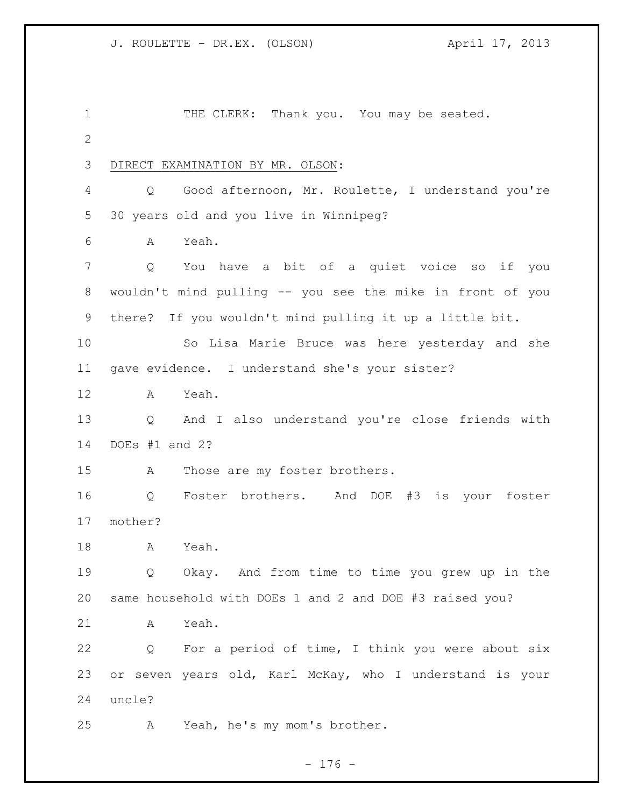1 THE CLERK: Thank you. You may be seated. DIRECT EXAMINATION BY MR. OLSON: Q Good afternoon, Mr. Roulette, I understand you're 30 years old and you live in Winnipeg? A Yeah. Q You have a bit of a quiet voice so if you wouldn't mind pulling -- you see the mike in front of you there? If you wouldn't mind pulling it up a little bit. So Lisa Marie Bruce was here yesterday and she gave evidence. I understand she's your sister? A Yeah. Q And I also understand you're close friends with DOEs #1 and 2? A Those are my foster brothers. Q Foster brothers. And DOE #3 is your foster mother? A Yeah. Q Okay. And from time to time you grew up in the same household with DOEs 1 and 2 and DOE #3 raised you? A Yeah. Q For a period of time, I think you were about six or seven years old, Karl McKay, who I understand is your uncle? A Yeah, he's my mom's brother.

 $- 176 -$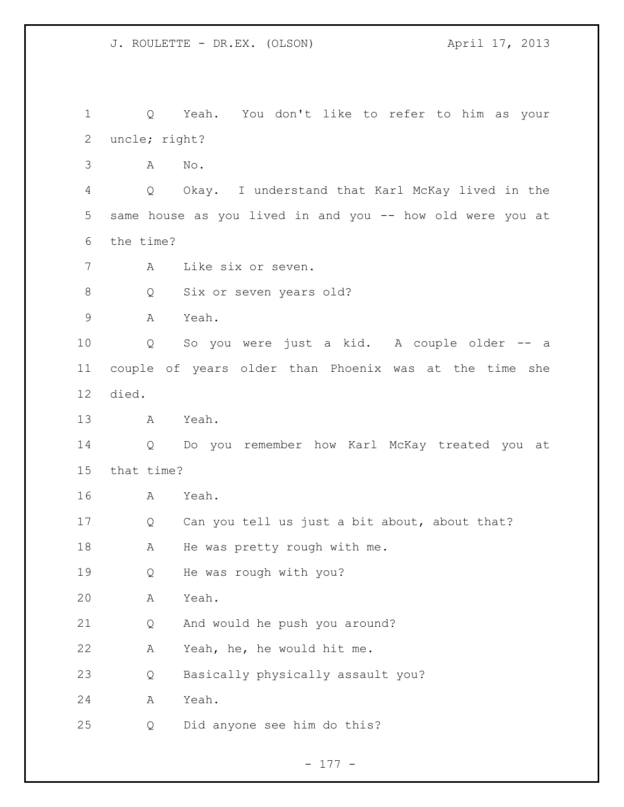Q Yeah. You don't like to refer to him as your uncle; right? A No. Q Okay. I understand that Karl McKay lived in the same house as you lived in and you -- how old were you at the time? A Like six or seven. 8 Q Six or seven years old? A Yeah. Q So you were just a kid. A couple older -- a couple of years older than Phoenix was at the time she died. A Yeah. Q Do you remember how Karl McKay treated you at that time? A Yeah. Q Can you tell us just a bit about, about that? 18 A He was pretty rough with me. Q He was rough with you? A Yeah. Q And would he push you around? A Yeah, he, he would hit me. Q Basically physically assault you? A Yeah. Q Did anyone see him do this?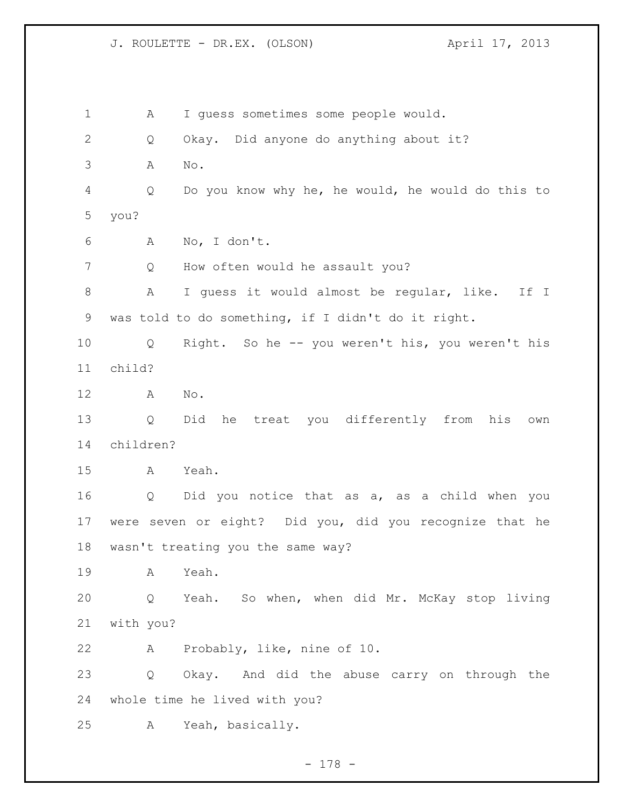A I guess sometimes some people would. Q Okay. Did anyone do anything about it? A No. Q Do you know why he, he would, he would do this to you? A No, I don't. Q How often would he assault you? A I guess it would almost be regular, like. If I was told to do something, if I didn't do it right. Q Right. So he -- you weren't his, you weren't his child? A No. Q Did he treat you differently from his own children? A Yeah. Q Did you notice that as a, as a child when you were seven or eight? Did you, did you recognize that he wasn't treating you the same way? A Yeah. Q Yeah. So when, when did Mr. McKay stop living with you? A Probably, like, nine of 10. Q Okay. And did the abuse carry on through the whole time he lived with you? A Yeah, basically.

- 178 -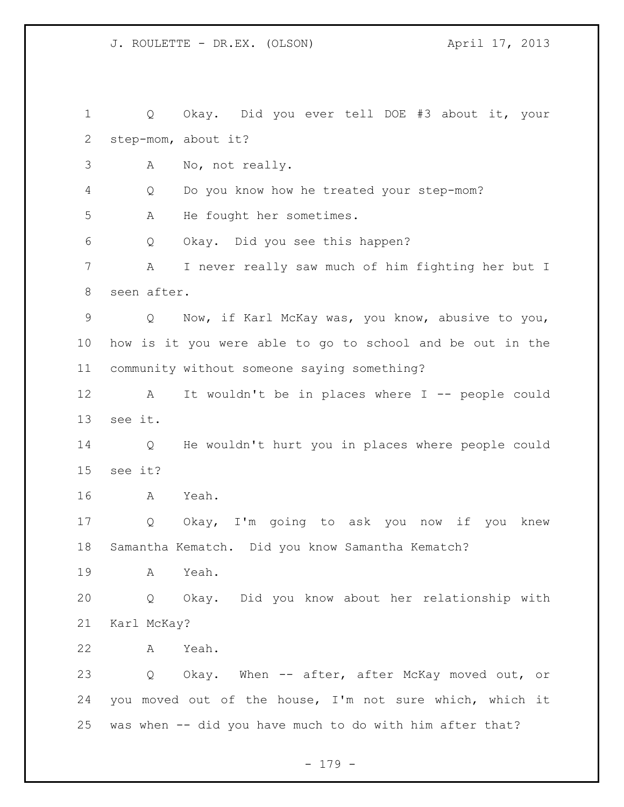Q Okay. Did you ever tell DOE #3 about it, your step-mom, about it? A No, not really. Q Do you know how he treated your step-mom? A He fought her sometimes. Q Okay. Did you see this happen? A I never really saw much of him fighting her but I seen after. Q Now, if Karl McKay was, you know, abusive to you, how is it you were able to go to school and be out in the community without someone saying something? A It wouldn't be in places where I -- people could see it. Q He wouldn't hurt you in places where people could see it? A Yeah. Q Okay, I'm going to ask you now if you knew Samantha Kematch. Did you know Samantha Kematch? A Yeah. Q Okay. Did you know about her relationship with Karl McKay? A Yeah. Q Okay. When -- after, after McKay moved out, or you moved out of the house, I'm not sure which, which it was when -- did you have much to do with him after that?

- 179 -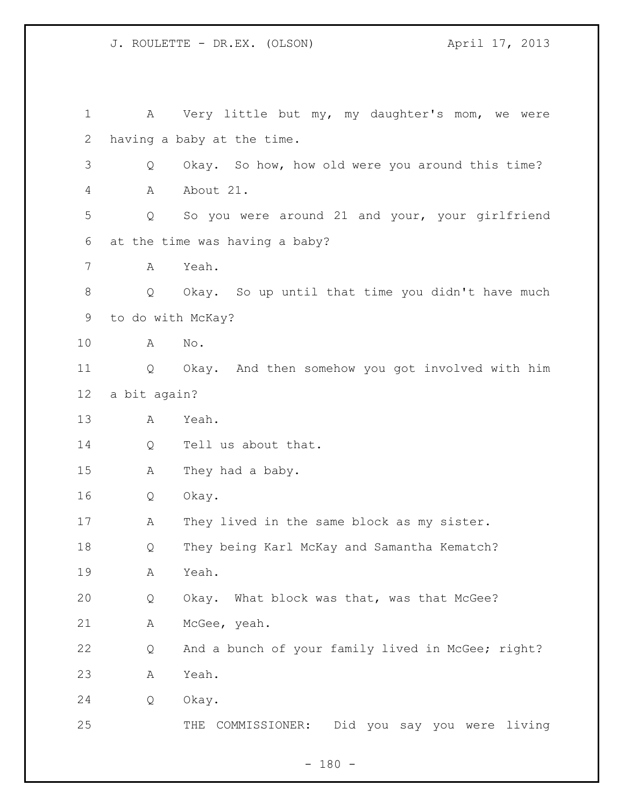| $\mathbf 1$  | A                 | Very little but my, my daughter's mom, we were      |
|--------------|-------------------|-----------------------------------------------------|
| $\mathbf{2}$ |                   | having a baby at the time.                          |
| 3            | Q                 | Okay. So how, how old were you around this time?    |
| 4            | Α                 | About 21.                                           |
| 5            | Q                 | So you were around 21 and your, your girlfriend     |
| 6            |                   | at the time was having a baby?                      |
| 7            | Α                 | Yeah.                                               |
| 8            | Q                 | Okay. So up until that time you didn't have much    |
| 9            | to do with McKay? |                                                     |
| 10           | A                 | No.                                                 |
| 11           | Q                 | Okay. And then somehow you got involved with him    |
| 12           | a bit again?      |                                                     |
| 13           | Α                 | Yeah.                                               |
| 14           | Q                 | Tell us about that.                                 |
| 15           | A                 | They had a baby.                                    |
| 16           | Q                 | Okay.                                               |
| 17           | Α                 | They lived in the same block as my sister.          |
| 18           | Q                 | They being Karl McKay and Samantha Kematch?         |
| 19           | A                 | Yeah.                                               |
| 20           | Q                 | Okay. What block was that, was that McGee?          |
| 21           | Α                 | McGee, yeah.                                        |
| 22           | Q                 | And a bunch of your family lived in McGee; right?   |
| 23           | Α                 | Yeah.                                               |
| 24           | Q                 | Okay.                                               |
| 25           |                   | Did you say you were living<br>COMMISSIONER:<br>THE |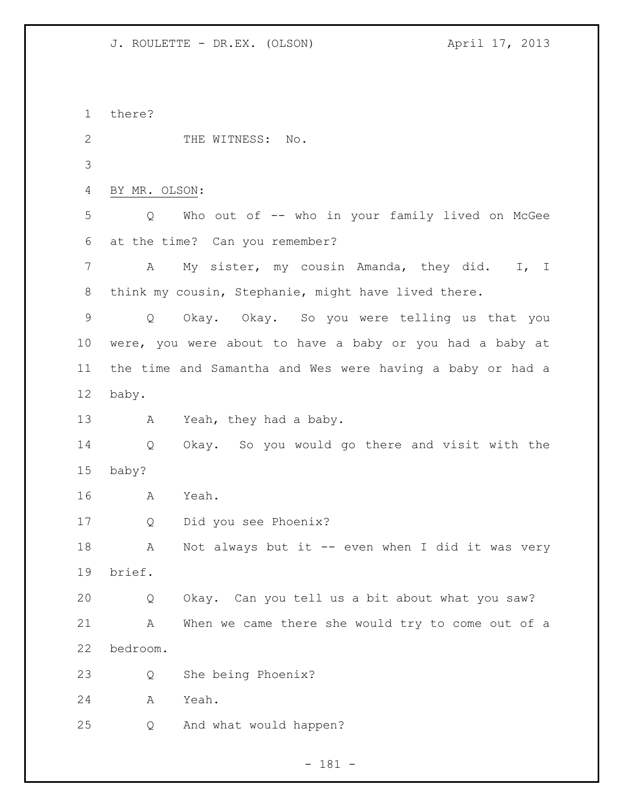there? 2 THE WITNESS: No. BY MR. OLSON: Q Who out of -- who in your family lived on McGee at the time? Can you remember? A My sister, my cousin Amanda, they did. I, I think my cousin, Stephanie, might have lived there. Q Okay. Okay. So you were telling us that you were, you were about to have a baby or you had a baby at the time and Samantha and Wes were having a baby or had a baby. 13 A Yeah, they had a baby. Q Okay. So you would go there and visit with the baby? A Yeah. Q Did you see Phoenix? A Not always but it -- even when I did it was very brief. Q Okay. Can you tell us a bit about what you saw? A When we came there she would try to come out of a bedroom. Q She being Phoenix? A Yeah. Q And what would happen?

- 181 -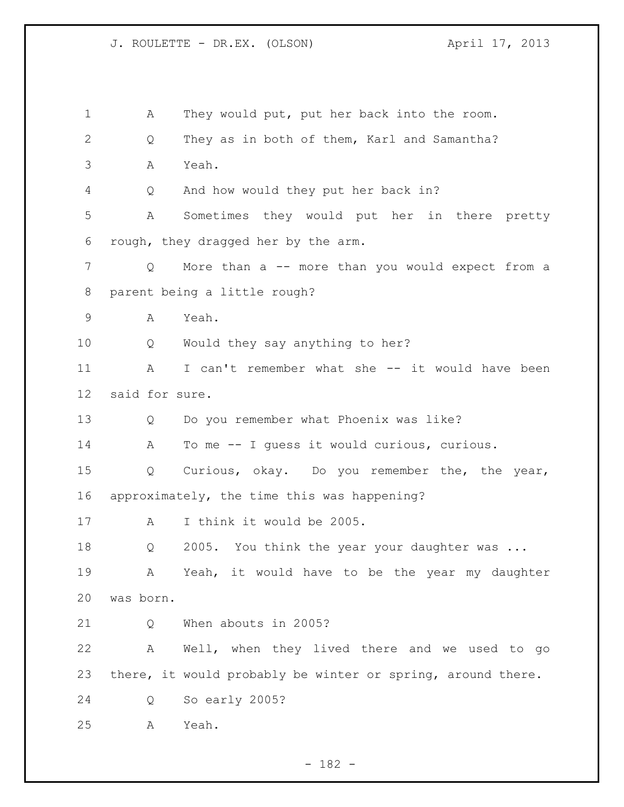A They would put, put her back into the room. Q They as in both of them, Karl and Samantha? A Yeah. Q And how would they put her back in? A Sometimes they would put her in there pretty rough, they dragged her by the arm. Q More than a -- more than you would expect from a parent being a little rough? A Yeah. Q Would they say anything to her? A I can't remember what she -- it would have been said for sure. Q Do you remember what Phoenix was like? A To me -- I guess it would curious, curious. Q Curious, okay. Do you remember the, the year, approximately, the time this was happening? 17 A I think it would be 2005. 18 Q 2005. You think the year your daughter was ... A Yeah, it would have to be the year my daughter was born. 21 O When abouts in 2005? A Well, when they lived there and we used to go there, it would probably be winter or spring, around there. Q So early 2005? A Yeah.

- 182 -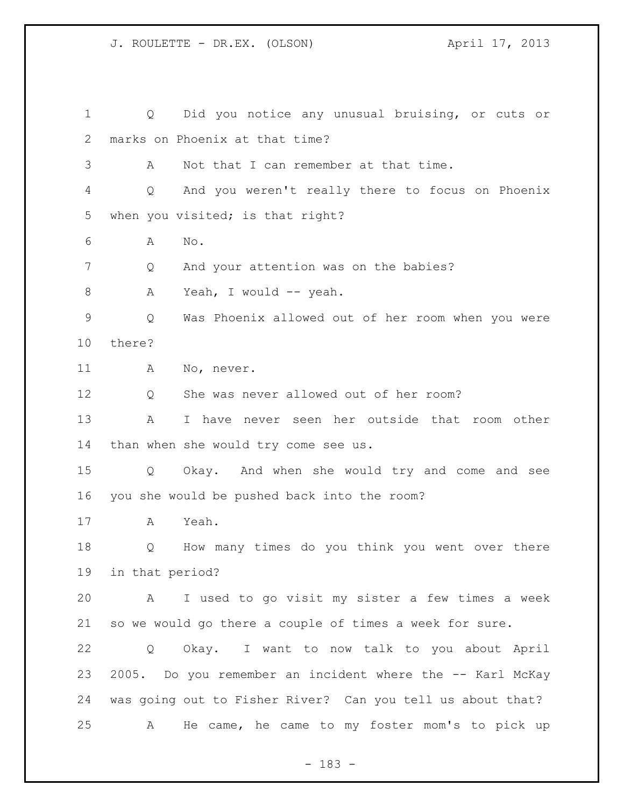Q Did you notice any unusual bruising, or cuts or marks on Phoenix at that time? A Not that I can remember at that time. Q And you weren't really there to focus on Phoenix when you visited; is that right? A No. Q And your attention was on the babies? 8 A Yeah, I would -- yeah. Q Was Phoenix allowed out of her room when you were there? 11 A No, never. Q She was never allowed out of her room? A I have never seen her outside that room other than when she would try come see us. Q Okay. And when she would try and come and see you she would be pushed back into the room? A Yeah. Q How many times do you think you went over there in that period? A I used to go visit my sister a few times a week so we would go there a couple of times a week for sure. Q Okay. I want to now talk to you about April 2005. Do you remember an incident where the -- Karl McKay was going out to Fisher River? Can you tell us about that? A He came, he came to my foster mom's to pick up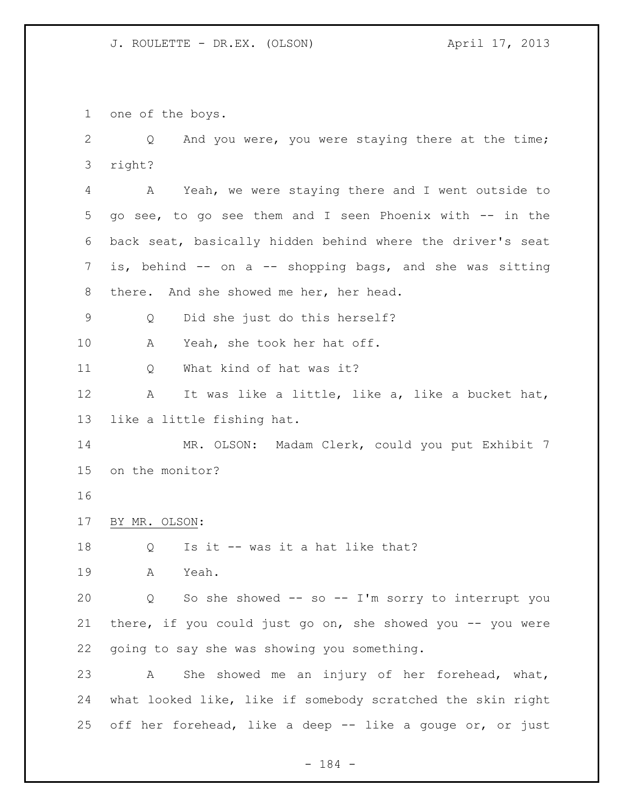one of the boys.

 Q And you were, you were staying there at the time; right?

 A Yeah, we were staying there and I went outside to go see, to go see them and I seen Phoenix with -- in the back seat, basically hidden behind where the driver's seat 7 is, behind -- on a -- shopping bags, and she was sitting there. And she showed me her, her head.

Q Did she just do this herself?

A Yeah, she took her hat off.

Q What kind of hat was it?

 A It was like a little, like a, like a bucket hat, like a little fishing hat.

 MR. OLSON: Madam Clerk, could you put Exhibit 7 on the monitor?

BY MR. OLSON:

Q Is it -- was it a hat like that?

A Yeah.

 Q So she showed -- so -- I'm sorry to interrupt you 21 there, if you could just go on, she showed you -- you were going to say she was showing you something.

 A She showed me an injury of her forehead, what, what looked like, like if somebody scratched the skin right off her forehead, like a deep -- like a gouge or, or just

- 184 -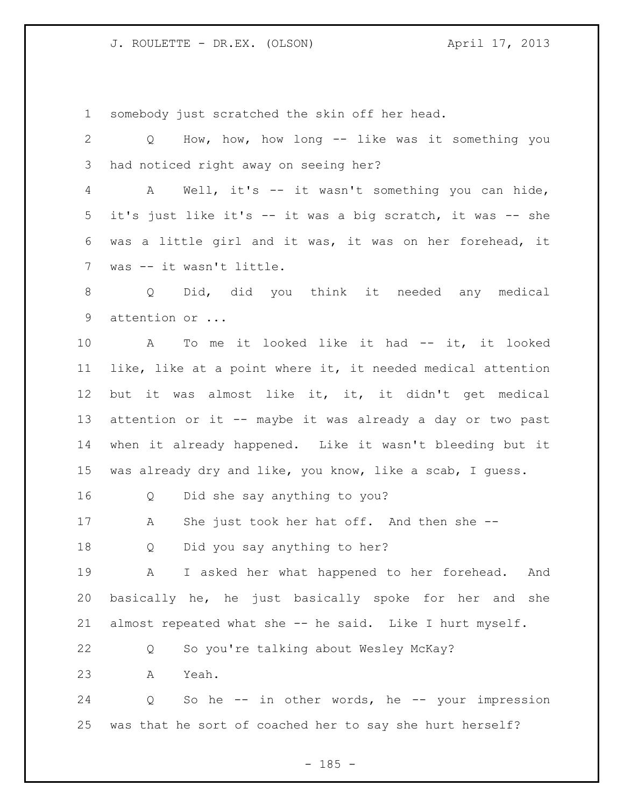somebody just scratched the skin off her head.

 Q How, how, how long -- like was it something you had noticed right away on seeing her? A Well, it's -- it wasn't something you can hide, it's just like it's -- it was a big scratch, it was -- she was a little girl and it was, it was on her forehead, it was -- it wasn't little. Q Did, did you think it needed any medical attention or ... A To me it looked like it had -- it, it looked like, like at a point where it, it needed medical attention but it was almost like it, it, it didn't get medical 13 attention or it -- maybe it was already a day or two past when it already happened. Like it wasn't bleeding but it was already dry and like, you know, like a scab, I guess. Q Did she say anything to you? 17 A She just took her hat off. And then she -- Q Did you say anything to her? A I asked her what happened to her forehead. And basically he, he just basically spoke for her and she almost repeated what she -- he said. Like I hurt myself. Q So you're talking about Wesley McKay? A Yeah. 24 Q So he -- in other words, he -- your impression was that he sort of coached her to say she hurt herself?

 $- 185 -$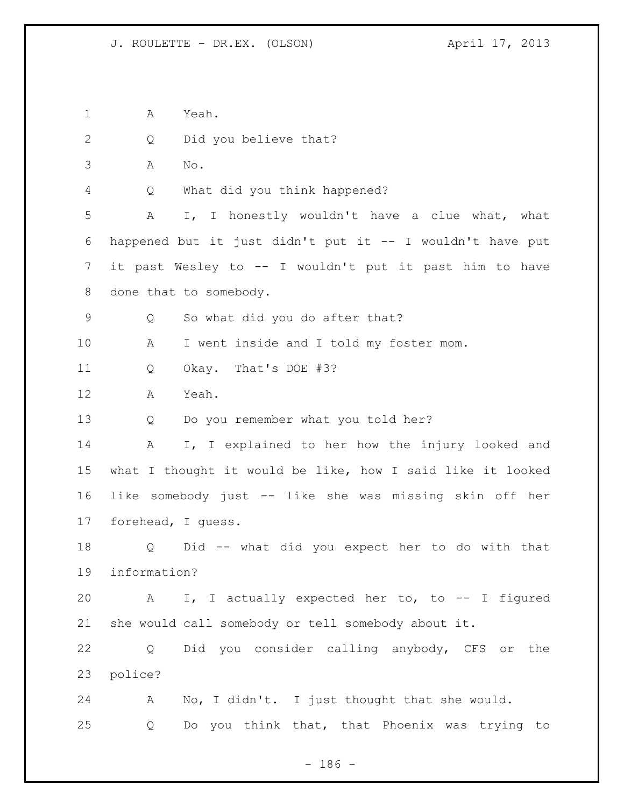A Yeah. 2 Q Did you believe that? A No. Q What did you think happened? A I, I honestly wouldn't have a clue what, what happened but it just didn't put it -- I wouldn't have put it past Wesley to -- I wouldn't put it past him to have done that to somebody. Q So what did you do after that? A I went inside and I told my foster mom. Q Okay. That's DOE #3? A Yeah. Q Do you remember what you told her? A I, I explained to her how the injury looked and what I thought it would be like, how I said like it looked like somebody just -- like she was missing skin off her forehead, I guess. Q Did -- what did you expect her to do with that information? A I, I actually expected her to, to -- I figured she would call somebody or tell somebody about it. Q Did you consider calling anybody, CFS or the police? A No, I didn't. I just thought that she would. Q Do you think that, that Phoenix was trying to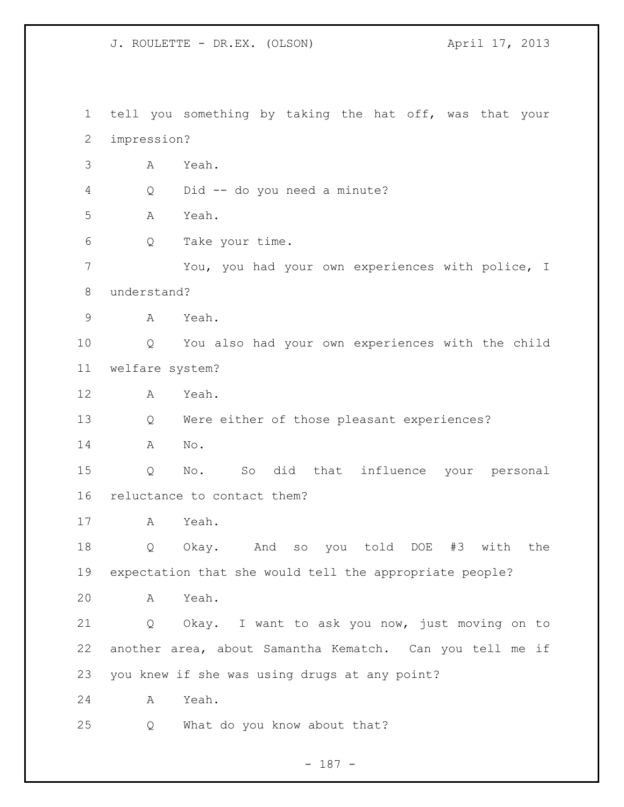tell you something by taking the hat off, was that your impression? A Yeah. Q Did -- do you need a minute? A Yeah. Q Take your time. You, you had your own experiences with police, I understand? A Yeah. Q You also had your own experiences with the child welfare system? A Yeah. Q Were either of those pleasant experiences? A No. Q No. So did that influence your personal reluctance to contact them? A Yeah. Q Okay. And so you told DOE #3 with the expectation that she would tell the appropriate people? A Yeah. Q Okay. I want to ask you now, just moving on to another area, about Samantha Kematch. Can you tell me if you knew if she was using drugs at any point? A Yeah. Q What do you know about that?

- 187 -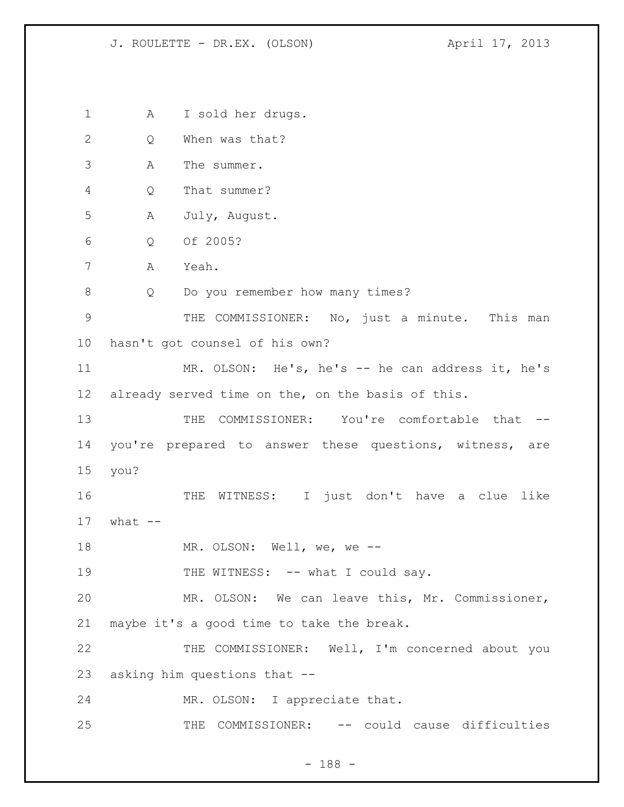A I sold her drugs. Q When was that? A The summer. Q That summer? A July, August. Q Of 2005? A Yeah. 8 Q Do you remember how many times? 9 THE COMMISSIONER: No, just a minute. This man hasn't got counsel of his own? MR. OLSON: He's, he's -- he can address it, he's already served time on the, on the basis of this. THE COMMISSIONER: You're comfortable that -- you're prepared to answer these questions, witness, are you? THE WITNESS: I just don't have a clue like what  $--$  MR. OLSON: Well, we, we -- 19 THE WITNESS: -- what I could say. MR. OLSON: We can leave this, Mr. Commissioner, maybe it's a good time to take the break. THE COMMISSIONER: Well, I'm concerned about you asking him questions that -- MR. OLSON: I appreciate that. THE COMMISSIONER: -- could cause difficulties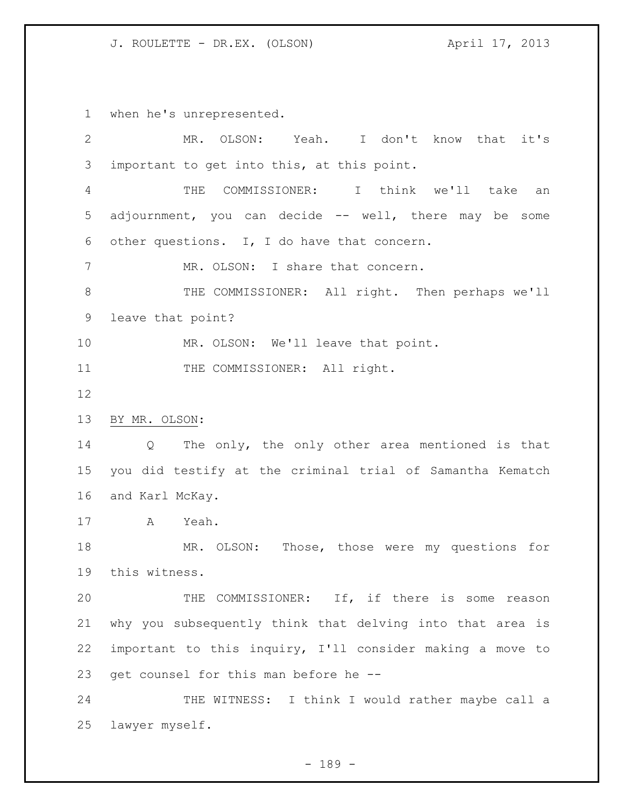when he's unrepresented.

| $\overline{2}$ | MR. OLSON: Yeah. I don't know that it's                              |
|----------------|----------------------------------------------------------------------|
| 3              | important to get into this, at this point.                           |
| 4              | COMMISSIONER: I think we'll take an<br>THE                           |
| 5              | adjournment, you can decide -- well, there may be some               |
| 6              | other questions. I, I do have that concern.                          |
| $7\phantom{.}$ | MR. OLSON: I share that concern.                                     |
| $\,8\,$        | THE COMMISSIONER: All right. Then perhaps we'll                      |
| 9              | leave that point?                                                    |
| 10             | MR. OLSON: We'll leave that point.                                   |
| 11             | THE COMMISSIONER: All right.                                         |
| 12             |                                                                      |
| 13             | BY MR. OLSON:                                                        |
| 14             | The only, the only other area mentioned is that<br>$Q \qquad \qquad$ |
| 15             | you did testify at the criminal trial of Samantha Kematch            |
| 16             | and Karl McKay.                                                      |
| 17             | A<br>Yeah.                                                           |
| 18             | MR. OLSON: Those, those were my questions for                        |
| 19             | this witness.                                                        |
| 20             | THE COMMISSIONER: If, if there is some reason                        |
| 21             | why you subsequently think that delving into that area is            |
| 22             | important to this inquiry, I'll consider making a move to            |
| 23             | get counsel for this man before he --                                |
| 24             | THE WITNESS: I think I would rather maybe call a                     |
| 25             | lawyer myself.                                                       |

- 189 -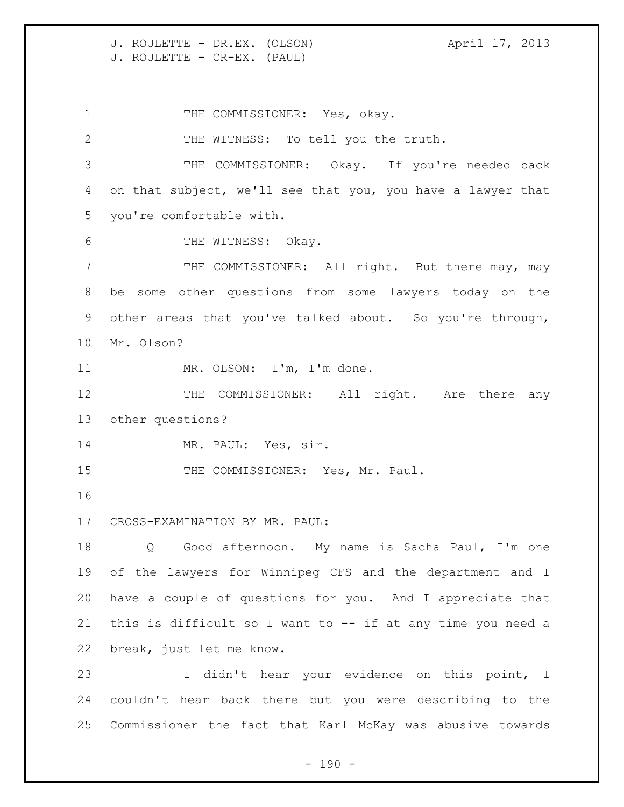J. ROULETTE - DR.EX. (OLSON) (April 17, 2013) J. ROULETTE - CR-EX. (PAUL)

1 THE COMMISSIONER: Yes, okay. THE WITNESS: To tell you the truth. THE COMMISSIONER: Okay. If you're needed back on that subject, we'll see that you, you have a lawyer that you're comfortable with. 6 THE WITNESS: Okay. THE COMMISSIONER: All right. But there may, may be some other questions from some lawyers today on the other areas that you've talked about. So you're through, Mr. Olson? MR. OLSON: I'm, I'm done. 12 THE COMMISSIONER: All right. Are there any other questions? 14 MR. PAUL: Yes, sir. 15 THE COMMISSIONER: Yes, Mr. Paul. CROSS-EXAMINATION BY MR. PAUL: Q Good afternoon. My name is Sacha Paul, I'm one of the lawyers for Winnipeg CFS and the department and I have a couple of questions for you. And I appreciate that this is difficult so I want to -- if at any time you need a break, just let me know. I didn't hear your evidence on this point, I couldn't hear back there but you were describing to the

Commissioner the fact that Karl McKay was abusive towards

 $- 190 -$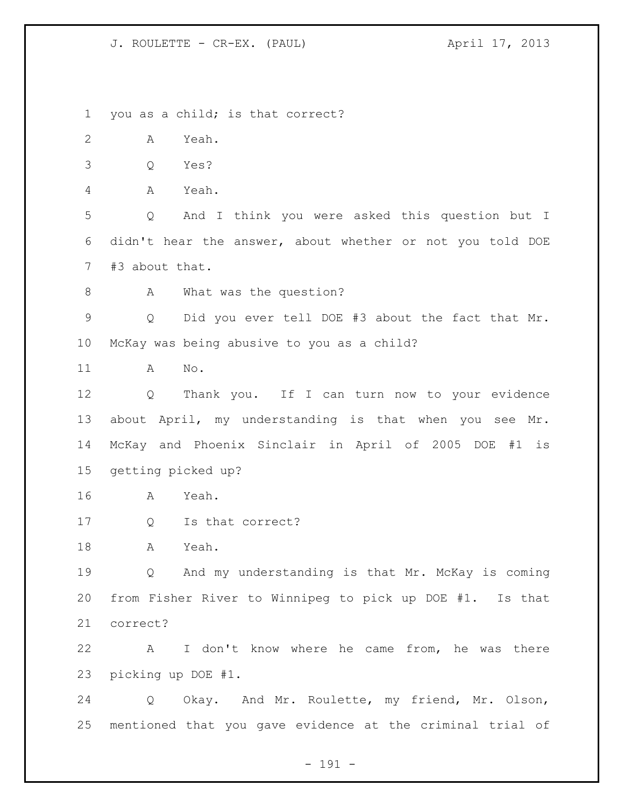J. ROULETTE - CR-EX. (PAUL) (3) April 17, 2013

you as a child; is that correct?

A Yeah.

Q Yes?

A Yeah.

 Q And I think you were asked this question but I didn't hear the answer, about whether or not you told DOE #3 about that.

8 A What was the question?

 Q Did you ever tell DOE #3 about the fact that Mr. McKay was being abusive to you as a child?

A No.

 Q Thank you. If I can turn now to your evidence about April, my understanding is that when you see Mr. McKay and Phoenix Sinclair in April of 2005 DOE #1 is getting picked up?

A Yeah.

Q Is that correct?

A Yeah.

 Q And my understanding is that Mr. McKay is coming from Fisher River to Winnipeg to pick up DOE #1. Is that correct?

 A I don't know where he came from, he was there picking up DOE #1.

 Q Okay. And Mr. Roulette, my friend, Mr. Olson, mentioned that you gave evidence at the criminal trial of

- 191 -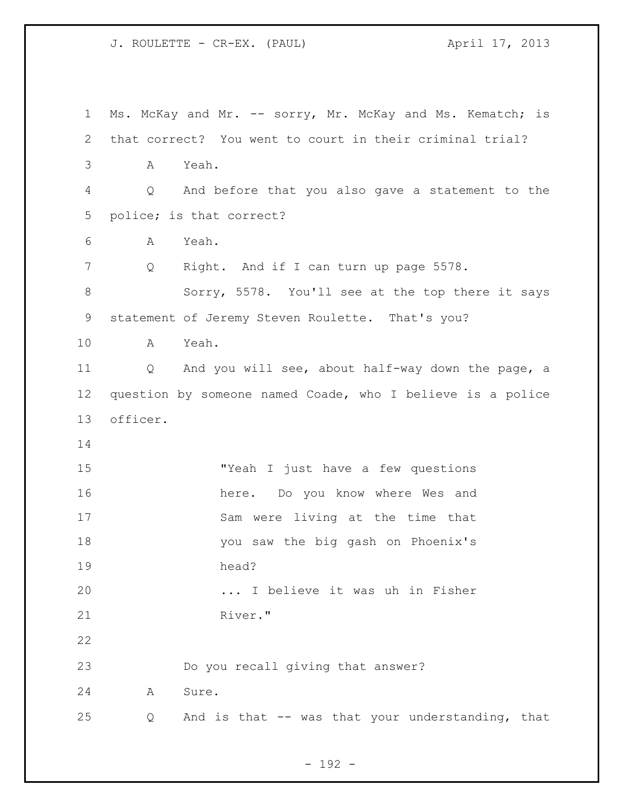J. ROULETTE - CR-EX. (PAUL) April 17, 2013

| $\mathbf 1$ | Ms. McKay and Mr. -- sorry, Mr. McKay and Ms. Kematch; is  |
|-------------|------------------------------------------------------------|
| 2           | that correct? You went to court in their criminal trial?   |
| 3           | Yeah.<br>A                                                 |
| 4           | And before that you also gave a statement to the<br>Q      |
| 5           | police; is that correct?                                   |
| 6           | Yeah.<br>A                                                 |
| 7           | Right. And if I can turn up page 5578.<br>Q                |
| 8           | Sorry, 5578. You'll see at the top there it says           |
| 9           | statement of Jeremy Steven Roulette. That's you?           |
| 10          | Yeah.<br>A                                                 |
| 11          | Q And you will see, about half-way down the page, a        |
| 12          | question by someone named Coade, who I believe is a police |
| 13          | officer.                                                   |
| 14          |                                                            |
| 15          | "Yeah I just have a few questions                          |
| 16          | here. Do you know where Wes and                            |
| 17          | Sam were living at the time that                           |
| 18          | you saw the big gash on Phoenix's                          |
| 19          | head?                                                      |
| 20          | I believe it was uh in Fisher                              |
| 21          | River."                                                    |
| 22          |                                                            |
| 23          | Do you recall giving that answer?                          |
| 24          | Sure.<br>Α                                                 |
| 25          | And is that -- was that your understanding, that<br>Q      |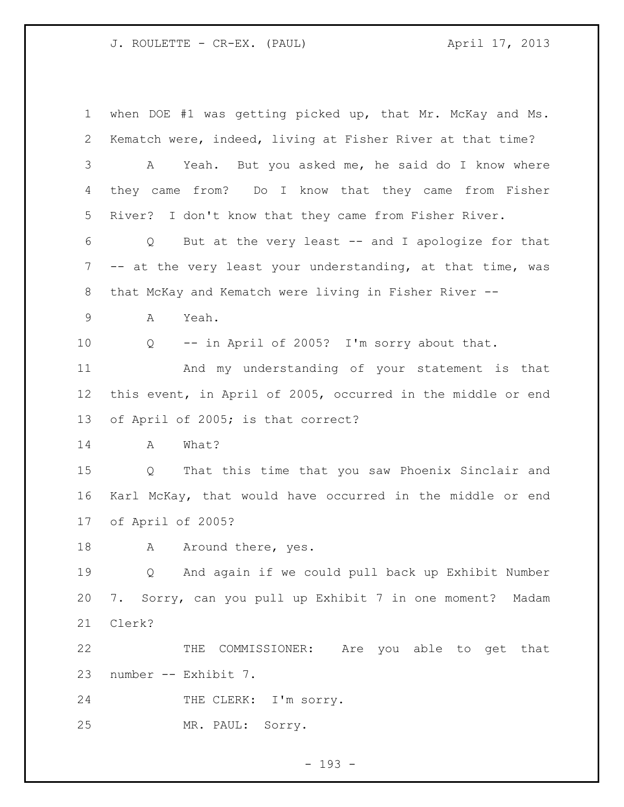J. ROULETTE - CR-EX. (PAUL) (3) April 17, 2013

 when DOE #1 was getting picked up, that Mr. McKay and Ms. Kematch were, indeed, living at Fisher River at that time? A Yeah. But you asked me, he said do I know where they came from? Do I know that they came from Fisher River? I don't know that they came from Fisher River. Q But at the very least -- and I apologize for that -- at the very least your understanding, at that time, was that McKay and Kematch were living in Fisher River -- A Yeah. Q -- in April of 2005? I'm sorry about that. And my understanding of your statement is that this event, in April of 2005, occurred in the middle or end of April of 2005; is that correct? A What? Q That this time that you saw Phoenix Sinclair and Karl McKay, that would have occurred in the middle or end of April of 2005? 18 A Around there, yes. Q And again if we could pull back up Exhibit Number 7. Sorry, can you pull up Exhibit 7 in one moment? Madam Clerk? THE COMMISSIONER: Are you able to get that number -- Exhibit 7. 24 THE CLERK: I'm sorry. MR. PAUL: Sorry.

- 193 -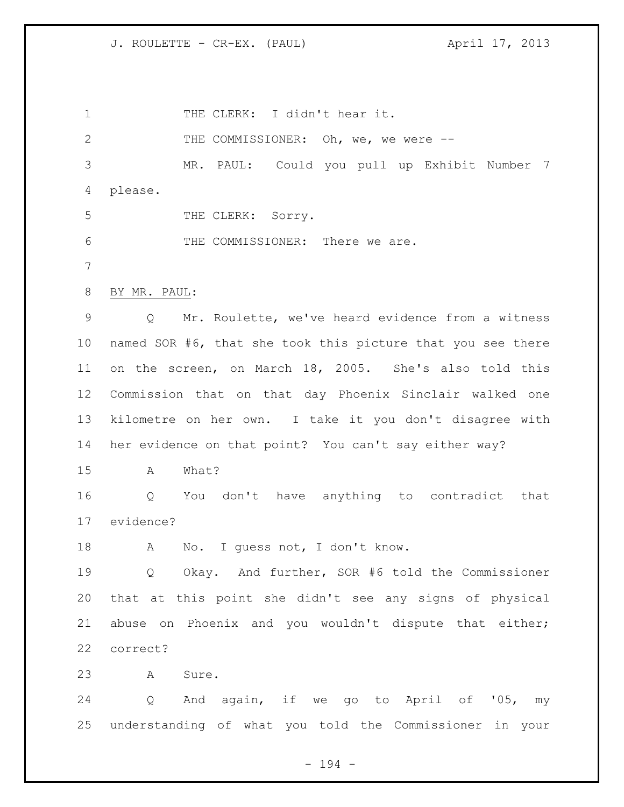J. ROULETTE - CR-EX. (PAUL) (300) April 17, 2013

1 THE CLERK: I didn't hear it. 2 THE COMMISSIONER: Oh, we, we were -- MR. PAUL: Could you pull up Exhibit Number 7 please. 5 THE CLERK: Sorry. THE COMMISSIONER: There we are. BY MR. PAUL: Q Mr. Roulette, we've heard evidence from a witness named SOR #6, that she took this picture that you see there on the screen, on March 18, 2005. She's also told this Commission that on that day Phoenix Sinclair walked one kilometre on her own. I take it you don't disagree with her evidence on that point? You can't say either way? A What? Q You don't have anything to contradict that evidence? 18 A No. I guess not, I don't know. Q Okay. And further, SOR #6 told the Commissioner that at this point she didn't see any signs of physical abuse on Phoenix and you wouldn't dispute that either; correct? A Sure. Q And again, if we go to April of '05, my understanding of what you told the Commissioner in your

- 194 -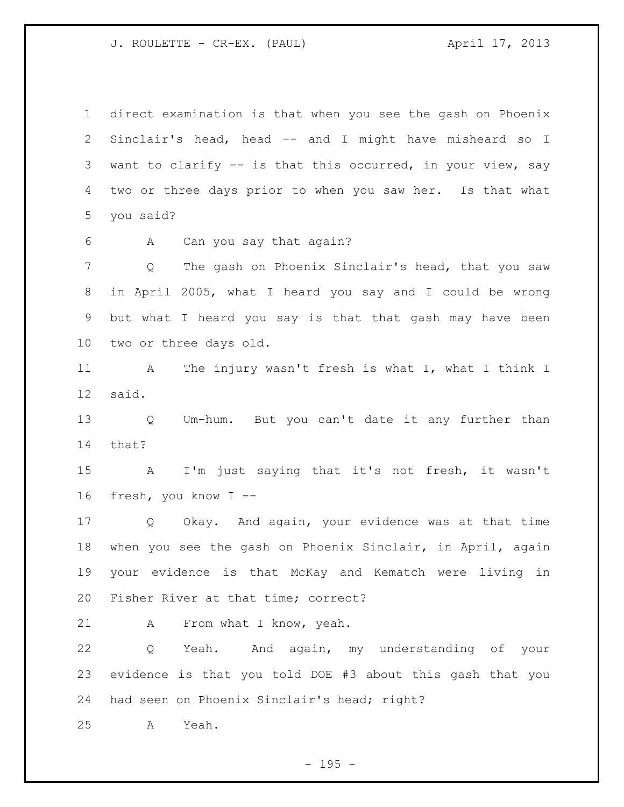J. ROULETTE - CR-EX. (PAUL) (3) April 17, 2013

 direct examination is that when you see the gash on Phoenix Sinclair's head, head -- and I might have misheard so I want to clarify -- is that this occurred, in your view, say two or three days prior to when you saw her. Is that what you said?

A Can you say that again?

 Q The gash on Phoenix Sinclair's head, that you saw in April 2005, what I heard you say and I could be wrong but what I heard you say is that that gash may have been two or three days old.

 A The injury wasn't fresh is what I, what I think I said.

 Q Um-hum. But you can't date it any further than that?

 A I'm just saying that it's not fresh, it wasn't fresh, you know I --

 Q Okay. And again, your evidence was at that time when you see the gash on Phoenix Sinclair, in April, again your evidence is that McKay and Kematch were living in Fisher River at that time; correct?

A From what I know, yeah.

 Q Yeah. And again, my understanding of your evidence is that you told DOE #3 about this gash that you had seen on Phoenix Sinclair's head; right?

A Yeah.

 $- 195 -$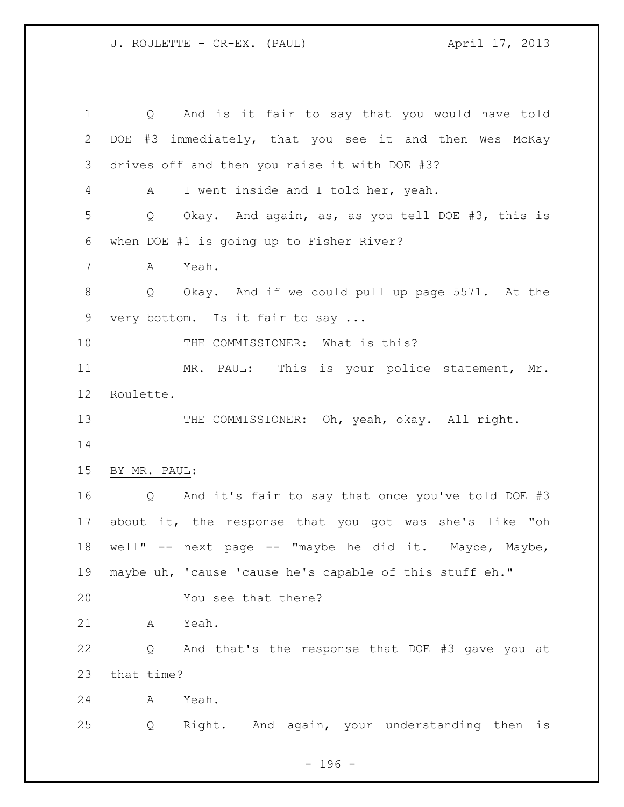Q And is it fair to say that you would have told DOE #3 immediately, that you see it and then Wes McKay drives off and then you raise it with DOE #3? A I went inside and I told her, yeah. Q Okay. And again, as, as you tell DOE #3, this is when DOE #1 is going up to Fisher River? A Yeah. Q Okay. And if we could pull up page 5571. At the very bottom. Is it fair to say ... 10 THE COMMISSIONER: What is this? MR. PAUL: This is your police statement, Mr. Roulette. 13 THE COMMISSIONER: Oh, yeah, okay. All right. BY MR. PAUL: Q And it's fair to say that once you've told DOE #3 about it, the response that you got was she's like "oh well" -- next page -- "maybe he did it. Maybe, Maybe, maybe uh, 'cause 'cause he's capable of this stuff eh." You see that there? A Yeah. Q And that's the response that DOE #3 gave you at that time? A Yeah. Q Right. And again, your understanding then is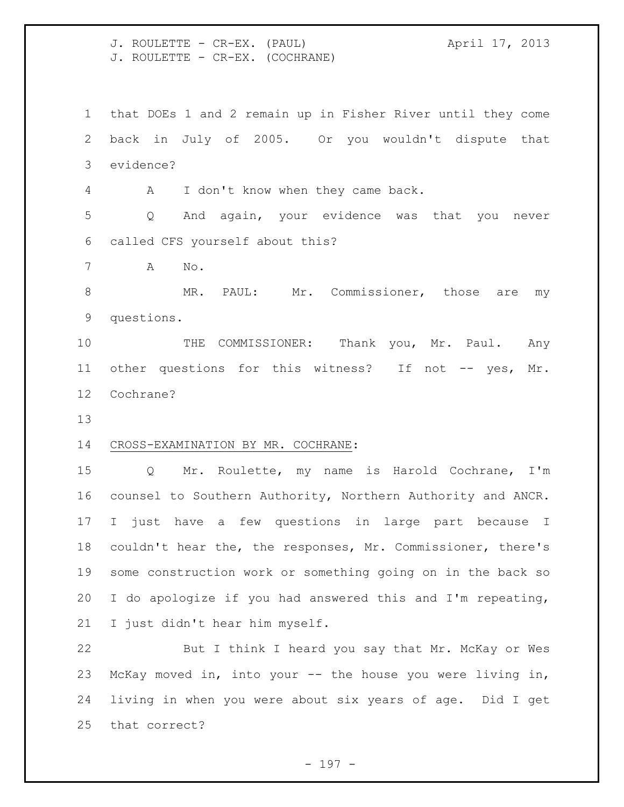J. ROULETTE - CR-EX. (PAUL) (3) April 17, 2013 J. ROULETTE - CR-EX. (COCHRANE)

 that DOEs 1 and 2 remain up in Fisher River until they come back in July of 2005. Or you wouldn't dispute that evidence?

A I don't know when they came back.

 Q And again, your evidence was that you never called CFS yourself about this?

A No.

8 MR. PAUL: Mr. Commissioner, those are my questions.

10 THE COMMISSIONER: Thank you, Mr. Paul. Any 11 other questions for this witness? If not -- yes, Mr. Cochrane?

## CROSS-EXAMINATION BY MR. COCHRANE:

 Q Mr. Roulette, my name is Harold Cochrane, I'm counsel to Southern Authority, Northern Authority and ANCR. I just have a few questions in large part because I couldn't hear the, the responses, Mr. Commissioner, there's some construction work or something going on in the back so I do apologize if you had answered this and I'm repeating, I just didn't hear him myself.

 But I think I heard you say that Mr. McKay or Wes McKay moved in, into your -- the house you were living in, living in when you were about six years of age. Did I get that correct?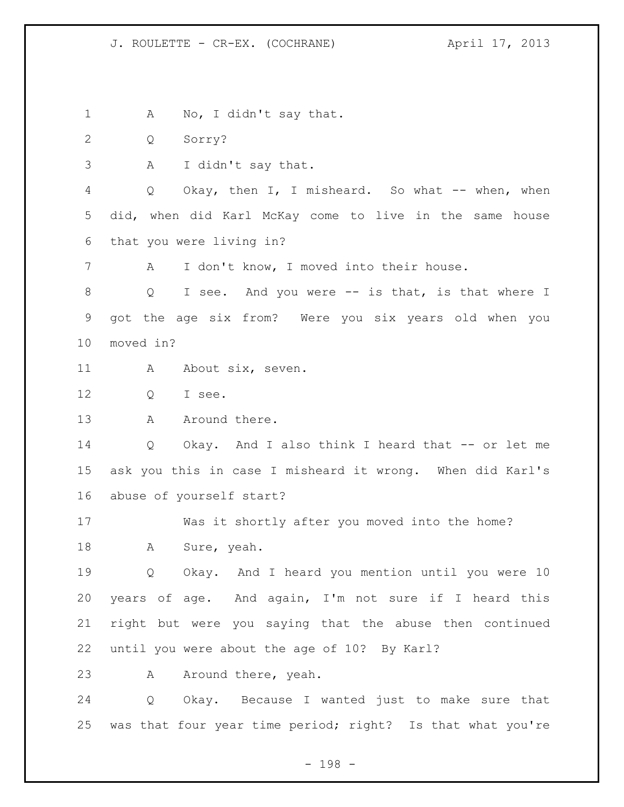1 A No, I didn't say that.

Q Sorry?

A I didn't say that.

 Q Okay, then I, I misheard. So what -- when, when did, when did Karl McKay come to live in the same house that you were living in?

A I don't know, I moved into their house.

 Q I see. And you were -- is that, is that where I got the age six from? Were you six years old when you moved in?

11 A About six, seven.

12 O I see.

13 A Around there.

 Q Okay. And I also think I heard that -- or let me ask you this in case I misheard it wrong. When did Karl's abuse of yourself start?

 Was it shortly after you moved into the home? A Sure, yeah.

19 0 Okay. And I heard you mention until you were 10 years of age. And again, I'm not sure if I heard this right but were you saying that the abuse then continued until you were about the age of 10? By Karl?

23 A Around there, yeah.

 Q Okay. Because I wanted just to make sure that was that four year time period; right? Is that what you're

- 198 -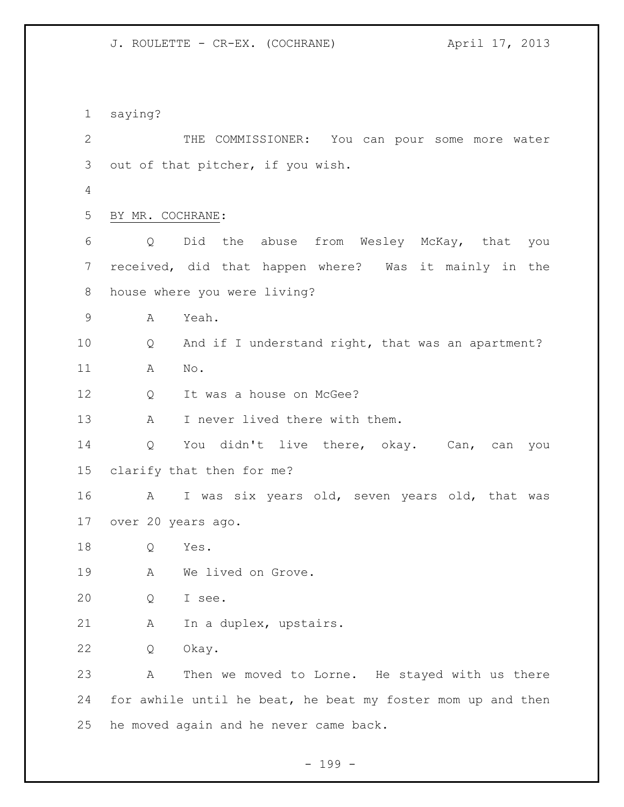J. ROULETTE - CR-EX. (COCHRANE) April 17, 2013

 saying? THE COMMISSIONER: You can pour some more water out of that pitcher, if you wish. BY MR. COCHRANE: Q Did the abuse from Wesley McKay, that you received, did that happen where? Was it mainly in the house where you were living? A Yeah. Q And if I understand right, that was an apartment? A No. 12 Q It was a house on McGee? 13 A I never lived there with them. Q You didn't live there, okay. Can, can you clarify that then for me? A I was six years old, seven years old, that was over 20 years ago. Q Yes. A We lived on Grove. Q I see. A In a duplex, upstairs. Q Okay. A Then we moved to Lorne. He stayed with us there 24 for awhile until he beat, he beat my foster mom up and then he moved again and he never came back.

- 199 -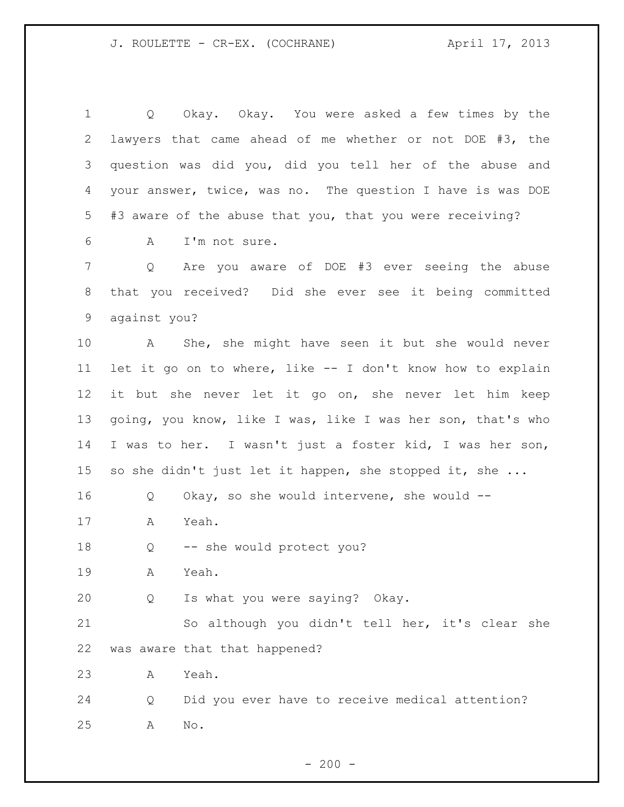| $\mathbf 1$ | Okay. Okay. You were asked a few times by the<br>Q          |
|-------------|-------------------------------------------------------------|
| 2           | lawyers that came ahead of me whether or not DOE #3, the    |
| 3           | question was did you, did you tell her of the abuse and     |
| 4           | your answer, twice, was no. The question I have is was DOE  |
| 5           | #3 aware of the abuse that you, that you were receiving?    |
| 6           | I'm not sure.<br>A                                          |
| 7           | Are you aware of DOE #3 ever seeing the abuse<br>Q          |
| 8           | that you received? Did she ever see it being committed      |
| 9           | against you?                                                |
| 10          | A She, she might have seen it but she would never           |
| 11          | let it go on to where, like -- I don't know how to explain  |
| 12          | it but she never let it go on, she never let him keep       |
| 13          | going, you know, like I was, like I was her son, that's who |
| 14          | I was to her. I wasn't just a foster kid, I was her son,    |
| 15          | so she didn't just let it happen, she stopped it, she       |
| 16          | Okay, so she would intervene, she would $-$ -<br>Q          |
| 17          | Yeah.<br>Α                                                  |
| 18          | -- she would protect you?<br>Q                              |
| 19          | Yeah.<br>Α                                                  |
| 20          | Is what you were saying? Okay.<br>Q                         |
| 21          | So although you didn't tell her, it's clear she             |
| 22          | was aware that that happened?                               |
| 23          | Yeah.<br>A                                                  |
| 24          | Did you ever have to receive medical attention?<br>Q        |
| 25          | No.<br>Α                                                    |

- 200 -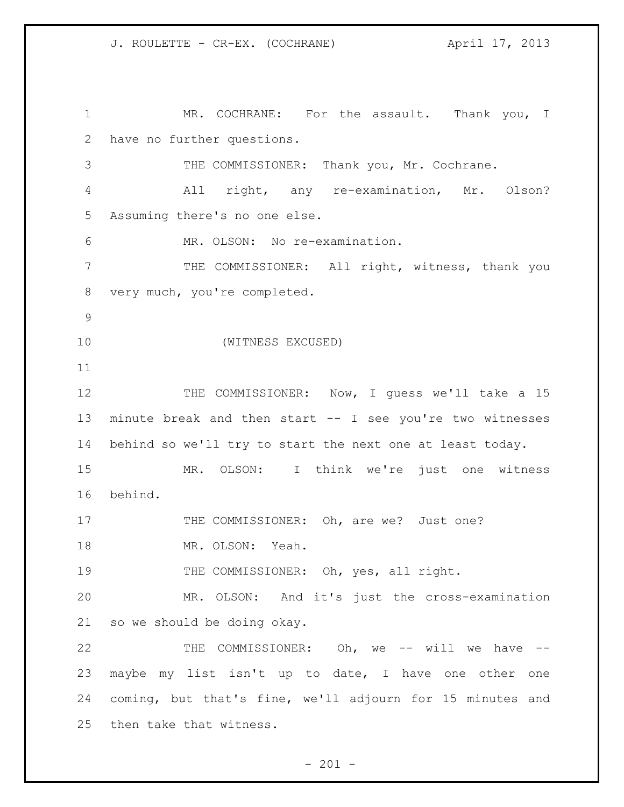1 MR. COCHRANE: For the assault. Thank you, I have no further questions. 3 THE COMMISSIONER: Thank you, Mr. Cochrane. All right, any re-examination, Mr. Olson? Assuming there's no one else. MR. OLSON: No re-examination. THE COMMISSIONER: All right, witness, thank you very much, you're completed. (WITNESS EXCUSED) 12 THE COMMISSIONER: Now, I guess we'll take a 15 minute break and then start -- I see you're two witnesses behind so we'll try to start the next one at least today. MR. OLSON: I think we're just one witness behind. 17 THE COMMISSIONER: Oh, are we? Just one? MR. OLSON: Yeah. 19 THE COMMISSIONER: Oh, yes, all right. MR. OLSON: And it's just the cross-examination so we should be doing okay. 22 THE COMMISSIONER: Oh, we -- will we have -- maybe my list isn't up to date, I have one other one coming, but that's fine, we'll adjourn for 15 minutes and then take that witness.

 $- 201 -$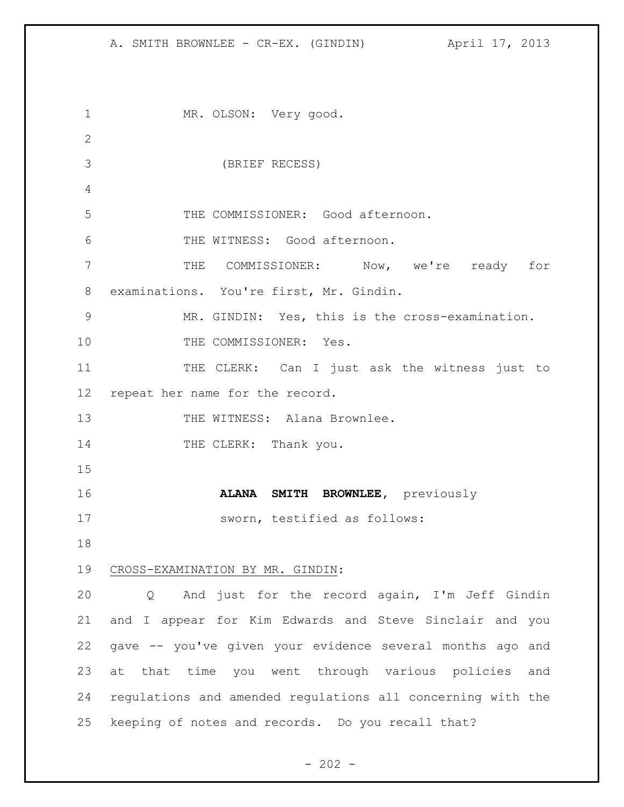MR. OLSON: Very good. (BRIEF RECESS) THE COMMISSIONER: Good afternoon. THE WITNESS: Good afternoon. THE COMMISSIONER: Now, we're ready for examinations. You're first, Mr. Gindin. MR. GINDIN: Yes, this is the cross-examination. 10 THE COMMISSIONER: Yes. THE CLERK: Can I just ask the witness just to repeat her name for the record. 13 THE WITNESS: Alana Brownlee. 14 THE CLERK: Thank you. **ALANA SMITH BROWNLEE,** previously sworn, testified as follows: CROSS-EXAMINATION BY MR. GINDIN: Q And just for the record again, I'm Jeff Gindin and I appear for Kim Edwards and Steve Sinclair and you gave -- you've given your evidence several months ago and at that time you went through various policies and regulations and amended regulations all concerning with the keeping of notes and records. Do you recall that?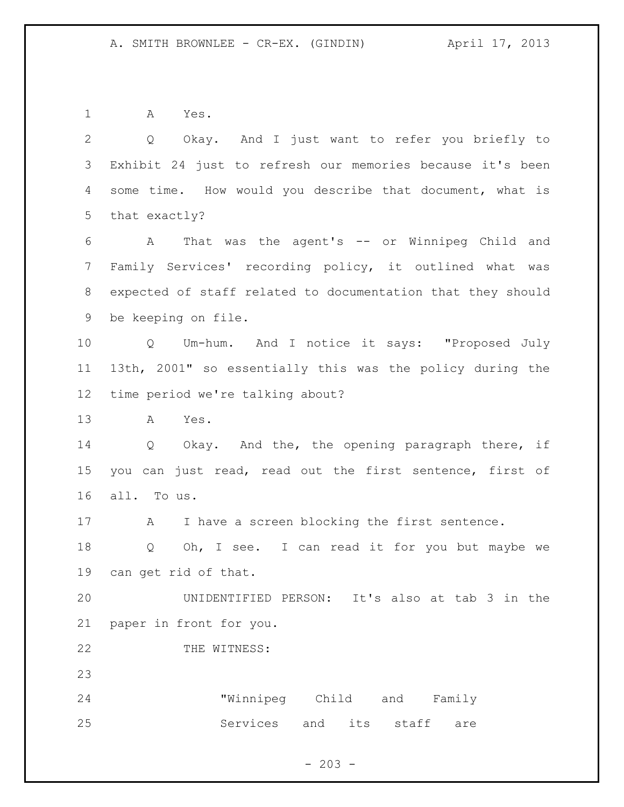A Yes.

 Q Okay. And I just want to refer you briefly to Exhibit 24 just to refresh our memories because it's been some time. How would you describe that document, what is that exactly? A That was the agent's -- or Winnipeg Child and Family Services' recording policy, it outlined what was expected of staff related to documentation that they should

be keeping on file.

 Q Um-hum. And I notice it says: "Proposed July 13th, 2001" so essentially this was the policy during the time period we're talking about?

A Yes.

 Q Okay. And the, the opening paragraph there, if you can just read, read out the first sentence, first of all. To us.

17 A I have a screen blocking the first sentence.

18 Q Oh, I see. I can read it for you but maybe we can get rid of that.

 UNIDENTIFIED PERSON: It's also at tab 3 in the paper in front for you.

22 THE WITNESS:

 "Winnipeg Child and Family 25 Services and its staff are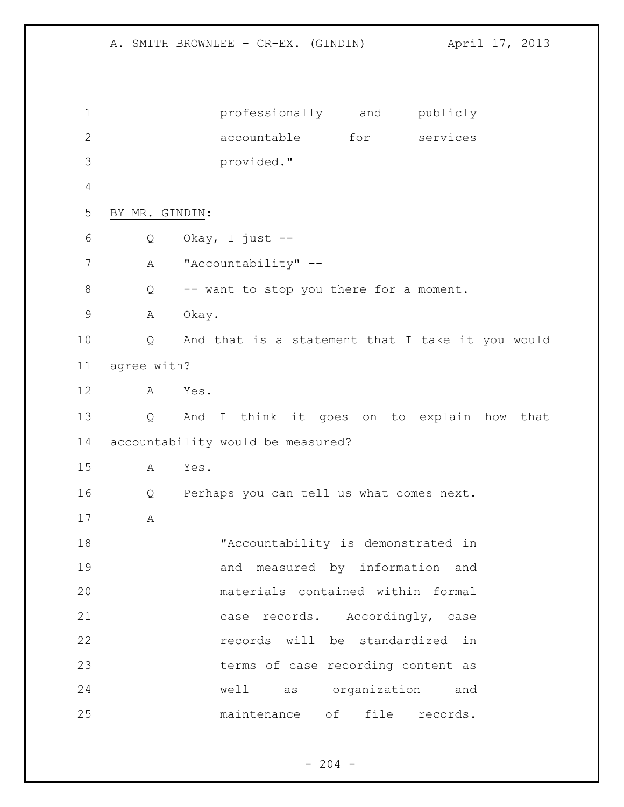A. SMITH BROWNLEE - CR-EX. (GINDIN) April 17, 2013 professionally and publicly accountable for services provided." BY MR. GINDIN: Q Okay, I just -- 7 A "Accountability" -- Q -- want to stop you there for a moment. A Okay. Q And that is a statement that I take it you would agree with? A Yes. Q And I think it goes on to explain how that accountability would be measured? A Yes. Q Perhaps you can tell us what comes next. A "Accountability is demonstrated in and measured by information and materials contained within formal case records. Accordingly, case records will be standardized in terms of case recording content as well as organization and maintenance of file records.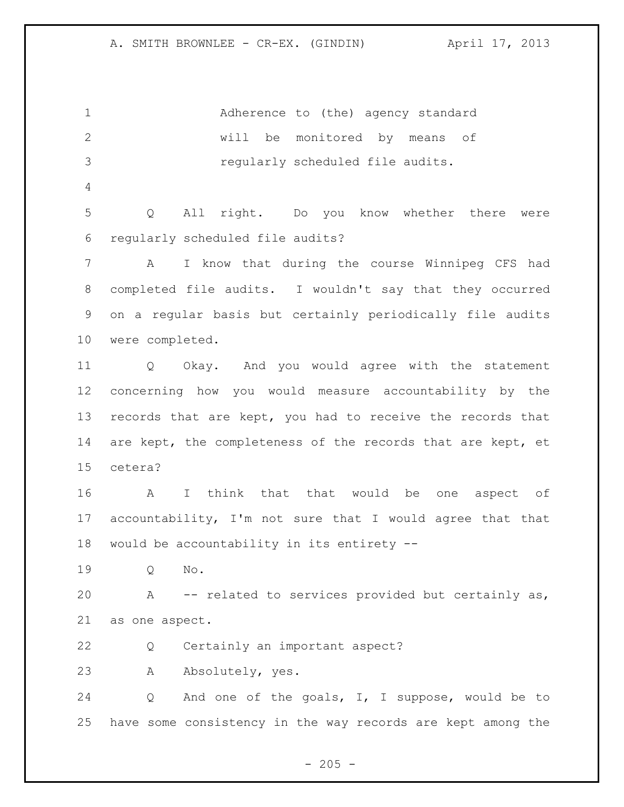1 Adherence to (the) agency standard will be monitored by means of regularly scheduled file audits. Q All right. Do you know whether there were regularly scheduled file audits? A I know that during the course Winnipeg CFS had completed file audits. I wouldn't say that they occurred on a regular basis but certainly periodically file audits were completed. Q Okay. And you would agree with the statement concerning how you would measure accountability by the records that are kept, you had to receive the records that 14 are kept, the completeness of the records that are kept, et cetera? A I think that that would be one aspect of accountability, I'm not sure that I would agree that that would be accountability in its entirety -- Q No. A -- related to services provided but certainly as, as one aspect. Q Certainly an important aspect? A Absolutely, yes. Q And one of the goals, I, I suppose, would be to have some consistency in the way records are kept among the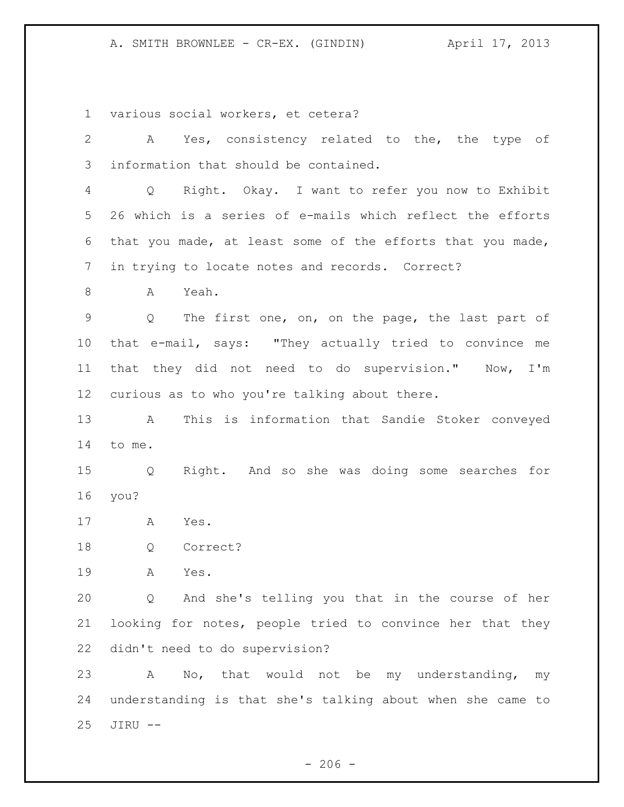various social workers, et cetera?

| $\overline{2}$  | A Yes, consistency related to the, the type of             |
|-----------------|------------------------------------------------------------|
| 3               | information that should be contained.                      |
| 4               | Q Right. Okay. I want to refer you now to Exhibit          |
| 5               | 26 which is a series of e-mails which reflect the efforts  |
| 6               | that you made, at least some of the efforts that you made, |
| 7               | in trying to locate notes and records. Correct?            |
| 8               | Yeah.<br>A                                                 |
| $\mathsf 9$     | Q The first one, on, on the page, the last part of         |
| 10              | that e-mail, says: "They actually tried to convince me     |
| 11              | that they did not need to do supervision." Now, I'm        |
| 12 <sup>°</sup> | curious as to who you're talking about there.              |
| 13              | This is information that Sandie Stoker conveyed<br>A       |
| 14              | to me.                                                     |
| 15              | Right. And so she was doing some searches for<br>Q         |
| 16              | you?                                                       |
| 17              | A<br>Yes.                                                  |
| 18              | Q<br>Correct?                                              |
| 19              | Α<br>Yes.                                                  |
| 20              | And she's telling you that in the course of her<br>Q       |
| 21              | looking for notes, people tried to convince her that they  |
| 22              | didn't need to do supervision?                             |
| 23              | No, that would not be my understanding,<br>A<br>my         |
| 24              | understanding is that she's talking about when she came to |
| 25              | JIRU --                                                    |

- 206 -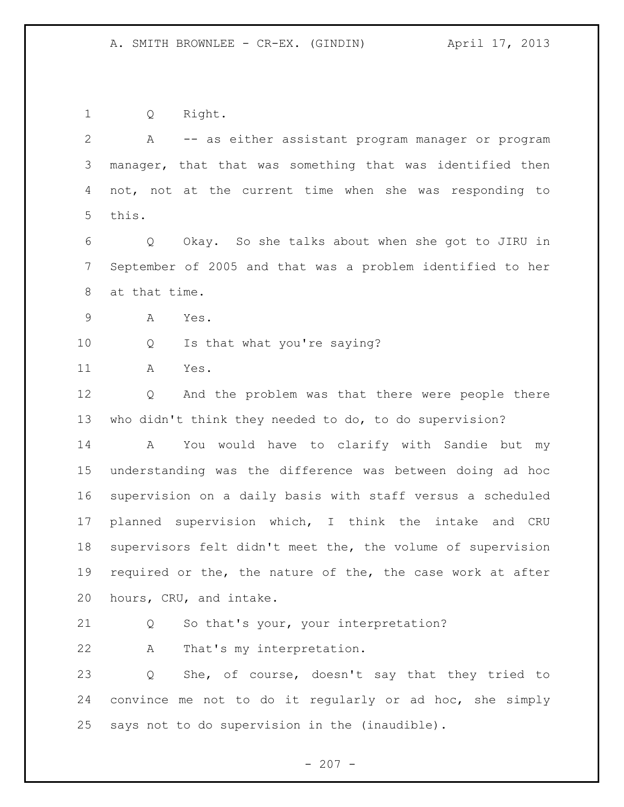Q Right.

 A -- as either assistant program manager or program manager, that that was something that was identified then not, not at the current time when she was responding to this. Q Okay. So she talks about when she got to JIRU in September of 2005 and that was a problem identified to her at that time. A Yes. Q Is that what you're saying? A Yes. Q And the problem was that there were people there who didn't think they needed to do, to do supervision? A You would have to clarify with Sandie but my

 understanding was the difference was between doing ad hoc supervision on a daily basis with staff versus a scheduled planned supervision which, I think the intake and CRU supervisors felt didn't meet the, the volume of supervision required or the, the nature of the, the case work at after hours, CRU, and intake.

Q So that's your, your interpretation?

A That's my interpretation.

 Q She, of course, doesn't say that they tried to convince me not to do it regularly or ad hoc, she simply says not to do supervision in the (inaudible).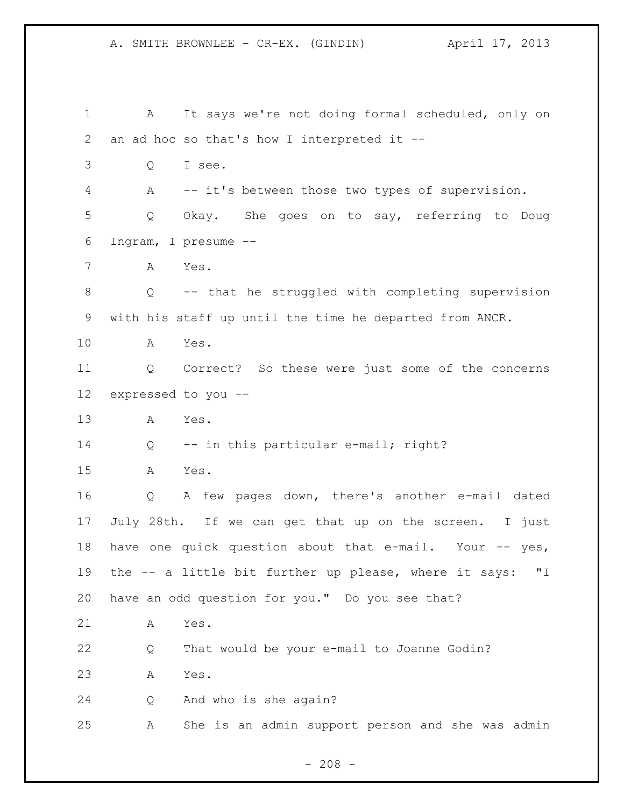A. SMITH BROWNLEE - CR-EX. (GINDIN) April 17, 2013 A It says we're not doing formal scheduled, only on an ad hoc so that's how I interpreted it -- Q I see. A -- it's between those two types of supervision. Q Okay. She goes on to say, referring to Doug Ingram, I presume -- A Yes. Q -- that he struggled with completing supervision with his staff up until the time he departed from ANCR. A Yes. Q Correct? So these were just some of the concerns expressed to you -- A Yes. Q -- in this particular e-mail; right? A Yes. Q A few pages down, there's another e-mail dated July 28th. If we can get that up on the screen. I just 18 have one quick question about that e-mail. Your -- yes, the -- a little bit further up please, where it says: "I have an odd question for you." Do you see that? A Yes. Q That would be your e-mail to Joanne Godin? A Yes. Q And who is she again? A She is an admin support person and she was admin

 $- 208 -$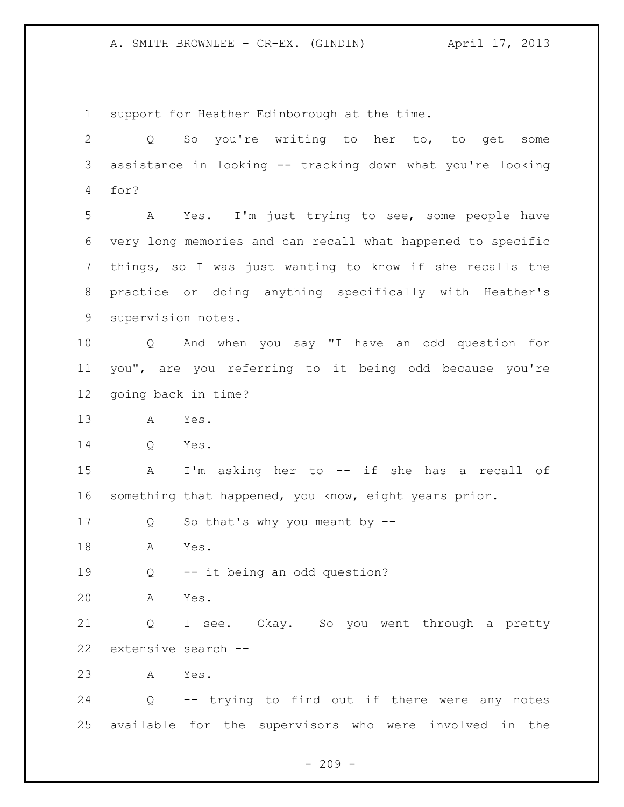support for Heather Edinborough at the time. Q So you're writing to her to, to get some assistance in looking -- tracking down what you're looking for? A Yes. I'm just trying to see, some people have very long memories and can recall what happened to specific things, so I was just wanting to know if she recalls the practice or doing anything specifically with Heather's supervision notes. Q And when you say "I have an odd question for you", are you referring to it being odd because you're going back in time? A Yes. Q Yes. A I'm asking her to -- if she has a recall of something that happened, you know, eight years prior. Q So that's why you meant by -- A Yes. Q -- it being an odd question? A Yes. Q I see. Okay. So you went through a pretty extensive search -- A Yes. Q -- trying to find out if there were any notes available for the supervisors who were involved in the

 $-209 -$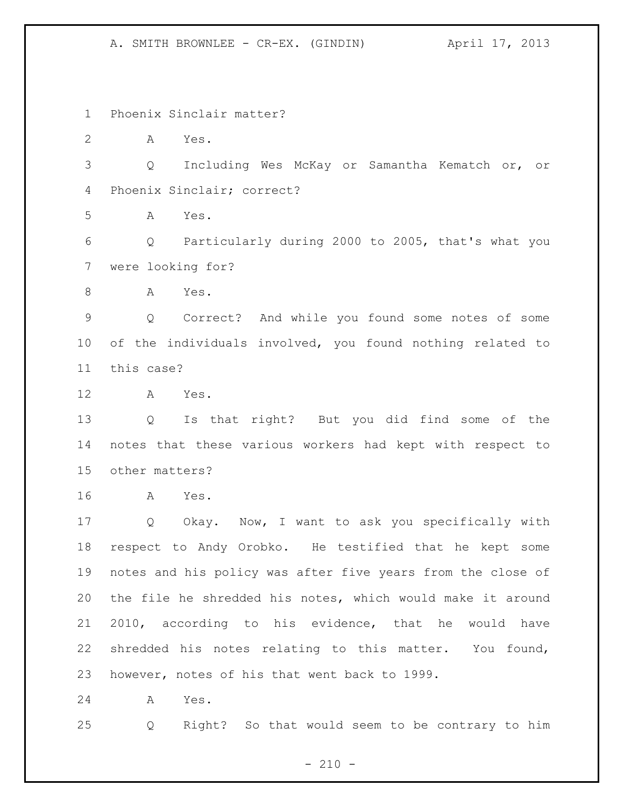Phoenix Sinclair matter?

A Yes.

 Q Including Wes McKay or Samantha Kematch or, or Phoenix Sinclair; correct?

A Yes.

 Q Particularly during 2000 to 2005, that's what you were looking for?

A Yes.

 Q Correct? And while you found some notes of some of the individuals involved, you found nothing related to this case?

A Yes.

 Q Is that right? But you did find some of the notes that these various workers had kept with respect to other matters?

A Yes.

 Q Okay. Now, I want to ask you specifically with respect to Andy Orobko. He testified that he kept some notes and his policy was after five years from the close of the file he shredded his notes, which would make it around 2010, according to his evidence, that he would have shredded his notes relating to this matter. You found, however, notes of his that went back to 1999.

A Yes.

Q Right? So that would seem to be contrary to him

 $- 210 -$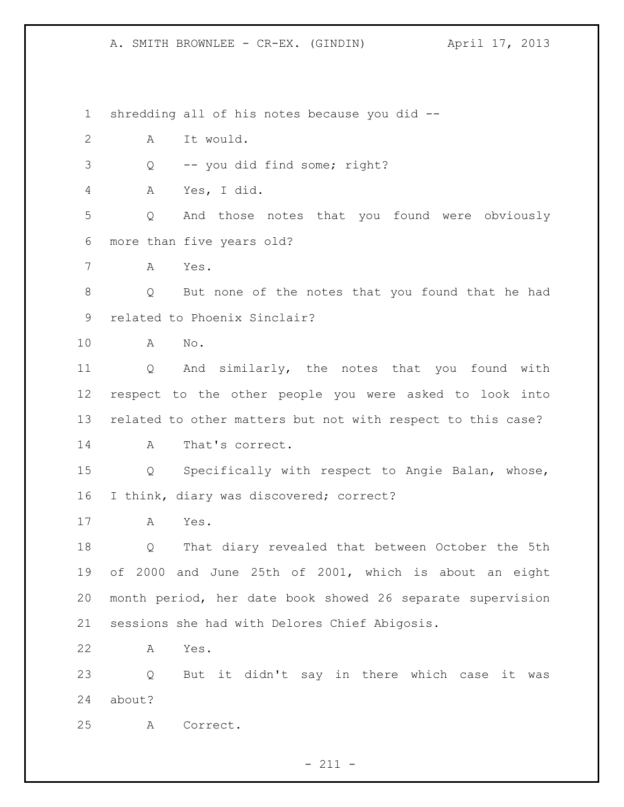shredding all of his notes because you did --

A It would.

Q -- you did find some; right?

A Yes, I did.

 Q And those notes that you found were obviously more than five years old?

A Yes.

 Q But none of the notes that you found that he had related to Phoenix Sinclair?

A No.

 Q And similarly, the notes that you found with respect to the other people you were asked to look into related to other matters but not with respect to this case? 14 A That's correct.

 Q Specifically with respect to Angie Balan, whose, 16 I think, diary was discovered; correct?

A Yes.

 Q That diary revealed that between October the 5th of 2000 and June 25th of 2001, which is about an eight month period, her date book showed 26 separate supervision sessions she had with Delores Chief Abigosis.

A Yes.

 Q But it didn't say in there which case it was about?

A Correct.

- 211 -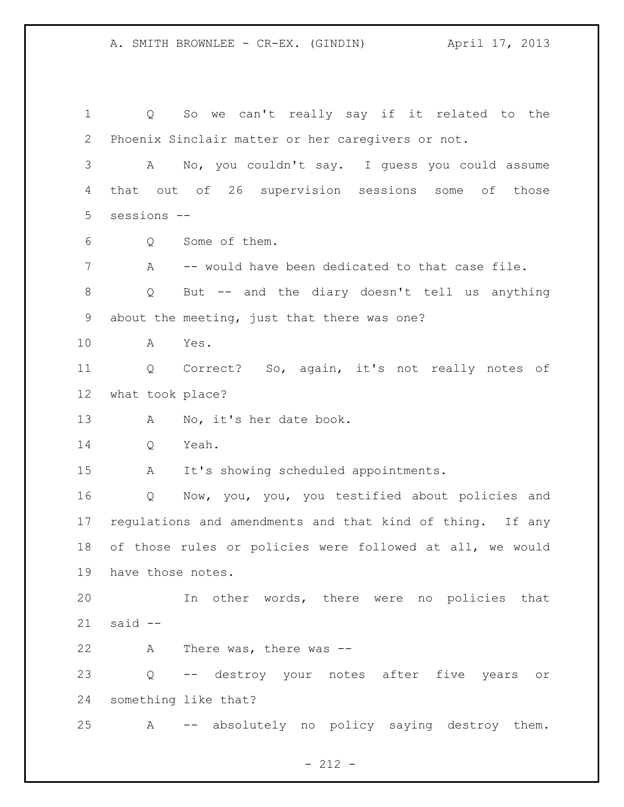Q So we can't really say if it related to the Phoenix Sinclair matter or her caregivers or not. A No, you couldn't say. I guess you could assume that out of 26 supervision sessions some of those sessions -- Q Some of them. A -- would have been dedicated to that case file. Q But -- and the diary doesn't tell us anything about the meeting, just that there was one? A Yes. Q Correct? So, again, it's not really notes of what took place? 13 A No, it's her date book. Q Yeah. A It's showing scheduled appointments. Q Now, you, you, you testified about policies and regulations and amendments and that kind of thing. If any of those rules or policies were followed at all, we would have those notes. In other words, there were no policies that said -- A There was, there was -- Q -- destroy your notes after five years or something like that? A -- absolutely no policy saying destroy them.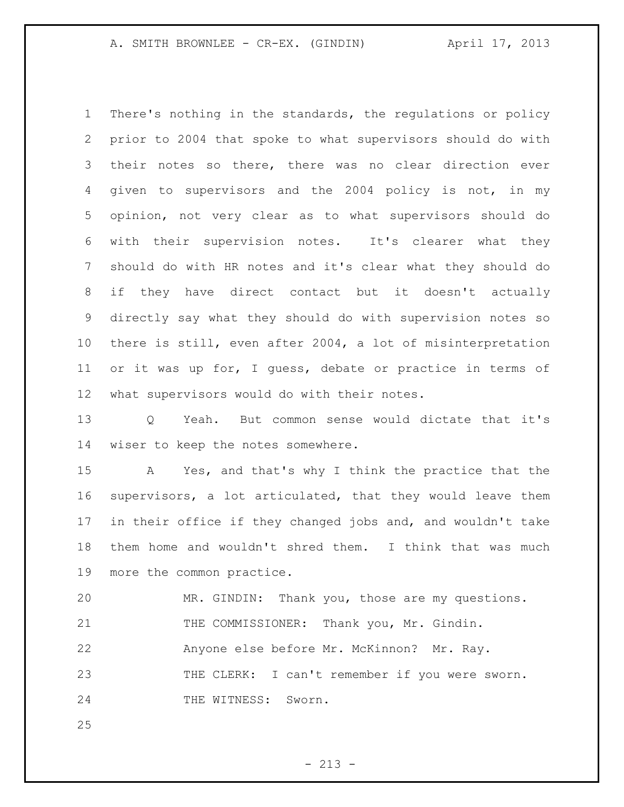There's nothing in the standards, the regulations or policy prior to 2004 that spoke to what supervisors should do with their notes so there, there was no clear direction ever given to supervisors and the 2004 policy is not, in my opinion, not very clear as to what supervisors should do with their supervision notes. It's clearer what they should do with HR notes and it's clear what they should do if they have direct contact but it doesn't actually directly say what they should do with supervision notes so there is still, even after 2004, a lot of misinterpretation or it was up for, I guess, debate or practice in terms of what supervisors would do with their notes.

 Q Yeah. But common sense would dictate that it's wiser to keep the notes somewhere.

 A Yes, and that's why I think the practice that the supervisors, a lot articulated, that they would leave them in their office if they changed jobs and, and wouldn't take them home and wouldn't shred them. I think that was much more the common practice.

 MR. GINDIN: Thank you, those are my questions. THE COMMISSIONER: Thank you, Mr. Gindin. Anyone else before Mr. McKinnon? Mr. Ray. 23 THE CLERK: I can't remember if you were sworn. 24 THE WITNESS: Sworn.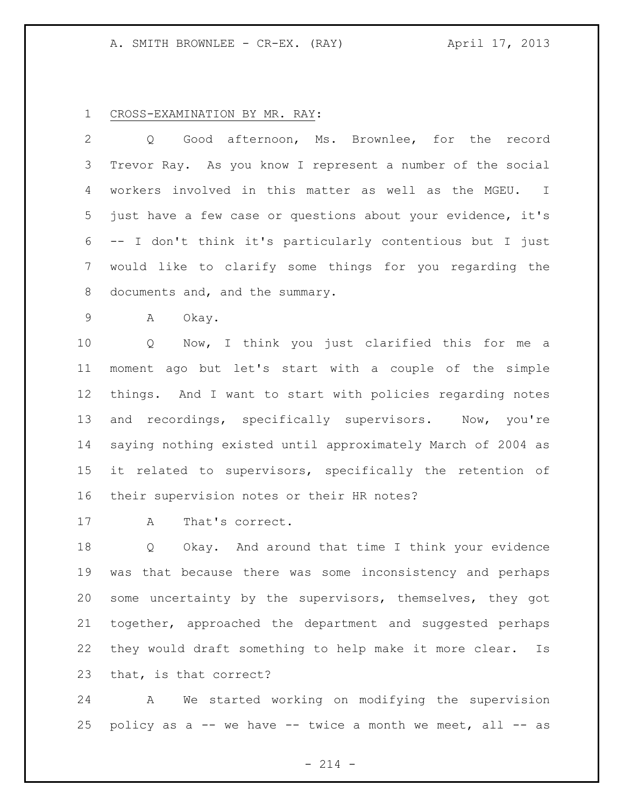## CROSS-EXAMINATION BY MR. RAY:

 Q Good afternoon, Ms. Brownlee, for the record Trevor Ray. As you know I represent a number of the social workers involved in this matter as well as the MGEU. I just have a few case or questions about your evidence, it's -- I don't think it's particularly contentious but I just would like to clarify some things for you regarding the documents and, and the summary.

A Okay.

 Q Now, I think you just clarified this for me a moment ago but let's start with a couple of the simple things. And I want to start with policies regarding notes 13 and recordings, specifically supervisors. Now, you're saying nothing existed until approximately March of 2004 as it related to supervisors, specifically the retention of their supervision notes or their HR notes?

A That's correct.

 Q Okay. And around that time I think your evidence was that because there was some inconsistency and perhaps some uncertainty by the supervisors, themselves, they got together, approached the department and suggested perhaps they would draft something to help make it more clear. Is that, is that correct?

 A We started working on modifying the supervision 25 policy as  $a$  -- we have -- twice a month we meet, all -- as

 $- 214 -$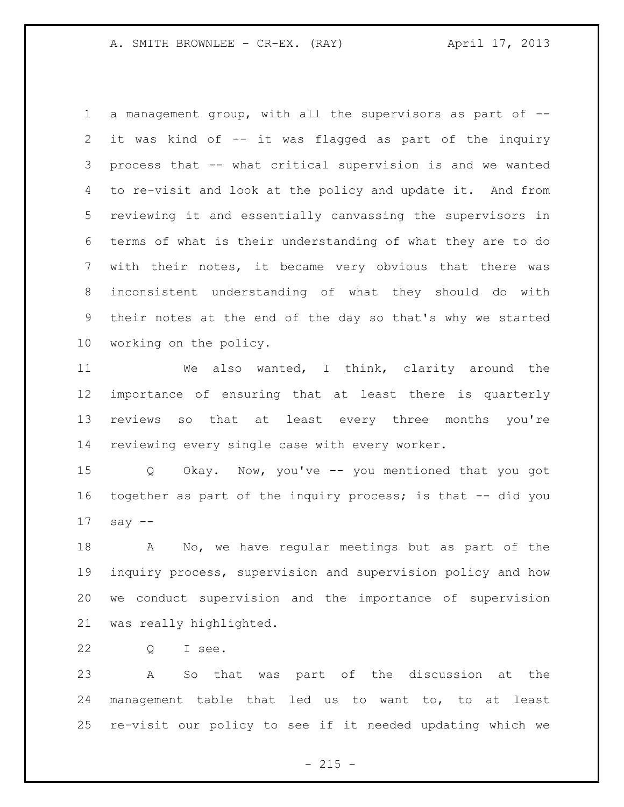a management group, with all the supervisors as part of -- it was kind of -- it was flagged as part of the inquiry process that -- what critical supervision is and we wanted to re-visit and look at the policy and update it. And from reviewing it and essentially canvassing the supervisors in terms of what is their understanding of what they are to do with their notes, it became very obvious that there was inconsistent understanding of what they should do with their notes at the end of the day so that's why we started working on the policy.

 We also wanted, I think, clarity around the importance of ensuring that at least there is quarterly reviews so that at least every three months you're reviewing every single case with every worker.

 Q Okay. Now, you've -- you mentioned that you got together as part of the inquiry process; is that -- did you say --

 A No, we have regular meetings but as part of the inquiry process, supervision and supervision policy and how we conduct supervision and the importance of supervision was really highlighted.

Q I see.

 A So that was part of the discussion at the management table that led us to want to, to at least re-visit our policy to see if it needed updating which we

 $- 215 -$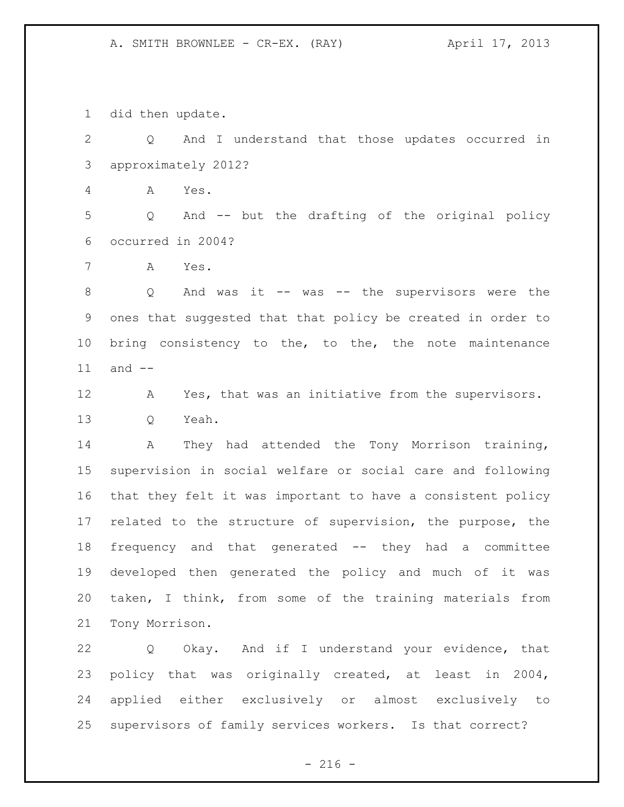did then update.

 Q And I understand that those updates occurred in approximately 2012?

A Yes.

 Q And -- but the drafting of the original policy occurred in 2004?

A Yes.

 Q And was it -- was -- the supervisors were the ones that suggested that that policy be created in order to 10 bring consistency to the, to the, the note maintenance and --

 A Yes, that was an initiative from the supervisors. Q Yeah.

 A They had attended the Tony Morrison training, supervision in social welfare or social care and following that they felt it was important to have a consistent policy related to the structure of supervision, the purpose, the frequency and that generated -- they had a committee developed then generated the policy and much of it was taken, I think, from some of the training materials from Tony Morrison.

 Q Okay. And if I understand your evidence, that policy that was originally created, at least in 2004, applied either exclusively or almost exclusively to supervisors of family services workers. Is that correct?

 $-216 -$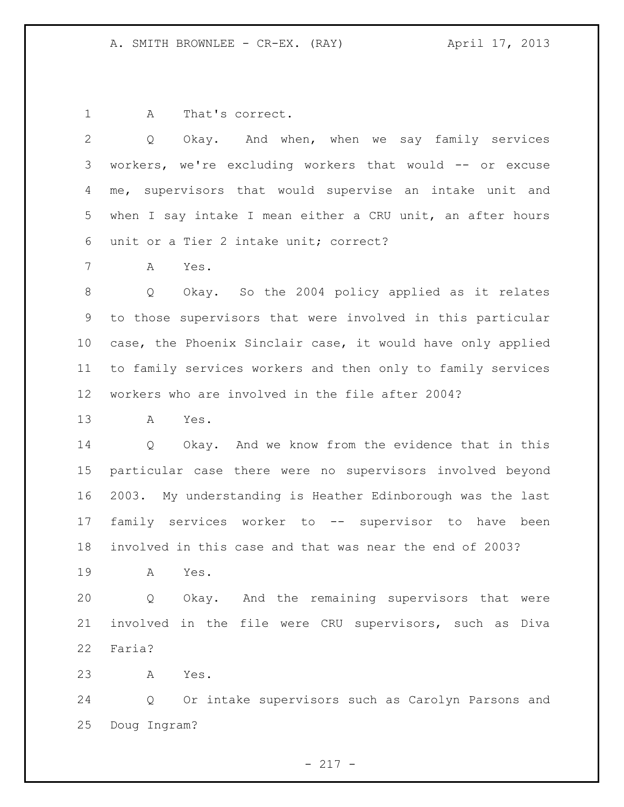A That's correct.

 Q Okay. And when, when we say family services workers, we're excluding workers that would -- or excuse me, supervisors that would supervise an intake unit and when I say intake I mean either a CRU unit, an after hours unit or a Tier 2 intake unit; correct?

A Yes.

 Q Okay. So the 2004 policy applied as it relates to those supervisors that were involved in this particular case, the Phoenix Sinclair case, it would have only applied to family services workers and then only to family services workers who are involved in the file after 2004?

A Yes.

 Q Okay. And we know from the evidence that in this particular case there were no supervisors involved beyond 2003. My understanding is Heather Edinborough was the last family services worker to -- supervisor to have been involved in this case and that was near the end of 2003?

A Yes.

 Q Okay. And the remaining supervisors that were involved in the file were CRU supervisors, such as Diva Faria?

A Yes.

 Q Or intake supervisors such as Carolyn Parsons and Doug Ingram?

- 217 -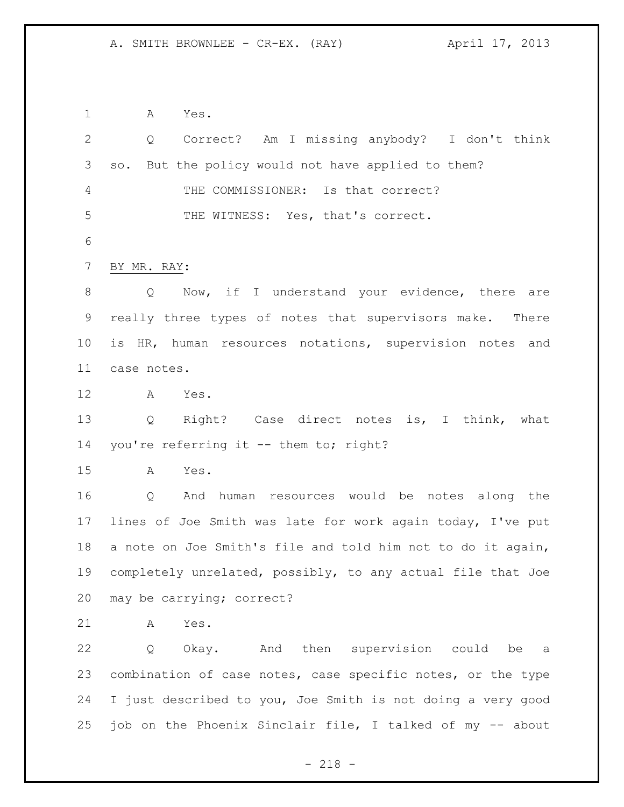A Yes. Q Correct? Am I missing anybody? I don't think so. But the policy would not have applied to them? THE COMMISSIONER: Is that correct? THE WITNESS: Yes, that's correct. BY MR. RAY: 8 Q Now, if I understand your evidence, there are really three types of notes that supervisors make. There is HR, human resources notations, supervision notes and case notes. A Yes. Q Right? Case direct notes is, I think, what 14 you're referring it -- them to; right? A Yes. Q And human resources would be notes along the lines of Joe Smith was late for work again today, I've put a note on Joe Smith's file and told him not to do it again, completely unrelated, possibly, to any actual file that Joe may be carrying; correct? A Yes. Q Okay. And then supervision could be a combination of case notes, case specific notes, or the type I just described to you, Joe Smith is not doing a very good job on the Phoenix Sinclair file, I talked of my -- about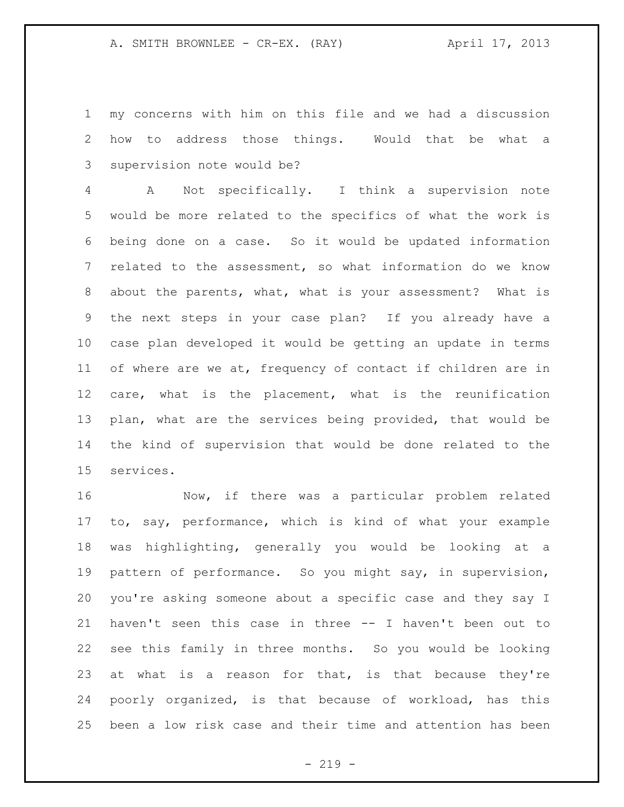my concerns with him on this file and we had a discussion how to address those things. Would that be what a supervision note would be?

 A Not specifically. I think a supervision note would be more related to the specifics of what the work is being done on a case. So it would be updated information related to the assessment, so what information do we know about the parents, what, what is your assessment? What is the next steps in your case plan? If you already have a case plan developed it would be getting an update in terms of where are we at, frequency of contact if children are in care, what is the placement, what is the reunification plan, what are the services being provided, that would be the kind of supervision that would be done related to the services.

 Now, if there was a particular problem related to, say, performance, which is kind of what your example was highlighting, generally you would be looking at a pattern of performance. So you might say, in supervision, you're asking someone about a specific case and they say I haven't seen this case in three -- I haven't been out to see this family in three months. So you would be looking 23 at what is a reason for that, is that because they're poorly organized, is that because of workload, has this been a low risk case and their time and attention has been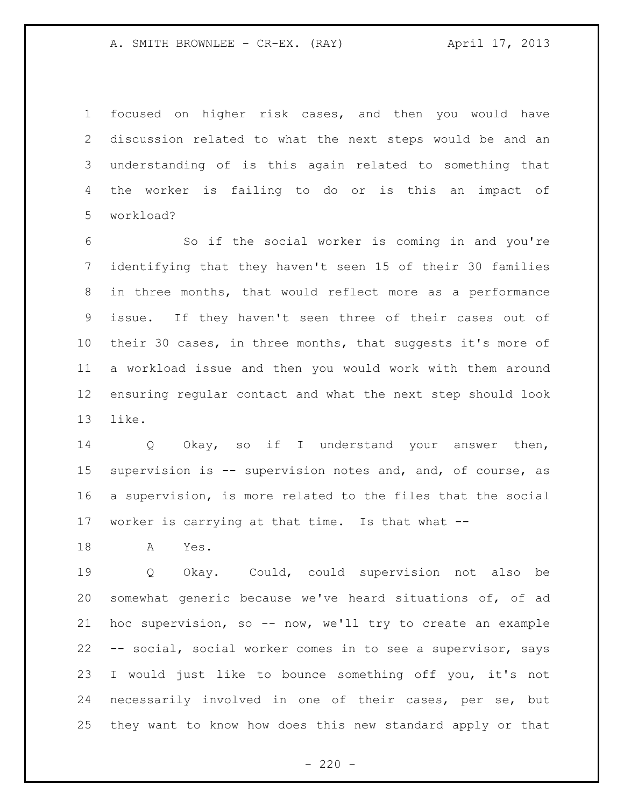focused on higher risk cases, and then you would have discussion related to what the next steps would be and an understanding of is this again related to something that the worker is failing to do or is this an impact of workload?

 So if the social worker is coming in and you're identifying that they haven't seen 15 of their 30 families in three months, that would reflect more as a performance issue. If they haven't seen three of their cases out of their 30 cases, in three months, that suggests it's more of a workload issue and then you would work with them around ensuring regular contact and what the next step should look like.

 Q Okay, so if I understand your answer then, supervision is -- supervision notes and, and, of course, as a supervision, is more related to the files that the social worker is carrying at that time. Is that what --

A Yes.

 Q Okay. Could, could supervision not also be somewhat generic because we've heard situations of, of ad hoc supervision, so -- now, we'll try to create an example -- social, social worker comes in to see a supervisor, says I would just like to bounce something off you, it's not necessarily involved in one of their cases, per se, but they want to know how does this new standard apply or that

 $- 220 -$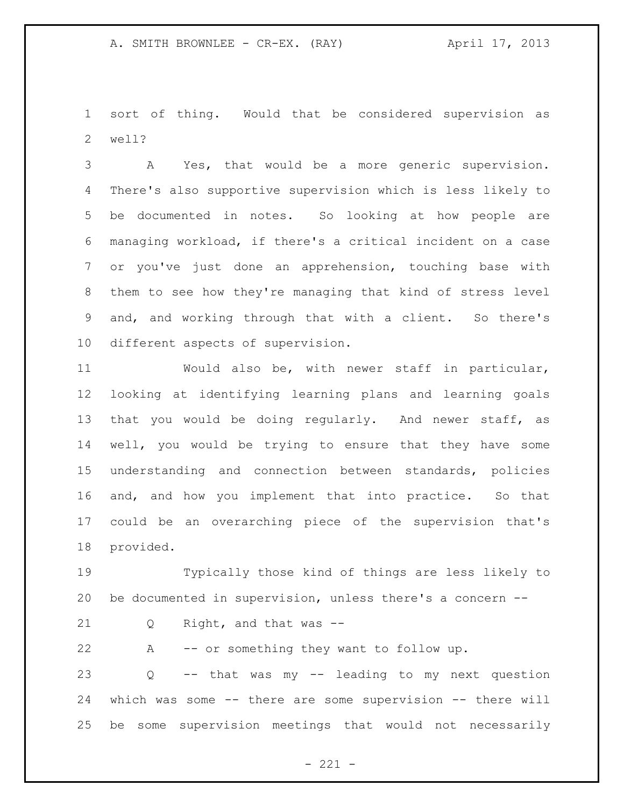sort of thing. Would that be considered supervision as well?

 A Yes, that would be a more generic supervision. There's also supportive supervision which is less likely to be documented in notes. So looking at how people are managing workload, if there's a critical incident on a case or you've just done an apprehension, touching base with them to see how they're managing that kind of stress level and, and working through that with a client. So there's different aspects of supervision.

 Would also be, with newer staff in particular, looking at identifying learning plans and learning goals that you would be doing regularly. And newer staff, as well, you would be trying to ensure that they have some understanding and connection between standards, policies and, and how you implement that into practice. So that could be an overarching piece of the supervision that's provided.

 Typically those kind of things are less likely to be documented in supervision, unless there's a concern --

Q Right, and that was --

A -- or something they want to follow up.

 Q -- that was my -- leading to my next question which was some -- there are some supervision -- there will be some supervision meetings that would not necessarily

 $- 221 -$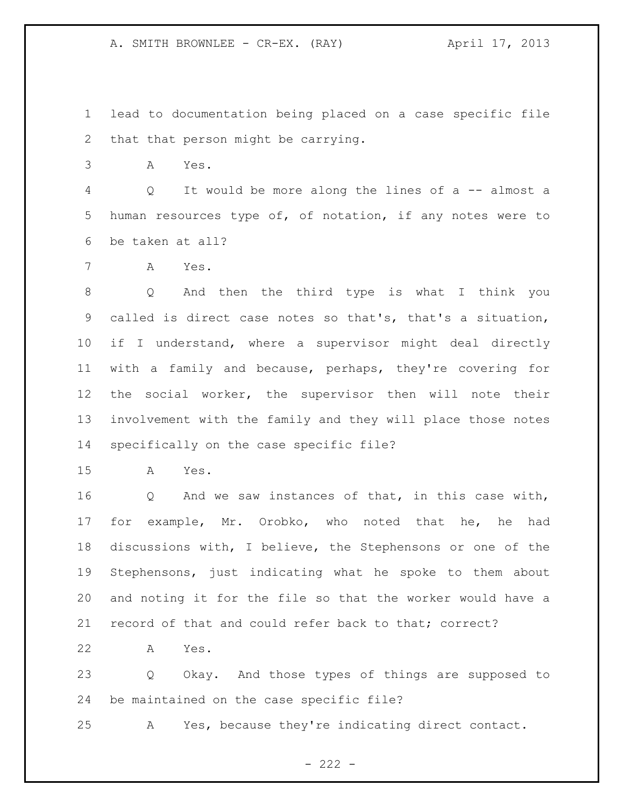lead to documentation being placed on a case specific file that that person might be carrying.

A Yes.

 Q It would be more along the lines of a -- almost a human resources type of, of notation, if any notes were to be taken at all?

A Yes.

 Q And then the third type is what I think you called is direct case notes so that's, that's a situation, if I understand, where a supervisor might deal directly with a family and because, perhaps, they're covering for the social worker, the supervisor then will note their involvement with the family and they will place those notes specifically on the case specific file?

A Yes.

 Q And we saw instances of that, in this case with, for example, Mr. Orobko, who noted that he, he had discussions with, I believe, the Stephensons or one of the Stephensons, just indicating what he spoke to them about and noting it for the file so that the worker would have a record of that and could refer back to that; correct?

A Yes.

 Q Okay. And those types of things are supposed to be maintained on the case specific file?

A Yes, because they're indicating direct contact.

 $- 222 -$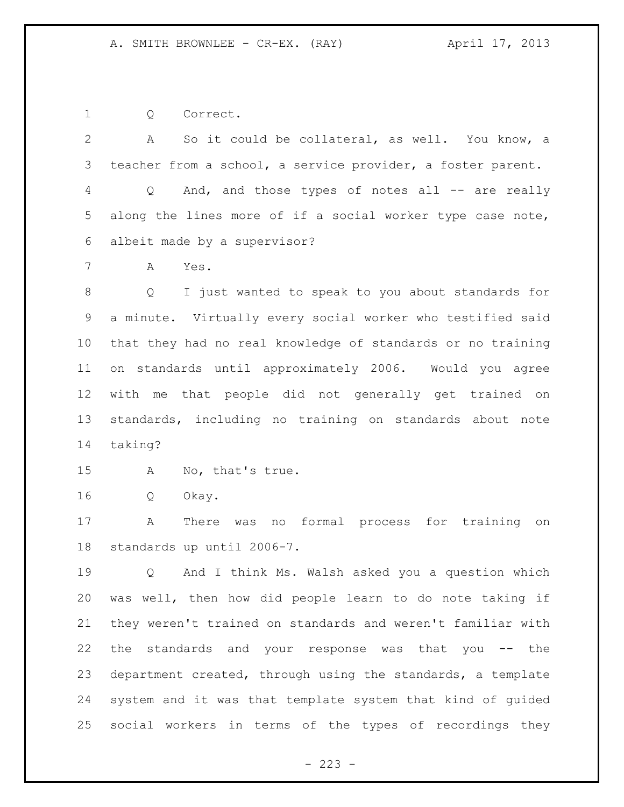Q Correct.

 A So it could be collateral, as well. You know, a teacher from a school, a service provider, a foster parent. Q And, and those types of notes all -- are really along the lines more of if a social worker type case note, albeit made by a supervisor? A Yes. Q I just wanted to speak to you about standards for a minute. Virtually every social worker who testified said that they had no real knowledge of standards or no training on standards until approximately 2006. Would you agree with me that people did not generally get trained on standards, including no training on standards about note taking? A No, that's true. Q Okay. A There was no formal process for training on

standards up until 2006-7.

 Q And I think Ms. Walsh asked you a question which was well, then how did people learn to do note taking if they weren't trained on standards and weren't familiar with the standards and your response was that you -- the department created, through using the standards, a template system and it was that template system that kind of guided social workers in terms of the types of recordings they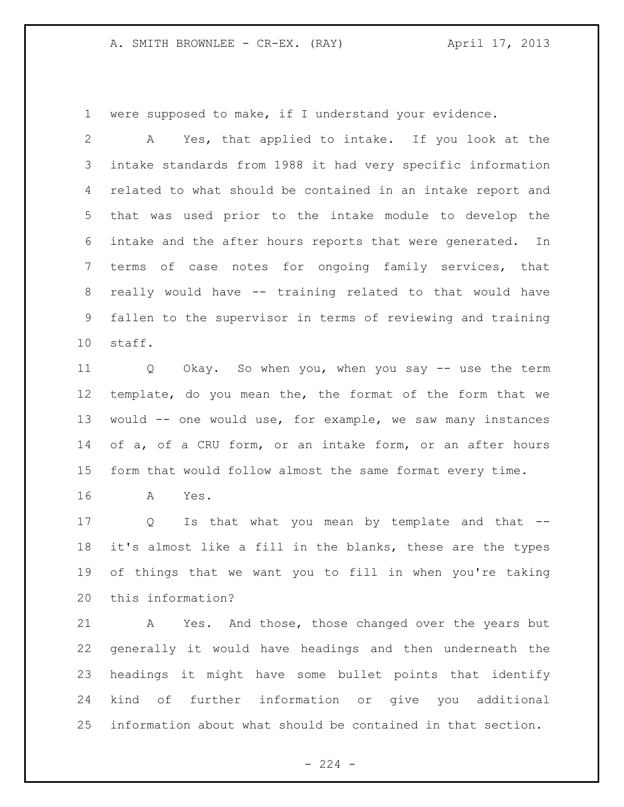were supposed to make, if I understand your evidence.

 A Yes, that applied to intake. If you look at the intake standards from 1988 it had very specific information related to what should be contained in an intake report and that was used prior to the intake module to develop the intake and the after hours reports that were generated. In terms of case notes for ongoing family services, that really would have -- training related to that would have fallen to the supervisor in terms of reviewing and training staff.

 Q Okay. So when you, when you say -- use the term template, do you mean the, the format of the form that we would -- one would use, for example, we saw many instances of a, of a CRU form, or an intake form, or an after hours form that would follow almost the same format every time.

A Yes.

17 Q Is that what you mean by template and that -- it's almost like a fill in the blanks, these are the types of things that we want you to fill in when you're taking this information?

21 A Yes. And those, those changed over the years but generally it would have headings and then underneath the headings it might have some bullet points that identify kind of further information or give you additional information about what should be contained in that section.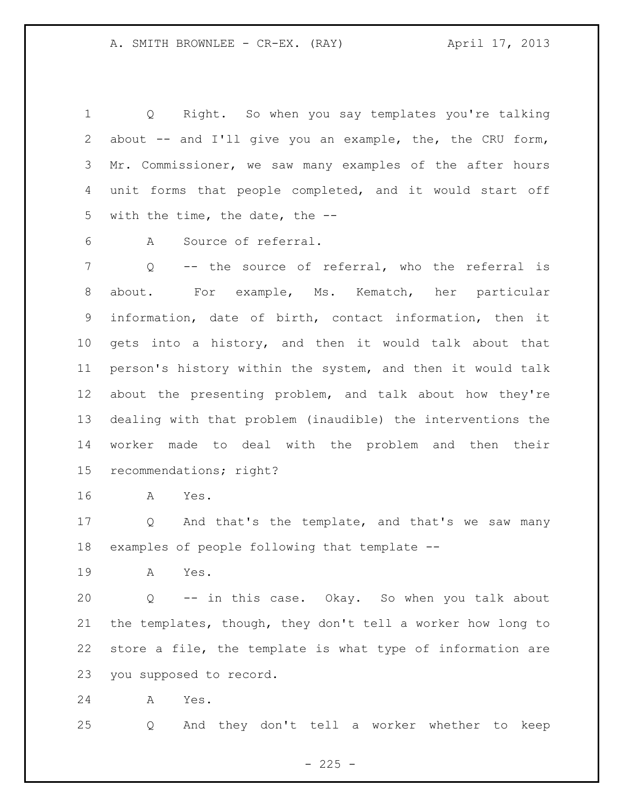Q Right. So when you say templates you're talking 2 about -- and I'll give you an example, the, the CRU form, Mr. Commissioner, we saw many examples of the after hours unit forms that people completed, and it would start off with the time, the date, the --

A Source of referral.

7 Q -- the source of referral, who the referral is about. For example, Ms. Kematch, her particular information, date of birth, contact information, then it gets into a history, and then it would talk about that person's history within the system, and then it would talk about the presenting problem, and talk about how they're dealing with that problem (inaudible) the interventions the worker made to deal with the problem and then their recommendations; right?

A Yes.

 Q And that's the template, and that's we saw many examples of people following that template --

A Yes.

 Q -- in this case. Okay. So when you talk about the templates, though, they don't tell a worker how long to store a file, the template is what type of information are you supposed to record.

A Yes.

Q And they don't tell a worker whether to keep

 $- 225 -$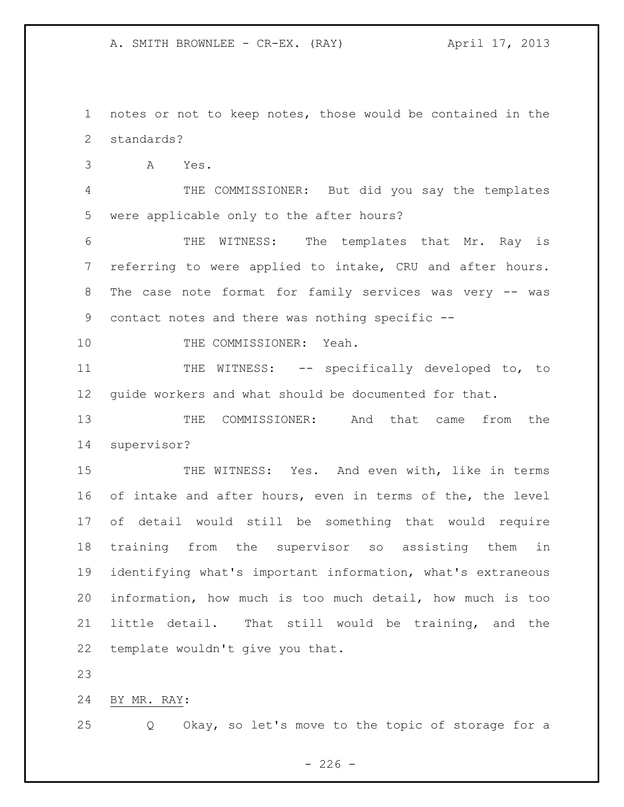notes or not to keep notes, those would be contained in the standards?

A Yes.

 THE COMMISSIONER: But did you say the templates were applicable only to the after hours?

 THE WITNESS: The templates that Mr. Ray is referring to were applied to intake, CRU and after hours. 8 The case note format for family services was very -- was contact notes and there was nothing specific --

10 THE COMMISSIONER: Yeah.

11 THE WITNESS: -- specifically developed to, to guide workers and what should be documented for that.

 THE COMMISSIONER: And that came from the supervisor?

15 THE WITNESS: Yes. And even with, like in terms of intake and after hours, even in terms of the, the level of detail would still be something that would require training from the supervisor so assisting them in identifying what's important information, what's extraneous information, how much is too much detail, how much is too little detail. That still would be training, and the template wouldn't give you that.

BY MR. RAY:

Q Okay, so let's move to the topic of storage for a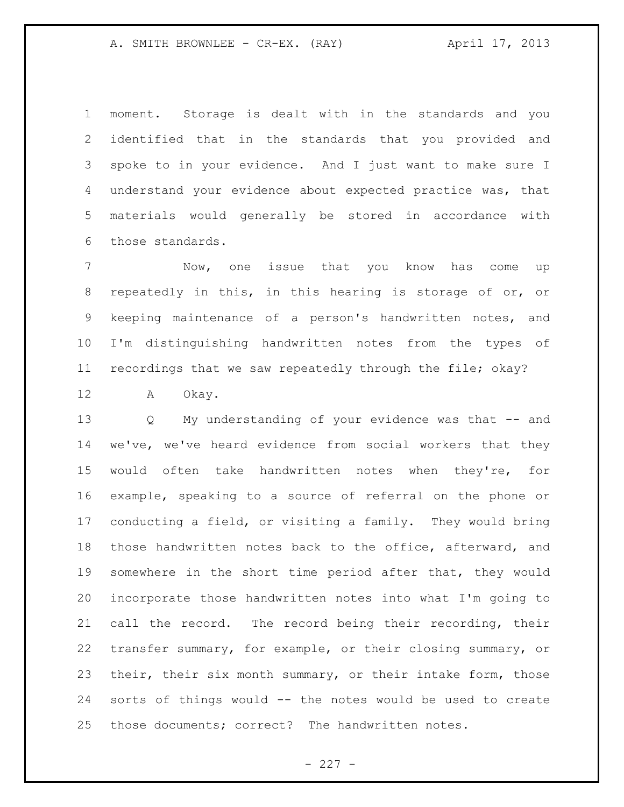moment. Storage is dealt with in the standards and you identified that in the standards that you provided and spoke to in your evidence. And I just want to make sure I understand your evidence about expected practice was, that materials would generally be stored in accordance with those standards.

 Now, one issue that you know has come up repeatedly in this, in this hearing is storage of or, or keeping maintenance of a person's handwritten notes, and I'm distinguishing handwritten notes from the types of recordings that we saw repeatedly through the file; okay?

A Okay.

 Q My understanding of your evidence was that -- and we've, we've heard evidence from social workers that they would often take handwritten notes when they're, for example, speaking to a source of referral on the phone or conducting a field, or visiting a family. They would bring those handwritten notes back to the office, afterward, and somewhere in the short time period after that, they would incorporate those handwritten notes into what I'm going to call the record. The record being their recording, their transfer summary, for example, or their closing summary, or their, their six month summary, or their intake form, those sorts of things would -- the notes would be used to create those documents; correct? The handwritten notes.

 $- 227 -$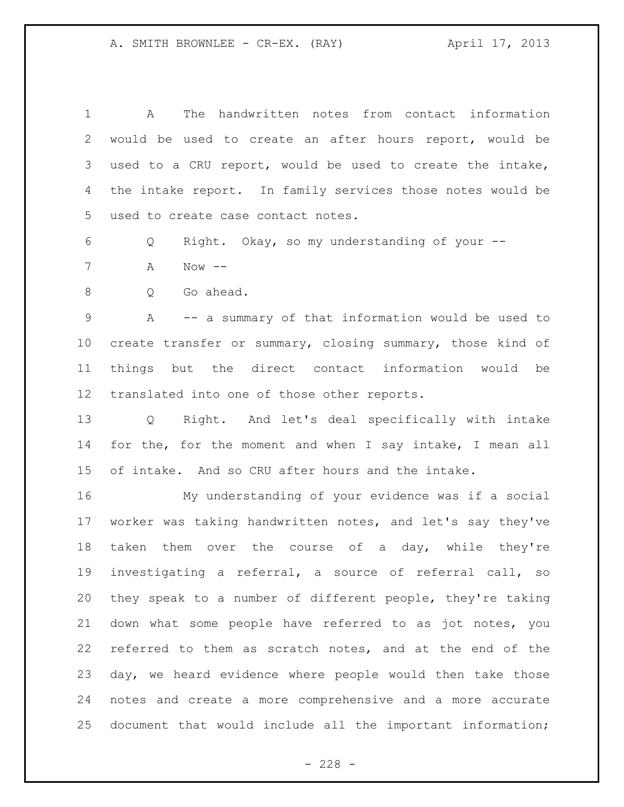| $\mathbf 1$     | The handwritten notes from contact information<br>A        |
|-----------------|------------------------------------------------------------|
| $\overline{2}$  | would be used to create an after hours report, would be    |
| 3               | used to a CRU report, would be used to create the intake,  |
| 4               | the intake report. In family services those notes would be |
| 5               | used to create case contact notes.                         |
| 6               | Right. Okay, so my understanding of your --<br>Q           |
| 7               | Now $--$<br>Α                                              |
| 8               | Go ahead.<br>Q                                             |
| $\mathsf 9$     | A -- a summary of that information would be used to        |
| 10              | create transfer or summary, closing summary, those kind of |
| 11              | things but the direct contact information would be         |
| 12 <sup>°</sup> | translated into one of those other reports.                |
| 13              | Q Right. And let's deal specifically with intake           |
| 14              | for the, for the moment and when I say intake, I mean all  |
| 15              | of intake. And so CRU after hours and the intake.          |
| 16              | My understanding of your evidence was if a social          |
| 17              | worker was taking handwritten notes, and let's say they've |
| 18              | taken them over the course of a day, while they're         |
| 19              | investigating a referral, a source of referral call, so    |
| 20              | they speak to a number of different people, they're taking |
| 21              | down what some people have referred to as jot notes, you   |
| 22              | referred to them as scratch notes, and at the end of the   |
| 23              | day, we heard evidence where people would then take those  |
| 24              | notes and create a more comprehensive and a more accurate  |
| 25              | document that would include all the important information; |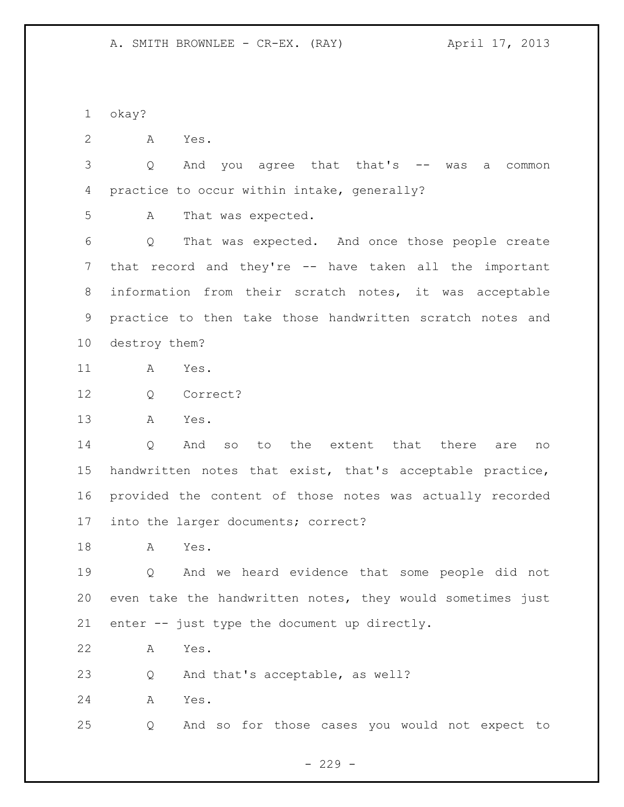okay?

A Yes.

 Q And you agree that that's -- was a common practice to occur within intake, generally?

A That was expected.

 Q That was expected. And once those people create that record and they're -- have taken all the important information from their scratch notes, it was acceptable practice to then take those handwritten scratch notes and destroy them?

- A Yes.
- Q Correct?
- A Yes.

14 0 And so to the extent that there are no handwritten notes that exist, that's acceptable practice, provided the content of those notes was actually recorded into the larger documents; correct?

A Yes.

 Q And we heard evidence that some people did not even take the handwritten notes, they would sometimes just enter -- just type the document up directly.

A Yes.

Q And that's acceptable, as well?

A Yes.

Q And so for those cases you would not expect to

 $-229 -$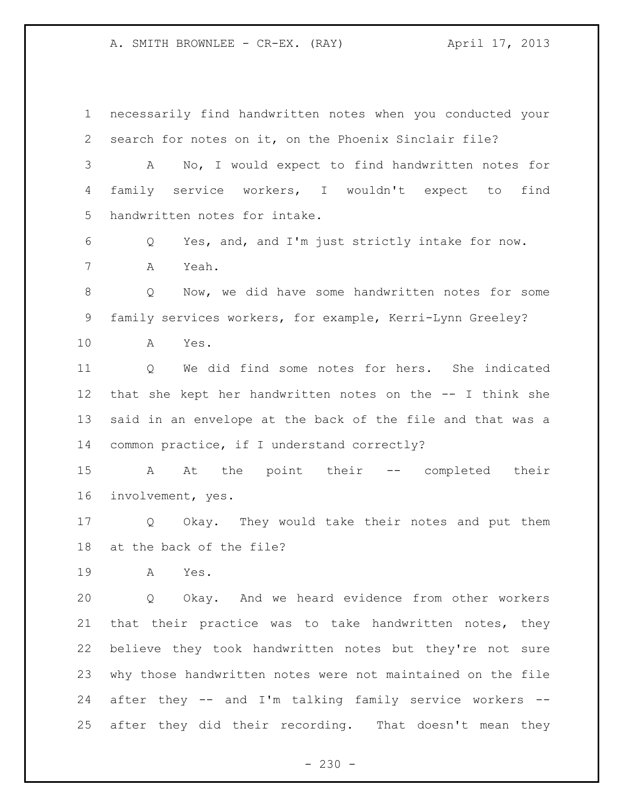necessarily find handwritten notes when you conducted your search for notes on it, on the Phoenix Sinclair file? A No, I would expect to find handwritten notes for family service workers, I wouldn't expect to find handwritten notes for intake. Q Yes, and, and I'm just strictly intake for now. A Yeah. Q Now, we did have some handwritten notes for some family services workers, for example, Kerri-Lynn Greeley? A Yes. Q We did find some notes for hers. She indicated that she kept her handwritten notes on the -- I think she said in an envelope at the back of the file and that was a common practice, if I understand correctly? A At the point their -- completed their involvement, yes. Q Okay. They would take their notes and put them at the back of the file? A Yes. Q Okay. And we heard evidence from other workers that their practice was to take handwritten notes, they believe they took handwritten notes but they're not sure why those handwritten notes were not maintained on the file after they -- and I'm talking family service workers -- after they did their recording. That doesn't mean they

 $- 230 -$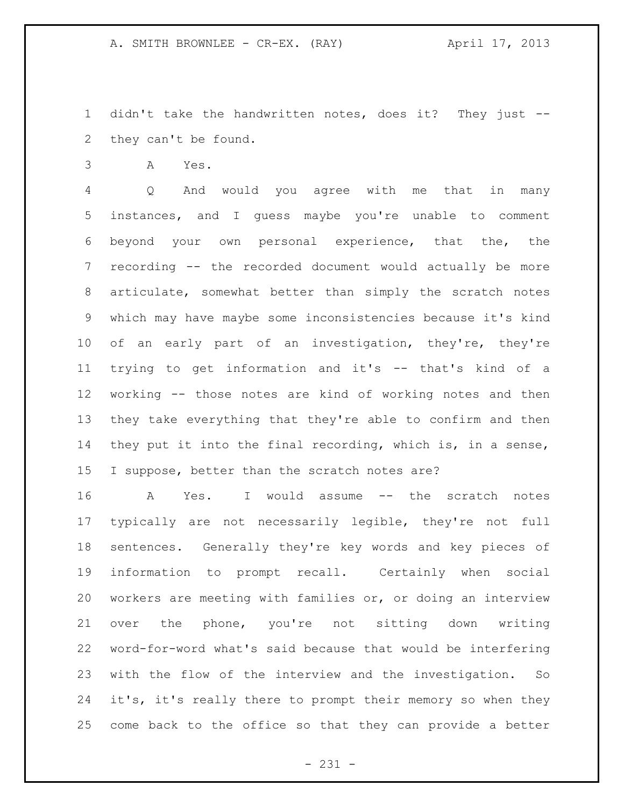didn't take the handwritten notes, does it? They just -- they can't be found.

A Yes.

 Q And would you agree with me that in many instances, and I guess maybe you're unable to comment beyond your own personal experience, that the, the recording -- the recorded document would actually be more articulate, somewhat better than simply the scratch notes which may have maybe some inconsistencies because it's kind of an early part of an investigation, they're, they're trying to get information and it's -- that's kind of a working -- those notes are kind of working notes and then they take everything that they're able to confirm and then they put it into the final recording, which is, in a sense, I suppose, better than the scratch notes are?

 A Yes. I would assume -- the scratch notes typically are not necessarily legible, they're not full sentences. Generally they're key words and key pieces of information to prompt recall. Certainly when social workers are meeting with families or, or doing an interview over the phone, you're not sitting down writing word-for-word what's said because that would be interfering with the flow of the interview and the investigation. So 24 it's, it's really there to prompt their memory so when they come back to the office so that they can provide a better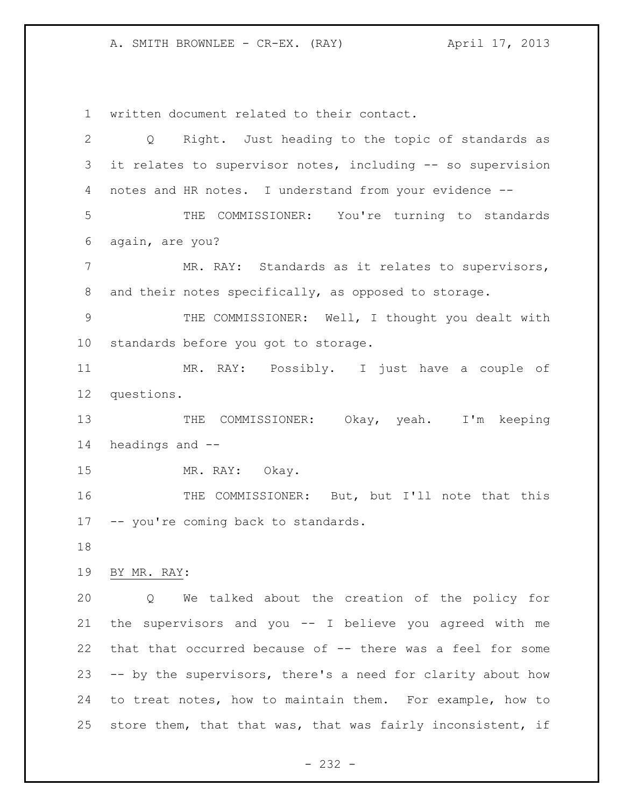written document related to their contact.

| $\overline{2}$  | Right. Just heading to the topic of standards as<br>$Q \qquad \qquad$ |
|-----------------|-----------------------------------------------------------------------|
| 3               | it relates to supervisor notes, including -- so supervision           |
| 4               | notes and HR notes. I understand from your evidence --                |
| 5               | THE COMMISSIONER: You're turning to standards                         |
| 6               | again, are you?                                                       |
| $7\phantom{.}$  | MR. RAY: Standards as it relates to supervisors,                      |
| 8               | and their notes specifically, as opposed to storage.                  |
| 9               | THE COMMISSIONER: Well, I thought you dealt with                      |
| 10 <sub>o</sub> | standards before you got to storage.                                  |
| 11              | MR. RAY: Possibly. I just have a couple of                            |
| 12              | questions.                                                            |
| 13              | THE COMMISSIONER: Okay, yeah. I'm keeping                             |
| 14              | headings and --                                                       |
| 15              | MR. RAY: Okay.                                                        |
| 16              | THE COMMISSIONER: But, but I'll note that this                        |
|                 | 17 -- you're coming back to standards.                                |
| 18              |                                                                       |
| 19              | BY MR. RAY:                                                           |
| 20              | We talked about the creation of the policy for<br>Q                   |
| 21              | the supervisors and you -- I believe you agreed with me               |
| 22              | that that occurred because of -- there was a feel for some            |
| 23              | -- by the supervisors, there's a need for clarity about how           |
| 24              | to treat notes, how to maintain them. For example, how to             |
| 25              | store them, that that was, that was fairly inconsistent, if           |

- 232 -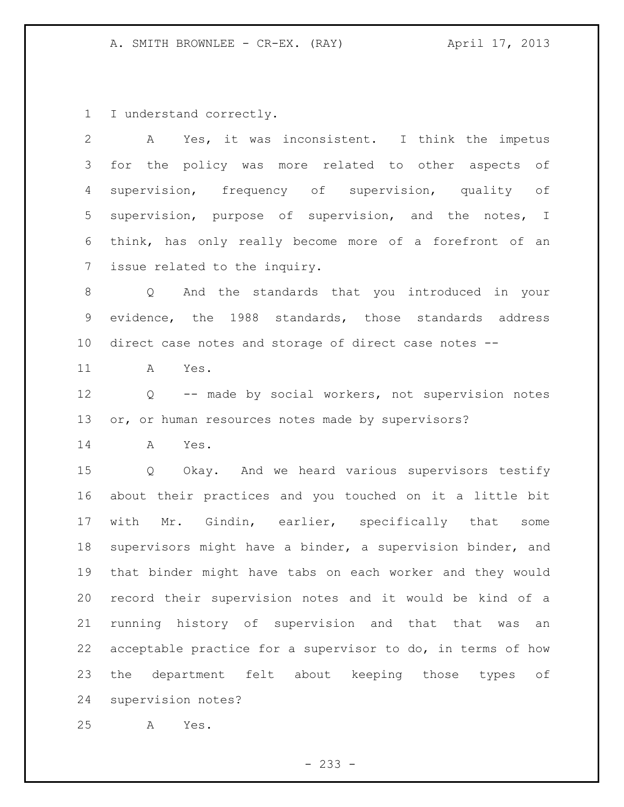I understand correctly.

| $\mathbf{2}$   | A Yes, it was inconsistent. I think the impetus             |
|----------------|-------------------------------------------------------------|
| 3              | for the policy was more related to other aspects of         |
| 4              | supervision, frequency of supervision, quality of           |
| 5              | supervision, purpose of supervision, and the notes, I       |
| 6              | think, has only really become more of a forefront of an     |
| $\overline{7}$ | issue related to the inquiry.                               |
| $\,8\,$        | Q And the standards that you introduced in your             |
| $\mathsf 9$    | evidence, the 1988 standards, those standards address       |
| 10             | direct case notes and storage of direct case notes --       |
| 11             | Yes.<br>A                                                   |
| 12             | Q -- made by social workers, not supervision notes          |
| 13             | or, or human resources notes made by supervisors?           |
| 14             | A<br>Yes.                                                   |
| 15             | Q Okay. And we heard various supervisors testify            |
| 16             | about their practices and you touched on it a little bit    |
| 17             | with Mr. Gindin, earlier, specifically that some            |
| 18             | supervisors might have a binder, a supervision binder, and  |
| 19             | that binder might have tabs on each worker and they would   |
| 20             | record their supervision notes and it would be kind of a    |
| 21             | running history of supervision and that that was<br>an      |
| 22             | acceptable practice for a supervisor to do, in terms of how |
| 23             | department felt about keeping those types<br>the<br>оf      |
| 24             | supervision notes?                                          |
| 25             | Yes.<br>Α                                                   |

- 233 -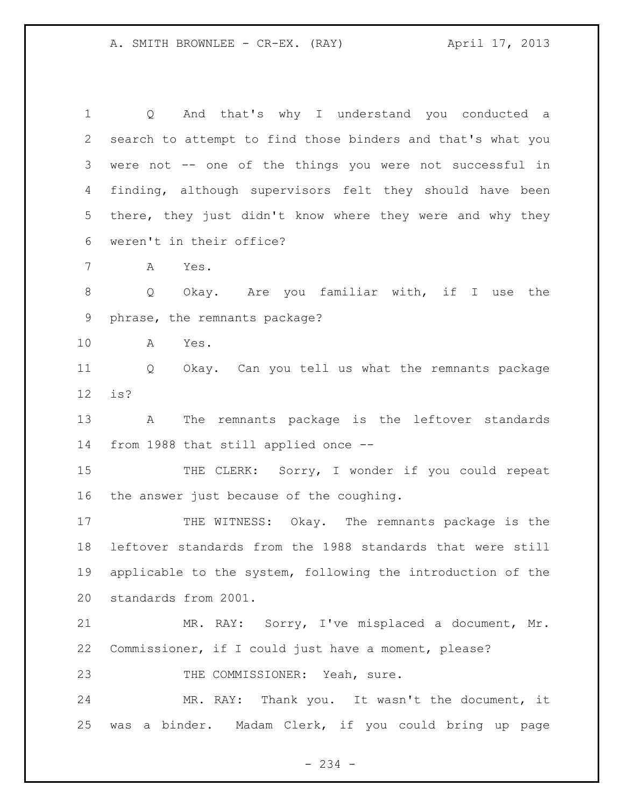Q And that's why I understand you conducted a search to attempt to find those binders and that's what you were not -- one of the things you were not successful in finding, although supervisors felt they should have been there, they just didn't know where they were and why they weren't in their office? A Yes. Q Okay. Are you familiar with, if I use the phrase, the remnants package? A Yes. Q Okay. Can you tell us what the remnants package is? A The remnants package is the leftover standards from 1988 that still applied once -- 15 THE CLERK: Sorry, I wonder if you could repeat

the answer just because of the coughing.

17 THE WITNESS: Okay. The remnants package is the leftover standards from the 1988 standards that were still applicable to the system, following the introduction of the standards from 2001.

 MR. RAY: Sorry, I've misplaced a document, Mr. Commissioner, if I could just have a moment, please? 23 THE COMMISSIONER: Yeah, sure.

 MR. RAY: Thank you. It wasn't the document, it was a binder. Madam Clerk, if you could bring up page

- 234 -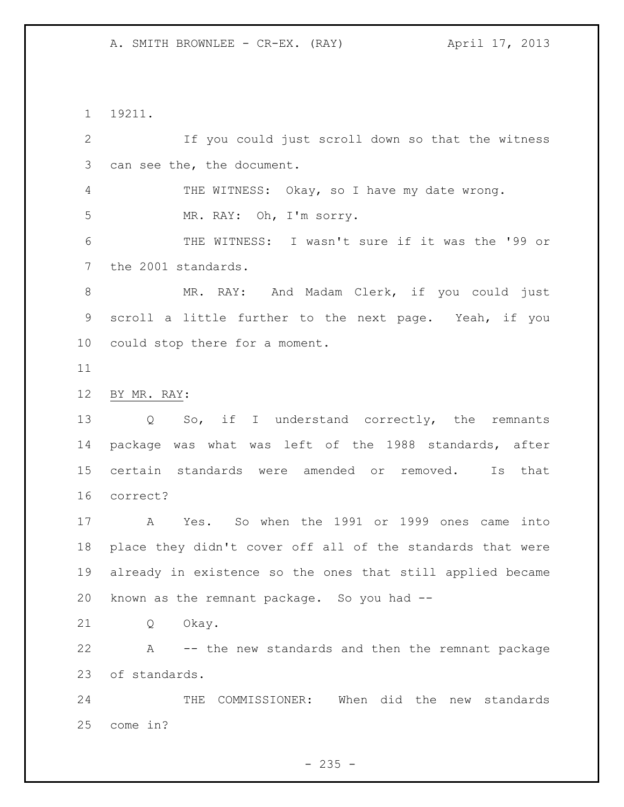19211.

 If you could just scroll down so that the witness can see the, the document. THE WITNESS: Okay, so I have my date wrong. MR. RAY: Oh, I'm sorry. THE WITNESS: I wasn't sure if it was the '99 or the 2001 standards. MR. RAY: And Madam Clerk, if you could just scroll a little further to the next page. Yeah, if you could stop there for a moment. BY MR. RAY: Q So, if I understand correctly, the remnants package was what was left of the 1988 standards, after certain standards were amended or removed. Is that correct? A Yes. So when the 1991 or 1999 ones came into place they didn't cover off all of the standards that were already in existence so the ones that still applied became known as the remnant package. So you had -- Q Okay. A -- the new standards and then the remnant package of standards. THE COMMISSIONER: When did the new standards come in?

 $- 235 -$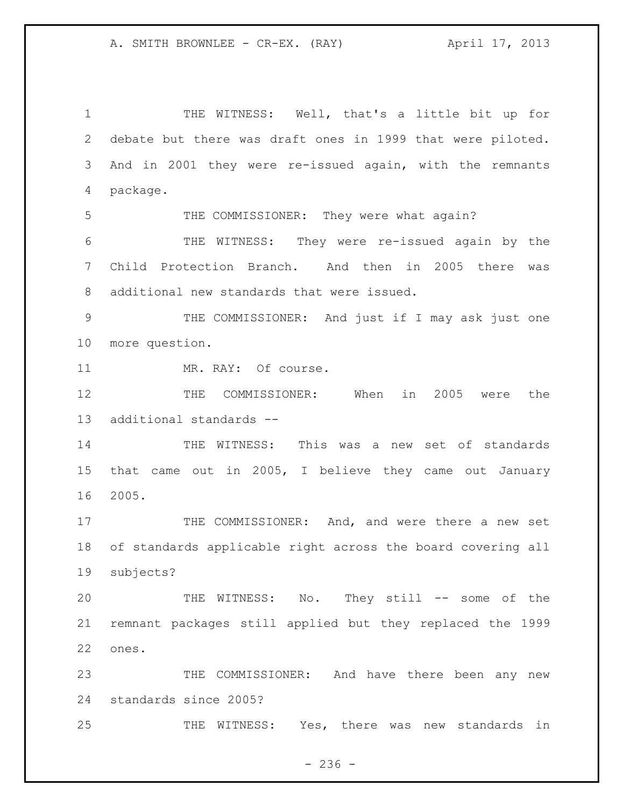THE WITNESS: Well, that's a little bit up for debate but there was draft ones in 1999 that were piloted. And in 2001 they were re-issued again, with the remnants package. THE COMMISSIONER: They were what again? THE WITNESS: They were re-issued again by the Child Protection Branch. And then in 2005 there was additional new standards that were issued. THE COMMISSIONER: And just if I may ask just one more question. 11 MR. RAY: Of course. THE COMMISSIONER: When in 2005 were the additional standards -- THE WITNESS: This was a new set of standards that came out in 2005, I believe they came out January 2005. 17 THE COMMISSIONER: And, and were there a new set of standards applicable right across the board covering all subjects? THE WITNESS: No. They still -- some of the remnant packages still applied but they replaced the 1999 ones. THE COMMISSIONER: And have there been any new standards since 2005? THE WITNESS: Yes, there was new standards in

 $-236 -$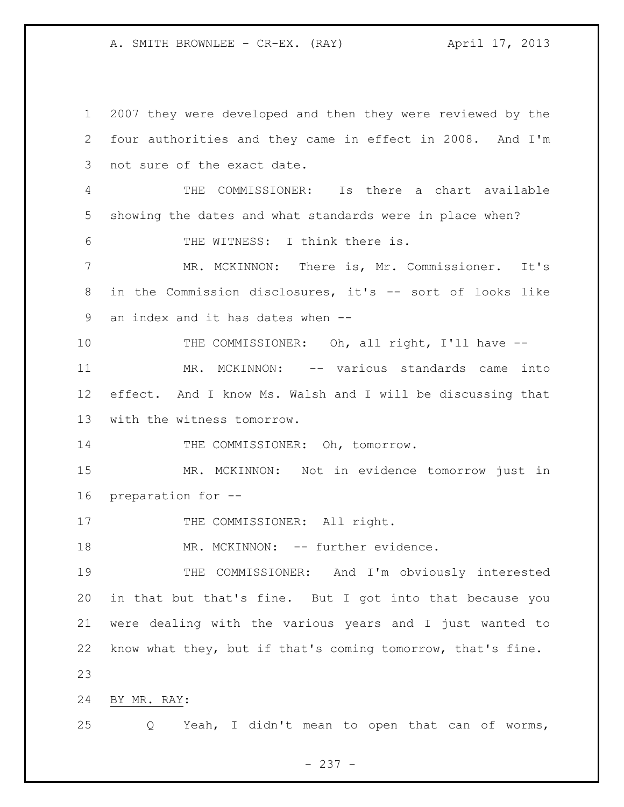2007 they were developed and then they were reviewed by the four authorities and they came in effect in 2008. And I'm not sure of the exact date. THE COMMISSIONER: Is there a chart available showing the dates and what standards were in place when? THE WITNESS: I think there is. MR. MCKINNON: There is, Mr. Commissioner. It's in the Commission disclosures, it's -- sort of looks like an index and it has dates when -- 10 THE COMMISSIONER: Oh, all right, I'll have -- MR. MCKINNON: -- various standards came into effect. And I know Ms. Walsh and I will be discussing that with the witness tomorrow. 14 THE COMMISSIONER: Oh, tomorrow. MR. MCKINNON: Not in evidence tomorrow just in preparation for -- 17 THE COMMISSIONER: All right. 18 MR. MCKINNON: -- further evidence. THE COMMISSIONER: And I'm obviously interested in that but that's fine. But I got into that because you were dealing with the various years and I just wanted to know what they, but if that's coming tomorrow, that's fine. BY MR. RAY: Q Yeah, I didn't mean to open that can of worms,

- 237 -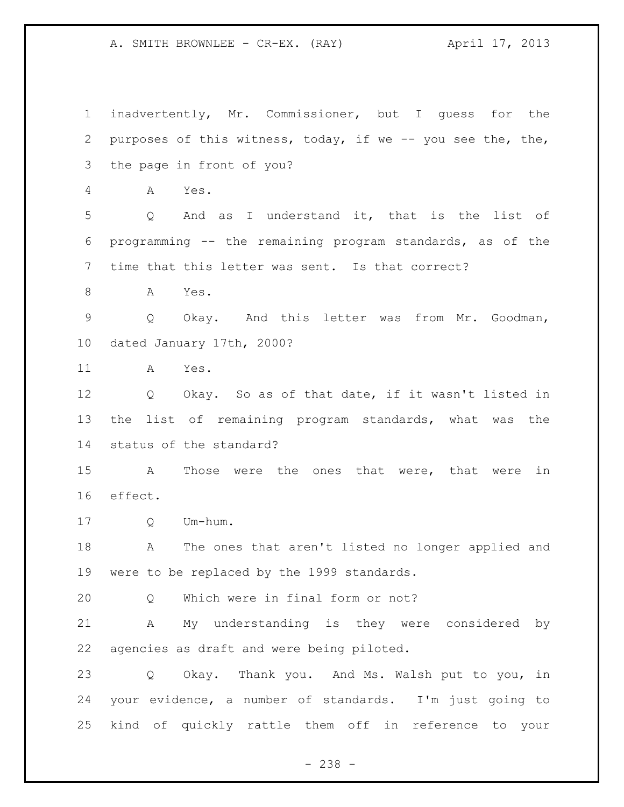inadvertently, Mr. Commissioner, but I guess for the purposes of this witness, today, if we -- you see the, the, the page in front of you? A Yes. Q And as I understand it, that is the list of programming -- the remaining program standards, as of the time that this letter was sent. Is that correct? A Yes. Q Okay. And this letter was from Mr. Goodman, dated January 17th, 2000? A Yes. Q Okay. So as of that date, if it wasn't listed in the list of remaining program standards, what was the status of the standard? A Those were the ones that were, that were in effect. Q Um-hum. A The ones that aren't listed no longer applied and were to be replaced by the 1999 standards. Q Which were in final form or not? A My understanding is they were considered by agencies as draft and were being piloted. Q Okay. Thank you. And Ms. Walsh put to you, in your evidence, a number of standards. I'm just going to kind of quickly rattle them off in reference to your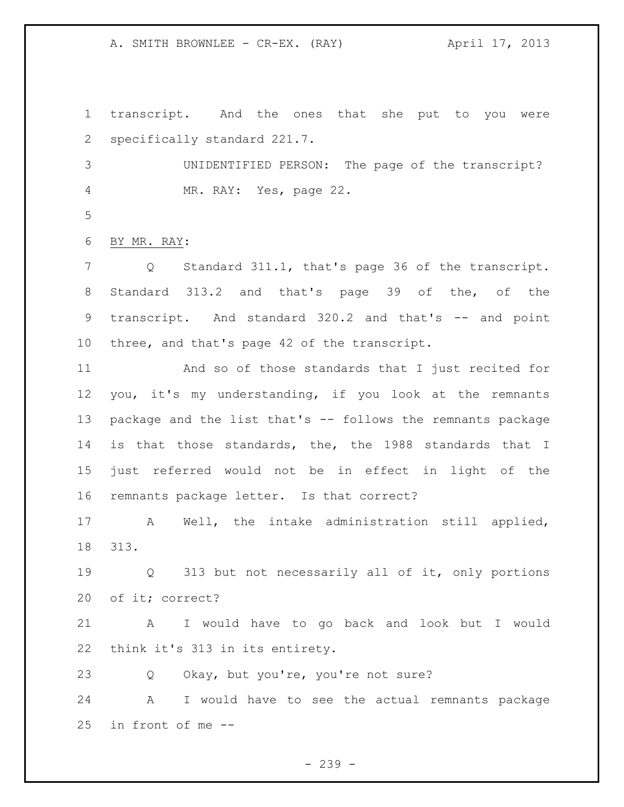transcript. And the ones that she put to you were specifically standard 221.7.

 UNIDENTIFIED PERSON: The page of the transcript? MR. RAY: Yes, page 22.

BY MR. RAY:

 Q Standard 311.1, that's page 36 of the transcript. Standard 313.2 and that's page 39 of the, of the 9 transcript. And standard 320.2 and that's -- and point three, and that's page 42 of the transcript.

 And so of those standards that I just recited for you, it's my understanding, if you look at the remnants package and the list that's -- follows the remnants package is that those standards, the, the 1988 standards that I just referred would not be in effect in light of the remnants package letter. Is that correct?

 A Well, the intake administration still applied, 313.

 Q 313 but not necessarily all of it, only portions of it; correct?

 A I would have to go back and look but I would think it's 313 in its entirety.

Q Okay, but you're, you're not sure?

 A I would have to see the actual remnants package in front of me --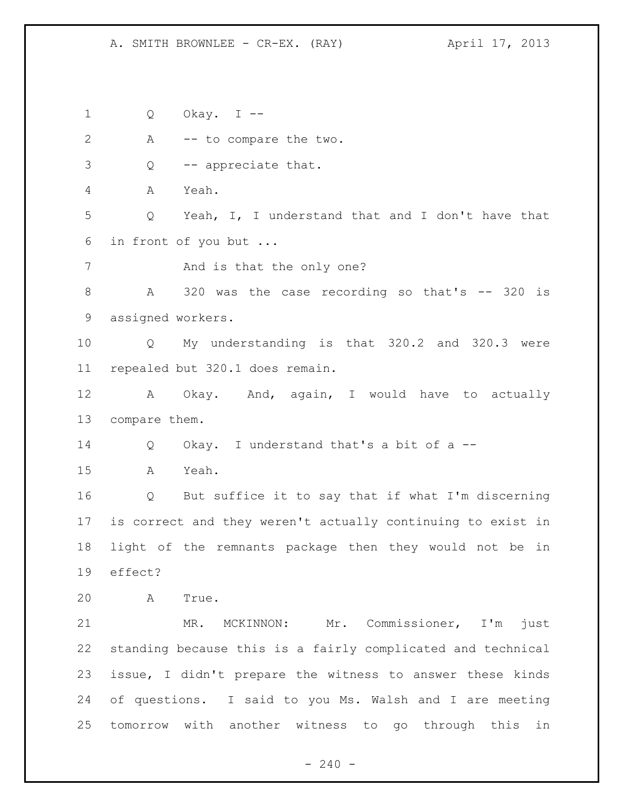Q Okay. I -- A -- to compare the two. Q -- appreciate that. A Yeah. Q Yeah, I, I understand that and I don't have that in front of you but ... 7 And is that the only one? 8 A 320 was the case recording so that's -- 320 is assigned workers. Q My understanding is that 320.2 and 320.3 were repealed but 320.1 does remain. A Okay. And, again, I would have to actually compare them. Q Okay. I understand that's a bit of a -- A Yeah. Q But suffice it to say that if what I'm discerning is correct and they weren't actually continuing to exist in light of the remnants package then they would not be in effect? A True. MR. MCKINNON: Mr. Commissioner, I'm just standing because this is a fairly complicated and technical issue, I didn't prepare the witness to answer these kinds of questions. I said to you Ms. Walsh and I are meeting tomorrow with another witness to go through this in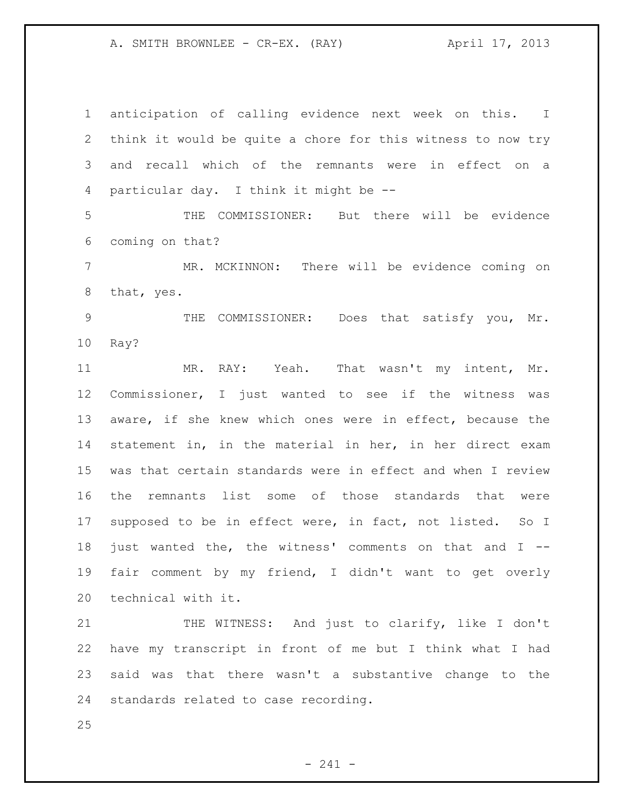anticipation of calling evidence next week on this. I think it would be quite a chore for this witness to now try and recall which of the remnants were in effect on a particular day. I think it might be --

 THE COMMISSIONER: But there will be evidence coming on that?

 MR. MCKINNON: There will be evidence coming on that, yes.

 THE COMMISSIONER: Does that satisfy you, Mr. Ray?

 MR. RAY: Yeah. That wasn't my intent, Mr. Commissioner, I just wanted to see if the witness was aware, if she knew which ones were in effect, because the statement in, in the material in her, in her direct exam was that certain standards were in effect and when I review the remnants list some of those standards that were supposed to be in effect were, in fact, not listed. So I just wanted the, the witness' comments on that and I -- fair comment by my friend, I didn't want to get overly technical with it.

21 THE WITNESS: And just to clarify, like I don't have my transcript in front of me but I think what I had said was that there wasn't a substantive change to the standards related to case recording.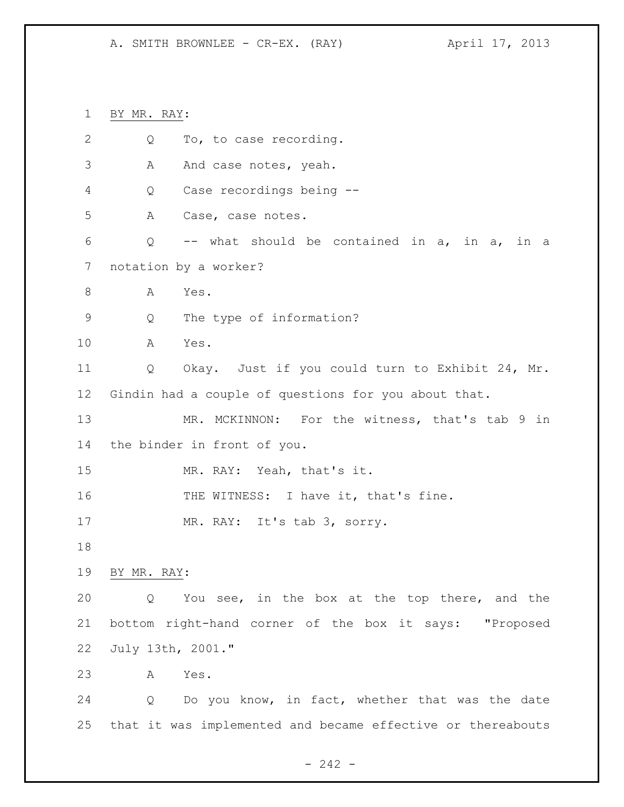BY MR. RAY: 2 Q To, to case recording. 3 A And case notes, yeah. Q Case recordings being -- A Case, case notes. Q -- what should be contained in a, in a, in a notation by a worker? 8 A Yes. Q The type of information? A Yes. Q Okay. Just if you could turn to Exhibit 24, Mr. Gindin had a couple of questions for you about that. MR. MCKINNON: For the witness, that's tab 9 in the binder in front of you. MR. RAY: Yeah, that's it. 16 THE WITNESS: I have it, that's fine. 17 MR. RAY: It's tab 3, sorry. BY MR. RAY: Q You see, in the box at the top there, and the bottom right-hand corner of the box it says: "Proposed July 13th, 2001." A Yes. Q Do you know, in fact, whether that was the date that it was implemented and became effective or thereabouts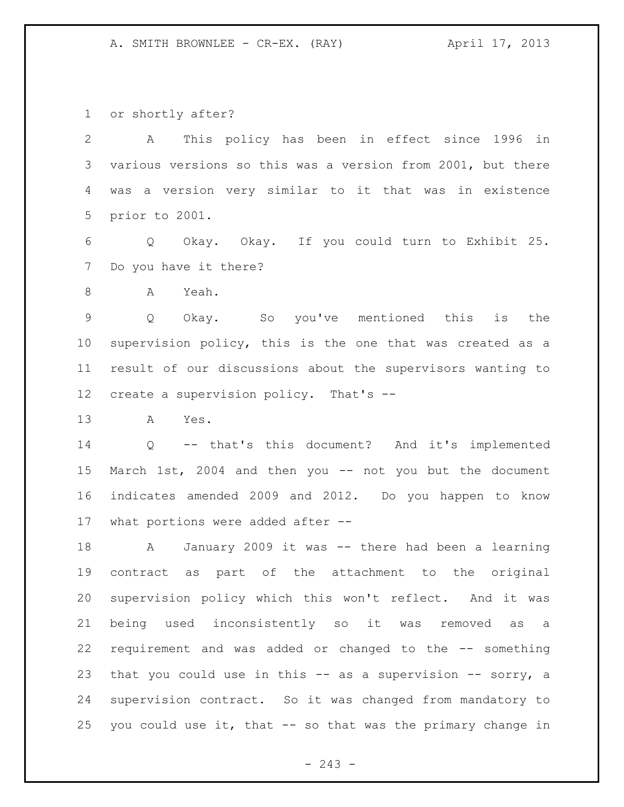or shortly after?

 A This policy has been in effect since 1996 in various versions so this was a version from 2001, but there was a version very similar to it that was in existence prior to 2001.

 Q Okay. Okay. If you could turn to Exhibit 25. Do you have it there?

A Yeah.

 Q Okay. So you've mentioned this is the supervision policy, this is the one that was created as a result of our discussions about the supervisors wanting to create a supervision policy. That's --

A Yes.

 Q -- that's this document? And it's implemented March 1st, 2004 and then you -- not you but the document indicates amended 2009 and 2012. Do you happen to know what portions were added after --

 A January 2009 it was -- there had been a learning contract as part of the attachment to the original supervision policy which this won't reflect. And it was being used inconsistently so it was removed as a requirement and was added or changed to the -- something 23 that you could use in this -- as a supervision -- sorry, a supervision contract. So it was changed from mandatory to you could use it, that -- so that was the primary change in

 $-243 -$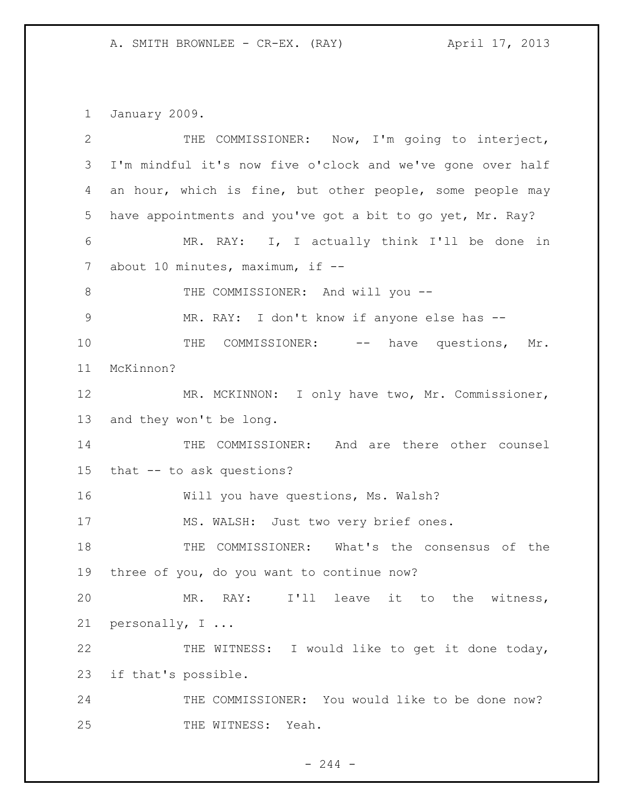January 2009.

| $\mathbf{2}$ | THE COMMISSIONER: Now, I'm going to interject,             |
|--------------|------------------------------------------------------------|
| 3            | I'm mindful it's now five o'clock and we've gone over half |
| 4            | an hour, which is fine, but other people, some people may  |
| 5            | have appointments and you've got a bit to go yet, Mr. Ray? |
| 6            | MR. RAY: I, I actually think I'll be done in               |
| 7            | about 10 minutes, maximum, if $-$                          |
| 8            | THE COMMISSIONER: And will you --                          |
| 9            | MR. RAY: I don't know if anyone else has --                |
| 10           | COMMISSIONER: -- have questions,<br>THE<br>Mr.             |
| 11           | McKinnon?                                                  |
| 12           | MR. MCKINNON: I only have two, Mr. Commissioner,           |
| 13           | and they won't be long.                                    |
| 14           | THE COMMISSIONER: And are there other counsel              |
| 15           | that -- to ask questions?                                  |
| 16           | Will you have questions, Ms. Walsh?                        |
| 17           | MS. WALSH: Just two very brief ones.                       |
| 18           | THE COMMISSIONER: What's the consensus of the              |
| 19           | three of you, do you want to continue now?                 |
| 20           | MR. RAY: I'll leave it to the witness,                     |
| 21           | personally, I                                              |
| 22           | THE WITNESS: I would like to get it done today,            |
| 23           | if that's possible.                                        |
| 24           | THE COMMISSIONER: You would like to be done now?           |
| 25           | THE WITNESS: Yeah.                                         |

- 244 -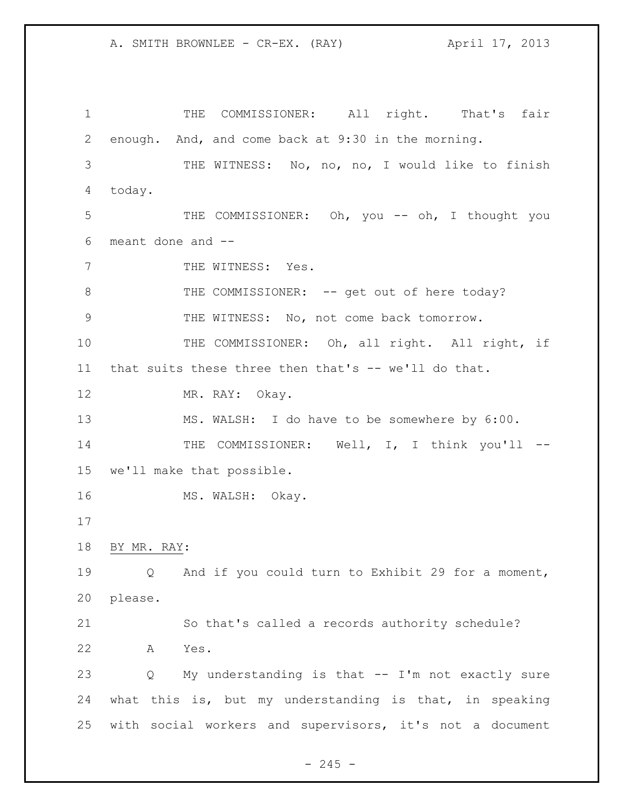1 THE COMMISSIONER: All right. That's fair enough. And, and come back at 9:30 in the morning. THE WITNESS: No, no, no, I would like to finish today. THE COMMISSIONER: Oh, you -- oh, I thought you meant done and -- 7 THE WITNESS: Yes. 8 THE COMMISSIONER: -- get out of here today? THE WITNESS: No, not come back tomorrow. 10 THE COMMISSIONER: Oh, all right. All right, if that suits these three then that's -- we'll do that. MR. RAY: Okay. MS. WALSH: I do have to be somewhere by 6:00. 14 THE COMMISSIONER: Well, I, I think you'll -- we'll make that possible. 16 MS. WALSH: Okay. BY MR. RAY: Q And if you could turn to Exhibit 29 for a moment, please. So that's called a records authority schedule? A Yes. Q My understanding is that -- I'm not exactly sure what this is, but my understanding is that, in speaking with social workers and supervisors, it's not a document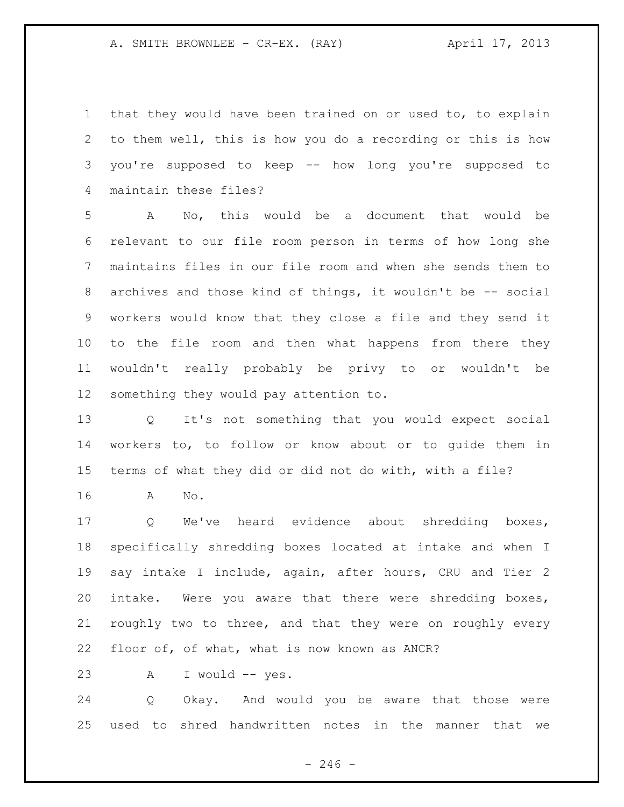that they would have been trained on or used to, to explain to them well, this is how you do a recording or this is how you're supposed to keep -- how long you're supposed to maintain these files?

 A No, this would be a document that would be relevant to our file room person in terms of how long she maintains files in our file room and when she sends them to 8 archives and those kind of things, it wouldn't be -- social workers would know that they close a file and they send it to the file room and then what happens from there they wouldn't really probably be privy to or wouldn't be something they would pay attention to.

 Q It's not something that you would expect social workers to, to follow or know about or to guide them in terms of what they did or did not do with, with a file?

A No.

 Q We've heard evidence about shredding boxes, specifically shredding boxes located at intake and when I say intake I include, again, after hours, CRU and Tier 2 intake. Were you aware that there were shredding boxes, roughly two to three, and that they were on roughly every floor of, of what, what is now known as ANCR?

23 A I would -- yes.

 Q Okay. And would you be aware that those were used to shred handwritten notes in the manner that we

 $-246 -$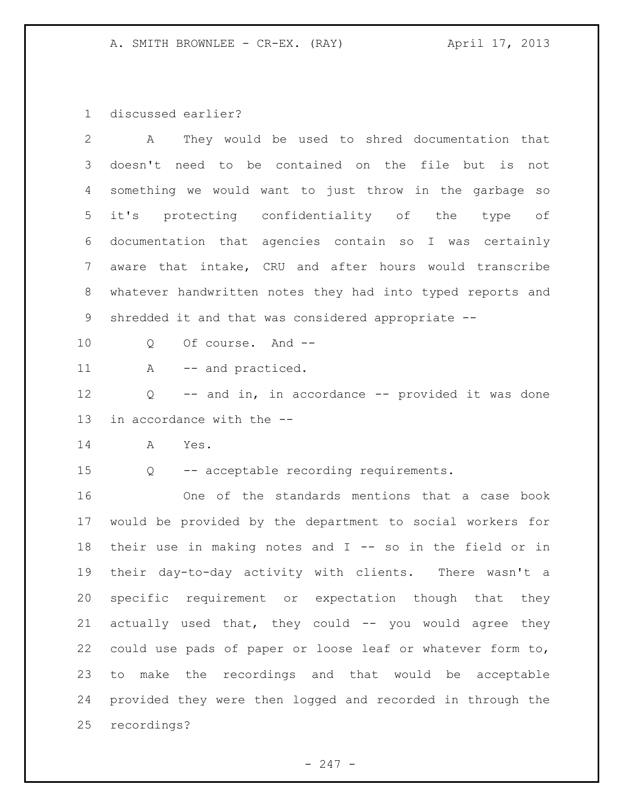discussed earlier?

| $\overline{2}$ | They would be used to shred documentation that<br>Α        |
|----------------|------------------------------------------------------------|
| 3              | doesn't need to be contained on the file but is<br>not     |
| 4              | something we would want to just throw in the garbage so    |
| 5              | it's protecting confidentiality of the type of             |
| 6              | documentation that agencies contain so I was certainly     |
| $\overline{7}$ | aware that intake, CRU and after hours would transcribe    |
| 8              | whatever handwritten notes they had into typed reports and |
| 9              | shredded it and that was considered appropriate --         |
| 10             | Of course. And --<br>Q                                     |
| 11             | -- and practiced.<br>A                                     |
| 12             | -- and in, in accordance -- provided it was done<br>Q      |
| 13             | in accordance with the --                                  |
| 14             | Α<br>Yes.                                                  |
| 15             | -- acceptable recording requirements.<br>Q                 |
| 16             | One of the standards mentions that a case book             |
| 17             | would be provided by the department to social workers for  |
| 18             | their use in making notes and I -- so in the field or in   |
| 19             | their day-to-day activity with clients. There wasn't a     |
| 20             | specific requirement or expectation though that they       |
| 21             | actually used that, they could -- you would agree they     |
| 22             | could use pads of paper or loose leaf or whatever form to, |
| 23             | make the recordings and that would be acceptable<br>to     |
| 24             | provided they were then logged and recorded in through the |
| 25             | recordings?                                                |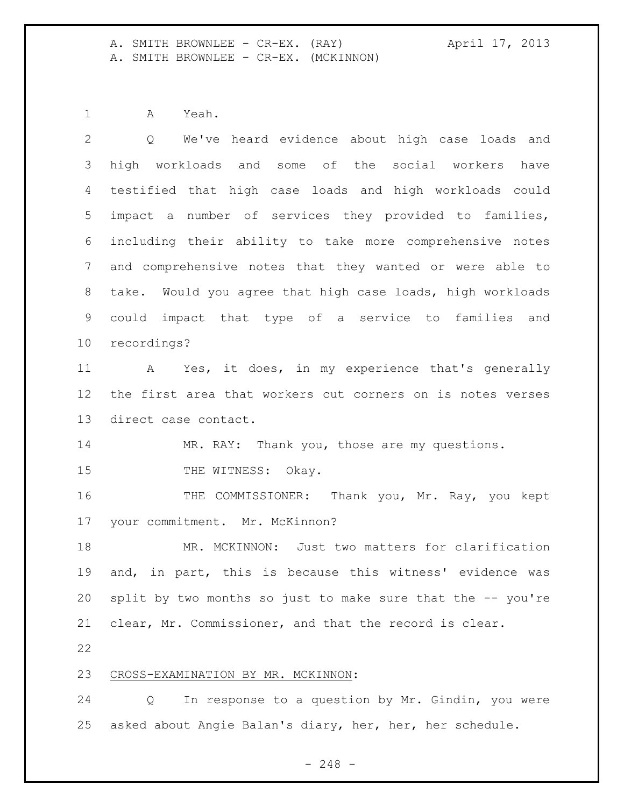A. SMITH BROWNLEE - CR-EX. (RAY) April 17, 2013 A. SMITH BROWNLEE - CR-EX. (MCKINNON)

A Yeah.

 Q We've heard evidence about high case loads and high workloads and some of the social workers have testified that high case loads and high workloads could impact a number of services they provided to families, including their ability to take more comprehensive notes and comprehensive notes that they wanted or were able to take. Would you agree that high case loads, high workloads could impact that type of a service to families and recordings? A Yes, it does, in my experience that's generally the first area that workers cut corners on is notes verses direct case contact. 14 MR. RAY: Thank you, those are my questions. 15 THE WITNESS: Okay. THE COMMISSIONER: Thank you, Mr. Ray, you kept your commitment. Mr. McKinnon? MR. MCKINNON: Just two matters for clarification and, in part, this is because this witness' evidence was split by two months so just to make sure that the -- you're clear, Mr. Commissioner, and that the record is clear. CROSS-EXAMINATION BY MR. MCKINNON: Q In response to a question by Mr. Gindin, you were asked about Angie Balan's diary, her, her, her schedule.

- 248 -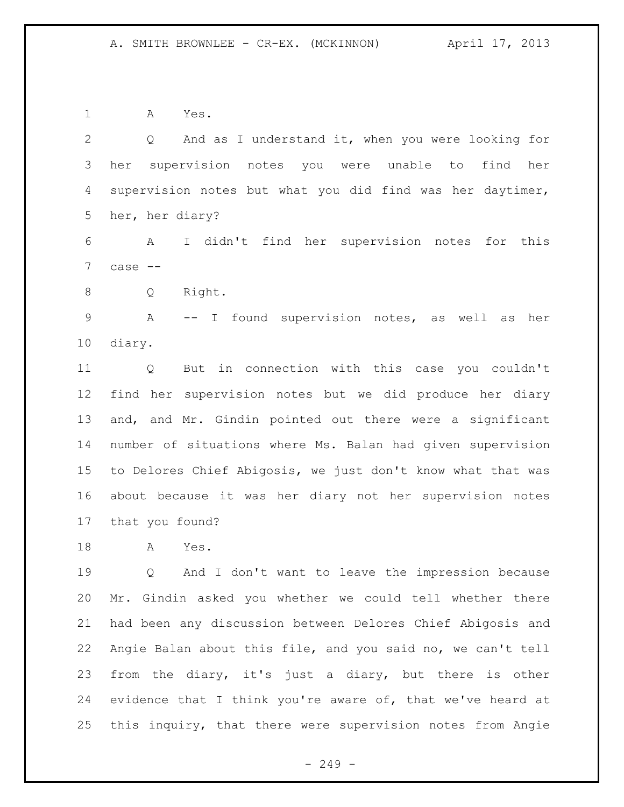A Yes.

 Q And as I understand it, when you were looking for her supervision notes you were unable to find her supervision notes but what you did find was her daytimer, her, her diary? A I didn't find her supervision notes for this case -- Q Right. A -- I found supervision notes, as well as her diary. Q But in connection with this case you couldn't find her supervision notes but we did produce her diary and, and Mr. Gindin pointed out there were a significant number of situations where Ms. Balan had given supervision to Delores Chief Abigosis, we just don't know what that was about because it was her diary not her supervision notes that you found? A Yes. Q And I don't want to leave the impression because Mr. Gindin asked you whether we could tell whether there had been any discussion between Delores Chief Abigosis and Angie Balan about this file, and you said no, we can't tell from the diary, it's just a diary, but there is other

24 evidence that I think you're aware of, that we've heard at this inquiry, that there were supervision notes from Angie

 $-249 -$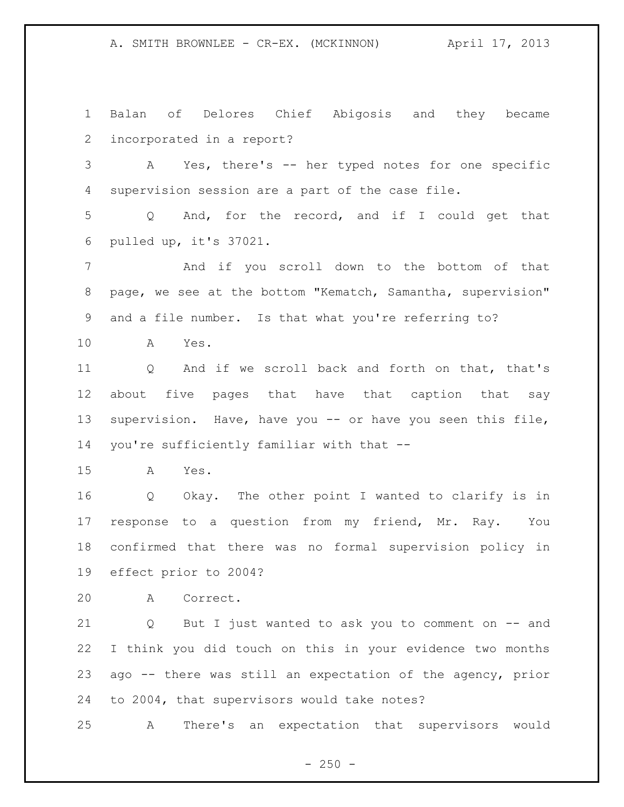A. SMITH BROWNLEE - CR-EX. (MCKINNON) April 17, 2013

 Balan of Delores Chief Abigosis and they became incorporated in a report? A Yes, there's -- her typed notes for one specific supervision session are a part of the case file. Q And, for the record, and if I could get that pulled up, it's 37021. And if you scroll down to the bottom of that page, we see at the bottom "Kematch, Samantha, supervision" and a file number. Is that what you're referring to? A Yes. Q And if we scroll back and forth on that, that's about five pages that have that caption that say supervision. Have, have you -- or have you seen this file, you're sufficiently familiar with that -- A Yes. Q Okay. The other point I wanted to clarify is in response to a question from my friend, Mr. Ray. You confirmed that there was no formal supervision policy in effect prior to 2004? A Correct. Q But I just wanted to ask you to comment on -- and I think you did touch on this in your evidence two months ago -- there was still an expectation of the agency, prior to 2004, that supervisors would take notes? A There's an expectation that supervisors would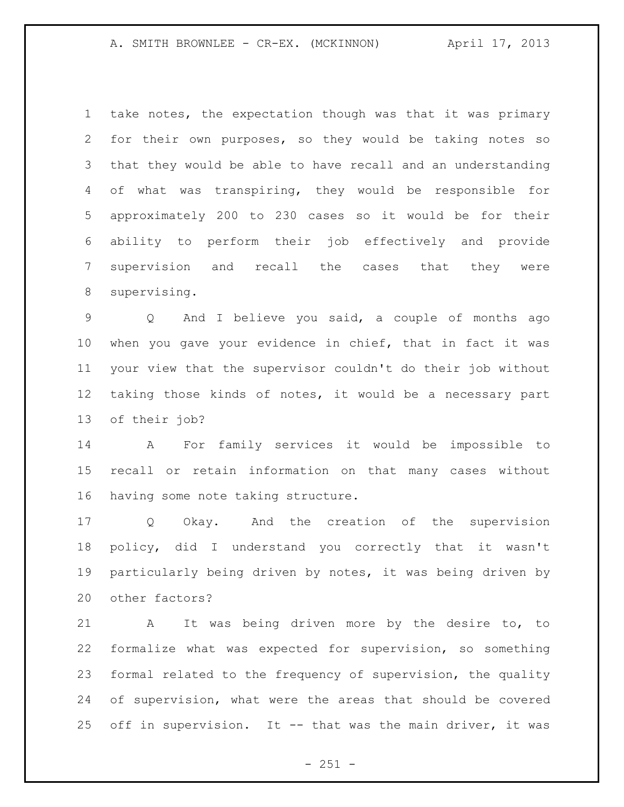take notes, the expectation though was that it was primary for their own purposes, so they would be taking notes so that they would be able to have recall and an understanding of what was transpiring, they would be responsible for approximately 200 to 230 cases so it would be for their ability to perform their job effectively and provide supervision and recall the cases that they were supervising.

 Q And I believe you said, a couple of months ago when you gave your evidence in chief, that in fact it was your view that the supervisor couldn't do their job without taking those kinds of notes, it would be a necessary part of their job?

 A For family services it would be impossible to recall or retain information on that many cases without having some note taking structure.

 Q Okay. And the creation of the supervision policy, did I understand you correctly that it wasn't particularly being driven by notes, it was being driven by other factors?

 A It was being driven more by the desire to, to formalize what was expected for supervision, so something formal related to the frequency of supervision, the quality of supervision, what were the areas that should be covered off in supervision. It -- that was the main driver, it was

 $- 251 -$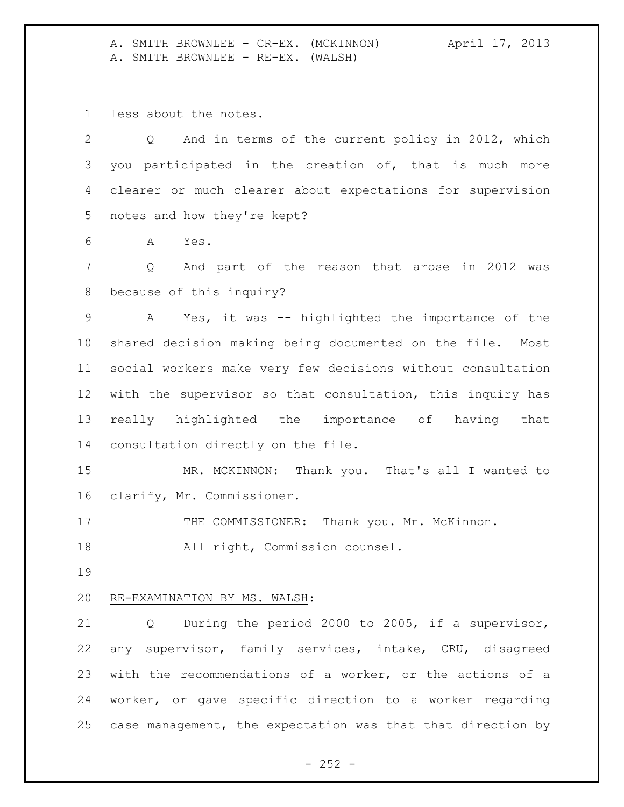A. SMITH BROWNLEE - CR-EX. (MCKINNON) April 17, 2013 A. SMITH BROWNLEE - RE-EX. (WALSH)

less about the notes.

| Q And in terms of the current policy in 2012, which<br>$\overline{2}$ |
|-----------------------------------------------------------------------|
| 3 you participated in the creation of, that is much more              |
| 4 clearer or much clearer about expectations for supervision          |
| 5 notes and how they're kept?                                         |

A Yes.

 Q And part of the reason that arose in 2012 was because of this inquiry?

 A Yes, it was -- highlighted the importance of the shared decision making being documented on the file. Most social workers make very few decisions without consultation with the supervisor so that consultation, this inquiry has really highlighted the importance of having that consultation directly on the file.

 MR. MCKINNON: Thank you. That's all I wanted to clarify, Mr. Commissioner.

17 THE COMMISSIONER: Thank you. Mr. McKinnon.

All right, Commission counsel.

## RE-EXAMINATION BY MS. WALSH:

 Q During the period 2000 to 2005, if a supervisor, any supervisor, family services, intake, CRU, disagreed with the recommendations of a worker, or the actions of a worker, or gave specific direction to a worker regarding case management, the expectation was that that direction by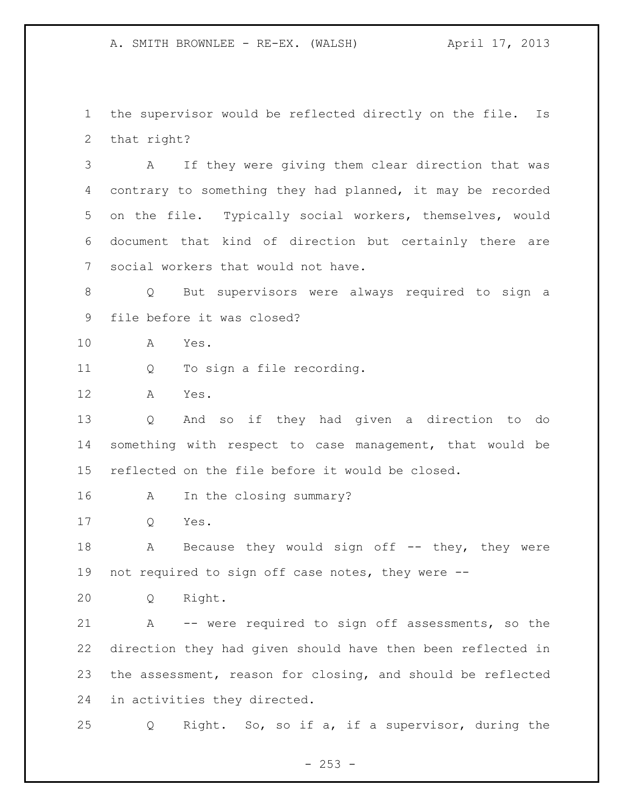the supervisor would be reflected directly on the file. Is that right?

 A If they were giving them clear direction that was contrary to something they had planned, it may be recorded on the file. Typically social workers, themselves, would document that kind of direction but certainly there are social workers that would not have.

 Q But supervisors were always required to sign a file before it was closed?

- A Yes.
- Q To sign a file recording.
- A Yes.

 Q And so if they had given a direction to do something with respect to case management, that would be reflected on the file before it would be closed.

- A In the closing summary?
- Q Yes.

18 A Because they would sign off -- they, they were not required to sign off case notes, they were --

Q Right.

 A -- were required to sign off assessments, so the direction they had given should have then been reflected in the assessment, reason for closing, and should be reflected in activities they directed.

Q Right. So, so if a, if a supervisor, during the

 $-253 -$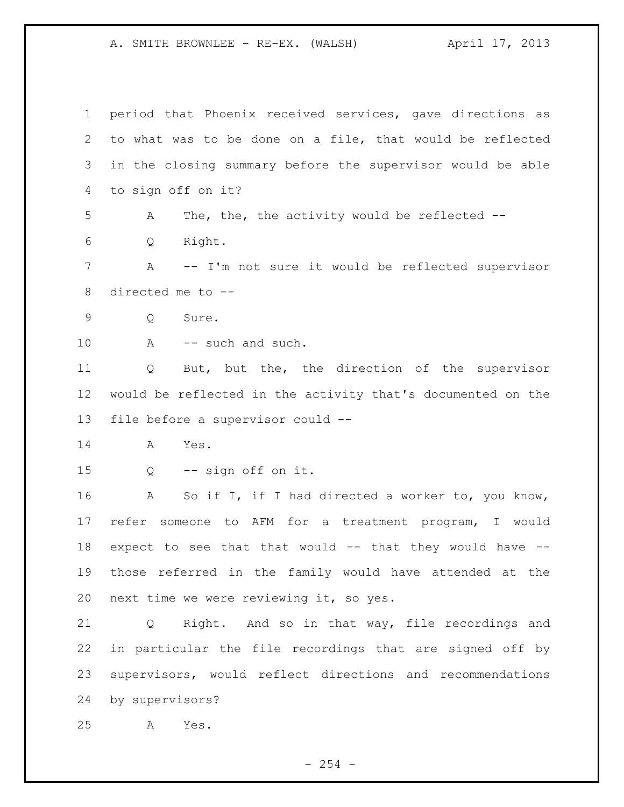period that Phoenix received services, gave directions as to what was to be done on a file, that would be reflected in the closing summary before the supervisor would be able to sign off on it? A The, the, the activity would be reflected -- Q Right. A -- I'm not sure it would be reflected supervisor directed me to -- Q Sure. A -- such and such. Q But, but the, the direction of the supervisor would be reflected in the activity that's documented on the file before a supervisor could -- A Yes. Q -- sign off on it. 16 A So if I, if I had directed a worker to, you know, refer someone to AFM for a treatment program, I would expect to see that that would -- that they would have -- those referred in the family would have attended at the next time we were reviewing it, so yes. Q Right. And so in that way, file recordings and in particular the file recordings that are signed off by supervisors, would reflect directions and recommendations by supervisors? A Yes.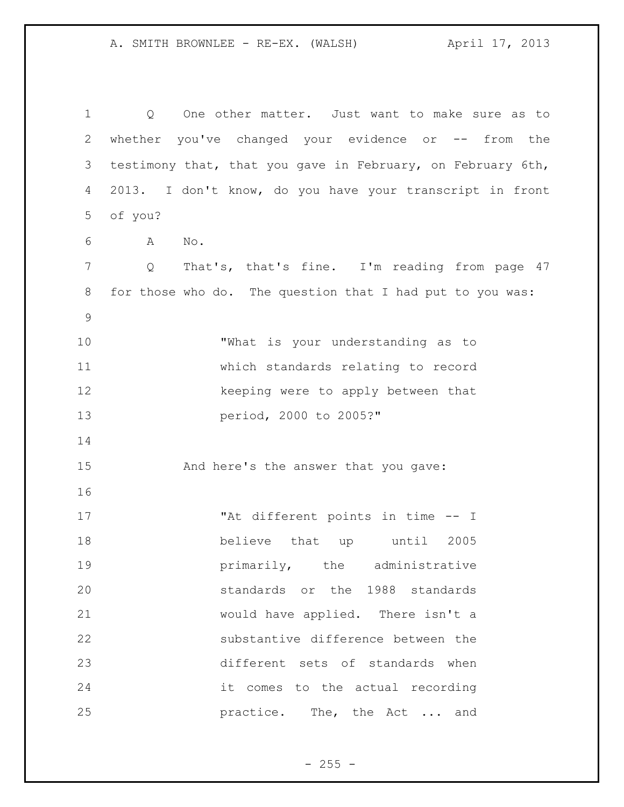Q One other matter. Just want to make sure as to whether you've changed your evidence or -- from the testimony that, that you gave in February, on February 6th, 2013. I don't know, do you have your transcript in front of you? A No. 7 Q That's, that's fine. I'm reading from page 47 for those who do. The question that I had put to you was: "What is your understanding as to which standards relating to record 12 keeping were to apply between that period, 2000 to 2005?" And here's the answer that you gave: "At different points in time -- I believe that up until 2005 **primarily**, the administrative standards or the 1988 standards would have applied. There isn't a substantive difference between the different sets of standards when it comes to the actual recording **practice.** The, the Act ... and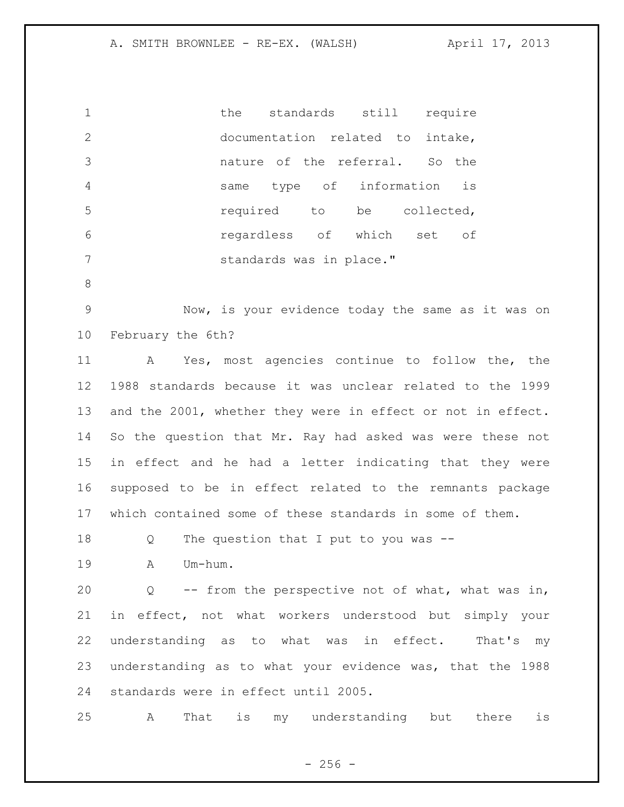1 the standards still require documentation related to intake, nature of the referral. So the same type of information is **19 required** to be collected, regardless of which set of standards was in place." Now, is your evidence today the same as it was on February the 6th? A Yes, most agencies continue to follow the, the 1988 standards because it was unclear related to the 1999 and the 2001, whether they were in effect or not in effect. So the question that Mr. Ray had asked was were these not in effect and he had a letter indicating that they were supposed to be in effect related to the remnants package which contained some of these standards in some of them. 18 Q The question that I put to you was -- A Um-hum. Q -- from the perspective not of what, what was in, in effect, not what workers understood but simply your understanding as to what was in effect. That's my understanding as to what your evidence was, that the 1988 standards were in effect until 2005. A That is my understanding but there is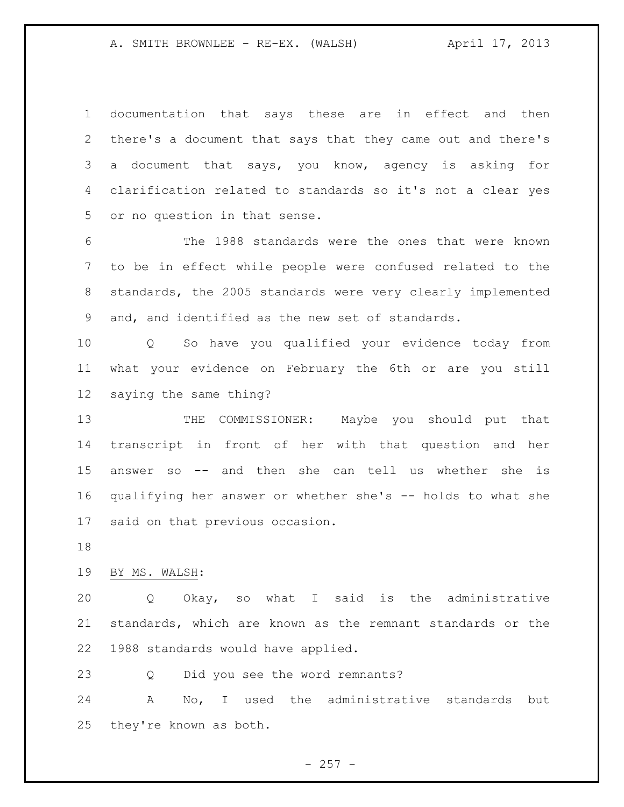documentation that says these are in effect and then there's a document that says that they came out and there's a document that says, you know, agency is asking for clarification related to standards so it's not a clear yes or no question in that sense.

 The 1988 standards were the ones that were known to be in effect while people were confused related to the standards, the 2005 standards were very clearly implemented and, and identified as the new set of standards.

 Q So have you qualified your evidence today from what your evidence on February the 6th or are you still saying the same thing?

 THE COMMISSIONER: Maybe you should put that transcript in front of her with that question and her answer so -- and then she can tell us whether she is qualifying her answer or whether she's -- holds to what she said on that previous occasion.

BY MS. WALSH:

 Q Okay, so what I said is the administrative standards, which are known as the remnant standards or the 1988 standards would have applied.

Q Did you see the word remnants?

 A No, I used the administrative standards but they're known as both.

 $-257 -$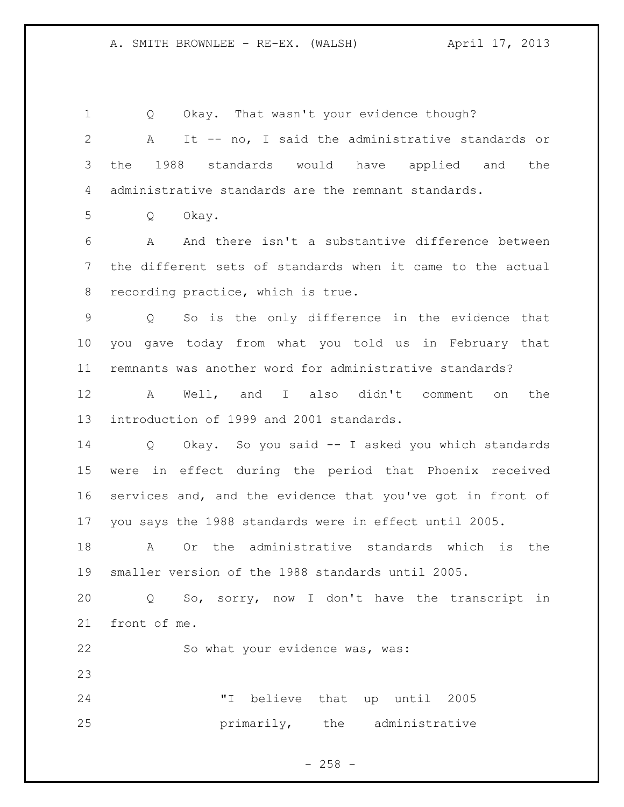Q Okay. That wasn't your evidence though? A It -- no, I said the administrative standards or the 1988 standards would have applied and the administrative standards are the remnant standards. Q Okay. A And there isn't a substantive difference between the different sets of standards when it came to the actual recording practice, which is true. Q So is the only difference in the evidence that you gave today from what you told us in February that remnants was another word for administrative standards? A Well, and I also didn't comment on the introduction of 1999 and 2001 standards. Q Okay. So you said -- I asked you which standards were in effect during the period that Phoenix received services and, and the evidence that you've got in front of you says the 1988 standards were in effect until 2005. A Or the administrative standards which is the smaller version of the 1988 standards until 2005. Q So, sorry, now I don't have the transcript in front of me. So what your evidence was, was: "I believe that up until 2005 **primarily**, the administrative

 $- 258 -$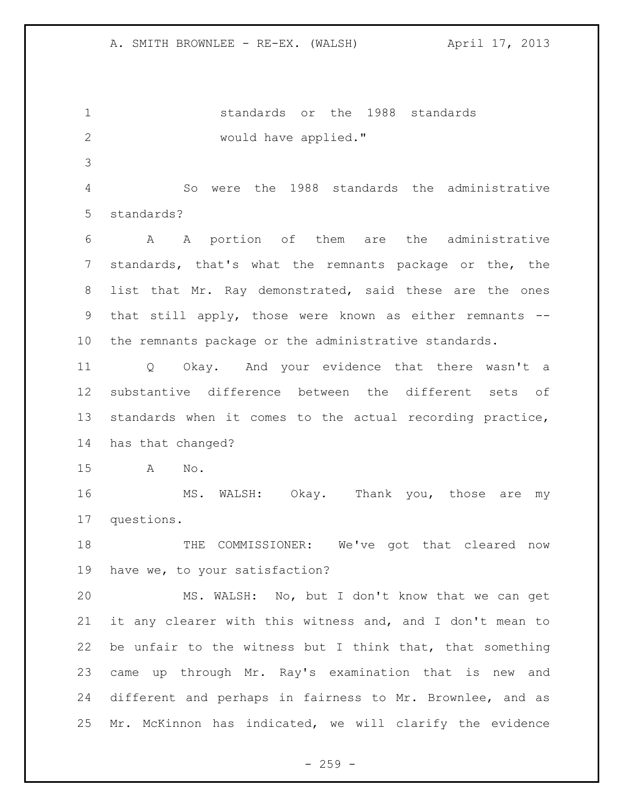standards or the 1988 standards would have applied."

 So were the 1988 standards the administrative standards?

 A A portion of them are the administrative standards, that's what the remnants package or the, the list that Mr. Ray demonstrated, said these are the ones that still apply, those were known as either remnants -- the remnants package or the administrative standards.

 Q Okay. And your evidence that there wasn't a substantive difference between the different sets of standards when it comes to the actual recording practice, has that changed?

A No.

16 MS. WALSH: Okay. Thank you, those are my questions.

18 THE COMMISSIONER: We've got that cleared now have we, to your satisfaction?

 MS. WALSH: No, but I don't know that we can get it any clearer with this witness and, and I don't mean to be unfair to the witness but I think that, that something came up through Mr. Ray's examination that is new and different and perhaps in fairness to Mr. Brownlee, and as Mr. McKinnon has indicated, we will clarify the evidence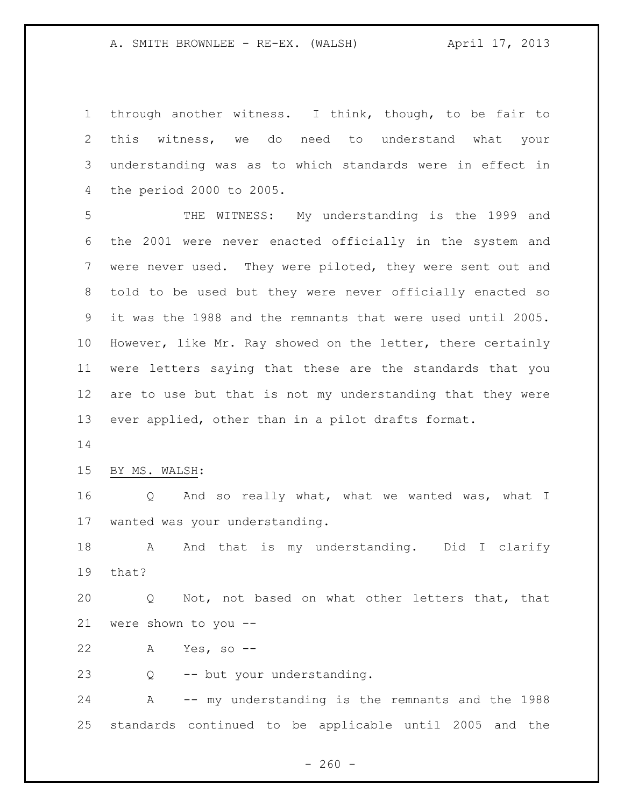through another witness. I think, though, to be fair to this witness, we do need to understand what your understanding was as to which standards were in effect in the period 2000 to 2005.

 THE WITNESS: My understanding is the 1999 and the 2001 were never enacted officially in the system and were never used. They were piloted, they were sent out and told to be used but they were never officially enacted so it was the 1988 and the remnants that were used until 2005. However, like Mr. Ray showed on the letter, there certainly were letters saying that these are the standards that you are to use but that is not my understanding that they were ever applied, other than in a pilot drafts format.

## BY MS. WALSH:

 Q And so really what, what we wanted was, what I wanted was your understanding.

18 A And that is my understanding. Did I clarify that?

 Q Not, not based on what other letters that, that were shown to you --

A Yes, so --

Q -- but your understanding.

 A -- my understanding is the remnants and the 1988 standards continued to be applicable until 2005 and the

 $- 260 -$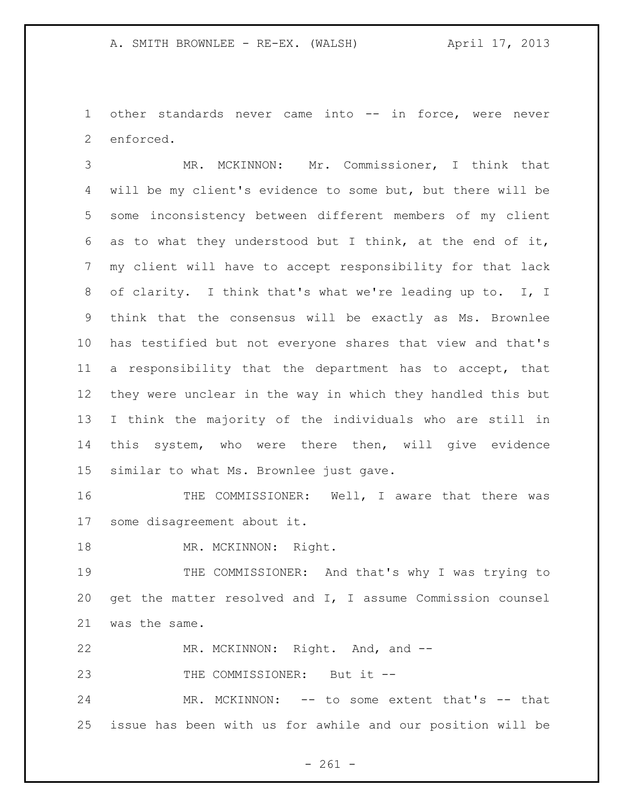other standards never came into -- in force, were never enforced.

 MR. MCKINNON: Mr. Commissioner, I think that will be my client's evidence to some but, but there will be some inconsistency between different members of my client as to what they understood but I think, at the end of it, my client will have to accept responsibility for that lack of clarity. I think that's what we're leading up to. I, I think that the consensus will be exactly as Ms. Brownlee has testified but not everyone shares that view and that's a responsibility that the department has to accept, that they were unclear in the way in which they handled this but I think the majority of the individuals who are still in this system, who were there then, will give evidence similar to what Ms. Brownlee just gave.

16 THE COMMISSIONER: Well, I aware that there was some disagreement about it.

18 MR. MCKINNON: Right.

 THE COMMISSIONER: And that's why I was trying to get the matter resolved and I, I assume Commission counsel was the same.

22 MR. MCKINNON: Right. And, and --

23 THE COMMISSIONER: But it --

 MR. MCKINNON: -- to some extent that's -- that issue has been with us for awhile and our position will be

- 261 -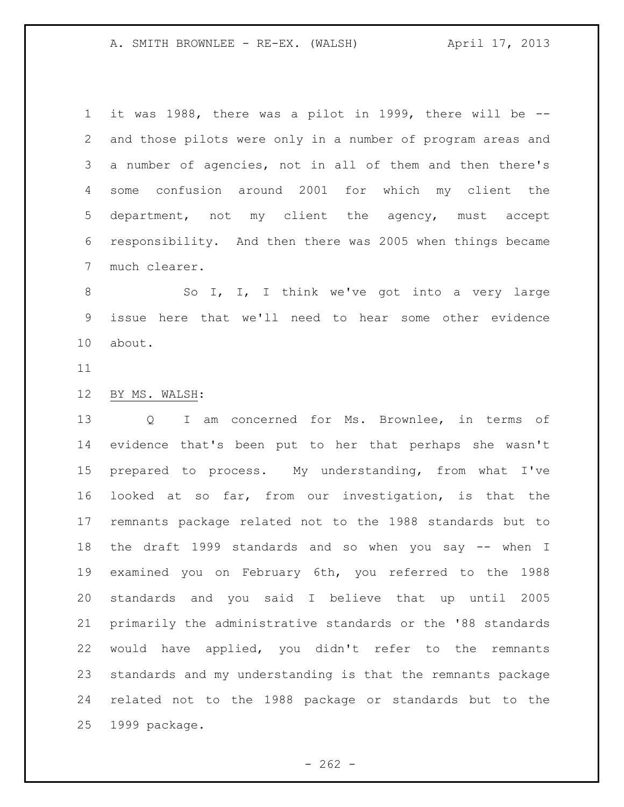it was 1988, there was a pilot in 1999, there will be -- and those pilots were only in a number of program areas and a number of agencies, not in all of them and then there's some confusion around 2001 for which my client the department, not my client the agency, must accept responsibility. And then there was 2005 when things became much clearer.

8 So I, I, I think we've got into a very large issue here that we'll need to hear some other evidence about.

## BY MS. WALSH:

 Q I am concerned for Ms. Brownlee, in terms of evidence that's been put to her that perhaps she wasn't prepared to process. My understanding, from what I've looked at so far, from our investigation, is that the remnants package related not to the 1988 standards but to the draft 1999 standards and so when you say -- when I examined you on February 6th, you referred to the 1988 standards and you said I believe that up until 2005 primarily the administrative standards or the '88 standards would have applied, you didn't refer to the remnants standards and my understanding is that the remnants package related not to the 1988 package or standards but to the 1999 package.

 $- 262 -$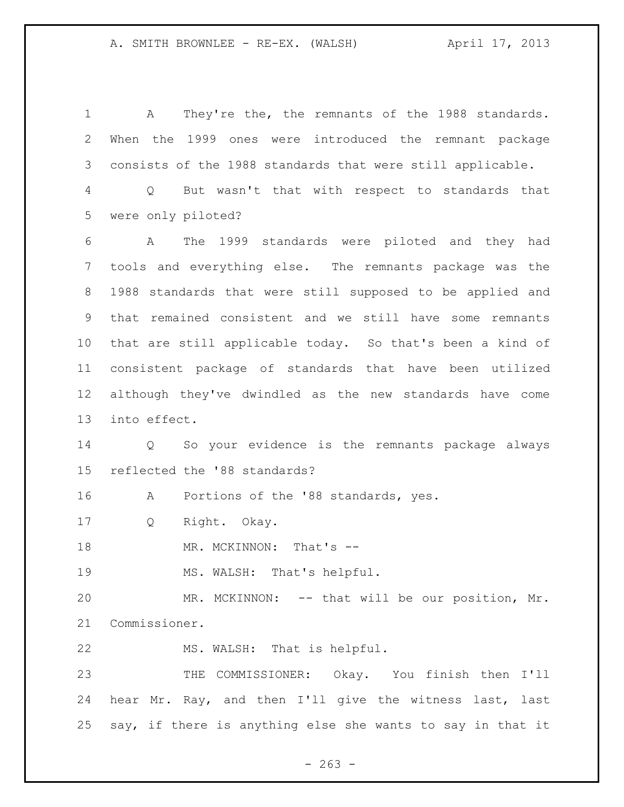A They're the, the remnants of the 1988 standards. When the 1999 ones were introduced the remnant package consists of the 1988 standards that were still applicable. Q But wasn't that with respect to standards that were only piloted? A The 1999 standards were piloted and they had tools and everything else. The remnants package was the 1988 standards that were still supposed to be applied and that remained consistent and we still have some remnants that are still applicable today. So that's been a kind of consistent package of standards that have been utilized although they've dwindled as the new standards have come into effect. Q So your evidence is the remnants package always reflected the '88 standards? A Portions of the '88 standards, yes. Q Right. Okay. 18 MR. MCKINNON: That's -- MS. WALSH: That's helpful. MR. MCKINNON: -- that will be our position, Mr. Commissioner. MS. WALSH: That is helpful. THE COMMISSIONER: Okay. You finish then I'll hear Mr. Ray, and then I'll give the witness last, last say, if there is anything else she wants to say in that it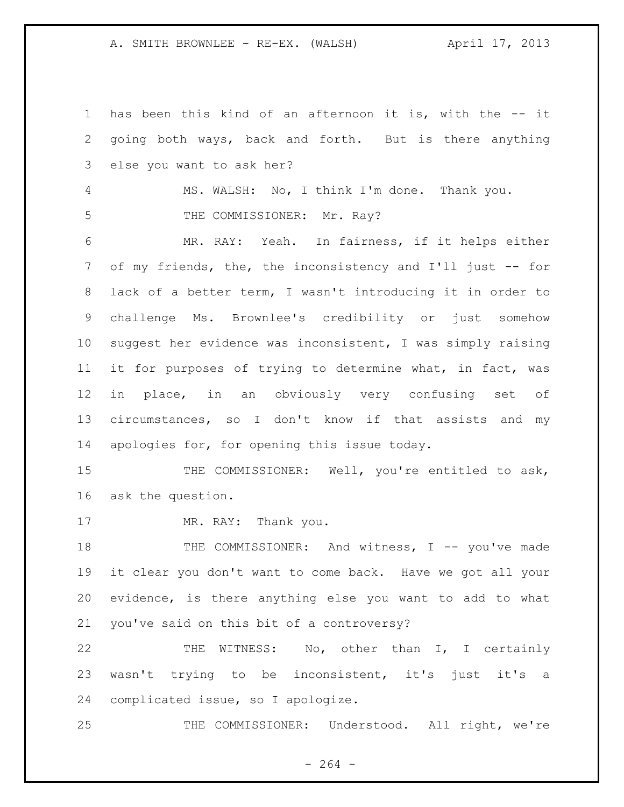has been this kind of an afternoon it is, with the -- it going both ways, back and forth. But is there anything else you want to ask her? MS. WALSH: No, I think I'm done. Thank you. 5 THE COMMISSIONER: Mr. Ray? MR. RAY: Yeah. In fairness, if it helps either 7 of my friends, the, the inconsistency and I'll just -- for lack of a better term, I wasn't introducing it in order to challenge Ms. Brownlee's credibility or just somehow suggest her evidence was inconsistent, I was simply raising it for purposes of trying to determine what, in fact, was in place, in an obviously very confusing set of circumstances, so I don't know if that assists and my apologies for, for opening this issue today. 15 THE COMMISSIONER: Well, you're entitled to ask, ask the question. 17 MR. RAY: Thank you. 18 THE COMMISSIONER: And witness, I -- you've made it clear you don't want to come back. Have we got all your evidence, is there anything else you want to add to what you've said on this bit of a controversy? THE WITNESS: No, other than I, I certainly 23 wasn't trying to be inconsistent, it's just it's a complicated issue, so I apologize. THE COMMISSIONER: Understood. All right, we're